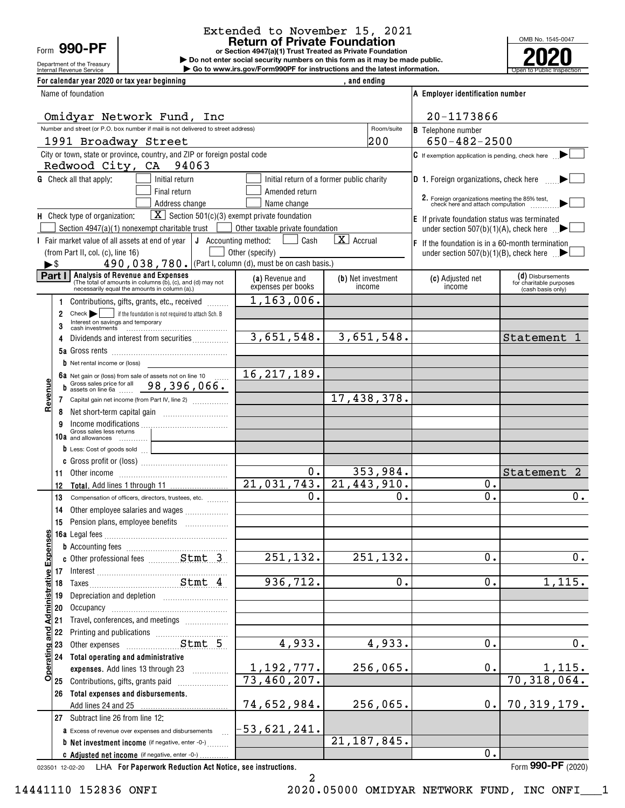Department of the Treasury Form 990-PF

# Extended to November 15, 2021

or Section 4947(a)(1) Trust Treated as Private Foundation | Do not enter social security numbers on this form as it may be made public. **Solution Return of Private Foundation**<br>  $R = \frac{1}{200}$  and the Treasury<br> **Example 1990-RF** and the Unit Scritter social security numbers on this form as it may be made public.

Internal Revenue Service **Construents in the Construction Service Constructions and the latest information.** The Open to Public Inspection | Go to www.irs.gov/Form990PF for instructions and the latest information.



| For calendar year 2020 or tax year beginning<br>, and ending                                                                                     |                                                                  |                                           |                                                                                                             |                                              |  |  |  |
|--------------------------------------------------------------------------------------------------------------------------------------------------|------------------------------------------------------------------|-------------------------------------------|-------------------------------------------------------------------------------------------------------------|----------------------------------------------|--|--|--|
| Name of foundation                                                                                                                               | A Employer identification number                                 |                                           |                                                                                                             |                                              |  |  |  |
| Omidyar Network Fund, Inc                                                                                                                        |                                                                  |                                           | 20-1173866                                                                                                  |                                              |  |  |  |
| Number and street (or P.O. box number if mail is not delivered to street address)                                                                |                                                                  | Room/suite                                | <b>B</b> Telephone number                                                                                   |                                              |  |  |  |
| 1991 Broadway Street                                                                                                                             |                                                                  | 200                                       | $650 - 482 - 2500$                                                                                          |                                              |  |  |  |
| City or town, state or province, country, and ZIP or foreign postal code<br>Redwood City, CA 94063                                               |                                                                  |                                           | <b>C</b> If exemption application is pending, check here                                                    |                                              |  |  |  |
| <b>G</b> Check all that apply:<br>Initial return                                                                                                 |                                                                  | Initial return of a former public charity | <b>D</b> 1. Foreign organizations, check here                                                               |                                              |  |  |  |
| Final return                                                                                                                                     | Amended return                                                   |                                           |                                                                                                             |                                              |  |  |  |
| Address change                                                                                                                                   | Name change                                                      |                                           | 2. Foreign organizations meeting the 85% test, check here and attach computation                            |                                              |  |  |  |
| H Check type of organization:                                                                                                                    | $\boxed{\textbf{X}}$ Section 501(c)(3) exempt private foundation |                                           | E If private foundation status was terminated                                                               |                                              |  |  |  |
| Section $4947(a)(1)$ nonexempt charitable trust $\left  \right $<br>I Fair market value of all assets at end of year $\int$ J Accounting method: | Other taxable private foundation<br>Cash<br>$\mathbf{L}$         | $\mathbf{X}$ Accrual                      | under section 507(b)(1)(A), check here $\Box$                                                               |                                              |  |  |  |
| (from Part II, col. (c), line 16)                                                                                                                | Other (specify)                                                  |                                           | $\mathsf F$ If the foundation is in a 60-month termination<br>under section 507(b)(1)(B), check here $\Box$ |                                              |  |  |  |
| 490, 038, 780. (Part I, column (d), must be on cash basis.)<br>$\blacktriangleright$ \$                                                          |                                                                  |                                           |                                                                                                             |                                              |  |  |  |
| Part I<br><b>Analysis of Revenue and Expenses</b>                                                                                                | (a) Revenue and                                                  | (b) Net investment                        | (c) Adjusted net                                                                                            | (d) Disbursements                            |  |  |  |
| (The total of amounts in columns (b), (c), and (d) may not<br>necessarily equal the amounts in column (a).)                                      | expenses per books                                               | income                                    | income                                                                                                      | for charitable purposes<br>(cash basis only) |  |  |  |
| Contributions, gifts, grants, etc., received<br>1.                                                                                               | 1,163,006.                                                       |                                           |                                                                                                             |                                              |  |  |  |
| $Check \rightarrow$<br>if the foundation is not required to attach Sch. B<br>2<br>Interest on savings and temporary                              |                                                                  |                                           |                                                                                                             |                                              |  |  |  |
|                                                                                                                                                  |                                                                  |                                           |                                                                                                             |                                              |  |  |  |
| Dividends and interest from securities                                                                                                           | 3,651,548.                                                       | 3,651,548.                                |                                                                                                             | Statement                                    |  |  |  |
|                                                                                                                                                  |                                                                  |                                           |                                                                                                             |                                              |  |  |  |
| Net rental income or (loss)<br>6a Net gain or (loss) from sale of assets not on line 10                                                          | 16, 217, 189.                                                    |                                           |                                                                                                             |                                              |  |  |  |
| Gross sales price for all 98, 396, 066.                                                                                                          |                                                                  |                                           |                                                                                                             |                                              |  |  |  |
| Revenue<br>Capital gain net income (from Part IV, line 2)<br>7                                                                                   |                                                                  | 17,438,378.                               |                                                                                                             |                                              |  |  |  |
| 8                                                                                                                                                |                                                                  |                                           |                                                                                                             |                                              |  |  |  |
| Income modifications<br>Gross sales less returns                                                                                                 |                                                                  |                                           |                                                                                                             |                                              |  |  |  |
| 10a and allowances                                                                                                                               |                                                                  |                                           |                                                                                                             |                                              |  |  |  |
| D Less: Cost of goods sold                                                                                                                       |                                                                  |                                           |                                                                                                             |                                              |  |  |  |
|                                                                                                                                                  | 0.                                                               | 353,984.                                  |                                                                                                             | Statement                                    |  |  |  |
| 11<br>12                                                                                                                                         | 21,031,743.                                                      | 21,443,910.                               | 0.                                                                                                          |                                              |  |  |  |
| 13<br>Compensation of officers, directors, trustees, etc.                                                                                        | $\overline{0}$ .                                                 | 0.                                        | $\mathbf{0}$ .                                                                                              | 0.                                           |  |  |  |
| Other employee salaries and wages<br>14                                                                                                          |                                                                  |                                           |                                                                                                             |                                              |  |  |  |
| 15 Pension plans, employee benefits                                                                                                              |                                                                  |                                           |                                                                                                             |                                              |  |  |  |
|                                                                                                                                                  |                                                                  |                                           |                                                                                                             |                                              |  |  |  |
|                                                                                                                                                  |                                                                  |                                           |                                                                                                             |                                              |  |  |  |
|                                                                                                                                                  | 251, 132.                                                        | 251,132.                                  | 0.                                                                                                          | 0.                                           |  |  |  |
|                                                                                                                                                  | 936, 712.                                                        | 0.                                        | 0.                                                                                                          | 1,115.                                       |  |  |  |
| Depreciation and depletion [11] [11] Depreciation and depletion<br>19                                                                            |                                                                  |                                           |                                                                                                             |                                              |  |  |  |
| 20                                                                                                                                               |                                                                  |                                           |                                                                                                             |                                              |  |  |  |
| <b>Administrative Expense</b><br>Travel, conferences, and meetings<br>21                                                                         |                                                                  |                                           |                                                                                                             |                                              |  |  |  |
| 22                                                                                                                                               |                                                                  |                                           |                                                                                                             |                                              |  |  |  |
| Operating and<br>Stmt 5<br>Other expenses<br>23                                                                                                  | 4,933.                                                           | 4,933.                                    | $\overline{0}$ .                                                                                            | $0$ .                                        |  |  |  |
| 24 Total operating and administrative                                                                                                            |                                                                  |                                           |                                                                                                             |                                              |  |  |  |
| expenses. Add lines 13 through 23                                                                                                                | 1,192,777.<br>73,460,207.                                        | 256,065.                                  | 0.                                                                                                          | $\frac{1,115.}{70,318,064.}$                 |  |  |  |
| 25 Contributions, gifts, grants paid                                                                                                             |                                                                  |                                           |                                                                                                             |                                              |  |  |  |
| 26 Total expenses and disbursements.                                                                                                             | 74,652,984.                                                      | 256,065.                                  | 0.                                                                                                          | 70, 319, 179.                                |  |  |  |
| 27 Subtract line 26 from line 12:                                                                                                                |                                                                  |                                           |                                                                                                             |                                              |  |  |  |
| a Excess of revenue over expenses and disbursements                                                                                              | $-53,621,241.$                                                   |                                           |                                                                                                             |                                              |  |  |  |
| <b>b</b> Net investment income (if negative, enter -0-)                                                                                          |                                                                  | 21, 187, 845.                             |                                                                                                             |                                              |  |  |  |
| C Adjusted net income (if negative, enter -0-)                                                                                                   |                                                                  |                                           | 0.                                                                                                          |                                              |  |  |  |

023501 12-02-20 For Paperwork Reduction Act Notice, see instructions. LHA Form (2020)

Form 990-PF (2020)

2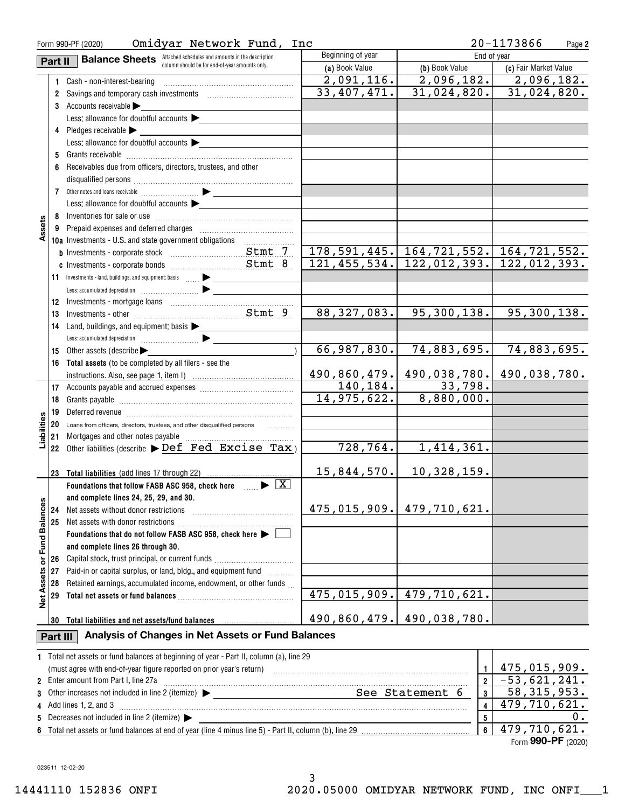| Omidyar Network Fund, Inc<br>Form 990-PF (2020)                                                         |          |                                                                                                          |                                 |                                              | 20-1173866<br>Page 2            |
|---------------------------------------------------------------------------------------------------------|----------|----------------------------------------------------------------------------------------------------------|---------------------------------|----------------------------------------------|---------------------------------|
| Beginning of year<br><b>Balance Sheets</b> Attached schedules and amounts in the description<br>Part II |          |                                                                                                          |                                 |                                              | End of year                     |
|                                                                                                         |          | column should be for end-of-year amounts only.                                                           | (a) Book Value                  | (b) Book Value                               | (c) Fair Market Value           |
|                                                                                                         |          | 1 Cash - non-interest-bearing                                                                            | 2,091,116.                      | 2,096,182.                                   | 2,096,182.                      |
|                                                                                                         |          | 2 Savings and temporary cash investments [111][11] Savings and temporary cash investments                | 33,407,471.                     | 31,024,820.                                  | 31,024,820.                     |
|                                                                                                         |          | 3 Accounts receivable                                                                                    |                                 |                                              |                                 |
|                                                                                                         |          | Less: allowance for doubtful accounts                                                                    |                                 |                                              |                                 |
|                                                                                                         |          | 4 Pledges receivable > ________                                                                          |                                 |                                              |                                 |
|                                                                                                         |          | Less: allowance for doubtful accounts $\blacktriangleright$                                              |                                 |                                              |                                 |
|                                                                                                         |          |                                                                                                          |                                 |                                              |                                 |
|                                                                                                         |          | 6 Receivables due from officers, directors, trustees, and other                                          |                                 |                                              |                                 |
|                                                                                                         |          |                                                                                                          |                                 |                                              |                                 |
|                                                                                                         |          |                                                                                                          |                                 |                                              |                                 |
|                                                                                                         |          |                                                                                                          |                                 |                                              |                                 |
|                                                                                                         |          | Less: allowance for doubtful accounts $\blacktriangleright$                                              |                                 |                                              |                                 |
|                                                                                                         |          |                                                                                                          |                                 |                                              |                                 |
| Assets                                                                                                  |          |                                                                                                          |                                 |                                              |                                 |
|                                                                                                         |          |                                                                                                          |                                 |                                              |                                 |
|                                                                                                         |          |                                                                                                          |                                 | 178, 591, 445. 164, 721, 552. 164, 721, 552. |                                 |
|                                                                                                         |          |                                                                                                          | 121, 455, 534.                  |                                              | $122, 012, 393.$ 122, 012, 393. |
|                                                                                                         |          |                                                                                                          |                                 |                                              |                                 |
|                                                                                                         |          |                                                                                                          |                                 |                                              |                                 |
|                                                                                                         |          |                                                                                                          |                                 |                                              |                                 |
|                                                                                                         | 13       |                                                                                                          | 88, 327, 083.                   | 95, 300, 138.                                | 95,300,138.                     |
|                                                                                                         | 14       | Land, buildings, and equipment: basis $\blacktriangleright$                                              |                                 |                                              |                                 |
|                                                                                                         |          |                                                                                                          |                                 |                                              |                                 |
|                                                                                                         |          | 15 Other assets (describe $\blacktriangleright$                                                          | 66,987,830.                     | 74,883,695.                                  | 74,883,695.                     |
|                                                                                                         |          | 16 Total assets (to be completed by all filers - see the                                                 |                                 |                                              |                                 |
|                                                                                                         |          |                                                                                                          | 490,860,479.                    | 490,038,780.                                 | 490,038,780.                    |
|                                                                                                         |          |                                                                                                          | 140,184.                        | 33,798.                                      |                                 |
|                                                                                                         | 18       |                                                                                                          | 14,975,622.                     | 8,880,000.                                   |                                 |
|                                                                                                         |          |                                                                                                          |                                 |                                              |                                 |
|                                                                                                         |          | 20 Loans from officers, directors, trustees, and other disqualified persons                              |                                 |                                              |                                 |
| Liabilities                                                                                             |          |                                                                                                          |                                 |                                              |                                 |
|                                                                                                         |          | 22 Other liabilities (describe $\blacktriangleright$ Def Fed Excise Tax)                                 | 728,764.                        | 1,414,361.                                   |                                 |
|                                                                                                         |          |                                                                                                          |                                 |                                              |                                 |
|                                                                                                         |          | 23 Total liabilities (add lines 17 through 22)                                                           | 15,844,570.                     | 10,328,159.                                  |                                 |
|                                                                                                         |          |                                                                                                          |                                 |                                              |                                 |
|                                                                                                         |          | Foundations that follow FASB ASC 958, check here $\Box$                                                  |                                 |                                              |                                 |
|                                                                                                         |          | and complete lines 24, 25, 29, and 30.                                                                   |                                 | 475,015,909. 479,710,621.                    |                                 |
|                                                                                                         | 24       | Net assets without donor restrictions                                                                    |                                 |                                              |                                 |
| Fund Balances                                                                                           | 25       |                                                                                                          |                                 |                                              |                                 |
|                                                                                                         |          | Foundations that do not follow FASB ASC 958, check here $\blacktriangleright$ [                          |                                 |                                              |                                 |
|                                                                                                         |          | and complete lines 26 through 30.                                                                        |                                 |                                              |                                 |
| ŏ                                                                                                       | 26       | Capital stock, trust principal, or current funds                                                         |                                 |                                              |                                 |
|                                                                                                         | 27       | Paid-in or capital surplus, or land, bldg., and equipment fund <i>minimal</i>                            |                                 |                                              |                                 |
|                                                                                                         | 28       | Retained earnings, accumulated income, endowment, or other funds                                         |                                 |                                              |                                 |
| <b>Net Assets</b>                                                                                       | 29       |                                                                                                          | 475,015,909.                    | 479,710,621.                                 |                                 |
|                                                                                                         |          |                                                                                                          |                                 |                                              |                                 |
|                                                                                                         | 30       | Total liabilities and net assets/fund balances                                                           | 490,860,479.                    | 490,038,780.                                 |                                 |
|                                                                                                         | Part III | Analysis of Changes in Net Assets or Fund Balances                                                       |                                 |                                              |                                 |
|                                                                                                         |          |                                                                                                          |                                 |                                              |                                 |
|                                                                                                         |          | 1 Total net assets or fund balances at beginning of year - Part II, column (a), line 29                  |                                 |                                              |                                 |
|                                                                                                         |          |                                                                                                          | $\mathbf{1}$                    | 475,015,909.                                 |                                 |
|                                                                                                         |          | 2 Enter amount from Part I, line 27a                                                                     | $\overline{2}$                  | $-53,621,241.$                               |                                 |
| 3                                                                                                       |          | Other increases not included in line 2 (itemize) > _____________________________                         | See Statement 6<br>$\mathbf{3}$ | 58, 315, 953.                                |                                 |
|                                                                                                         |          | 4 Add lines 1, 2, and 3                                                                                  |                                 | $\overline{4}$                               | $\overline{47}9,710,621.$       |
| 5                                                                                                       |          | Decreases not included in line 2 (itemize) >                                                             |                                 | 5                                            | 0.                              |
|                                                                                                         |          | 6 Total net assets or fund balances at end of year (line 4 minus line 5) - Part II, column (b), line 29. |                                 | 6                                            | 479,710,621.                    |

|    |                                                                                                            |  | $\cdots$ |  |
|----|------------------------------------------------------------------------------------------------------------|--|----------|--|
| 6  | line 29<br>minus<br>Iline 4<br>column<br>' otal<br>tund.<br>nalances<br>. of vear<br>assets<br>. or<br>end |  |          |  |
| Ð. | (itemize.<br>line 2<br>.ed in '<br>uncluder . ا<br><br>,,,,,                                               |  |          |  |

Form **990-PF** (2020)

023511 12-02-20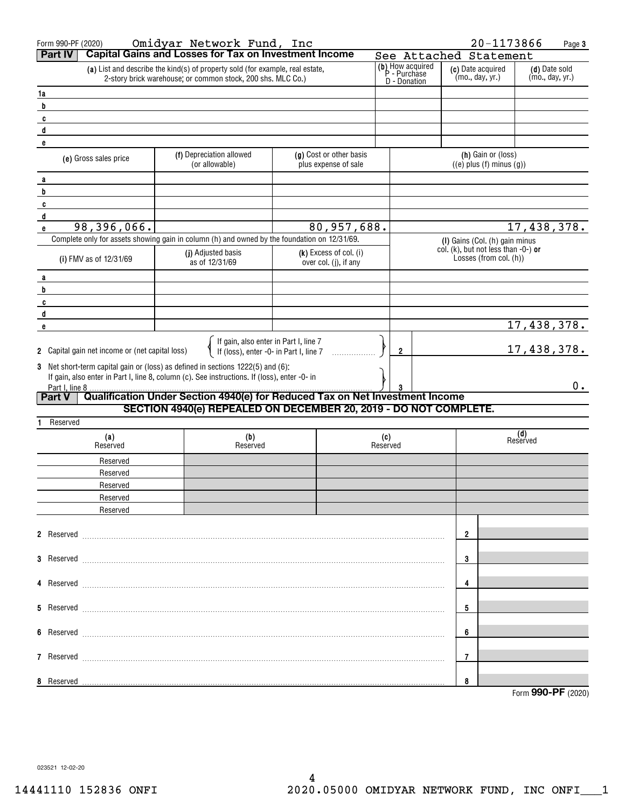| Form 990-PF (2020)                                                                                                                           | Omidyar Network Fund, Inc                                                                    |                                                   |          |                                                  | 20-1173866                                                                  | Page 3                           |  |
|----------------------------------------------------------------------------------------------------------------------------------------------|----------------------------------------------------------------------------------------------|---------------------------------------------------|----------|--------------------------------------------------|-----------------------------------------------------------------------------|----------------------------------|--|
| <b>Part IV</b>                                                                                                                               | <b>Capital Gains and Losses for Tax on Investment Income</b>                                 |                                                   |          |                                                  | See Attached Statement                                                      |                                  |  |
| (a) List and describe the kind(s) of property sold (for example, real estate,<br>2-story brick warehouse; or common stock, 200 shs. MLC Co.) |                                                                                              |                                                   |          | (b) How acquired<br>P - Purchase<br>D - Donation | (c) Date acquired<br>(mo., day, yr.)                                        | (d) Date sold<br>(mo., day, yr.) |  |
| 1a                                                                                                                                           |                                                                                              |                                                   |          |                                                  |                                                                             |                                  |  |
| b                                                                                                                                            |                                                                                              |                                                   |          |                                                  |                                                                             |                                  |  |
| c                                                                                                                                            |                                                                                              |                                                   |          |                                                  |                                                                             |                                  |  |
| d                                                                                                                                            |                                                                                              |                                                   |          |                                                  |                                                                             |                                  |  |
| e                                                                                                                                            |                                                                                              |                                                   |          |                                                  | (h) Gain or (loss)                                                          |                                  |  |
| (e) Gross sales price                                                                                                                        | (f) Depreciation allowed<br>(or allowable)                                                   | (g) Cost or other basis<br>plus expense of sale   |          |                                                  | $((e)$ plus $(f)$ minus $(g))$                                              |                                  |  |
| a                                                                                                                                            |                                                                                              |                                                   |          |                                                  |                                                                             |                                  |  |
| b                                                                                                                                            |                                                                                              |                                                   |          |                                                  |                                                                             |                                  |  |
| c                                                                                                                                            |                                                                                              |                                                   |          |                                                  |                                                                             |                                  |  |
| d                                                                                                                                            |                                                                                              |                                                   |          |                                                  |                                                                             |                                  |  |
| 98,396,066.<br>e                                                                                                                             |                                                                                              | 80,957,688.                                       |          |                                                  |                                                                             | 17,438,378.                      |  |
|                                                                                                                                              | Complete only for assets showing gain in column (h) and owned by the foundation on 12/31/69. |                                                   |          |                                                  | (I) Gains (Col. (h) gain minus<br>col. $(k)$ , but not less than $-0$ -) or |                                  |  |
| (i) FMV as of 12/31/69                                                                                                                       | (j) Adjusted basis<br>as of 12/31/69                                                         | $(k)$ Excess of col. (i)<br>over col. (j), if any |          |                                                  | Losses (from col. (h))                                                      |                                  |  |
|                                                                                                                                              |                                                                                              |                                                   |          |                                                  |                                                                             |                                  |  |
| a<br>b                                                                                                                                       |                                                                                              |                                                   |          |                                                  |                                                                             |                                  |  |
| C                                                                                                                                            |                                                                                              |                                                   |          |                                                  |                                                                             |                                  |  |
| d                                                                                                                                            |                                                                                              |                                                   |          |                                                  |                                                                             |                                  |  |
| e                                                                                                                                            |                                                                                              |                                                   |          |                                                  |                                                                             | 17,438,378.                      |  |
| 2 Capital gain net income or (net capital loss)                                                                                              | If gain, also enter in Part I, line 7<br>If (loss), enter -0- in Part I, line 7              |                                                   | 2        |                                                  |                                                                             | 17,438,378.                      |  |
|                                                                                                                                              |                                                                                              |                                                   |          |                                                  |                                                                             |                                  |  |
| 3 Net short-term capital gain or (loss) as defined in sections 1222(5) and (6):                                                              | If gain, also enter in Part I, line 8, column (c). See instructions. If (loss), enter -0- in |                                                   |          |                                                  |                                                                             |                                  |  |
| Part I, line 8                                                                                                                               |                                                                                              |                                                   |          |                                                  |                                                                             | 0.                               |  |
| <b>Part V</b>                                                                                                                                | Qualification Under Section 4940(e) for Reduced Tax on Net Investment Income                 |                                                   |          |                                                  |                                                                             |                                  |  |
| Reserved                                                                                                                                     | SECTION 4940(e) REPEALED ON DECEMBER 20, 2019 - DO NOT COMPLETE.                             |                                                   |          |                                                  |                                                                             |                                  |  |
| (a)                                                                                                                                          | (b)                                                                                          |                                                   | (c)      |                                                  |                                                                             | (d)<br>Reserved                  |  |
| Reserved                                                                                                                                     | Reserved                                                                                     |                                                   | Reserved |                                                  |                                                                             |                                  |  |
| Reserved                                                                                                                                     |                                                                                              |                                                   |          |                                                  |                                                                             |                                  |  |
| Reserved                                                                                                                                     |                                                                                              |                                                   |          |                                                  |                                                                             |                                  |  |
| Reserved                                                                                                                                     |                                                                                              |                                                   |          |                                                  |                                                                             |                                  |  |
| Reserved                                                                                                                                     |                                                                                              |                                                   |          |                                                  |                                                                             |                                  |  |
| Reserved                                                                                                                                     |                                                                                              |                                                   |          |                                                  |                                                                             |                                  |  |
|                                                                                                                                              |                                                                                              |                                                   |          |                                                  | 2                                                                           |                                  |  |
|                                                                                                                                              |                                                                                              |                                                   |          |                                                  |                                                                             |                                  |  |
|                                                                                                                                              |                                                                                              |                                                   |          |                                                  | 3                                                                           |                                  |  |
|                                                                                                                                              |                                                                                              |                                                   |          |                                                  | 4                                                                           |                                  |  |
|                                                                                                                                              |                                                                                              |                                                   |          |                                                  |                                                                             |                                  |  |
|                                                                                                                                              |                                                                                              |                                                   |          |                                                  | 5                                                                           |                                  |  |
|                                                                                                                                              |                                                                                              |                                                   |          |                                                  | 6                                                                           |                                  |  |
|                                                                                                                                              |                                                                                              |                                                   |          |                                                  |                                                                             |                                  |  |
|                                                                                                                                              |                                                                                              |                                                   |          | 7                                                |                                                                             |                                  |  |
| 8 Reserved                                                                                                                                   |                                                                                              |                                                   |          |                                                  | 8                                                                           |                                  |  |
|                                                                                                                                              |                                                                                              |                                                   |          |                                                  |                                                                             | Form 990-PF (2020)               |  |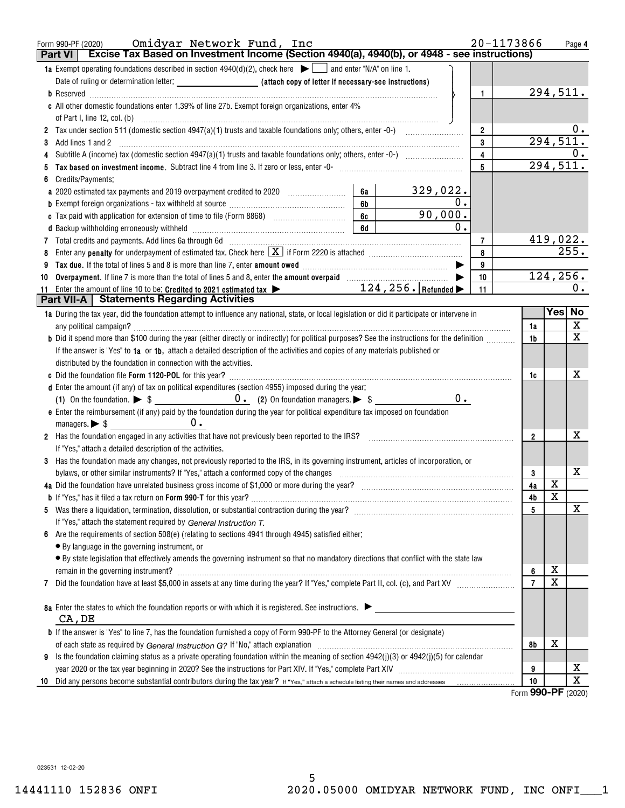| <b>Part VI</b> | Omidyar Network Fund, Inc<br>Form 990-PF (2020)<br>Excise Tax Based on Investment Income (Section 4940(a), 4940(b), or 4948 - see instructions)                                                                                |    |          |               |                         | 20-1173866 |                |                        | Page 4                       |
|----------------|--------------------------------------------------------------------------------------------------------------------------------------------------------------------------------------------------------------------------------|----|----------|---------------|-------------------------|------------|----------------|------------------------|------------------------------|
|                | 1a Exempt operating foundations described in section $4940(d)(2)$ , check here $\bullet$ and enter "N/A" on line 1.                                                                                                            |    |          |               |                         |            |                |                        |                              |
|                |                                                                                                                                                                                                                                |    |          |               |                         |            |                |                        |                              |
|                |                                                                                                                                                                                                                                |    |          |               | 1                       |            |                | 294,511.               |                              |
|                | c All other domestic foundations enter 1.39% of line 27b. Exempt foreign organizations, enter 4%                                                                                                                               |    |          |               |                         |            |                |                        |                              |
|                |                                                                                                                                                                                                                                |    |          |               |                         |            |                |                        |                              |
|                |                                                                                                                                                                                                                                |    |          |               | $\overline{\mathbf{2}}$ |            |                |                        |                              |
| 3              | Add lines 1 and 2                                                                                                                                                                                                              |    |          |               | 3                       |            |                | $29\overline{4,511}$ . |                              |
| 4              |                                                                                                                                                                                                                                |    |          |               | 4                       |            |                |                        | 0.                           |
| 5              | Tax based on investment income. Subtract line 4 from line 3. If zero or less, enter -0- manufactured contains and income sub-                                                                                                  |    |          |               | 5                       |            |                | 294,511.               |                              |
| 6              | Credits/Payments:                                                                                                                                                                                                              |    |          |               |                         |            |                |                        |                              |
|                | a 2020 estimated tax payments and 2019 overpayment credited to 2020 [11, 12, 12, 13, 13, 13, 13, 13, 13, 13, 1                                                                                                                 | 6a | 329,022. |               |                         |            |                |                        |                              |
|                |                                                                                                                                                                                                                                | 6b |          | 0.            |                         |            |                |                        |                              |
|                | c Tax paid with application for extension of time to file (Form 8868) [100] [100] [100] [100] [100] [100] [100] [100] [100] [100] [100] [100] [100] [100] [100] [100] [100] [100] [100] [100] [100] [100] [100] [100] [100] [1 | 6c |          | 90,000.       |                         |            |                |                        |                              |
|                |                                                                                                                                                                                                                                | 6d |          | $\mathbf 0$ . |                         |            |                |                        |                              |
|                | 7 Total credits and payments. Add lines 6a through 6d [11] [12] Total manufacture and payments and payments. Add lines 6a through 6d                                                                                           |    |          |               | $\overline{7}$          |            |                | 419,022.               |                              |
| 8              |                                                                                                                                                                                                                                |    |          |               | 8                       |            |                |                        | 255.                         |
| 9              |                                                                                                                                                                                                                                |    |          |               | 9                       |            |                |                        |                              |
| 10             | Overpayment. If line 7 is more than the total of lines 5 and 8, enter the amount overpaid manufactured and $\blacktriangleright$                                                                                               |    |          |               | 10                      |            |                | 124, 256.              |                              |
| 11             | $124, 256$ . Refunded<br>Enter the amount of line 10 to be: Credited to 2021 estimated tax $\blacktriangleright$                                                                                                               |    |          |               | 11                      |            |                |                        | 0.                           |
|                | <b>Part VII-A   Statements Regarding Activities</b>                                                                                                                                                                            |    |          |               |                         |            |                | Yes No                 |                              |
|                | 1a During the tax year, did the foundation attempt to influence any national, state, or local legislation or did it participate or intervene in                                                                                |    |          |               |                         |            |                |                        |                              |
|                |                                                                                                                                                                                                                                |    |          |               |                         |            | 1a             |                        | X<br>$\overline{\mathbf{x}}$ |
|                | b Did it spend more than \$100 during the year (either directly or indirectly) for political purposes? See the instructions for the definition                                                                                 |    |          |               |                         |            | 1 <sub>b</sub> |                        |                              |
|                | If the answer is "Yes" to 1a or 1b, attach a detailed description of the activities and copies of any materials published or                                                                                                   |    |          |               |                         |            |                |                        |                              |
|                | distributed by the foundation in connection with the activities.                                                                                                                                                               |    |          |               |                         |            |                |                        | x.                           |
|                |                                                                                                                                                                                                                                |    |          |               |                         |            | 1c             |                        |                              |
|                | d Enter the amount (if any) of tax on political expenditures (section 4955) imposed during the year:                                                                                                                           |    |          | 0.            |                         |            |                |                        |                              |
|                | e Enter the reimbursement (if any) paid by the foundation during the year for political expenditure tax imposed on foundation                                                                                                  |    |          |               |                         |            |                |                        |                              |
|                | managers. $\triangleright$ \$ $\perp$<br>$0 \cdot$                                                                                                                                                                             |    |          |               |                         |            |                |                        |                              |
|                | 2 Has the foundation engaged in any activities that have not previously been reported to the IRS?                                                                                                                              |    |          |               |                         |            | 2              |                        | х                            |
|                | If "Yes," attach a detailed description of the activities.                                                                                                                                                                     |    |          |               |                         |            |                |                        |                              |
|                | 3 Has the foundation made any changes, not previously reported to the IRS, in its governing instrument, articles of incorporation, or                                                                                          |    |          |               |                         |            |                |                        |                              |
|                | bylaws, or other similar instruments? If "Yes," attach a conformed copy of the changes                                                                                                                                         |    |          |               |                         |            | 3              |                        | x                            |
|                | 4a Did the foundation have unrelated business gross income of \$1,000 or more during the year?                                                                                                                                 |    |          |               |                         |            | 4a             | X                      |                              |
|                | <b>b</b> If "Yes," has it filed a tax return on <b>Form 990-T</b> for this year?                                                                                                                                               |    |          |               |                         |            | 4b             | x                      |                              |
| 5              |                                                                                                                                                                                                                                |    |          |               |                         |            | 5              |                        | х                            |
|                | If "Yes," attach the statement required by General Instruction T.                                                                                                                                                              |    |          |               |                         |            |                |                        |                              |
|                | Are the requirements of section 508(e) (relating to sections 4941 through 4945) satisfied either:                                                                                                                              |    |          |               |                         |            |                |                        |                              |
|                | • By language in the governing instrument, or                                                                                                                                                                                  |    |          |               |                         |            |                |                        |                              |
|                | · By state legislation that effectively amends the governing instrument so that no mandatory directions that conflict with the state law                                                                                       |    |          |               |                         |            |                |                        |                              |
|                | remain in the governing instrument? Management and the contract of the contract of the contract of the contract of the contract of the contract of the contract of the contract of the contract of the contract of the contrac |    |          |               |                         |            | 6              | х                      |                              |
| 7              |                                                                                                                                                                                                                                |    |          |               |                         |            | $\overline{7}$ | $\mathbf X$            |                              |
|                |                                                                                                                                                                                                                                |    |          |               |                         |            |                |                        |                              |
|                | 8a Enter the states to which the foundation reports or with which it is registered. See instructions.                                                                                                                          |    |          |               |                         |            |                |                        |                              |
|                | CA, DE                                                                                                                                                                                                                         |    |          |               |                         |            |                |                        |                              |
|                | <b>b</b> If the answer is "Yes" to line 7, has the foundation furnished a copy of Form 990-PF to the Attorney General (or designate)                                                                                           |    |          |               |                         |            |                |                        |                              |
|                |                                                                                                                                                                                                                                |    |          |               |                         |            | 8b             | х                      |                              |
| 9              | Is the foundation claiming status as a private operating foundation within the meaning of section $4942(j)(3)$ or $4942(j)(5)$ for calendar                                                                                    |    |          |               |                         |            |                |                        |                              |
|                |                                                                                                                                                                                                                                |    |          |               |                         |            | 9              |                        | x                            |
| 10             |                                                                                                                                                                                                                                |    |          |               |                         |            | 10<br>$\sim$   |                        | X                            |

Form **990-PF** (2020)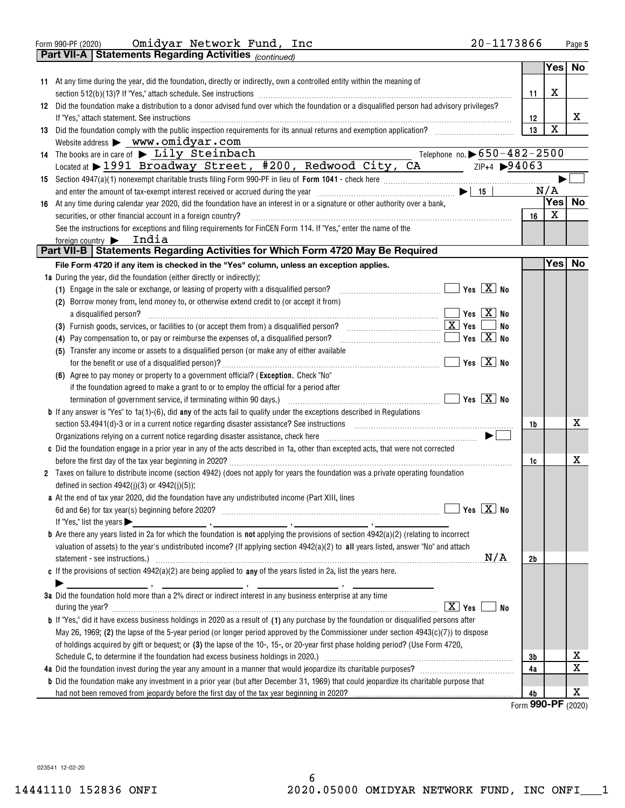Form 990-PF (2020)  $\tt{Omidyar}$   $\tt{Network}$   $\tt{Fund}$  ,  $\tt{Inc}$  20-1173866 Page Omidyar Network Fund, Inc 20-1173866

|                  | Part VII-A   Statements Regarding Activities (continued)                                                                                                                                                                                                                                                                                                    |                                                 |                      |                  |    |
|------------------|-------------------------------------------------------------------------------------------------------------------------------------------------------------------------------------------------------------------------------------------------------------------------------------------------------------------------------------------------------------|-------------------------------------------------|----------------------|------------------|----|
|                  |                                                                                                                                                                                                                                                                                                                                                             |                                                 |                      | Yes              | No |
|                  | 11 At any time during the year, did the foundation, directly or indirectly, own a controlled entity within the meaning of                                                                                                                                                                                                                                   |                                                 |                      |                  |    |
|                  |                                                                                                                                                                                                                                                                                                                                                             |                                                 | 11                   | х                |    |
|                  | 12 Did the foundation make a distribution to a donor advised fund over which the foundation or a disqualified person had advisory privileges?                                                                                                                                                                                                               |                                                 |                      |                  |    |
|                  | If "Yes," attach statement. See instructions                                                                                                                                                                                                                                                                                                                |                                                 | 12                   |                  | x  |
|                  |                                                                                                                                                                                                                                                                                                                                                             |                                                 | 13                   | $\mathbf X$      |    |
|                  | Website address > www.omidyar.com                                                                                                                                                                                                                                                                                                                           |                                                 |                      |                  |    |
|                  | Telephone no. $\triangleright$ 650-482-2500<br>14 The books are in care of $\blacktriangleright$ $\text{Lily}$ Steinbach                                                                                                                                                                                                                                    |                                                 |                      |                  |    |
|                  | Located at > 1991 Broadway Street, #200, Redwood City, CA 7P+4 >94063                                                                                                                                                                                                                                                                                       |                                                 |                      |                  |    |
|                  |                                                                                                                                                                                                                                                                                                                                                             |                                                 |                      |                  |    |
|                  |                                                                                                                                                                                                                                                                                                                                                             |                                                 |                      | N/A              |    |
|                  |                                                                                                                                                                                                                                                                                                                                                             |                                                 |                      | Yes              | No |
|                  | 16 At any time during calendar year 2020, did the foundation have an interest in or a signature or other authority over a bank,                                                                                                                                                                                                                             |                                                 |                      | X                |    |
|                  | securities, or other financial account in a foreign country?                                                                                                                                                                                                                                                                                                |                                                 | 16                   |                  |    |
|                  | See the instructions for exceptions and filing requirements for FinCEN Form 114. If "Yes," enter the name of the                                                                                                                                                                                                                                            |                                                 |                      |                  |    |
| foreign country  | India<br>Part VII-B   Statements Regarding Activities for Which Form 4720 May Be Required                                                                                                                                                                                                                                                                   |                                                 |                      |                  |    |
|                  |                                                                                                                                                                                                                                                                                                                                                             |                                                 |                      |                  |    |
|                  | File Form 4720 if any item is checked in the "Yes" column, unless an exception applies.                                                                                                                                                                                                                                                                     |                                                 |                      | Yes <sub>1</sub> | No |
|                  | 1a During the year, did the foundation (either directly or indirectly):                                                                                                                                                                                                                                                                                     |                                                 |                      |                  |    |
|                  | (1) Engage in the sale or exchange, or leasing of property with a disqualified person?                                                                                                                                                                                                                                                                      |                                                 |                      |                  |    |
|                  | (2) Borrow money from, lend money to, or otherwise extend credit to (or accept it from)                                                                                                                                                                                                                                                                     |                                                 |                      |                  |    |
|                  | a disqualified person? $\ldots$ No                                                                                                                                                                                                                                                                                                                          |                                                 |                      |                  |    |
|                  | (3) Furnish goods, services, or facilities to (or accept them from) a disqualified person? $\ldots$ $\ldots$ $\ldots$ $\ldots$ $\ldots$ $\ldots$ $\ldots$ $\ldots$ $\ldots$ $\ldots$ $\ldots$ $\ldots$ $\ldots$ $\ldots$                                                                                                                                    | <b>No</b>                                       |                      |                  |    |
|                  | (4) Pay compensation to, or pay or reimburse the expenses of, a disqualified person?                                                                                                                                                                                                                                                                        |                                                 |                      |                  |    |
|                  | (5) Transfer any income or assets to a disqualified person (or make any of either available                                                                                                                                                                                                                                                                 |                                                 |                      |                  |    |
|                  |                                                                                                                                                                                                                                                                                                                                                             | $\boxed{\phantom{1}}$ Yes $\boxed{\text{X}}$ No |                      |                  |    |
|                  | (6) Agree to pay money or property to a government official? (Exception. Check "No"                                                                                                                                                                                                                                                                         |                                                 |                      |                  |    |
|                  | if the foundation agreed to make a grant to or to employ the official for a period after                                                                                                                                                                                                                                                                    |                                                 |                      |                  |    |
|                  |                                                                                                                                                                                                                                                                                                                                                             |                                                 |                      |                  |    |
|                  | <b>b</b> If any answer is "Yes" to $1a(1)-(6)$ , did any of the acts fail to qualify under the exceptions described in Regulations                                                                                                                                                                                                                          |                                                 |                      |                  |    |
|                  | section 53.4941(d)-3 or in a current notice regarding disaster assistance? See instructions [11,111] section 53.4941(d)-3 or in a current notice regarding disaster assistance? See instructions                                                                                                                                                            |                                                 | 1b                   |                  | x  |
|                  | Organizations relying on a current notice regarding disaster assistance, check here manufactured accordinations relying on a current notice regarding disaster assistance, check here manufactured and $\blacktriangleright$                                                                                                                                |                                                 |                      |                  |    |
|                  | c Did the foundation engage in a prior year in any of the acts described in 1a, other than excepted acts, that were not corrected                                                                                                                                                                                                                           |                                                 |                      |                  |    |
|                  |                                                                                                                                                                                                                                                                                                                                                             |                                                 | 1c                   |                  | x  |
|                  | 2 Taxes on failure to distribute income (section 4942) (does not apply for years the foundation was a private operating foundation                                                                                                                                                                                                                          |                                                 |                      |                  |    |
|                  | defined in section $4942(j)(3)$ or $4942(j)(5)$ ):                                                                                                                                                                                                                                                                                                          |                                                 |                      |                  |    |
|                  | a At the end of tax year 2020, did the foundation have any undistributed income (Part XIII, lines                                                                                                                                                                                                                                                           |                                                 |                      |                  |    |
|                  |                                                                                                                                                                                                                                                                                                                                                             |                                                 |                      |                  |    |
|                  | If "Yes," list the years $\blacktriangleright$<br>$\frac{1}{2}$ , $\frac{1}{2}$ , $\frac{1}{2}$ , $\frac{1}{2}$ , $\frac{1}{2}$ , $\frac{1}{2}$ , $\frac{1}{2}$ , $\frac{1}{2}$ , $\frac{1}{2}$ , $\frac{1}{2}$ , $\frac{1}{2}$ , $\frac{1}{2}$ , $\frac{1}{2}$ , $\frac{1}{2}$ , $\frac{1}{2}$ , $\frac{1}{2}$ , $\frac{1}{2}$ , $\frac{1}{2}$ , $\frac{1$ |                                                 |                      |                  |    |
|                  | <b>b</b> Are there any years listed in 2a for which the foundation is <b>not</b> applying the provisions of section $4942(a)(2)$ (relating to incorrect                                                                                                                                                                                                     |                                                 |                      |                  |    |
|                  | valuation of assets) to the year's undistributed income? (If applying section 4942(a)(2) to all years listed, answer "No" and attach                                                                                                                                                                                                                        |                                                 |                      |                  |    |
|                  |                                                                                                                                                                                                                                                                                                                                                             | N/A                                             | 2b                   |                  |    |
|                  | c If the provisions of section $4942(a)(2)$ are being applied to any of the years listed in 2a, list the years here.                                                                                                                                                                                                                                        |                                                 |                      |                  |    |
|                  |                                                                                                                                                                                                                                                                                                                                                             |                                                 |                      |                  |    |
|                  | 3a Did the foundation hold more than a 2% direct or indirect interest in any business enterprise at any time                                                                                                                                                                                                                                                |                                                 |                      |                  |    |
| during the year? | $\boxed{\text{X}}$ Yes                                                                                                                                                                                                                                                                                                                                      | No                                              |                      |                  |    |
|                  | <b>b</b> If "Yes," did it have excess business holdings in 2020 as a result of (1) any purchase by the foundation or disqualified persons after                                                                                                                                                                                                             |                                                 |                      |                  |    |
|                  |                                                                                                                                                                                                                                                                                                                                                             |                                                 |                      |                  |    |
|                  | May 26, 1969; (2) the lapse of the 5-year period (or longer period approved by the Commissioner under section 4943(c)(7)) to dispose                                                                                                                                                                                                                        |                                                 |                      |                  |    |
|                  | of holdings acquired by gift or bequest; or (3) the lapse of the 10-, 15-, or 20-year first phase holding period? (Use Form 4720,                                                                                                                                                                                                                           |                                                 |                      |                  |    |
|                  |                                                                                                                                                                                                                                                                                                                                                             |                                                 | 3b                   |                  | х  |
|                  |                                                                                                                                                                                                                                                                                                                                                             |                                                 | 4a                   |                  | x  |
|                  | <b>b</b> Did the foundation make any investment in a prior year (but after December 31, 1969) that could jeopardize its charitable purpose that                                                                                                                                                                                                             |                                                 |                      |                  |    |
|                  |                                                                                                                                                                                                                                                                                                                                                             |                                                 | 4b<br>$\overline{2}$ |                  | х  |

Form **990-PF** (2020)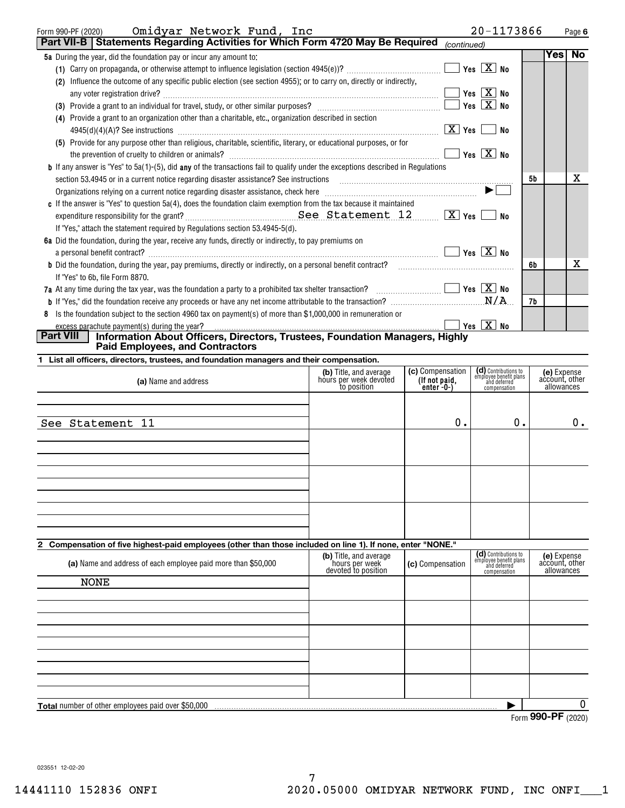| Omidyar Network Fund, Inc<br>Form 990-PF (2020)                                                                                                                       |                                                                 |                                                       | 20-1173866                                                                     |                | Page 6                    |
|-----------------------------------------------------------------------------------------------------------------------------------------------------------------------|-----------------------------------------------------------------|-------------------------------------------------------|--------------------------------------------------------------------------------|----------------|---------------------------|
| Part VII-B Statements Regarding Activities for Which Form 4720 May Be Required                                                                                        |                                                                 | (continued)                                           |                                                                                |                |                           |
| 5a During the year, did the foundation pay or incur any amount to:                                                                                                    |                                                                 |                                                       |                                                                                | Yes∣           | No                        |
|                                                                                                                                                                       |                                                                 |                                                       | Yes $\boxed{\text{X}}$ No                                                      |                |                           |
| (2) Influence the outcome of any specific public election (see section 4955); or to carry on, directly or indirectly,                                                 |                                                                 |                                                       |                                                                                |                |                           |
|                                                                                                                                                                       |                                                                 |                                                       | Yes $X$ No                                                                     |                |                           |
|                                                                                                                                                                       |                                                                 |                                                       | Yes $X$ No                                                                     |                |                           |
| (4) Provide a grant to an organization other than a charitable, etc., organization described in section                                                               |                                                                 |                                                       | No                                                                             |                |                           |
| (5) Provide for any purpose other than religious, charitable, scientific, literary, or educational purposes, or for                                                   |                                                                 |                                                       | Yes $\boxed{X}$ No                                                             |                |                           |
| <b>b</b> If any answer is "Yes" to 5a(1)-(5), did any of the transactions fail to qualify under the exceptions described in Regulations                               |                                                                 |                                                       |                                                                                |                |                           |
| section 53.4945 or in a current notice regarding disaster assistance? See instructions                                                                                |                                                                 |                                                       |                                                                                | 5b             | x                         |
|                                                                                                                                                                       |                                                                 |                                                       |                                                                                |                |                           |
| c If the answer is "Yes" to question 5a(4), does the foundation claim exemption from the tax because it maintained                                                    |                                                                 |                                                       |                                                                                |                |                           |
|                                                                                                                                                                       |                                                                 |                                                       | No                                                                             |                |                           |
| If "Yes," attach the statement required by Regulations section 53.4945-5(d).                                                                                          |                                                                 |                                                       |                                                                                |                |                           |
| 6a Did the foundation, during the year, receive any funds, directly or indirectly, to pay premiums on                                                                 |                                                                 |                                                       |                                                                                |                |                           |
| a personal benefit contract? $\ldots$ No                                                                                                                              |                                                                 |                                                       |                                                                                |                | x                         |
| <b>b</b> Did the foundation, during the year, pay premiums, directly or indirectly, on a personal benefit contract?                                                   |                                                                 |                                                       |                                                                                | 6b             |                           |
| If "Yes" to 6b, file Form 8870.<br>7a At any time during the tax year, was the foundation a party to a prohibited tax shelter transaction? $\ldots$ $\ldots$ $\ldots$ |                                                                 |                                                       |                                                                                |                |                           |
|                                                                                                                                                                       |                                                                 |                                                       |                                                                                | 7b             |                           |
| 8 Is the foundation subject to the section 4960 tax on payment(s) of more than \$1,000,000 in remuneration or                                                         |                                                                 |                                                       |                                                                                |                |                           |
| excess parachute payment(s) during the year?                                                                                                                          |                                                                 |                                                       | $\blacksquare$ Yes $\boxed{\text{X}}$ No                                       |                |                           |
| Information About Officers, Directors, Trustees, Foundation Managers, Highly<br><b>Part VIII</b><br><b>Paid Employees, and Contractors</b>                            |                                                                 |                                                       |                                                                                |                |                           |
| 1 List all officers, directors, trustees, and foundation managers and their compensation.                                                                             |                                                                 |                                                       |                                                                                |                |                           |
| (a) Name and address                                                                                                                                                  | (b) Title, and average<br>hours per week devoted<br>to position | (c) Compensation<br>(If not paid,<br>enter $-0$ - $)$ | (d) Contributions to<br>employee benefit plans<br>and deferred<br>compensation | account, other | (e) Expense<br>allowances |
|                                                                                                                                                                       |                                                                 |                                                       |                                                                                |                |                           |
|                                                                                                                                                                       |                                                                 |                                                       |                                                                                |                |                           |
| See Statement 11                                                                                                                                                      |                                                                 | 0.                                                    | 0.                                                                             |                | 0.                        |
|                                                                                                                                                                       |                                                                 |                                                       |                                                                                |                |                           |
|                                                                                                                                                                       |                                                                 |                                                       |                                                                                |                |                           |
|                                                                                                                                                                       |                                                                 |                                                       |                                                                                |                |                           |
|                                                                                                                                                                       |                                                                 |                                                       |                                                                                |                |                           |
|                                                                                                                                                                       |                                                                 |                                                       |                                                                                |                |                           |
|                                                                                                                                                                       |                                                                 |                                                       |                                                                                |                |                           |
|                                                                                                                                                                       |                                                                 |                                                       |                                                                                |                |                           |
|                                                                                                                                                                       |                                                                 |                                                       |                                                                                |                |                           |
| $\mathbf{2}$<br>Compensation of five highest-paid employees (other than those included on line 1). If none, enter "NONE."                                             |                                                                 |                                                       |                                                                                |                |                           |
| (a) Name and address of each employee paid more than \$50,000                                                                                                         | (b) Title, and average<br>hours per week                        | (c) Compensation                                      | (d) Contributions to<br>employee benefit plans<br>and deferred                 | account, other | <b>(e)</b> Expense        |
| <b>NONE</b>                                                                                                                                                           | devoted to position                                             |                                                       | compensation                                                                   |                | allowances                |
|                                                                                                                                                                       |                                                                 |                                                       |                                                                                |                |                           |

| Total number of other employees paid over \$50,000 |  |  |
|----------------------------------------------------|--|--|
|                                                    |  |  |
|                                                    |  |  |
|                                                    |  |  |
|                                                    |  |  |
|                                                    |  |  |

Form **990-PF** (2020)

 $\overline{0}$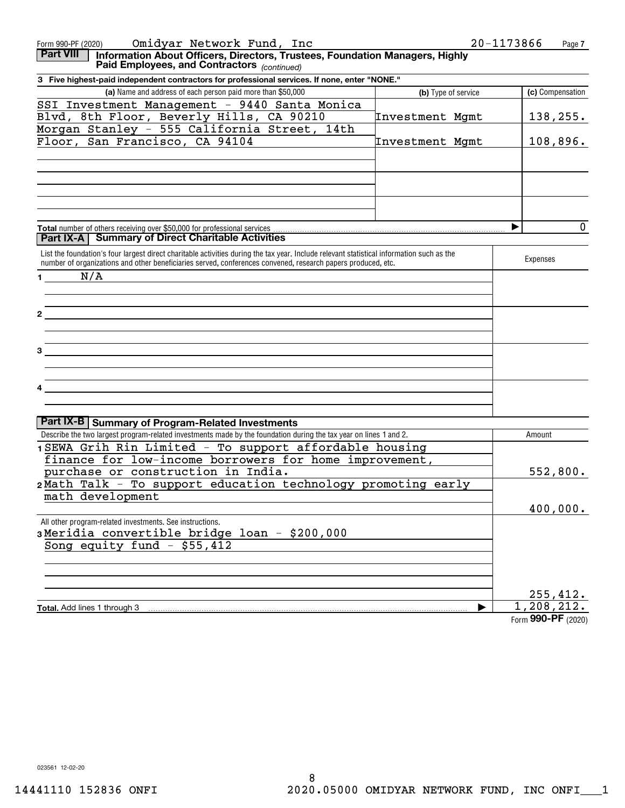| Omidyar Network Fund, Inc<br>Form 990-PF (2020)                                                                                                                                                                                                           | 20-1173866          | Page 7             |
|-----------------------------------------------------------------------------------------------------------------------------------------------------------------------------------------------------------------------------------------------------------|---------------------|--------------------|
| <b>Part VIII</b><br>Information About Officers, Directors, Trustees, Foundation Managers, Highly<br>Paid Employees, and Contractors (continued)                                                                                                           |                     |                    |
| 3 Five highest-paid independent contractors for professional services. If none, enter "NONE."                                                                                                                                                             |                     |                    |
| (a) Name and address of each person paid more than \$50,000                                                                                                                                                                                               | (b) Type of service | (c) Compensation   |
| SSI Investment Management - 9440 Santa Monica                                                                                                                                                                                                             |                     |                    |
| Blvd, 8th Floor, Beverly Hills, CA 90210                                                                                                                                                                                                                  | Investment Mgmt     | 138, 255.          |
| Morgan Stanley - 555 California Street, 14th                                                                                                                                                                                                              |                     |                    |
| Floor, San Francisco, CA 94104                                                                                                                                                                                                                            | Investment Mgmt     | 108,896.           |
|                                                                                                                                                                                                                                                           |                     |                    |
|                                                                                                                                                                                                                                                           |                     |                    |
|                                                                                                                                                                                                                                                           |                     |                    |
|                                                                                                                                                                                                                                                           |                     |                    |
|                                                                                                                                                                                                                                                           |                     |                    |
|                                                                                                                                                                                                                                                           |                     |                    |
|                                                                                                                                                                                                                                                           |                     | $\mathbf 0$<br>▶   |
| <b>Part IX-A   Summary of Direct Charitable Activities</b>                                                                                                                                                                                                |                     |                    |
|                                                                                                                                                                                                                                                           |                     |                    |
| List the foundation's four largest direct charitable activities during the tax year. Include relevant statistical information such as the<br>number of organizations and other beneficiaries served, conferences convened, research papers produced, etc. |                     | Expenses           |
|                                                                                                                                                                                                                                                           |                     |                    |
| N/A<br>$1 \qquad \qquad$                                                                                                                                                                                                                                  |                     |                    |
|                                                                                                                                                                                                                                                           |                     |                    |
|                                                                                                                                                                                                                                                           |                     |                    |
| <u> 1989 - John Stein, Amerikaansk politiker (</u>                                                                                                                                                                                                        |                     |                    |
|                                                                                                                                                                                                                                                           |                     |                    |
|                                                                                                                                                                                                                                                           |                     |                    |
| <u> 1980 - Jan Stein Stein Stein Stein Stein Stein Stein Stein Stein Stein Stein Stein Stein Stein Stein Stein S</u>                                                                                                                                      |                     |                    |
|                                                                                                                                                                                                                                                           |                     |                    |
|                                                                                                                                                                                                                                                           |                     |                    |
| <u> 1989 - John Stein, Amerikaansk politiker (</u>                                                                                                                                                                                                        |                     |                    |
|                                                                                                                                                                                                                                                           |                     |                    |
|                                                                                                                                                                                                                                                           |                     |                    |
| Part IX-B   Summary of Program-Related Investments                                                                                                                                                                                                        |                     |                    |
| Describe the two largest program-related investments made by the foundation during the tax year on lines 1 and 2.                                                                                                                                         |                     | Amount             |
| 1 SEWA Grih Rin Limited - To support affordable housing                                                                                                                                                                                                   |                     |                    |
| finance for low-income borrowers for home improvement,                                                                                                                                                                                                    |                     |                    |
| purchase or construction in India.                                                                                                                                                                                                                        |                     | 552,800.           |
| 2Math Talk - To support education technology promoting early                                                                                                                                                                                              |                     |                    |
| math development                                                                                                                                                                                                                                          |                     |                    |
|                                                                                                                                                                                                                                                           |                     | 400,000.           |
| All other program-related investments. See instructions.                                                                                                                                                                                                  |                     |                    |
| 3Meridia convertible bridge loan - \$200,000                                                                                                                                                                                                              |                     |                    |
| Song equity fund $-$ \$55,412                                                                                                                                                                                                                             |                     |                    |
|                                                                                                                                                                                                                                                           |                     |                    |
|                                                                                                                                                                                                                                                           |                     |                    |
|                                                                                                                                                                                                                                                           |                     |                    |
|                                                                                                                                                                                                                                                           |                     | 255,412.           |
| Total. Add lines 1 through 3                                                                                                                                                                                                                              |                     | 1,208,212.         |
|                                                                                                                                                                                                                                                           |                     | Form 990-PF (2020) |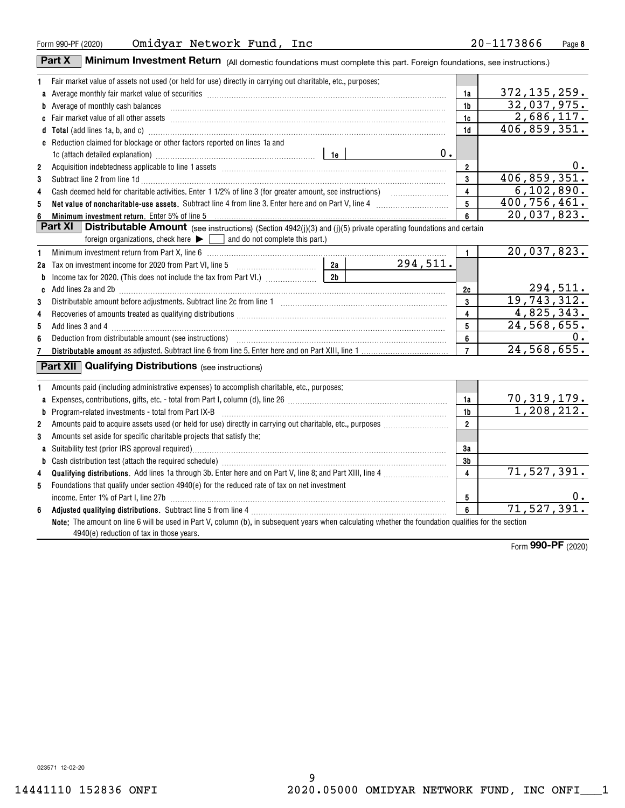|                | Minimum Investment Return (All domestic foundations must complete this part. Foreign foundations, see instructions.)<br>Part X                                                                                                                                                                                                                                                                                                                                                           |                |          |                         |                                  |
|----------------|------------------------------------------------------------------------------------------------------------------------------------------------------------------------------------------------------------------------------------------------------------------------------------------------------------------------------------------------------------------------------------------------------------------------------------------------------------------------------------------|----------------|----------|-------------------------|----------------------------------|
| 1              | Fair market value of assets not used (or held for use) directly in carrying out charitable, etc., purposes:                                                                                                                                                                                                                                                                                                                                                                              |                |          |                         |                                  |
|                |                                                                                                                                                                                                                                                                                                                                                                                                                                                                                          |                |          | 1a                      | 372, 135, 259.                   |
|                | <b>b</b> Average of monthly cash balances<br>$\begin{minipage}{0.5\textwidth} \begin{tabular}{ l l l } \hline \multicolumn{1}{ l l l } \hline \multicolumn{1}{ l l } \multicolumn{1}{ l } \multicolumn{1}{ l } \multicolumn{1}{ l } \multicolumn{1}{ l } \multicolumn{1}{ l } \multicolumn{1}{ l } \multicolumn{1}{ l } \multicolumn{1}{ l } \multicolumn{1}{ l } \multicolumn{1}{ l } \multicolumn{1}{ l } \multicolumn{1}{ l } \multicolumn{1}{ l } \multicolumn{1}{ l } \multicolumn$ |                |          | 1 <sub>b</sub>          | 32,037,975.                      |
|                | c Fair market value of all other assets encounterance and an according to the asset of the assets and according to the assets and according to the fair market value of all other assets                                                                                                                                                                                                                                                                                                 |                |          | 1c                      | 2,686,117.                       |
|                | d Total (add lines 1a, b, and c) <b>manufacture and contact and contact and contact and contact and contact and contact and contact and contact and contact and contact and contact and contact and contact and contact and cont</b>                                                                                                                                                                                                                                                     |                |          | 1 <sub>d</sub>          | 406,859,351.                     |
|                | e Reduction claimed for blockage or other factors reported on lines 1a and                                                                                                                                                                                                                                                                                                                                                                                                               |                |          |                         |                                  |
|                |                                                                                                                                                                                                                                                                                                                                                                                                                                                                                          |                | 0.       |                         |                                  |
| $\overline{2}$ |                                                                                                                                                                                                                                                                                                                                                                                                                                                                                          |                |          | $2^{\circ}$             | $0$ .                            |
| 3              | Subtract line 2 from line 1d <b>Machinese and Contract Line 2</b> from line 1d <b>machinese and contract line 2</b> from line 1d                                                                                                                                                                                                                                                                                                                                                         |                |          | $\mathbf{3}$            | 406, 859, 351.                   |
| 4              |                                                                                                                                                                                                                                                                                                                                                                                                                                                                                          |                |          | $\overline{\mathbf{4}}$ | $\overline{6,102},890.$          |
| 5              |                                                                                                                                                                                                                                                                                                                                                                                                                                                                                          |                |          | 5                       | 400, 756, 461.                   |
| 6              | Minimum investment return. Enter 5% of line 5                                                                                                                                                                                                                                                                                                                                                                                                                                            |                |          | 6                       | 20,037,823.                      |
|                | <b>Part XI</b><br><b>Distributable Amount</b> (see instructions) (Section $4942(j)(3)$ and (j)(5) private operating foundations and certain                                                                                                                                                                                                                                                                                                                                              |                |          |                         |                                  |
|                | foreign organizations, check here $\blacktriangleright \Box$ and do not complete this part.)                                                                                                                                                                                                                                                                                                                                                                                             |                |          |                         |                                  |
| 1              |                                                                                                                                                                                                                                                                                                                                                                                                                                                                                          |                |          | $\mathbf{1}$            | 20,037,823.                      |
|                | 2a Tax on investment income for 2020 from Part VI, line 5 [100] [100] [20] Tax on investment income for 2020 from Part VI, line 5                                                                                                                                                                                                                                                                                                                                                        | 2a             | 294,511. |                         |                                  |
| b              |                                                                                                                                                                                                                                                                                                                                                                                                                                                                                          | 2 <sub>b</sub> |          |                         |                                  |
|                | c Add lines 2a and 2b [11] manufactured and 20 [11] manufactured and 2b [11] manufactured and 2b [11] manufactured and 2b [11] manufactured and 2b [11] manufactured and 2b [11] manufactured and 2b [11] manufactured and 2b                                                                                                                                                                                                                                                            |                |          | 2c                      | 294,511.                         |
| 3              |                                                                                                                                                                                                                                                                                                                                                                                                                                                                                          |                |          | $\mathbf{3}$            | 19,743,312.                      |
| 4              |                                                                                                                                                                                                                                                                                                                                                                                                                                                                                          |                |          | 4                       | 4,825,343.                       |
| 5              |                                                                                                                                                                                                                                                                                                                                                                                                                                                                                          |                |          | 5                       | 24,568,655.                      |
| 6              |                                                                                                                                                                                                                                                                                                                                                                                                                                                                                          |                |          | 6                       | 0.                               |
| 7              |                                                                                                                                                                                                                                                                                                                                                                                                                                                                                          |                |          | $\overline{7}$          | 24,568,655.                      |
|                | <b>Part XII Qualifying Distributions</b> (see instructions)                                                                                                                                                                                                                                                                                                                                                                                                                              |                |          |                         |                                  |
| 1              | Amounts paid (including administrative expenses) to accomplish charitable, etc., purposes:                                                                                                                                                                                                                                                                                                                                                                                               |                |          |                         |                                  |
|                |                                                                                                                                                                                                                                                                                                                                                                                                                                                                                          |                |          | 1a                      |                                  |
| a              |                                                                                                                                                                                                                                                                                                                                                                                                                                                                                          |                |          | 1b                      | $\frac{70,319,179.}{1,208,212.}$ |
| b<br>2         | $Program-related investments - total from Part IX-B$                                                                                                                                                                                                                                                                                                                                                                                                                                     |                |          | $2^{\circ}$             |                                  |
| 3              | Amounts set aside for specific charitable projects that satisfy the:                                                                                                                                                                                                                                                                                                                                                                                                                     |                |          |                         |                                  |
|                |                                                                                                                                                                                                                                                                                                                                                                                                                                                                                          |                |          | 3a                      |                                  |
|                |                                                                                                                                                                                                                                                                                                                                                                                                                                                                                          |                |          | 3b                      |                                  |
| b              |                                                                                                                                                                                                                                                                                                                                                                                                                                                                                          |                |          | $\overline{4}$          | 71, 527, 391.                    |
| 4<br>5         | Foundations that qualify under section 4940(e) for the reduced rate of tax on net investment                                                                                                                                                                                                                                                                                                                                                                                             |                |          |                         |                                  |
|                |                                                                                                                                                                                                                                                                                                                                                                                                                                                                                          |                |          | 5                       | О.                               |
| 6              |                                                                                                                                                                                                                                                                                                                                                                                                                                                                                          |                |          | $6\phantom{a}$          | 71, 527, 391.                    |
|                | Note: The amount on line 6 will be used in Part V, column (b), in subsequent years when calculating whether the foundation qualifies for the section                                                                                                                                                                                                                                                                                                                                     |                |          |                         |                                  |
|                | 4940(e) reduction of tax in those years.                                                                                                                                                                                                                                                                                                                                                                                                                                                 |                |          |                         |                                  |
|                |                                                                                                                                                                                                                                                                                                                                                                                                                                                                                          |                |          |                         |                                  |

Form **990-PF** (2020)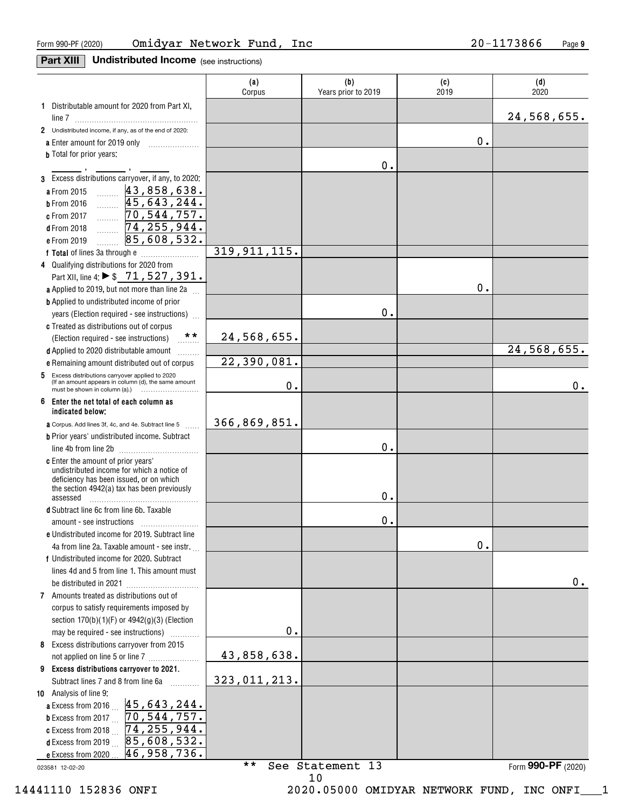**Part XIII** Undistributed Income (see instructions)

|                                                                                                                  | (a)<br>Corpus  | (b)<br>Years prior to 2019 | (c)<br>2019 | (d)<br>2020        |
|------------------------------------------------------------------------------------------------------------------|----------------|----------------------------|-------------|--------------------|
| 1 Distributable amount for 2020 from Part XI,                                                                    |                |                            |             |                    |
|                                                                                                                  |                |                            |             | 24,568,655.        |
| 2 Undistributed income, if any, as of the end of 2020:                                                           |                |                            |             |                    |
| a Enter amount for 2019 only                                                                                     |                |                            | 0.          |                    |
| <b>b</b> Total for prior years:                                                                                  |                | $0$ .                      |             |                    |
| 3 Excess distributions carryover, if any, to 2020:                                                               |                |                            |             |                    |
| a From 2015                                                                                                      |                |                            |             |                    |
| $\frac{43,858,638}{45,643,244}$<br><b>b</b> From 2016                                                            |                |                            |             |                    |
| 70,544,757.<br>c From 2017<br>.                                                                                  |                |                            |             |                    |
| 74, 255, 944.<br><b>d</b> From 2018<br>.                                                                         |                |                            |             |                    |
| 85,608,532.<br>e From 2019                                                                                       |                |                            |             |                    |
|                                                                                                                  | 319, 911, 115. |                            |             |                    |
| 4 Qualifying distributions for 2020 from                                                                         |                |                            |             |                    |
| Part XII, line 4: ▶ \$71, 527, 391.                                                                              |                |                            |             |                    |
| a Applied to 2019, but not more than line 2a                                                                     |                |                            | 0.          |                    |
| <b>b</b> Applied to undistributed income of prior                                                                |                |                            |             |                    |
| years (Election required - see instructions)                                                                     |                | 0.                         |             |                    |
| c Treated as distributions out of corpus<br>$***$                                                                |                |                            |             |                    |
| (Election required - see instructions)                                                                           | 24,568,655.    |                            |             | 24,568,655.        |
| d Applied to 2020 distributable amount                                                                           | 22,390,081.    |                            |             |                    |
| e Remaining amount distributed out of corpus<br>5 Excess distributions carryover applied to 2020                 |                |                            |             |                    |
| (If an amount appears in column (d), the same amount<br>must be shown in column (a).) $\ldots$ $\ldots$ $\ldots$ | 0.             |                            |             | 0.                 |
| Enter the net total of each column as<br>6<br>indicated below;                                                   |                |                            |             |                    |
| a Corpus. Add lines 3f, 4c, and 4e. Subtract line 5                                                              | 366,869,851.   |                            |             |                    |
| <b>b</b> Prior years' undistributed income. Subtract                                                             |                |                            |             |                    |
| line 4b from line 2b                                                                                             |                | 0.                         |             |                    |
| c Enter the amount of prior years'                                                                               |                |                            |             |                    |
| undistributed income for which a notice of<br>deficiency has been issued, or on which                            |                |                            |             |                    |
| the section 4942(a) tax has been previously                                                                      |                |                            |             |                    |
| assessed                                                                                                         |                | 0.                         |             |                    |
| d Subtract line 6c from line 6b. Taxable                                                                         |                | 0.                         |             |                    |
| e Undistributed income for 2019. Subtract line                                                                   |                |                            |             |                    |
| 4a from line 2a. Taxable amount - see instr.                                                                     |                |                            | $0$ .       |                    |
| f Undistributed income for 2020. Subtract                                                                        |                |                            |             |                    |
| lines 4d and 5 from line 1. This amount must                                                                     |                |                            |             |                    |
|                                                                                                                  |                |                            |             | 0.                 |
| 7 Amounts treated as distributions out of                                                                        |                |                            |             |                    |
| corpus to satisfy requirements imposed by                                                                        |                |                            |             |                    |
| section $170(b)(1)(F)$ or $4942(g)(3)$ (Election                                                                 |                |                            |             |                    |
| may be required - see instructions)                                                                              | 0.             |                            |             |                    |
| 8 Excess distributions carryover from 2015                                                                       |                |                            |             |                    |
| not applied on line 5 or line 7                                                                                  | 43,858,638.    |                            |             |                    |
| 9 Excess distributions carryover to 2021.                                                                        |                |                            |             |                    |
| Subtract lines 7 and 8 from line 6a                                                                              | 323,011,213.   |                            |             |                    |
| 10 Analysis of line 9:<br>45,643,244.<br>a Excess from 2016 $\ldots$                                             |                |                            |             |                    |
| 70, 544, 757.<br><b>b</b> Excess from 2017 $\ldots$                                                              |                |                            |             |                    |
| 74, 255, 944.<br>c Excess from 2018 $\ldots$                                                                     |                |                            |             |                    |
| 85,608,532.<br>d Excess from 2019                                                                                |                |                            |             |                    |
| 46,958,736.<br>e Excess from 2020                                                                                |                |                            |             |                    |
| 023581 12-02-20                                                                                                  | * *            | See Statement 13           |             | Form 990-PF (2020) |
|                                                                                                                  |                | 10                         |             |                    |

14441110 152836 ONFI 2020.05000 OMIDYAR NETWORK FUND, INC ONFI\_\_\_1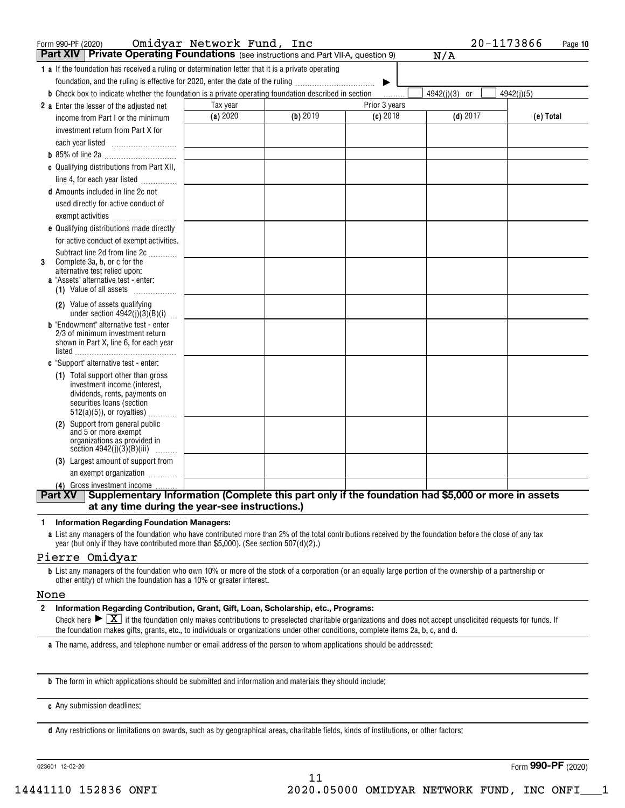| Form 990-PF (2020)                                                                                                          | Omidyar Network Fund, Inc |          |               | 20-1173866      | Page 10    |
|-----------------------------------------------------------------------------------------------------------------------------|---------------------------|----------|---------------|-----------------|------------|
| Part XIV   Private Operating Foundations (see instructions and Part VII-A, question 9)                                      |                           |          |               | N/A             |            |
| <b>1 a</b> If the foundation has received a ruling or determination letter that it is a private operating                   |                           |          |               |                 |            |
| foundation, and the ruling is effective for 2020, enter the date of the ruling                                              |                           |          | ▶             |                 |            |
| <b>b</b> Check box to indicate whether the foundation is a private operating foundation described in section                |                           |          |               | $4942(j)(3)$ or | 4942(j)(5) |
| 2 a Enter the lesser of the adjusted net                                                                                    | Tax year                  |          | Prior 3 years |                 |            |
| income from Part I or the minimum                                                                                           | (a) 2020                  | (b) 2019 | $(c)$ 2018    | $(d)$ 2017      | (e) Total  |
| investment return from Part X for                                                                                           |                           |          |               |                 |            |
| each year listed $\ldots$                                                                                                   |                           |          |               |                 |            |
|                                                                                                                             |                           |          |               |                 |            |
| c Qualifying distributions from Part XII,<br>line 4, for each year listed                                                   |                           |          |               |                 |            |
| <b>d</b> Amounts included in line 2c not                                                                                    |                           |          |               |                 |            |
| used directly for active conduct of                                                                                         |                           |          |               |                 |            |
| exempt activities                                                                                                           |                           |          |               |                 |            |
| e Qualifying distributions made directly                                                                                    |                           |          |               |                 |            |
| for active conduct of exempt activities.                                                                                    |                           |          |               |                 |            |
| Subtract line 2d from line 2c                                                                                               |                           |          |               |                 |            |
| Complete 3a, b, or c for the<br>3<br>alternative test relied upon:                                                          |                           |          |               |                 |            |
| a "Assets" alternative test - enter:                                                                                        |                           |          |               |                 |            |
| (1) Value of all assets                                                                                                     |                           |          |               |                 |            |
| (2) Value of assets qualifying<br>under section $4942(j)(3)(B)(i)$                                                          |                           |          |               |                 |            |
| <b>b</b> "Endowment" alternative test - enter<br>2/3 of minimum investment return<br>shown in Part X, line 6, for each year |                           |          |               |                 |            |
|                                                                                                                             |                           |          |               |                 |            |
| c "Support" alternative test - enter:                                                                                       |                           |          |               |                 |            |
| (1) Total support other than gross<br>investment income (interest,                                                          |                           |          |               |                 |            |
| dividends, rents, payments on                                                                                               |                           |          |               |                 |            |
| securities loans (section                                                                                                   |                           |          |               |                 |            |
| $512(a)(5)$ , or royalties)                                                                                                 |                           |          |               |                 |            |
| (2) Support from general public<br>and 5 or more exempt                                                                     |                           |          |               |                 |            |
| organizations as provided in<br>section $4942(j)(3)(B)(iii)$                                                                |                           |          |               |                 |            |
| (3) Largest amount of support from                                                                                          |                           |          |               |                 |            |
| an exempt organization                                                                                                      |                           |          |               |                 |            |
| (4) Gross investment income                                                                                                 |                           |          |               |                 |            |
| Supplementary Information (Complete this part only if the foundation had \$5,000 or more in assets<br>Part XV               |                           |          |               |                 |            |
| at any time during the year-see instructions.)                                                                              |                           |          |               |                 |            |

#### 1 Information Regarding Foundation Managers:

a List any managers of the foundation who have contributed more than 2% of the total contributions received by the foundation before the close of any tax year (but only if they have contributed more than \$5,000). (See section 507(d)(2).)

### Pierre Omidyar

b List any managers of the foundation who own 10% or more of the stock of a corporation (or an equally large portion of the ownership of a partnership or other entity) of which the foundation has a 10% or greater interest.

#### None

2 Information Regarding Contribution, Grant, Gift, Loan, Scholarship, etc., Programs:

 $\mathsf{unnormal}$  Regarding Contribution, Grant, Gift, Loan, Scholarship, etc., Programs:<br>Check here  $\blacktriangleright\boxed{\mathrm{X}}$  if the foundation only makes contributions to preselected charitable organizations and does not accept unsolicite the foundation makes gifts, grants, etc., to individuals or organizations under other conditions, complete items 2a, b, c, and d.

a The name, address, and telephone number or email address of the person to whom applications should be addressed:

b The form in which applications should be submitted and information and materials they should include:

c Any submission deadlines:

d Any restrictions or limitations on awards, such as by geographical areas, charitable fields, kinds of institutions, or other factors:

023601 12-02-20

Form **990-PF** (2020)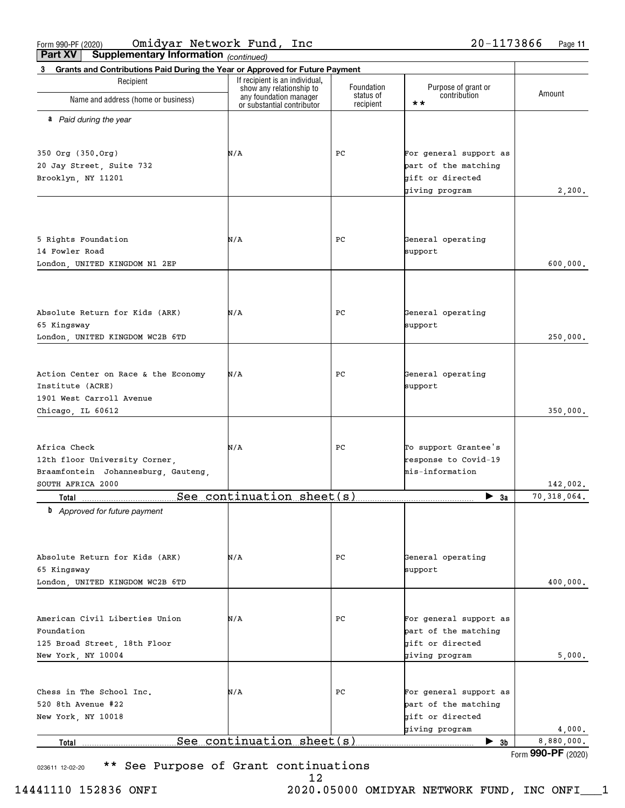(continued) Part XV | Supplementary Information

| Total                                                                             | See continuation sheet (s)                         |                         | $\blacktriangleright$ 3b            | 8,880,000.<br>Form 990-PF (2020) |
|-----------------------------------------------------------------------------------|----------------------------------------------------|-------------------------|-------------------------------------|----------------------------------|
|                                                                                   |                                                    |                         | giving program                      | 4,000.                           |
| New York, NY 10018                                                                |                                                    |                         | gift or directed                    |                                  |
| 520 8th Avenue #22                                                                |                                                    |                         | part of the matching                |                                  |
| Chess in The School Inc.                                                          | N/A                                                | PC.                     | For general support as              |                                  |
|                                                                                   |                                                    |                         |                                     |                                  |
| New York, NY 10004                                                                |                                                    |                         | giving program                      | 5,000.                           |
| 125 Broad Street, 18th Floor                                                      |                                                    |                         | gift or directed                    |                                  |
| Foundation                                                                        |                                                    |                         | part of the matching                |                                  |
| American Civil Liberties Union                                                    | N/A                                                | PC.                     | For general support as              |                                  |
|                                                                                   |                                                    |                         |                                     |                                  |
| London, UNITED KINGDOM WC2B 6TD                                                   |                                                    |                         |                                     | 400,000.                         |
| 65 Kingsway                                                                       |                                                    |                         | support                             |                                  |
| Absolute Return for Kids (ARK)                                                    | N/A                                                | РC                      | General operating                   |                                  |
|                                                                                   |                                                    |                         |                                     |                                  |
|                                                                                   |                                                    |                         |                                     |                                  |
| <b>b</b> Approved for future payment                                              |                                                    |                         |                                     |                                  |
| Total                                                                             | See continuation sheet(s)                          |                         | $\blacktriangleright$ 3a            | 70,318,064.                      |
| SOUTH AFRICA 2000                                                                 |                                                    |                         |                                     | 142,002.                         |
| Braamfontein Johannesburg, Gauteng,                                               |                                                    |                         | mis-information                     |                                  |
| 12th floor University Corner,                                                     |                                                    |                         | response to Covid-19                |                                  |
| Africa Check                                                                      | N/A                                                | PС                      | To support Grantee's                |                                  |
|                                                                                   |                                                    |                         |                                     |                                  |
| Chicago, IL 60612                                                                 |                                                    |                         |                                     | 350,000.                         |
| 1901 West Carroll Avenue                                                          |                                                    |                         |                                     |                                  |
| Institute (ACRE)                                                                  |                                                    |                         | support                             |                                  |
| Action Center on Race & the Economy                                               | N/A                                                | PC                      | General operating                   |                                  |
|                                                                                   |                                                    |                         |                                     |                                  |
| London, UNITED KINGDOM WC2B 6TD                                                   |                                                    |                         |                                     | 250,000.                         |
| 65 Kingsway                                                                       |                                                    |                         | support                             |                                  |
| Absolute Return for Kids (ARK)                                                    | N/A                                                | PC                      | General operating                   |                                  |
|                                                                                   |                                                    |                         |                                     |                                  |
|                                                                                   |                                                    |                         |                                     |                                  |
|                                                                                   |                                                    |                         |                                     |                                  |
| 14 Fowler Road<br>London, UNITED KINGDOM N1 2EP                                   |                                                    |                         | support                             | 600,000.                         |
| 5 Rights Foundation                                                               | N/A                                                | PC                      | General operating                   |                                  |
|                                                                                   |                                                    |                         |                                     |                                  |
|                                                                                   |                                                    |                         |                                     |                                  |
|                                                                                   |                                                    |                         | giving program                      | 2,200.                           |
| Brooklyn, NY 11201                                                                |                                                    |                         | gift or directed                    |                                  |
| 20 Jay Street, Suite 732                                                          |                                                    |                         | part of the matching                |                                  |
| 350 Org (350.Org)                                                                 | N/A                                                | PC                      | For general support as              |                                  |
|                                                                                   |                                                    |                         |                                     |                                  |
| a Paid during the year                                                            |                                                    |                         |                                     |                                  |
|                                                                                   | or substantial contributor                         | recipient               | $\star \star$                       |                                  |
| Name and address (home or business)                                               | show any relationship to<br>any foundation manager | Foundation<br>status of | Purpose of grant or<br>contribution | Amount                           |
| Recipient                                                                         | If recipient is an individual,                     |                         |                                     |                                  |
| Grants and Contributions Paid During the Year or Approved for Future Payment<br>3 |                                                    |                         |                                     |                                  |

023611 12-02-20 **\*\*** See Purpose of Grant continuations

12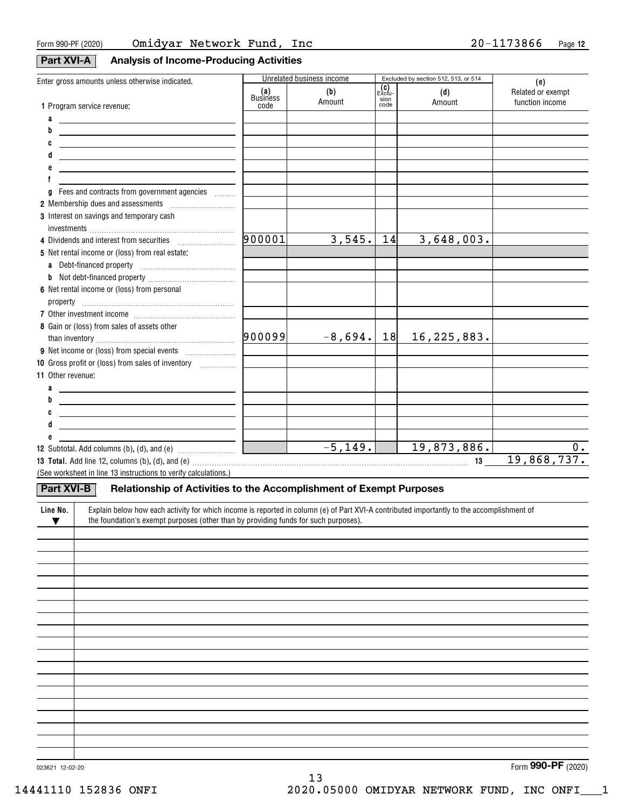## **Part XVI-A** Analysis of Income-Producing Activities

| Enter gross amounts unless otherwise indicated.                                                                                                                                                                                |                    | Unrelated business income |               | Excluded by section 512, 513, or 514 | (e)               |
|--------------------------------------------------------------------------------------------------------------------------------------------------------------------------------------------------------------------------------|--------------------|---------------------------|---------------|--------------------------------------|-------------------|
|                                                                                                                                                                                                                                | (a)<br>Business    | (b)                       | (C)<br>Exclu- | (d)                                  | Related or exempt |
| 1 Program service revenue:                                                                                                                                                                                                     | code               | Amount                    | sion<br>code  | Amount                               | function income   |
| a                                                                                                                                                                                                                              |                    |                           |               |                                      |                   |
| b<br><u> 1989 - Johann John Stein, markin fan it ferstjer fan de ferstjer fan it ferstjer fan it ferstjer fan it fers</u>                                                                                                      |                    |                           |               |                                      |                   |
| <u> 1989 - Johann Barn, amerikansk politiker (</u>                                                                                                                                                                             |                    |                           |               |                                      |                   |
| <u> 1989 - Johann Barn, mars ann an t-Amhain an t-Amhain an t-Amhain an t-Amhain an t-Amhain an t-Amhain an t-Amh</u>                                                                                                          |                    |                           |               |                                      |                   |
| <u> 1989 - Johann Barbara, martxa alemaniar arg</u>                                                                                                                                                                            |                    |                           |               |                                      |                   |
| f                                                                                                                                                                                                                              |                    |                           |               |                                      |                   |
| Fees and contracts from government agencies<br>a                                                                                                                                                                               |                    |                           |               |                                      |                   |
|                                                                                                                                                                                                                                |                    |                           |               |                                      |                   |
| 3 Interest on savings and temporary cash                                                                                                                                                                                       |                    |                           |               |                                      |                   |
|                                                                                                                                                                                                                                |                    |                           |               |                                      |                   |
|                                                                                                                                                                                                                                | 900001             | 3,545.                    | 14            | 3,648,003.                           |                   |
| 5 Net rental income or (loss) from real estate:                                                                                                                                                                                |                    |                           |               |                                      |                   |
|                                                                                                                                                                                                                                |                    |                           |               |                                      |                   |
| b                                                                                                                                                                                                                              |                    |                           |               |                                      |                   |
| 6 Net rental income or (loss) from personal                                                                                                                                                                                    |                    |                           |               |                                      |                   |
|                                                                                                                                                                                                                                |                    |                           |               |                                      |                   |
|                                                                                                                                                                                                                                |                    |                           |               |                                      |                   |
| 8 Gain or (loss) from sales of assets other                                                                                                                                                                                    |                    |                           |               |                                      |                   |
|                                                                                                                                                                                                                                | 900099             | $-8,694.$                 | 18            | 16, 225, 883.                        |                   |
|                                                                                                                                                                                                                                |                    |                           |               |                                      |                   |
| 10 Gross profit or (loss) from sales of inventory                                                                                                                                                                              |                    |                           |               |                                      |                   |
| 11 Other revenue:                                                                                                                                                                                                              |                    |                           |               |                                      |                   |
|                                                                                                                                                                                                                                |                    |                           |               |                                      |                   |
| a<br><u> 1989 - Johann Stein, mars an de Frankrik (f. 1989)</u><br>b                                                                                                                                                           |                    |                           |               |                                      |                   |
| <u> 1989 - Johann Barn, mars eta bainar eta bat erroman erroman erroman erroman erroman erroman erroman erroman e</u>                                                                                                          |                    |                           |               |                                      |                   |
| <u> 1989 - Johann Barn, mars and de Brasilian (b. 1989)</u>                                                                                                                                                                    |                    |                           |               |                                      |                   |
| <u> 1980 - Johann Barbara, martxa alemaniar a</u>                                                                                                                                                                              |                    |                           |               |                                      |                   |
|                                                                                                                                                                                                                                |                    | $-5, 149.$                |               | 19,873,886.                          | $0$ .             |
| <b>12</b> Subtotal. Add columns (b), (d), and (e) $\ldots$ [                                                                                                                                                                   | <u> Tanzania (</u> |                           |               |                                      | 19,868,737.       |
| 13 Total. Add line 12, columns (b), (d), and (e) material contracts and contained a set of the set of the set of the set of the set of the set of the set of the set of the set of the set of the set of the set of the set of |                    |                           |               |                                      |                   |
| (See worksheet in line 13 instructions to verify calculations.)                                                                                                                                                                |                    |                           |               |                                      |                   |
| <b>Part XVI-B</b><br>Relationship of Activities to the Accomplishment of Exempt Purposes                                                                                                                                       |                    |                           |               |                                      |                   |
| Explain below how each activity for which income is reported in column (e) of Part XVI-A contributed importantly to the accomplishment of<br>Line No.                                                                          |                    |                           |               |                                      |                   |
| the foundation's exempt purposes (other than by providing funds for such purposes).<br>v                                                                                                                                       |                    |                           |               |                                      |                   |
|                                                                                                                                                                                                                                |                    |                           |               |                                      |                   |
|                                                                                                                                                                                                                                |                    |                           |               |                                      |                   |
|                                                                                                                                                                                                                                |                    |                           |               |                                      |                   |
|                                                                                                                                                                                                                                |                    |                           |               |                                      |                   |
|                                                                                                                                                                                                                                |                    |                           |               |                                      |                   |
|                                                                                                                                                                                                                                |                    |                           |               |                                      |                   |
|                                                                                                                                                                                                                                |                    |                           |               |                                      |                   |
|                                                                                                                                                                                                                                |                    |                           |               |                                      |                   |
|                                                                                                                                                                                                                                |                    |                           |               |                                      |                   |
|                                                                                                                                                                                                                                |                    |                           |               |                                      |                   |
|                                                                                                                                                                                                                                |                    |                           |               |                                      |                   |
|                                                                                                                                                                                                                                |                    |                           |               |                                      |                   |
|                                                                                                                                                                                                                                |                    |                           |               |                                      |                   |
|                                                                                                                                                                                                                                |                    |                           |               |                                      |                   |
|                                                                                                                                                                                                                                |                    |                           |               |                                      |                   |
|                                                                                                                                                                                                                                |                    |                           |               |                                      |                   |
|                                                                                                                                                                                                                                |                    |                           |               |                                      |                   |

023621 12-02-20

Form **990-PF** (2020)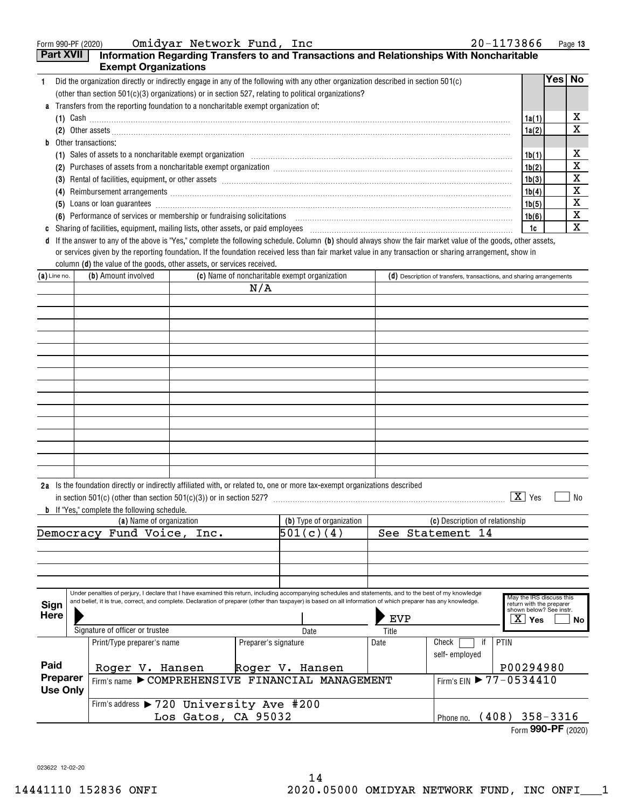|                                                                                                                                      | Omidyar Network Fund, Inc<br>20-1173866<br>Form 990-PF (2020)<br>Page 13                                                                                                                                                             |  |     |                                               |                                                                                                                                                                                                                                |       |     |           |
|--------------------------------------------------------------------------------------------------------------------------------------|--------------------------------------------------------------------------------------------------------------------------------------------------------------------------------------------------------------------------------------|--|-----|-----------------------------------------------|--------------------------------------------------------------------------------------------------------------------------------------------------------------------------------------------------------------------------------|-------|-----|-----------|
| Part XVII<br>Information Regarding Transfers to and Transactions and Relationships With Noncharitable<br><b>Exempt Organizations</b> |                                                                                                                                                                                                                                      |  |     |                                               |                                                                                                                                                                                                                                |       |     |           |
|                                                                                                                                      | Did the organization directly or indirectly engage in any of the following with any other organization described in section 501(c)                                                                                                   |  |     |                                               |                                                                                                                                                                                                                                |       | Yes | <b>No</b> |
|                                                                                                                                      | (other than section $501(c)(3)$ organizations) or in section 527, relating to political organizations?                                                                                                                               |  |     |                                               |                                                                                                                                                                                                                                |       |     |           |
|                                                                                                                                      | <b>a</b> Transfers from the reporting foundation to a noncharitable exempt organization of:                                                                                                                                          |  |     |                                               |                                                                                                                                                                                                                                |       |     |           |
|                                                                                                                                      | (1) Cash $\ldots$                                                                                                                                                                                                                    |  |     |                                               |                                                                                                                                                                                                                                | 1a(1) |     | х         |
|                                                                                                                                      | (2) Other assets <b>contract the contract of the contract of the contract of the contract of the contract of the contract of the contract of the contract of the contract of the contract of the contract of the contract of the</b> |  |     |                                               |                                                                                                                                                                                                                                | 1a(2) |     | X         |
|                                                                                                                                      | <b>b</b> Other transactions:                                                                                                                                                                                                         |  |     |                                               |                                                                                                                                                                                                                                |       |     |           |
|                                                                                                                                      |                                                                                                                                                                                                                                      |  |     |                                               |                                                                                                                                                                                                                                | 1b(1) |     | x         |
|                                                                                                                                      | (2)                                                                                                                                                                                                                                  |  |     |                                               | Purchases of assets from a noncharitable exempt organization [11] manufacture manufacture of assets from a noncharitable exempt organization [11] manufacture manufacture of assets from a noncharitable exempt organization [ | 1b(2) |     | X         |
|                                                                                                                                      | (3)                                                                                                                                                                                                                                  |  |     |                                               |                                                                                                                                                                                                                                | 1b(3) |     | X         |
|                                                                                                                                      | (4)                                                                                                                                                                                                                                  |  |     |                                               | Reimbursement arrangements [111] March 2016 (2016) 2017 (2016) 2017 2018 2019 2016 2017 2018 2019 2019 2019 201                                                                                                                | 1b(4) |     | X         |
| (5)                                                                                                                                  |                                                                                                                                                                                                                                      |  |     |                                               |                                                                                                                                                                                                                                | 1b(5) |     | x         |
|                                                                                                                                      | (6)                                                                                                                                                                                                                                  |  |     |                                               | Performance of services or membership or fundraising solicitations [11] match match and the services or membership or fundraising solicitations [11] match match and the services of services or membership or funds and the s | 1b(6) |     | X         |
|                                                                                                                                      |                                                                                                                                                                                                                                      |  |     |                                               | Sharing of facilities, equipment, mailing lists, other assets, or paid employees [11,11] contains the container container the state of facilities, equipment, mailing lists, other assets, or paid employees                   | 1c    |     | X         |
| đ                                                                                                                                    |                                                                                                                                                                                                                                      |  |     |                                               | If the answer to any of the above is "Yes," complete the following schedule. Column (b) should always show the fair market value of the goods, other assets,                                                                   |       |     |           |
|                                                                                                                                      | or services given by the reporting foundation. If the foundation received less than fair market value in any transaction or sharing arrangement, show in                                                                             |  |     |                                               |                                                                                                                                                                                                                                |       |     |           |
|                                                                                                                                      | column (d) the value of the goods, other assets, or services received.                                                                                                                                                               |  |     |                                               |                                                                                                                                                                                                                                |       |     |           |
| $(a)$ Line no.                                                                                                                       | (b) Amount involved                                                                                                                                                                                                                  |  |     | (c) Name of noncharitable exempt organization | $(d)$ Description of transfers, transactions, and sharing arrangements                                                                                                                                                         |       |     |           |
|                                                                                                                                      |                                                                                                                                                                                                                                      |  | N/A |                                               |                                                                                                                                                                                                                                |       |     |           |

|  | N/A |  |
|--|-----|--|
|  |     |  |
|  |     |  |
|  |     |  |
|  |     |  |
|  |     |  |
|  |     |  |
|  |     |  |
|  |     |  |
|  |     |  |
|  |     |  |
|  |     |  |
|  |     |  |
|  |     |  |
|  |     |  |
|  |     |  |

| 2a | Is the foundation directly or indirectly affiliated with, or related to, one or more tax-exempt organizations described |     |    |
|----|-------------------------------------------------------------------------------------------------------------------------|-----|----|
|    | $\lq\lq\lq\lq$ (other than section 501(c)(3)) or in section 527?                                                        | ∕e. | No |

**b** If "Yes," complete the following schedule.

|                             |                    |                                                                                                                                                                                                                                                                                                                           | (a) Name of organization |      |                      |               |           | (b) Type of organization | (c) Description of relationship |  |                        |    |                                                                                                       |     |
|-----------------------------|--------------------|---------------------------------------------------------------------------------------------------------------------------------------------------------------------------------------------------------------------------------------------------------------------------------------------------------------------------|--------------------------|------|----------------------|---------------|-----------|--------------------------|---------------------------------|--|------------------------|----|-------------------------------------------------------------------------------------------------------|-----|
| Democracy                   |                    |                                                                                                                                                                                                                                                                                                                           | Fund Voice,              | Inc. |                      |               | 501(c)(4) |                          |                                 |  | See Statement 14       |    |                                                                                                       |     |
|                             |                    |                                                                                                                                                                                                                                                                                                                           |                          |      |                      |               |           |                          |                                 |  |                        |    |                                                                                                       |     |
|                             |                    |                                                                                                                                                                                                                                                                                                                           |                          |      |                      |               |           |                          |                                 |  |                        |    |                                                                                                       |     |
|                             |                    |                                                                                                                                                                                                                                                                                                                           |                          |      |                      |               |           |                          |                                 |  |                        |    |                                                                                                       |     |
|                             |                    |                                                                                                                                                                                                                                                                                                                           |                          |      |                      |               |           |                          |                                 |  |                        |    |                                                                                                       |     |
| Sign<br>Here                |                    | Under penalties of perjury, I declare that I have examined this return, including accompanying schedules and statements, and to the best of my knowledge<br>and belief, it is true, correct, and complete. Declaration of preparer (other than taxpayer) is based on all information of which preparer has any knowledge. |                          |      |                      |               |           |                          | <b>EVP</b>                      |  |                        |    | May the IRS discuss this<br>return with the preparer<br>shown below? See instr.<br>$\overline{X}$ Yes | No. |
|                             |                    | Signature of officer or trustee                                                                                                                                                                                                                                                                                           |                          |      |                      | Title<br>Date |           |                          |                                 |  |                        |    |                                                                                                       |     |
|                             |                    | Print/Type preparer's name                                                                                                                                                                                                                                                                                                |                          |      | Preparer's signature |               |           |                          | Date                            |  | Check<br>self-employed | if | <b>PTIN</b>                                                                                           |     |
| Paid                        |                    |                                                                                                                                                                                                                                                                                                                           | Roger V. Hansen          |      | Roger V. Hansen      |               |           |                          |                                 |  |                        |    | P00294980                                                                                             |     |
| Preparer<br><b>Use Only</b> |                    | Firm's name COMPREHENSIVE FINANCIAL MANAGEMENT                                                                                                                                                                                                                                                                            |                          |      |                      |               |           |                          |                                 |  |                        |    | Firm's EIN ▶ 77-0534410                                                                               |     |
|                             |                    | Firm's address > 720 University Ave #200                                                                                                                                                                                                                                                                                  |                          |      |                      |               |           |                          |                                 |  |                        |    |                                                                                                       |     |
| Los Gatos, CA 95032         |                    |                                                                                                                                                                                                                                                                                                                           |                          |      |                      |               |           |                          |                                 |  | Phone no.              |    | $(408)$ 358-3316                                                                                      |     |
|                             | Form 990-PF (2020) |                                                                                                                                                                                                                                                                                                                           |                          |      |                      |               |           |                          |                                 |  |                        |    |                                                                                                       |     |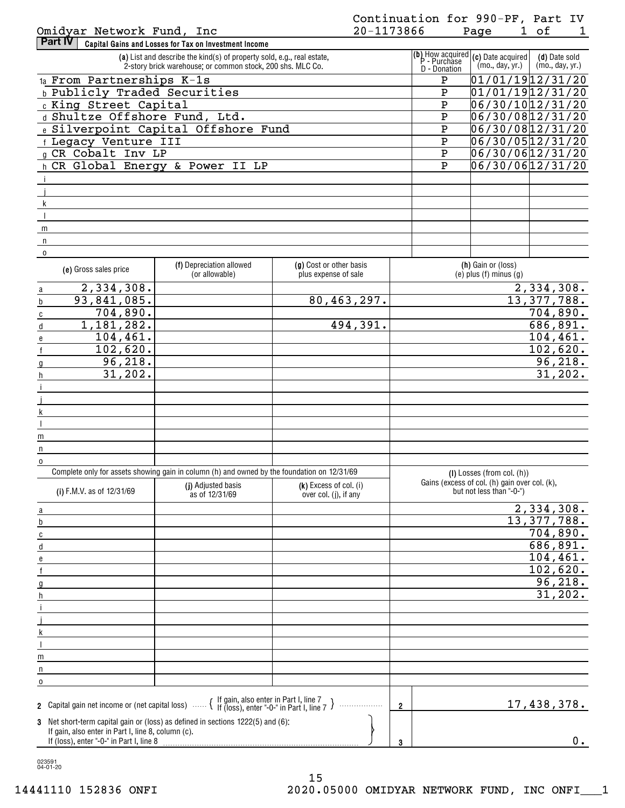| Part IV | Capital Gains and Losses for Tax on Investment Income                                                                                |                                                                                                                            |                 |                                  |
|---------|--------------------------------------------------------------------------------------------------------------------------------------|----------------------------------------------------------------------------------------------------------------------------|-----------------|----------------------------------|
|         | (a) List and describe the kind(s) of property sold, e.g., real estate,<br>2-story brick warehouse; or common stock, 200 shs. MLC Co. | $\begin{bmatrix} \textbf{(b)} \text{ How acquired} \\ \text{P - Purchase} \end{bmatrix}$ (c) Date acquired<br>D - Donation | (mo., day, yr.) | (d) Date sold<br>(mo., day, yr.) |
|         | $1a$ From Partnerships $K-1s$                                                                                                        | P                                                                                                                          |                 | 01/01/1912/31/20                 |
|         | <b>b</b> Publicly Traded Securities                                                                                                  | Ρ                                                                                                                          |                 | 01/01/1912/31/20                 |
|         | c King Street Capital                                                                                                                | P                                                                                                                          |                 | 06/30/1012/31/20                 |
|         | d Shultze Offshore Fund, Ltd.                                                                                                        | P                                                                                                                          |                 | 06/30/0812/31/20                 |
|         | e Silverpoint Capital Offshore Fund                                                                                                  | Ρ                                                                                                                          |                 | 06/30/0812/31/20                 |
|         | f Legacy Venture III                                                                                                                 | P                                                                                                                          |                 | 06/30/0512/31/20                 |
|         | g CR Cobalt Inv LP                                                                                                                   | P                                                                                                                          |                 | 06/30/0612/31/20                 |
|         | h CR Global Energy & Power II LP                                                                                                     | P                                                                                                                          |                 | 06/30/0612/31/20                 |
|         |                                                                                                                                      |                                                                                                                            |                 |                                  |
|         |                                                                                                                                      |                                                                                                                            |                 |                                  |
|         |                                                                                                                                      |                                                                                                                            |                 |                                  |
|         |                                                                                                                                      |                                                                                                                            |                 |                                  |
| m       |                                                                                                                                      |                                                                                                                            |                 |                                  |
| n       |                                                                                                                                      |                                                                                                                            |                 |                                  |
| 0       |                                                                                                                                      |                                                                                                                            |                 |                                  |

| (e) Gross sales price                                                                                                       | (f) Depreciation allowed<br>(or allowable)                                                  | (g) Cost or other basis<br>plus expense of sale   | (h) Gain or (loss)<br>$(e)$ plus $(f)$ minus $(g)$                        |
|-----------------------------------------------------------------------------------------------------------------------------|---------------------------------------------------------------------------------------------|---------------------------------------------------|---------------------------------------------------------------------------|
| 2,334,308.<br>$\overline{a}$                                                                                                |                                                                                             |                                                   | 2,334,308.                                                                |
| 93,841,085.<br>$\mathsf b$                                                                                                  |                                                                                             | 80,463,297.                                       | 13,377,788.                                                               |
| 704,890.<br>$\overline{c}$                                                                                                  |                                                                                             |                                                   | 704,890.                                                                  |
| 1,181,282.<br>$\operatorname{\mathsf{d}}$                                                                                   |                                                                                             | 494,391.                                          | 686, 891.                                                                 |
| 104, 461.<br>$\mathbf{e}$                                                                                                   |                                                                                             |                                                   | 104, 461.                                                                 |
| 102,620.<br>$\mathsf f$                                                                                                     |                                                                                             |                                                   | 102,620.                                                                  |
| 96,218.<br>$\mathfrak{g}$                                                                                                   |                                                                                             |                                                   | 96, 218.                                                                  |
| 31,202.<br>h                                                                                                                |                                                                                             |                                                   | 31,202.                                                                   |
|                                                                                                                             |                                                                                             |                                                   |                                                                           |
|                                                                                                                             |                                                                                             |                                                   |                                                                           |
| $\overline{\mathsf{k}}$                                                                                                     |                                                                                             |                                                   |                                                                           |
| $\overline{\phantom{a}}$                                                                                                    |                                                                                             |                                                   |                                                                           |
| m                                                                                                                           |                                                                                             |                                                   |                                                                           |
| $\mathsf{n}$                                                                                                                |                                                                                             |                                                   |                                                                           |
| $\overline{0}$                                                                                                              |                                                                                             |                                                   |                                                                           |
|                                                                                                                             | Complete only for assets showing gain in column (h) and owned by the foundation on 12/31/69 |                                                   | $(I)$ Losses (from col. $(h)$ )                                           |
| (i) F.M.V. as of 12/31/69                                                                                                   | (i) Adjusted basis<br>as of 12/31/69                                                        | $(k)$ Excess of col. (i)<br>over col. (j), if any | Gains (excess of col. (h) gain over col. (k),<br>but not less than "-0-") |
|                                                                                                                             |                                                                                             |                                                   |                                                                           |
| a                                                                                                                           |                                                                                             |                                                   | 2,334,308.<br>13,377,788.                                                 |
| $\mathsf b$                                                                                                                 |                                                                                             |                                                   |                                                                           |
| $\overline{c}$                                                                                                              |                                                                                             |                                                   | 704,890.                                                                  |
| $\sf d$                                                                                                                     |                                                                                             |                                                   | 686,891.                                                                  |
| e                                                                                                                           |                                                                                             |                                                   | 104, 461.                                                                 |
| $\mathsf{f}$                                                                                                                |                                                                                             |                                                   | 102,620.                                                                  |
| $\overline{g}$                                                                                                              |                                                                                             |                                                   | 96, 218.                                                                  |
| $\boldsymbol{\mathsf{h}}$                                                                                                   |                                                                                             |                                                   | 31,202.                                                                   |
|                                                                                                                             |                                                                                             |                                                   |                                                                           |
| <u> 1980 - Johann Barbara, martxa alemani</u> ar a                                                                          |                                                                                             |                                                   |                                                                           |
| $\sf k$                                                                                                                     |                                                                                             |                                                   |                                                                           |
| $\overline{\phantom{a}}$                                                                                                    |                                                                                             |                                                   |                                                                           |
| ${\sf m}$                                                                                                                   |                                                                                             |                                                   |                                                                           |
| $\mathsf{n}$                                                                                                                |                                                                                             |                                                   |                                                                           |
| $\pmb{0}$                                                                                                                   |                                                                                             |                                                   |                                                                           |
| 2 Capital gain net income or (net capital loss) $\ldots$ $\left\{\right.}$ If gain, also enter in Part I, line 7 $\right\}$ |                                                                                             | .                                                 | 17,438,378.<br>$\overline{2}$                                             |
| 3 Net short-term capital gain or (loss) as defined in sections 1222(5) and (6):                                             |                                                                                             |                                                   |                                                                           |
| If gain, also enter in Part I, line 8, column (c).<br>If (loss), enter "-0-" in Part I, line 8                              |                                                                                             |                                                   | $0$ .<br>3                                                                |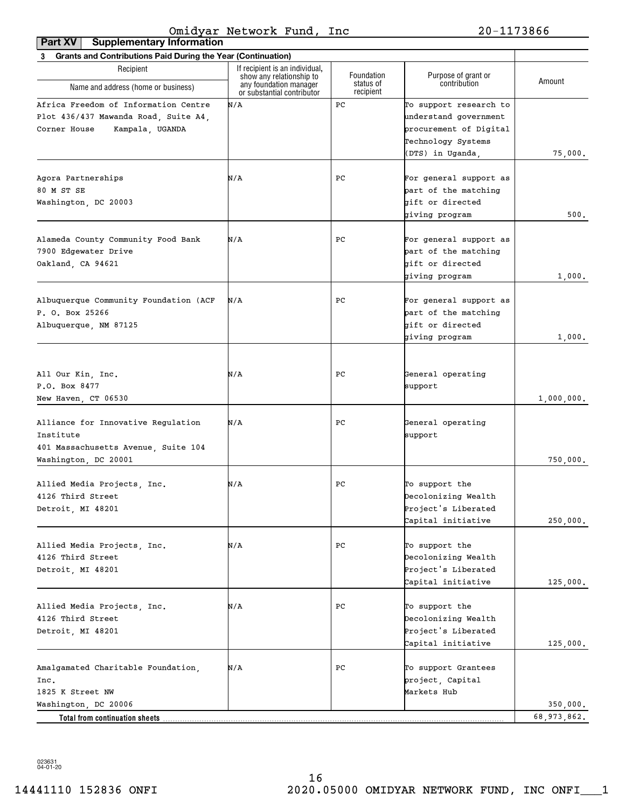| <b>Supplementary Information</b><br>Part XV                                                                     |                                                            |                         |                                                                                                                     |             |
|-----------------------------------------------------------------------------------------------------------------|------------------------------------------------------------|-------------------------|---------------------------------------------------------------------------------------------------------------------|-------------|
| 3 Grants and Contributions Paid During the Year (Continuation)                                                  |                                                            |                         |                                                                                                                     |             |
| Recipient                                                                                                       | If recipient is an individual,<br>show any relationship to | Foundation<br>status of | Purpose of grant or<br>contribution                                                                                 | Amount      |
| Name and address (home or business)                                                                             | any foundation manager<br>or substantial contributor       | recipient               |                                                                                                                     |             |
| Africa Freedom of Information Centre<br>Plot 436/437 Mawanda Road, Suite A4,<br>Kampala, UGANDA<br>Corner House | N/A                                                        | PC                      | To support research to<br>understand government<br>procurement of Digital<br>Technology Systems<br>(DTS) in Uganda, | 75,000.     |
| Agora Partnerships<br>80 M ST SE<br>Washington, DC 20003                                                        | N/A                                                        | PС                      | For general support as<br>part of the matching<br>gift or directed<br>giving program                                | 500.        |
| Alameda County Community Food Bank<br>7900 Edgewater Drive<br>Oakland, CA 94621                                 | N/A                                                        | PС                      | For general support as<br>part of the matching<br>gift or directed<br>giving program                                | 1,000.      |
| Albuquerque Community Foundation (ACF<br>P. O. Box 25266<br>Albuquerque, NM 87125                               | N/A                                                        | PС                      | For general support as<br>part of the matching<br>gift or directed<br>giving program                                | 1,000.      |
| All Our Kin, Inc.<br>P.O. Box 8477<br>New Haven, CT 06530                                                       | N/A                                                        | PС                      | General operating<br>support                                                                                        | 1,000,000.  |
| Alliance for Innovative Regulation<br>Institute<br>401 Massachusetts Avenue, Suite 104<br>Washington, DC 20001  | N/A                                                        | PС                      | General operating<br>support                                                                                        | 750,000.    |
| Allied Media Projects, Inc.<br>4126 Third Street<br>Detroit, MI 48201                                           | N/A                                                        | PС                      | To support the<br>Decolonizing Wealth<br>Project's Liberated<br>Capital initiative                                  | 250,000.    |
| Allied Media Projects, Inc.<br>4126 Third Street<br>Detroit, MI 48201                                           | N/A                                                        | PС                      | To support the<br>Decolonizing Wealth<br>Project's Liberated<br>Capital initiative                                  | 125,000.    |
| Allied Media Projects, Inc.<br>4126 Third Street<br>Detroit, MI 48201                                           | N/A                                                        | PС                      | To support the<br>Decolonizing Wealth<br>Project's Liberated<br>Capital initiative                                  | 125,000.    |
| Amalgamated Charitable Foundation,<br>Inc.<br>1825 K Street NW                                                  | N/A                                                        | PC                      | To support Grantees<br>project, Capital<br>Markets Hub                                                              |             |
| Washington, DC 20006                                                                                            |                                                            |                         |                                                                                                                     | 350,000.    |
| Total from continuation sheets                                                                                  |                                                            |                         |                                                                                                                     | 68,973,862. |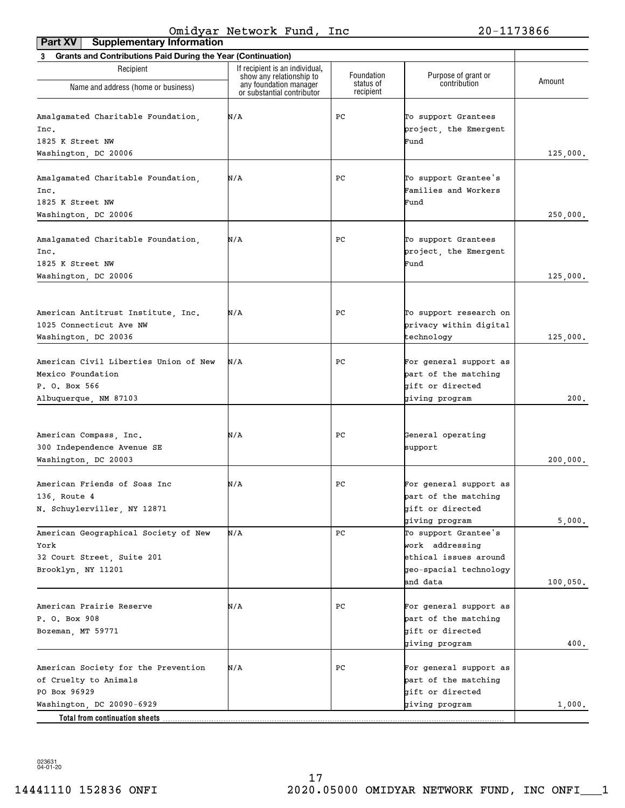| <b>Grants and Contributions Paid During the Year (Continuation)</b><br>3 |                                                    |                         |                                          |          |  |  |
|--------------------------------------------------------------------------|----------------------------------------------------|-------------------------|------------------------------------------|----------|--|--|
| Recipient                                                                | If recipient is an individual,                     |                         |                                          |          |  |  |
| Name and address (home or business)                                      | show any relationship to<br>any foundation manager | Foundation<br>status of | Purpose of grant or<br>contribution      | Amount   |  |  |
|                                                                          | or substantial contributor                         | recipient               |                                          |          |  |  |
| Amalgamated Charitable Foundation,                                       | N/A                                                | РC                      | To support Grantees                      |          |  |  |
| Inc.                                                                     |                                                    |                         | project, the Emergent                    |          |  |  |
| 1825 K Street NW                                                         |                                                    |                         | Fund                                     |          |  |  |
| Washington, DC 20006                                                     |                                                    |                         |                                          | 125,000. |  |  |
|                                                                          |                                                    |                         |                                          |          |  |  |
| Amalgamated Charitable Foundation,                                       | N/A                                                | РC                      | To support Grantee's                     |          |  |  |
| Inc.                                                                     |                                                    |                         | Families and Workers                     |          |  |  |
| 1825 K Street NW                                                         |                                                    |                         | Fund                                     |          |  |  |
| Washington, DC 20006                                                     |                                                    |                         |                                          | 250,000. |  |  |
|                                                                          |                                                    |                         |                                          |          |  |  |
| Amalgamated Charitable Foundation,                                       | N/A                                                | РC                      | To support Grantees                      |          |  |  |
| Inc.                                                                     |                                                    |                         | project, the Emergent                    |          |  |  |
| 1825 K Street NW                                                         |                                                    |                         | Fund                                     |          |  |  |
| Washington, DC 20006                                                     |                                                    |                         |                                          | 125,000. |  |  |
|                                                                          |                                                    |                         |                                          |          |  |  |
|                                                                          |                                                    |                         |                                          |          |  |  |
| American Antitrust Institute, Inc.                                       | N/A                                                | РC                      | To support research on                   |          |  |  |
| 1025 Connecticut Ave NW                                                  |                                                    |                         | privacy within digital                   |          |  |  |
| Washington, DC 20036                                                     |                                                    |                         | technology                               | 125,000. |  |  |
|                                                                          |                                                    |                         |                                          |          |  |  |
| American Civil Liberties Union of New                                    | N/A                                                | РC                      | For general support as                   |          |  |  |
| Mexico Foundation                                                        |                                                    |                         | part of the matching<br>gift or directed |          |  |  |
| P. O. Box 566<br>Albuquerque, NM 87103                                   |                                                    |                         | giving program                           | 200.     |  |  |
|                                                                          |                                                    |                         |                                          |          |  |  |
|                                                                          |                                                    |                         |                                          |          |  |  |
| American Compass, Inc.                                                   | N/A                                                | РC                      | General operating                        |          |  |  |
| 300 Independence Avenue SE                                               |                                                    |                         | support                                  |          |  |  |
| Washington, DC 20003                                                     |                                                    |                         |                                          | 200,000. |  |  |
|                                                                          |                                                    |                         |                                          |          |  |  |
| American Friends of Soas Inc                                             | N/A                                                | PC                      | For general support as                   |          |  |  |
| 136, Route 4                                                             |                                                    |                         | part of the matching                     |          |  |  |
| N. Schuylerviller, NY 12871                                              |                                                    |                         | gift or directed                         |          |  |  |
|                                                                          |                                                    |                         | giving program                           | 5,000.   |  |  |
| American Geographical Society of New<br>York                             | N/A                                                | PС                      | To support Grantee's                     |          |  |  |
|                                                                          |                                                    |                         | work addressing<br>ethical issues around |          |  |  |
| 32 Court Street, Suite 201                                               |                                                    |                         | geo-spacial technology                   |          |  |  |
| Brooklyn, NY 11201                                                       |                                                    |                         | and data                                 |          |  |  |
|                                                                          |                                                    |                         |                                          | 100,050. |  |  |
| American Prairie Reserve                                                 | N/A                                                | РC                      | For general support as                   |          |  |  |
| P. O. Box 908                                                            |                                                    |                         | part of the matching                     |          |  |  |
| Bozeman, MT 59771                                                        |                                                    |                         | bift or directed                         |          |  |  |
|                                                                          |                                                    |                         | giving program                           | 400.     |  |  |
|                                                                          |                                                    |                         |                                          |          |  |  |
| American Society for the Prevention                                      | N/A                                                | РC                      | For general support as                   |          |  |  |
| of Cruelty to Animals                                                    |                                                    |                         | part of the matching                     |          |  |  |
| PO Box 96929                                                             |                                                    |                         | gift or directed                         |          |  |  |
| Washington, DC 20090-6929                                                |                                                    |                         | giving program                           | 1,000.   |  |  |
| <b>Total from continuation sheets</b>                                    |                                                    |                         |                                          |          |  |  |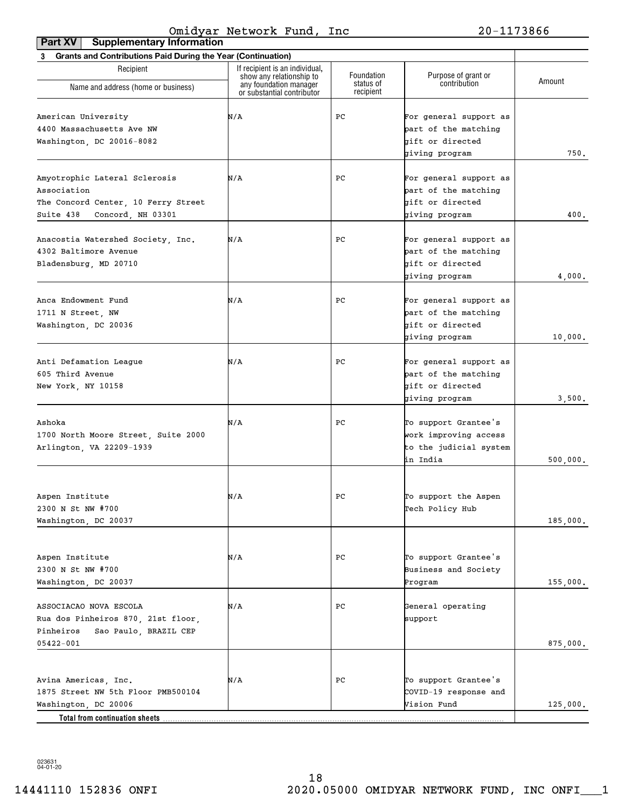| <b>Supplementary Information</b><br>Part XV                                                                          |                                                                                      |                         |                                                                                      |          |
|----------------------------------------------------------------------------------------------------------------------|--------------------------------------------------------------------------------------|-------------------------|--------------------------------------------------------------------------------------|----------|
| 3 Grants and Contributions Paid During the Year (Continuation)                                                       |                                                                                      |                         |                                                                                      |          |
| Recipient                                                                                                            | If recipient is an individual,<br>show any relationship to<br>any foundation manager | Foundation<br>status of | Purpose of grant or<br>contribution                                                  | Amount   |
| Name and address (home or business)                                                                                  | or substantial contributor                                                           | recipient               |                                                                                      |          |
| American University<br>4400 Massachusetts Ave NW<br>Washington, DC 20016-8082                                        | N/A                                                                                  | PС                      | For general support as<br>part of the matching<br>gift or directed<br>giving program | 750.     |
| Amyotrophic Lateral Sclerosis<br>Association<br>The Concord Center, 10 Ferry Street<br>Suite 438 Concord, NH 03301   | N/A                                                                                  | PС                      | For general support as<br>part of the matching<br>gift or directed<br>giving program | 400.     |
| Anacostia Watershed Society, Inc.<br>4302 Baltimore Avenue<br>Bladensburg, MD 20710                                  | N/A                                                                                  | РC                      | For general support as<br>part of the matching<br>gift or directed<br>giving program | 4,000.   |
| Anca Endowment Fund<br>1711 N Street, NW<br>Washington, DC 20036                                                     | N/A                                                                                  | РC                      | For general support as<br>part of the matching<br>gift or directed<br>giving program | 10,000.  |
| Anti Defamation League<br>605 Third Avenue<br>New York, NY 10158                                                     | N/A                                                                                  | РC                      | For general support as<br>part of the matching<br>gift or directed<br>giving program | 3,500.   |
| Ashoka<br>1700 North Moore Street, Suite 2000<br>Arlington, VA 22209-1939                                            | N/A                                                                                  | РC                      | To support Grantee's<br>work improving access<br>to the judicial system<br>in India  | 500,000. |
| Aspen Institute<br>2300 N St NW #700<br>Washington, DC 20037                                                         | N/A                                                                                  | ${\tt PC}$              | To support the Aspen<br>Tech Policy Hub                                              | 185,000. |
| Aspen Institute<br>2300 N St NW #700<br>Washington, DC 20037                                                         | N/A                                                                                  | РC                      | To support Grantee's<br>Business and Society<br>Program                              | 155,000. |
| ASSOCIACAO NOVA ESCOLA<br>Rua dos Pinheiros 870, 21st floor,<br>Pinheiros Sao Paulo, BRAZIL CEP<br>05422-001         | N/A                                                                                  | РC                      | General operating<br>support                                                         | 875,000. |
| Avina Americas, Inc.<br>1875 Street NW 5th Floor PMB500104<br>Washington, DC 20006<br>Total from continuation sheets | N/A                                                                                  | РC                      | To support Grantee's<br>COVID-19 response and<br>Vision Fund                         | 125,000. |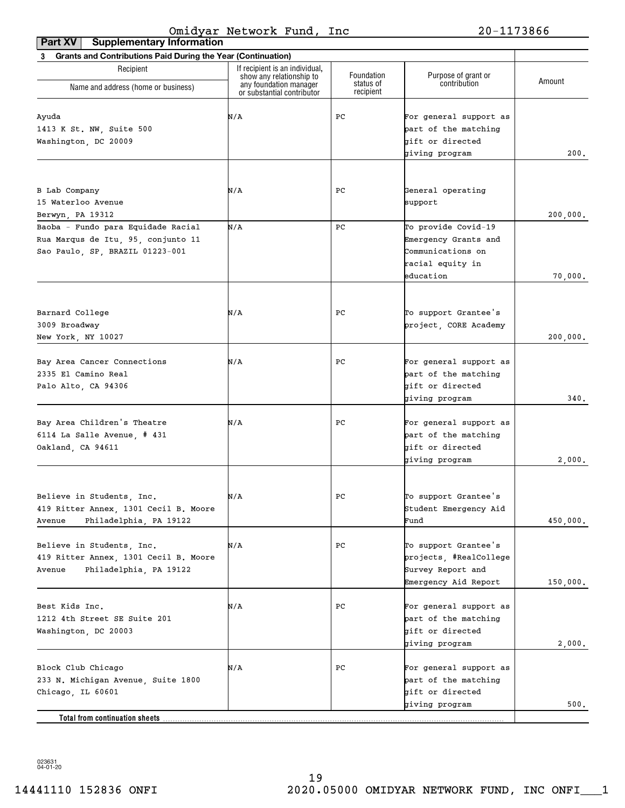| If recipient is an individual,<br>Recipient<br>Purpose of grant or<br>Foundation<br>show any relationship to<br>Amount<br>contribution<br>status of<br>any foundation manager<br>Name and address (home or business)<br>recipient<br>or substantial contributor<br>N/A<br>PС<br>For general support as<br>Ayuda<br>1413 K St. NW, Suite 500<br>part of the matching<br>gift or directed<br>Washington, DC 20009<br>giving program<br>N/A<br>PС<br>B Lab Company<br>General operating<br>15 Waterloo Avenue<br>support<br>Berwyn, PA 19312<br>N/A<br>Baoba - Fundo para Equidade Racial<br>PC<br>To provide Covid-19<br>Rua Marqus de Itu, 95, conjunto 11<br>Emergency Grants and<br>Sao Paulo, SP, BRAZIL 01223-001<br>Communications on<br>racial equity in<br>education<br>To support Grantee's<br>Barnard College<br>N/A<br>PС<br>3009 Broadway<br>project, CORE Academy<br>New York, NY 10027<br>Bay Area Cancer Connections<br>N/A<br>PС<br>For general support as<br>2335 El Camino Real<br>part of the matching<br>gift or directed<br>Palo Alto, CA 94306<br>giving program<br>Bay Area Children's Theatre<br>N/A<br>PС<br>For general support as<br>6114 La Salle Avenue, # 431<br>part of the matching<br>gift or directed<br>Oakland, CA 94611<br>giving program<br>N/A<br>$_{\rm PC}$<br>To support Grantee's<br>419 Ritter Annex, 1301 Cecil B. Moore<br>Student Emergency Aid<br>Philadelphia, PA 19122<br>Fund<br>Avenue<br>N/A<br>To support Grantee's<br>Believe in Students, Inc.<br>PС<br>projects, #RealCollege<br>419 Ritter Annex, 1301 Cecil B. Moore<br>Philadelphia, PA 19122<br>Survey Report and<br>Avenue<br>Emergency Aid Report<br>Best Kids Inc.<br>N/A<br>For general support as<br>PС<br>part of the matching<br>1212 4th Street SE Suite 201<br>gift or directed<br>Washington, DC 20003<br>giving program<br>Block Club Chicago<br>N/A<br>For general support as<br>PС<br>233 N. Michigan Avenue, Suite 1800<br>part of the matching<br>gift or directed<br>Chicago, IL 60601 | <b>Supplementary Information</b><br>3 Grants and Contributions Paid During the Year (Continuation) |  |          |
|-------------------------------------------------------------------------------------------------------------------------------------------------------------------------------------------------------------------------------------------------------------------------------------------------------------------------------------------------------------------------------------------------------------------------------------------------------------------------------------------------------------------------------------------------------------------------------------------------------------------------------------------------------------------------------------------------------------------------------------------------------------------------------------------------------------------------------------------------------------------------------------------------------------------------------------------------------------------------------------------------------------------------------------------------------------------------------------------------------------------------------------------------------------------------------------------------------------------------------------------------------------------------------------------------------------------------------------------------------------------------------------------------------------------------------------------------------------------------------------------------------------------------------------------------------------------------------------------------------------------------------------------------------------------------------------------------------------------------------------------------------------------------------------------------------------------------------------------------------------------------------------------------------------------------------------------------------------------------------------------------------------------|----------------------------------------------------------------------------------------------------|--|----------|
| Believe in Students, Inc.                                                                                                                                                                                                                                                                                                                                                                                                                                                                                                                                                                                                                                                                                                                                                                                                                                                                                                                                                                                                                                                                                                                                                                                                                                                                                                                                                                                                                                                                                                                                                                                                                                                                                                                                                                                                                                                                                                                                                                                         |                                                                                                    |  |          |
|                                                                                                                                                                                                                                                                                                                                                                                                                                                                                                                                                                                                                                                                                                                                                                                                                                                                                                                                                                                                                                                                                                                                                                                                                                                                                                                                                                                                                                                                                                                                                                                                                                                                                                                                                                                                                                                                                                                                                                                                                   |                                                                                                    |  |          |
|                                                                                                                                                                                                                                                                                                                                                                                                                                                                                                                                                                                                                                                                                                                                                                                                                                                                                                                                                                                                                                                                                                                                                                                                                                                                                                                                                                                                                                                                                                                                                                                                                                                                                                                                                                                                                                                                                                                                                                                                                   |                                                                                                    |  |          |
|                                                                                                                                                                                                                                                                                                                                                                                                                                                                                                                                                                                                                                                                                                                                                                                                                                                                                                                                                                                                                                                                                                                                                                                                                                                                                                                                                                                                                                                                                                                                                                                                                                                                                                                                                                                                                                                                                                                                                                                                                   |                                                                                                    |  |          |
|                                                                                                                                                                                                                                                                                                                                                                                                                                                                                                                                                                                                                                                                                                                                                                                                                                                                                                                                                                                                                                                                                                                                                                                                                                                                                                                                                                                                                                                                                                                                                                                                                                                                                                                                                                                                                                                                                                                                                                                                                   |                                                                                                    |  |          |
|                                                                                                                                                                                                                                                                                                                                                                                                                                                                                                                                                                                                                                                                                                                                                                                                                                                                                                                                                                                                                                                                                                                                                                                                                                                                                                                                                                                                                                                                                                                                                                                                                                                                                                                                                                                                                                                                                                                                                                                                                   |                                                                                                    |  |          |
|                                                                                                                                                                                                                                                                                                                                                                                                                                                                                                                                                                                                                                                                                                                                                                                                                                                                                                                                                                                                                                                                                                                                                                                                                                                                                                                                                                                                                                                                                                                                                                                                                                                                                                                                                                                                                                                                                                                                                                                                                   |                                                                                                    |  | 200.     |
|                                                                                                                                                                                                                                                                                                                                                                                                                                                                                                                                                                                                                                                                                                                                                                                                                                                                                                                                                                                                                                                                                                                                                                                                                                                                                                                                                                                                                                                                                                                                                                                                                                                                                                                                                                                                                                                                                                                                                                                                                   |                                                                                                    |  |          |
|                                                                                                                                                                                                                                                                                                                                                                                                                                                                                                                                                                                                                                                                                                                                                                                                                                                                                                                                                                                                                                                                                                                                                                                                                                                                                                                                                                                                                                                                                                                                                                                                                                                                                                                                                                                                                                                                                                                                                                                                                   |                                                                                                    |  |          |
|                                                                                                                                                                                                                                                                                                                                                                                                                                                                                                                                                                                                                                                                                                                                                                                                                                                                                                                                                                                                                                                                                                                                                                                                                                                                                                                                                                                                                                                                                                                                                                                                                                                                                                                                                                                                                                                                                                                                                                                                                   |                                                                                                    |  |          |
|                                                                                                                                                                                                                                                                                                                                                                                                                                                                                                                                                                                                                                                                                                                                                                                                                                                                                                                                                                                                                                                                                                                                                                                                                                                                                                                                                                                                                                                                                                                                                                                                                                                                                                                                                                                                                                                                                                                                                                                                                   |                                                                                                    |  |          |
|                                                                                                                                                                                                                                                                                                                                                                                                                                                                                                                                                                                                                                                                                                                                                                                                                                                                                                                                                                                                                                                                                                                                                                                                                                                                                                                                                                                                                                                                                                                                                                                                                                                                                                                                                                                                                                                                                                                                                                                                                   |                                                                                                    |  | 200,000. |
|                                                                                                                                                                                                                                                                                                                                                                                                                                                                                                                                                                                                                                                                                                                                                                                                                                                                                                                                                                                                                                                                                                                                                                                                                                                                                                                                                                                                                                                                                                                                                                                                                                                                                                                                                                                                                                                                                                                                                                                                                   |                                                                                                    |  |          |
|                                                                                                                                                                                                                                                                                                                                                                                                                                                                                                                                                                                                                                                                                                                                                                                                                                                                                                                                                                                                                                                                                                                                                                                                                                                                                                                                                                                                                                                                                                                                                                                                                                                                                                                                                                                                                                                                                                                                                                                                                   |                                                                                                    |  |          |
|                                                                                                                                                                                                                                                                                                                                                                                                                                                                                                                                                                                                                                                                                                                                                                                                                                                                                                                                                                                                                                                                                                                                                                                                                                                                                                                                                                                                                                                                                                                                                                                                                                                                                                                                                                                                                                                                                                                                                                                                                   |                                                                                                    |  |          |
|                                                                                                                                                                                                                                                                                                                                                                                                                                                                                                                                                                                                                                                                                                                                                                                                                                                                                                                                                                                                                                                                                                                                                                                                                                                                                                                                                                                                                                                                                                                                                                                                                                                                                                                                                                                                                                                                                                                                                                                                                   |                                                                                                    |  |          |
|                                                                                                                                                                                                                                                                                                                                                                                                                                                                                                                                                                                                                                                                                                                                                                                                                                                                                                                                                                                                                                                                                                                                                                                                                                                                                                                                                                                                                                                                                                                                                                                                                                                                                                                                                                                                                                                                                                                                                                                                                   |                                                                                                    |  | 70,000.  |
|                                                                                                                                                                                                                                                                                                                                                                                                                                                                                                                                                                                                                                                                                                                                                                                                                                                                                                                                                                                                                                                                                                                                                                                                                                                                                                                                                                                                                                                                                                                                                                                                                                                                                                                                                                                                                                                                                                                                                                                                                   |                                                                                                    |  |          |
|                                                                                                                                                                                                                                                                                                                                                                                                                                                                                                                                                                                                                                                                                                                                                                                                                                                                                                                                                                                                                                                                                                                                                                                                                                                                                                                                                                                                                                                                                                                                                                                                                                                                                                                                                                                                                                                                                                                                                                                                                   |                                                                                                    |  |          |
|                                                                                                                                                                                                                                                                                                                                                                                                                                                                                                                                                                                                                                                                                                                                                                                                                                                                                                                                                                                                                                                                                                                                                                                                                                                                                                                                                                                                                                                                                                                                                                                                                                                                                                                                                                                                                                                                                                                                                                                                                   |                                                                                                    |  |          |
|                                                                                                                                                                                                                                                                                                                                                                                                                                                                                                                                                                                                                                                                                                                                                                                                                                                                                                                                                                                                                                                                                                                                                                                                                                                                                                                                                                                                                                                                                                                                                                                                                                                                                                                                                                                                                                                                                                                                                                                                                   |                                                                                                    |  | 200,000. |
|                                                                                                                                                                                                                                                                                                                                                                                                                                                                                                                                                                                                                                                                                                                                                                                                                                                                                                                                                                                                                                                                                                                                                                                                                                                                                                                                                                                                                                                                                                                                                                                                                                                                                                                                                                                                                                                                                                                                                                                                                   |                                                                                                    |  |          |
|                                                                                                                                                                                                                                                                                                                                                                                                                                                                                                                                                                                                                                                                                                                                                                                                                                                                                                                                                                                                                                                                                                                                                                                                                                                                                                                                                                                                                                                                                                                                                                                                                                                                                                                                                                                                                                                                                                                                                                                                                   |                                                                                                    |  |          |
|                                                                                                                                                                                                                                                                                                                                                                                                                                                                                                                                                                                                                                                                                                                                                                                                                                                                                                                                                                                                                                                                                                                                                                                                                                                                                                                                                                                                                                                                                                                                                                                                                                                                                                                                                                                                                                                                                                                                                                                                                   |                                                                                                    |  |          |
|                                                                                                                                                                                                                                                                                                                                                                                                                                                                                                                                                                                                                                                                                                                                                                                                                                                                                                                                                                                                                                                                                                                                                                                                                                                                                                                                                                                                                                                                                                                                                                                                                                                                                                                                                                                                                                                                                                                                                                                                                   |                                                                                                    |  | 340.     |
|                                                                                                                                                                                                                                                                                                                                                                                                                                                                                                                                                                                                                                                                                                                                                                                                                                                                                                                                                                                                                                                                                                                                                                                                                                                                                                                                                                                                                                                                                                                                                                                                                                                                                                                                                                                                                                                                                                                                                                                                                   |                                                                                                    |  |          |
|                                                                                                                                                                                                                                                                                                                                                                                                                                                                                                                                                                                                                                                                                                                                                                                                                                                                                                                                                                                                                                                                                                                                                                                                                                                                                                                                                                                                                                                                                                                                                                                                                                                                                                                                                                                                                                                                                                                                                                                                                   |                                                                                                    |  |          |
|                                                                                                                                                                                                                                                                                                                                                                                                                                                                                                                                                                                                                                                                                                                                                                                                                                                                                                                                                                                                                                                                                                                                                                                                                                                                                                                                                                                                                                                                                                                                                                                                                                                                                                                                                                                                                                                                                                                                                                                                                   |                                                                                                    |  |          |
|                                                                                                                                                                                                                                                                                                                                                                                                                                                                                                                                                                                                                                                                                                                                                                                                                                                                                                                                                                                                                                                                                                                                                                                                                                                                                                                                                                                                                                                                                                                                                                                                                                                                                                                                                                                                                                                                                                                                                                                                                   |                                                                                                    |  |          |
|                                                                                                                                                                                                                                                                                                                                                                                                                                                                                                                                                                                                                                                                                                                                                                                                                                                                                                                                                                                                                                                                                                                                                                                                                                                                                                                                                                                                                                                                                                                                                                                                                                                                                                                                                                                                                                                                                                                                                                                                                   |                                                                                                    |  | 2,000.   |
|                                                                                                                                                                                                                                                                                                                                                                                                                                                                                                                                                                                                                                                                                                                                                                                                                                                                                                                                                                                                                                                                                                                                                                                                                                                                                                                                                                                                                                                                                                                                                                                                                                                                                                                                                                                                                                                                                                                                                                                                                   |                                                                                                    |  |          |
|                                                                                                                                                                                                                                                                                                                                                                                                                                                                                                                                                                                                                                                                                                                                                                                                                                                                                                                                                                                                                                                                                                                                                                                                                                                                                                                                                                                                                                                                                                                                                                                                                                                                                                                                                                                                                                                                                                                                                                                                                   |                                                                                                    |  |          |
|                                                                                                                                                                                                                                                                                                                                                                                                                                                                                                                                                                                                                                                                                                                                                                                                                                                                                                                                                                                                                                                                                                                                                                                                                                                                                                                                                                                                                                                                                                                                                                                                                                                                                                                                                                                                                                                                                                                                                                                                                   |                                                                                                    |  |          |
|                                                                                                                                                                                                                                                                                                                                                                                                                                                                                                                                                                                                                                                                                                                                                                                                                                                                                                                                                                                                                                                                                                                                                                                                                                                                                                                                                                                                                                                                                                                                                                                                                                                                                                                                                                                                                                                                                                                                                                                                                   |                                                                                                    |  | 450,000. |
|                                                                                                                                                                                                                                                                                                                                                                                                                                                                                                                                                                                                                                                                                                                                                                                                                                                                                                                                                                                                                                                                                                                                                                                                                                                                                                                                                                                                                                                                                                                                                                                                                                                                                                                                                                                                                                                                                                                                                                                                                   |                                                                                                    |  |          |
|                                                                                                                                                                                                                                                                                                                                                                                                                                                                                                                                                                                                                                                                                                                                                                                                                                                                                                                                                                                                                                                                                                                                                                                                                                                                                                                                                                                                                                                                                                                                                                                                                                                                                                                                                                                                                                                                                                                                                                                                                   |                                                                                                    |  |          |
|                                                                                                                                                                                                                                                                                                                                                                                                                                                                                                                                                                                                                                                                                                                                                                                                                                                                                                                                                                                                                                                                                                                                                                                                                                                                                                                                                                                                                                                                                                                                                                                                                                                                                                                                                                                                                                                                                                                                                                                                                   |                                                                                                    |  |          |
|                                                                                                                                                                                                                                                                                                                                                                                                                                                                                                                                                                                                                                                                                                                                                                                                                                                                                                                                                                                                                                                                                                                                                                                                                                                                                                                                                                                                                                                                                                                                                                                                                                                                                                                                                                                                                                                                                                                                                                                                                   |                                                                                                    |  |          |
|                                                                                                                                                                                                                                                                                                                                                                                                                                                                                                                                                                                                                                                                                                                                                                                                                                                                                                                                                                                                                                                                                                                                                                                                                                                                                                                                                                                                                                                                                                                                                                                                                                                                                                                                                                                                                                                                                                                                                                                                                   |                                                                                                    |  | 150,000. |
|                                                                                                                                                                                                                                                                                                                                                                                                                                                                                                                                                                                                                                                                                                                                                                                                                                                                                                                                                                                                                                                                                                                                                                                                                                                                                                                                                                                                                                                                                                                                                                                                                                                                                                                                                                                                                                                                                                                                                                                                                   |                                                                                                    |  |          |
|                                                                                                                                                                                                                                                                                                                                                                                                                                                                                                                                                                                                                                                                                                                                                                                                                                                                                                                                                                                                                                                                                                                                                                                                                                                                                                                                                                                                                                                                                                                                                                                                                                                                                                                                                                                                                                                                                                                                                                                                                   |                                                                                                    |  |          |
|                                                                                                                                                                                                                                                                                                                                                                                                                                                                                                                                                                                                                                                                                                                                                                                                                                                                                                                                                                                                                                                                                                                                                                                                                                                                                                                                                                                                                                                                                                                                                                                                                                                                                                                                                                                                                                                                                                                                                                                                                   |                                                                                                    |  |          |
|                                                                                                                                                                                                                                                                                                                                                                                                                                                                                                                                                                                                                                                                                                                                                                                                                                                                                                                                                                                                                                                                                                                                                                                                                                                                                                                                                                                                                                                                                                                                                                                                                                                                                                                                                                                                                                                                                                                                                                                                                   |                                                                                                    |  | 2,000.   |
|                                                                                                                                                                                                                                                                                                                                                                                                                                                                                                                                                                                                                                                                                                                                                                                                                                                                                                                                                                                                                                                                                                                                                                                                                                                                                                                                                                                                                                                                                                                                                                                                                                                                                                                                                                                                                                                                                                                                                                                                                   |                                                                                                    |  |          |
|                                                                                                                                                                                                                                                                                                                                                                                                                                                                                                                                                                                                                                                                                                                                                                                                                                                                                                                                                                                                                                                                                                                                                                                                                                                                                                                                                                                                                                                                                                                                                                                                                                                                                                                                                                                                                                                                                                                                                                                                                   |                                                                                                    |  |          |
|                                                                                                                                                                                                                                                                                                                                                                                                                                                                                                                                                                                                                                                                                                                                                                                                                                                                                                                                                                                                                                                                                                                                                                                                                                                                                                                                                                                                                                                                                                                                                                                                                                                                                                                                                                                                                                                                                                                                                                                                                   |                                                                                                    |  |          |
|                                                                                                                                                                                                                                                                                                                                                                                                                                                                                                                                                                                                                                                                                                                                                                                                                                                                                                                                                                                                                                                                                                                                                                                                                                                                                                                                                                                                                                                                                                                                                                                                                                                                                                                                                                                                                                                                                                                                                                                                                   |                                                                                                    |  |          |
| giving program<br>Total from continuation sheets.                                                                                                                                                                                                                                                                                                                                                                                                                                                                                                                                                                                                                                                                                                                                                                                                                                                                                                                                                                                                                                                                                                                                                                                                                                                                                                                                                                                                                                                                                                                                                                                                                                                                                                                                                                                                                                                                                                                                                                 |                                                                                                    |  | 500.     |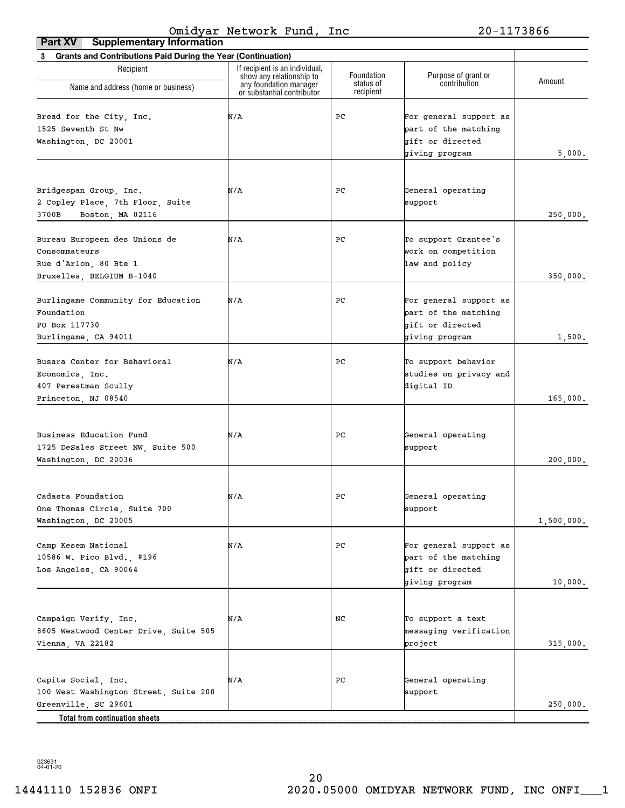| <b>Supplementary Information</b><br>Part XV                                                                             |                                                            |                         |                                                                                      |            |
|-------------------------------------------------------------------------------------------------------------------------|------------------------------------------------------------|-------------------------|--------------------------------------------------------------------------------------|------------|
| 3 Grants and Contributions Paid During the Year (Continuation)                                                          |                                                            |                         |                                                                                      |            |
| Recipient                                                                                                               | If recipient is an individual,<br>show any relationship to | Foundation<br>status of | Purpose of grant or<br>contribution                                                  | Amount     |
| Name and address (home or business)                                                                                     | any foundation manager<br>or substantial contributor       | recipient               |                                                                                      |            |
| Bread for the City, Inc.<br>1525 Seventh St Nw<br>Washington, DC 20001                                                  | N/A                                                        | PС                      | For general support as<br>part of the matching<br>gift or directed<br>giving program | 5,000.     |
| Bridgespan Group, Inc.<br>2 Copley Place, 7th Floor, Suite<br>3700B<br>Boston, MA 02116                                 | N/A                                                        | PС                      | General operating<br>support                                                         | 250,000.   |
| Bureau Europeen des Unions de<br>Consommateurs<br>Rue d'Arlon, 80 Bte 1<br>Bruxelles, BELGIUM B-1040                    | N/A                                                        | PС                      | To support Grantee's<br>work on competition<br>law and policy                        | 350,000.   |
| Burlingame Community for Education<br>Foundation<br>PO Box 117730<br>Burlingame, CA 94011                               | N/A                                                        | PС                      | For general support as<br>part of the matching<br>gift or directed<br>giving program | 1,500.     |
| Busara Center for Behavioral<br>Economics, Inc.<br>407 Perestman Scully<br>Princeton, NJ 08540                          | N/A                                                        | PС                      | To support behavior<br>studies on privacy and<br>digital ID                          | 165,000.   |
| Business Education Fund<br>1725 DeSales Street NW, Suite 500<br>Washington, DC 20036                                    | N/A                                                        | PС                      | General operating<br>support                                                         | 200,000.   |
| Cadasta Foundation<br>One Thomas Circle, Suite 700<br>Washington, DC 20005                                              | N/A                                                        | ${\tt PC}$              | General operating<br>support                                                         | 1,500,000. |
| Camp Kesem National<br>10586 W. Pico Blvd., #196<br>Los Angeles, CA 90064                                               | N/A                                                        | PС                      | For general support as<br>part of the matching<br>gift or directed<br>giving program | 10,000.    |
| Campaign Verify, Inc.<br>8605 Westwood Center Drive, Suite 505<br>Vienna, VA 22182                                      | N/A                                                        | NC                      | To support a text<br>messaging verification<br>project                               | 315,000.   |
| Capita Social, Inc.<br>100 West Washington Street, Suite 200<br>Greenville, SC 29601<br>Total from continuation sheets. | N/A                                                        | PС                      | General operating<br>support                                                         | 250,000.   |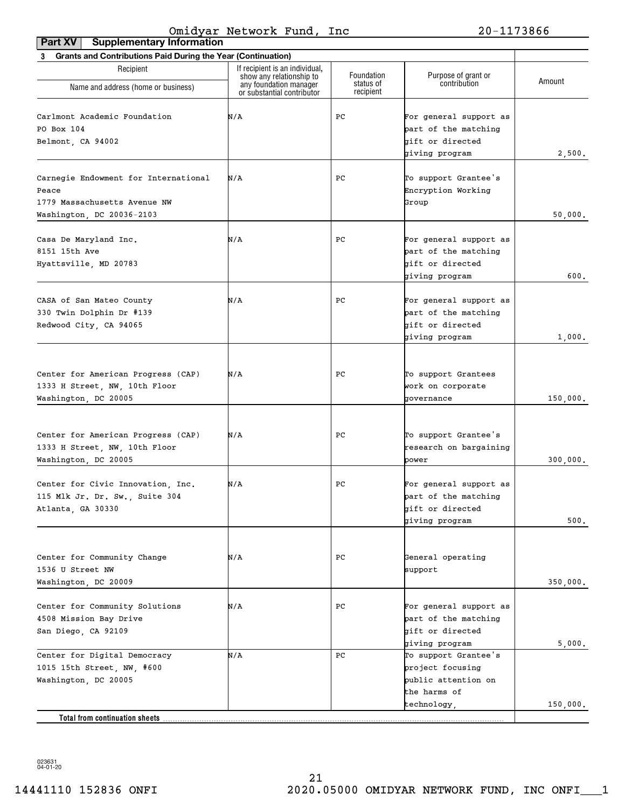| <b>Grants and Contributions Paid During the Year (Continuation)</b><br>3 |                                                    |                         |                                     |          |
|--------------------------------------------------------------------------|----------------------------------------------------|-------------------------|-------------------------------------|----------|
| Recipient                                                                | If recipient is an individual,                     |                         |                                     |          |
|                                                                          | show any relationship to<br>any foundation manager | Foundation<br>status of | Purpose of grant or<br>contribution | Amount   |
| Name and address (home or business)                                      | or substantial contributor                         | recipient               |                                     |          |
|                                                                          |                                                    |                         |                                     |          |
| Carlmont Academic Foundation                                             | N/A                                                | PС                      | For general support as              |          |
| PO Box 104                                                               |                                                    |                         | part of the matching                |          |
| Belmont, CA 94002                                                        |                                                    |                         | gift or directed                    |          |
|                                                                          |                                                    |                         | giving program                      | 2,500.   |
|                                                                          |                                                    |                         |                                     |          |
| Carnegie Endowment for International                                     | N/A                                                | PС                      | To support Grantee's                |          |
| Peace                                                                    |                                                    |                         | Encryption Working                  |          |
| 1779 Massachusetts Avenue NW                                             |                                                    |                         | Group                               |          |
| Washington, DC 20036-2103                                                |                                                    |                         |                                     | 50,000.  |
|                                                                          |                                                    |                         |                                     |          |
| Casa De Maryland Inc.                                                    | N/A                                                | PС                      | For general support as              |          |
| 8151 15th Ave                                                            |                                                    |                         | part of the matching                |          |
| Hyattsville, MD 20783                                                    |                                                    |                         | gift or directed                    |          |
|                                                                          |                                                    |                         | giving program                      | 600.     |
|                                                                          |                                                    |                         |                                     |          |
| CASA of San Mateo County                                                 | N/A                                                | PС                      | For general support as              |          |
| 330 Twin Dolphin Dr #139                                                 |                                                    |                         | part of the matching                |          |
| Redwood City, CA 94065                                                   |                                                    |                         | gift or directed                    |          |
|                                                                          |                                                    |                         | giving program                      | 1,000.   |
|                                                                          |                                                    |                         |                                     |          |
|                                                                          |                                                    |                         |                                     |          |
| Center for American Progress (CAP)                                       | N/A                                                | PС                      | To support Grantees                 |          |
| 1333 H Street, NW, 10th Floor                                            |                                                    |                         | work on corporate                   |          |
| Washington, DC 20005                                                     |                                                    |                         | governance                          | 150,000. |
|                                                                          |                                                    |                         |                                     |          |
|                                                                          |                                                    |                         |                                     |          |
| Center for American Progress (CAP)                                       | N/A                                                | PС                      | To support Grantee's                |          |
| 1333 H Street, NW, 10th Floor                                            |                                                    |                         | research on bargaining              |          |
| Washington, DC 20005                                                     |                                                    |                         | power                               | 300,000. |
|                                                                          |                                                    |                         |                                     |          |
| Center for Civic Innovation, Inc.                                        | N/A                                                | PС                      | For general support as              |          |
| 115 Mlk Jr. Dr. Sw., Suite 304                                           |                                                    |                         | part of the matching                |          |
| Atlanta, GA 30330                                                        |                                                    |                         | gift or directed                    |          |
|                                                                          |                                                    |                         | giving program                      | 500.     |
|                                                                          |                                                    |                         |                                     |          |
| Center for Community Change                                              | N/A                                                | PС                      | General operating                   |          |
| 1536 U Street NW                                                         |                                                    |                         | support                             |          |
| Washington, DC 20009                                                     |                                                    |                         |                                     |          |
|                                                                          |                                                    |                         |                                     | 350,000. |
| Center for Community Solutions                                           | N/A                                                | PС                      | For general support as              |          |
| 4508 Mission Bay Drive                                                   |                                                    |                         | part of the matching                |          |
| San Diego, CA 92109                                                      |                                                    |                         | bift or directed                    |          |
|                                                                          |                                                    |                         | giving program                      | 5,000.   |
| Center for Digital Democracy                                             | N/A                                                | PC                      | To support Grantee's                |          |
|                                                                          |                                                    |                         | project focusing                    |          |
| 1015 15th Street, NW, #600                                               |                                                    |                         |                                     |          |
| Washington, DC 20005                                                     |                                                    |                         | public attention on                 |          |
|                                                                          |                                                    |                         | the harms of                        |          |
|                                                                          |                                                    |                         | technology,                         | 150,000. |
| <b>Total from continuation sheets</b>                                    |                                                    |                         |                                     |          |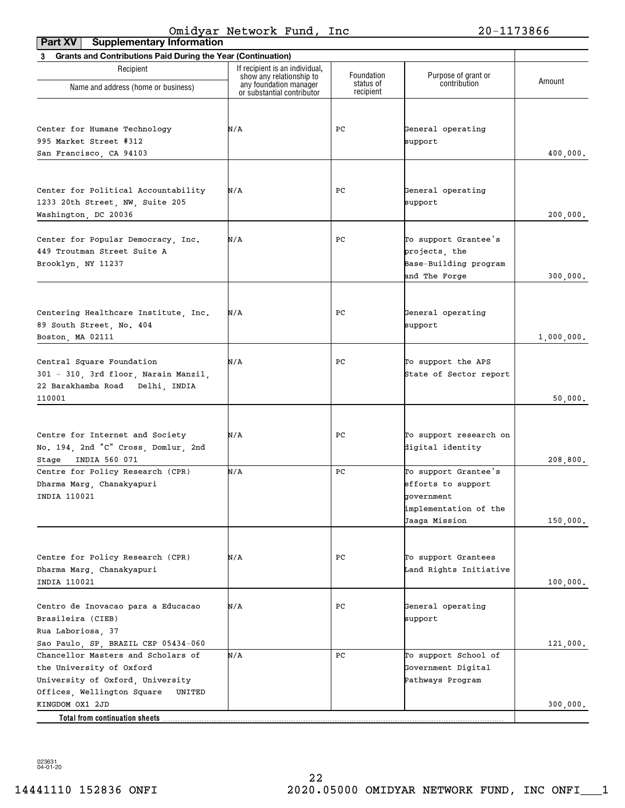| <b>Supplementary Information</b><br>Part XV                                                                         |                                                            |                         |                                                                                                    |            |
|---------------------------------------------------------------------------------------------------------------------|------------------------------------------------------------|-------------------------|----------------------------------------------------------------------------------------------------|------------|
| 3 Grants and Contributions Paid During the Year (Continuation)                                                      |                                                            |                         |                                                                                                    |            |
| Recipient                                                                                                           | If recipient is an individual,<br>show any relationship to | Foundation<br>status of | Purpose of grant or<br>contribution                                                                | Amount     |
| Name and address (home or business)                                                                                 | any foundation manager<br>or substantial contributor       | recipient               |                                                                                                    |            |
| Center for Humane Technology<br>995 Market Street #312                                                              | N/A                                                        | PC                      | General operating<br>support                                                                       |            |
| San Francisco, CA 94103                                                                                             |                                                            |                         |                                                                                                    | 400,000.   |
| Center for Political Accountability<br>1233 20th Street, NW, Suite 205<br>Washington, DC 20036                      | N/A                                                        | PС                      | General operating<br>support                                                                       | 200,000.   |
| Center for Popular Democracy, Inc.<br>449 Troutman Street Suite A<br>Brooklyn, NY 11237                             | N/A                                                        | PС                      | To support Grantee's<br>projects, the<br>Base-Building program<br>and The Forge                    | 300,000.   |
| Centering Healthcare Institute, Inc.<br>89 South Street, No. 404<br>Boston, MA 02111                                | N/A                                                        | PС                      | General operating<br>support                                                                       | 1,000,000. |
| Central Square Foundation<br>301 - 310, 3rd floor, Narain Manzil,<br>22 Barakhamba Road Delhi, INDIA<br>110001      | N/A                                                        | PС                      | To support the APS<br>State of Sector report                                                       | 50,000.    |
| Centre for Internet and Society<br>No. 194, 2nd "C" Cross, Domlur, 2nd<br>Stage INDIA 560 071                       | N/A                                                        | PС                      | To support research on<br>digital identity                                                         | 208,800.   |
| Centre for Policy Research (CPR)<br>Dharma Marg, Chanakyapuri<br>INDIA 110021                                       | N/A                                                        | PC                      | To support Grantee's<br>efforts to support<br>government<br>implementation of the<br>Jaaga Mission | 150,000.   |
| Centre for Policy Research (CPR)<br>Dharma Marg, Chanakyapuri<br>INDIA 110021                                       | N/A                                                        | PС                      | To support Grantees<br>Land Rights Initiative                                                      | 100,000.   |
| Centro de Inovacao para a Educacao<br>Brasileira (CIEB)<br>Rua Laboriosa, 37<br>Sao Paulo, SP, BRAZIL CEP 05434-060 | N/A                                                        | PС                      | General operating<br>support                                                                       | 121,000.   |
| Chancellor Masters and Scholars of<br>the University of Oxford<br>University of Oxford, University                  | N/A                                                        | PС                      | To support School of<br>Government Digital<br>Pathways Program                                     |            |
| Offices, Wellington Square<br>UNITED<br>KINGDOM OX1 2JD                                                             |                                                            |                         |                                                                                                    | 300,000.   |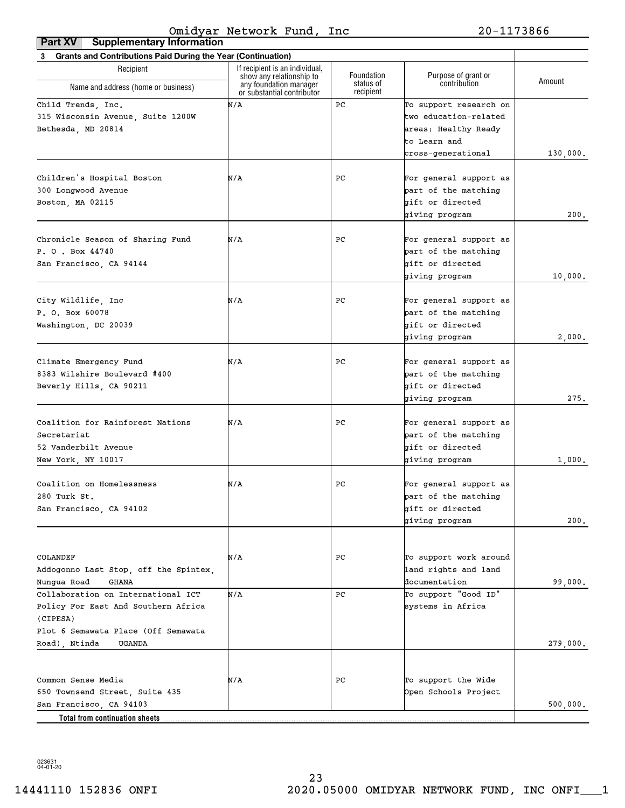| <b>Grants and Contributions Paid During the Year (Continuation)</b><br>3 |                                                            |                        |                        |          |
|--------------------------------------------------------------------------|------------------------------------------------------------|------------------------|------------------------|----------|
| Recipient                                                                | If recipient is an individual,<br>show any relationship to | Foundation             | Purpose of grant or    |          |
| Name and address (home or business)                                      | any foundation manager<br>or substantial contributor       | status of<br>recipient | contribution           | Amount   |
| Child Trends, Inc.                                                       | N/A                                                        | PC                     | To support research on |          |
| 315 Wisconsin Avenue, Suite 1200W                                        |                                                            |                        | two education-related  |          |
| Bethesda, MD 20814                                                       |                                                            |                        | areas: Healthy Ready   |          |
|                                                                          |                                                            |                        | to Learn and           |          |
|                                                                          |                                                            |                        | cross-generational     | 130,000. |
|                                                                          |                                                            |                        |                        |          |
| Children's Hospital Boston                                               | N/A                                                        | PС                     | For general support as |          |
| 300 Longwood Avenue                                                      |                                                            |                        | part of the matching   |          |
| Boston, MA 02115                                                         |                                                            |                        | gift or directed       |          |
|                                                                          |                                                            |                        | giving program         | 200.     |
| Chronicle Season of Sharing Fund                                         | N/A                                                        | PС                     | For general support as |          |
| P. O. Box 44740                                                          |                                                            |                        | part of the matching   |          |
| San Francisco, CA 94144                                                  |                                                            |                        | gift or directed       |          |
|                                                                          |                                                            |                        | giving program         | 10,000.  |
|                                                                          |                                                            |                        |                        |          |
| City Wildlife, Inc                                                       | N/A                                                        | PС                     | For general support as |          |
| P. O. Box 60078                                                          |                                                            |                        | part of the matching   |          |
| Washington, DC 20039                                                     |                                                            |                        | gift or directed       |          |
|                                                                          |                                                            |                        | giving program         | 2,000.   |
|                                                                          |                                                            |                        |                        |          |
| Climate Emergency Fund                                                   | N/A                                                        | PС                     | For general support as |          |
| 8383 Wilshire Boulevard #400                                             |                                                            |                        | part of the matching   |          |
| Beverly Hills, CA 90211                                                  |                                                            |                        | gift or directed       |          |
|                                                                          |                                                            |                        | giving program         | 275.     |
|                                                                          |                                                            |                        |                        |          |
| Coalition for Rainforest Nations                                         | N/A                                                        | PС                     | For general support as |          |
| Secretariat                                                              |                                                            |                        | part of the matching   |          |
| 52 Vanderbilt Avenue                                                     |                                                            |                        | gift or directed       |          |
| New York, NY 10017                                                       |                                                            |                        | giving program         | 1,000.   |
| Coalition on Homelessness                                                | N/A                                                        | PС                     | For general support as |          |
| 280 Turk St.                                                             |                                                            |                        | part of the matching   |          |
| San Francisco, CA 94102                                                  |                                                            |                        | gift or directed       |          |
|                                                                          |                                                            |                        | giving program         | 200.     |
|                                                                          |                                                            |                        |                        |          |
|                                                                          |                                                            |                        |                        |          |
| COLANDEF                                                                 | N/A                                                        | PС                     | To support work around |          |
| Addogonno Last Stop, off the Spintex,                                    |                                                            |                        | land rights and land   |          |
| Nungua Road<br>GHANA                                                     |                                                            |                        | documentation          | 99,000.  |
| Collaboration on International ICT                                       | N/A                                                        | PC                     | To support "Good ID"   |          |
| Policy For East And Southern Africa                                      |                                                            |                        | systems in Africa      |          |
| (CIPESA)                                                                 |                                                            |                        |                        |          |
| Plot 6 Semawata Place (Off Semawata                                      |                                                            |                        |                        |          |
| Road), Ntinda<br>UGANDA                                                  |                                                            |                        |                        | 279,000. |
|                                                                          |                                                            |                        |                        |          |
| Common Sense Media                                                       | N/A                                                        | PС                     | To support the Wide    |          |
| 650 Townsend Street, Suite 435                                           |                                                            |                        | Open Schools Project   |          |
| San Francisco, CA 94103                                                  |                                                            |                        |                        | 500,000. |
| Total from continuation sheets                                           |                                                            |                        |                        |          |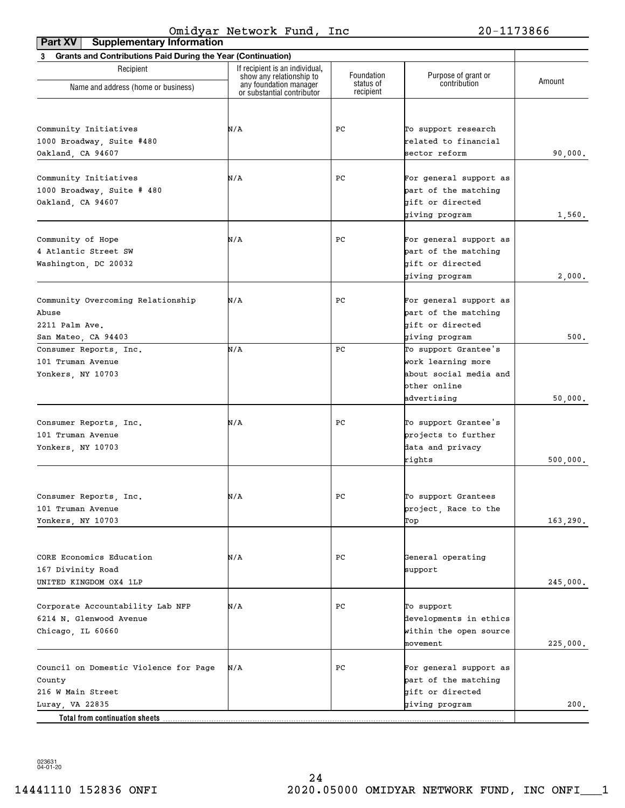| <b>Supplementary Information</b><br>Part XV                    |                                                            |                        |                                     |          |
|----------------------------------------------------------------|------------------------------------------------------------|------------------------|-------------------------------------|----------|
| 3 Grants and Contributions Paid During the Year (Continuation) |                                                            |                        |                                     |          |
| Recipient                                                      | If recipient is an individual,<br>show any relationship to | Foundation             | Purpose of grant or<br>contribution | Amount   |
| Name and address (home or business)                            | any foundation manager<br>or substantial contributor       | status of<br>recipient |                                     |          |
|                                                                |                                                            |                        |                                     |          |
| Community Initiatives                                          | N/A                                                        | PС                     | To support research                 |          |
| 1000 Broadway, Suite #480                                      |                                                            |                        | related to financial                |          |
|                                                                |                                                            |                        |                                     |          |
| Oakland, CA 94607                                              |                                                            |                        | sector reform                       | 90,000.  |
| Community Initiatives                                          | N/A                                                        | PС                     | For general support as              |          |
| 1000 Broadway, Suite # 480                                     |                                                            |                        | part of the matching                |          |
| Oakland, CA 94607                                              |                                                            |                        | gift or directed                    |          |
|                                                                |                                                            |                        | giving program                      | 1,560.   |
|                                                                |                                                            |                        |                                     |          |
| Community of Hope                                              | N/A                                                        | PС                     | For general support as              |          |
| 4 Atlantic Street SW                                           |                                                            |                        | part of the matching                |          |
| Washington, DC 20032                                           |                                                            |                        | gift or directed                    |          |
|                                                                |                                                            |                        | giving program                      | 2,000.   |
|                                                                |                                                            |                        |                                     |          |
| Community Overcoming Relationship                              | N/A                                                        | PС                     | For general support as              |          |
| Abuse                                                          |                                                            |                        | part of the matching                |          |
| 2211 Palm Ave.                                                 |                                                            |                        | bift or directed                    |          |
| San Mateo, CA 94403                                            |                                                            |                        | giving program                      | 500.     |
| Consumer Reports, Inc.                                         | N/A                                                        | PC                     | To support Grantee's                |          |
| 101 Truman Avenue                                              |                                                            |                        | work learning more                  |          |
|                                                                |                                                            |                        | about social media and              |          |
| Yonkers, NY 10703                                              |                                                            |                        | other online                        |          |
|                                                                |                                                            |                        | advertising                         | 50,000.  |
|                                                                |                                                            |                        |                                     |          |
| Consumer Reports, Inc.                                         | N/A                                                        | PС                     | To support Grantee's                |          |
| 101 Truman Avenue                                              |                                                            |                        | projects to further                 |          |
| Yonkers, NY 10703                                              |                                                            |                        | data and privacy                    |          |
|                                                                |                                                            |                        | rights                              | 500,000. |
|                                                                |                                                            |                        |                                     |          |
|                                                                |                                                            |                        |                                     |          |
| Consumer Reports, Inc.                                         | N/A                                                        | $_{\rm PC}$            | To support Grantees                 |          |
| 101 Truman Avenue                                              |                                                            |                        | project, Race to the                |          |
| Yonkers, NY 10703                                              |                                                            |                        | Тор                                 | 163,290. |
|                                                                |                                                            |                        |                                     |          |
|                                                                |                                                            |                        |                                     |          |
| CORE Economics Education                                       | N/A                                                        | PС                     | General operating                   |          |
| 167 Divinity Road                                              |                                                            |                        | support                             |          |
| UNITED KINGDOM OX4 1LP                                         |                                                            |                        |                                     | 245,000. |
|                                                                |                                                            |                        |                                     |          |
| Corporate Accountability Lab NFP                               | N/A                                                        | PC                     | To support                          |          |
| 6214 N. Glenwood Avenue                                        |                                                            |                        | developments in ethics              |          |
| Chicago, IL 60660                                              |                                                            |                        | within the open source              |          |
|                                                                |                                                            |                        | movement                            | 225,000. |
|                                                                |                                                            |                        |                                     |          |
| Council on Domestic Violence for Page                          | N/A                                                        | PC                     | For general support as              |          |
| County                                                         |                                                            |                        | part of the matching                |          |
| 216 W Main Street                                              |                                                            |                        | gift or directed                    |          |
| Luray, VA 22835                                                |                                                            |                        | giving program                      | 200.     |
| Total from continuation sheets.                                |                                                            |                        |                                     |          |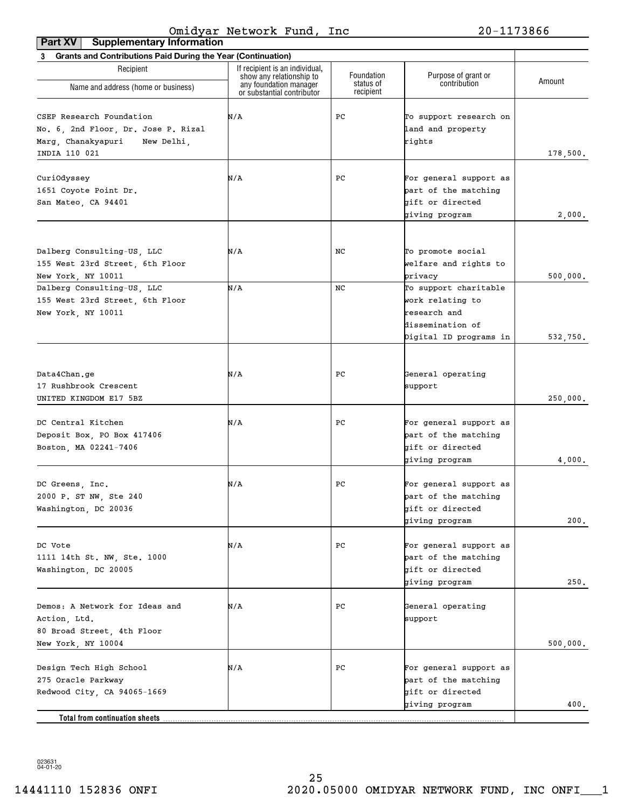| <b>Supplementary Information</b><br>Part XV                                                                          |                                                            |                        |                                                                                      |          |
|----------------------------------------------------------------------------------------------------------------------|------------------------------------------------------------|------------------------|--------------------------------------------------------------------------------------|----------|
| 3 Grants and Contributions Paid During the Year (Continuation)                                                       |                                                            |                        |                                                                                      |          |
| Recipient                                                                                                            | If recipient is an individual,<br>show any relationship to | Foundation             | Purpose of grant or                                                                  | Amount   |
| Name and address (home or business)                                                                                  | any foundation manager<br>or substantial contributor       | status of<br>recipient | contribution                                                                         |          |
| CSEP Research Foundation<br>No. 6, 2nd Floor, Dr. Jose P. Rizal<br>Marg, Chanakyapuri<br>New Delhi,<br>INDIA 110 021 | N/A                                                        | PС                     | To support research on<br>land and property<br>rights                                | 178,500. |
| CuriOdyssey<br>1651 Coyote Point Dr.<br>San Mateo, CA 94401                                                          | N/A                                                        | PС                     | For general support as<br>part of the matching<br>gift or directed<br>giving program | 2,000.   |
| Dalberg Consulting-US, LLC<br>155 West 23rd Street, 6th Floor<br>New York, NY 10011<br>Dalberg Consulting-US, LLC    | N/A<br>N/A                                                 | NC<br>NC               | To promote social<br>welfare and rights to<br>privacy<br>To support charitable       | 500,000. |
| 155 West 23rd Street, 6th Floor<br>New York, NY 10011                                                                |                                                            |                        | work relating to<br>research and<br>dissemination of<br>Digital ID programs in       | 532,750. |
| Data4Chan.ge<br>17 Rushbrook Crescent<br>UNITED KINGDOM E17 5BZ                                                      | N/A                                                        | PС                     | General operating<br>support                                                         | 250,000. |
| DC Central Kitchen<br>Deposit Box, PO Box 417406<br>Boston, MA 02241-7406                                            | N/A                                                        | PС                     | For general support as<br>part of the matching<br>gift or directed<br>giving program | 4,000.   |
| DC Greens, Inc.<br>2000 P. ST NW, Ste 240<br>Washington, DC 20036                                                    | N/A                                                        | PC                     | For general support as<br>part of the matching<br>gift or directed<br>giving program | 200.     |
| DC Vote<br>1111 14th St. NW, Ste. 1000<br>Washington, DC 20005                                                       | N/A                                                        | РC                     | For general support as<br>part of the matching<br>gift or directed<br>giving program | 250.     |
| Demos: A Network for Ideas and<br>Action, Ltd.<br>80 Broad Street, 4th Floor<br>New York, NY 10004                   | N/A                                                        | РC                     | General operating<br>support                                                         | 500,000. |
| Design Tech High School<br>275 Oracle Parkway<br>Redwood City, CA 94065-1669                                         | N/A                                                        | РC                     | For general support as<br>part of the matching<br>gift or directed<br>giving program | 400.     |
| Total from continuation sheets                                                                                       |                                                            |                        |                                                                                      |          |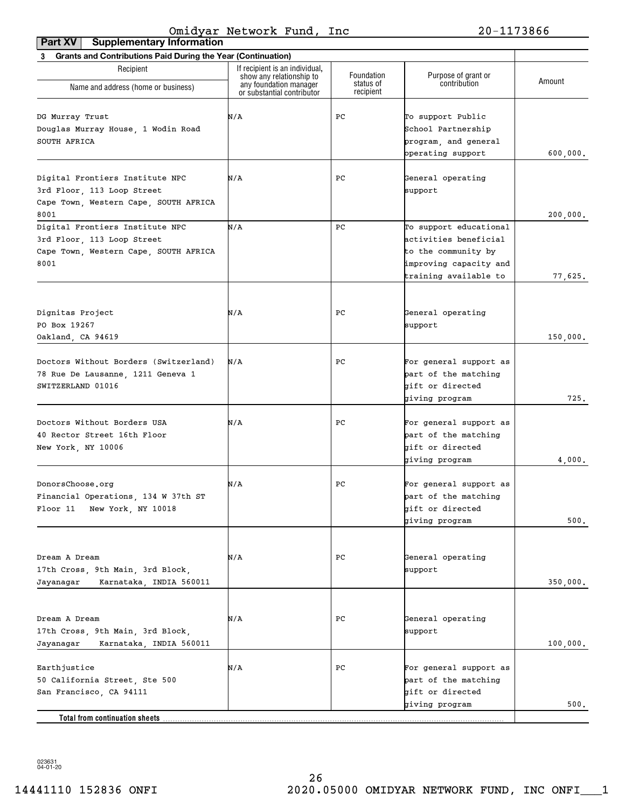| <b>Grants and Contributions Paid During the Year (Continuation)</b><br>3 |                                                    |                         |                                     |          |
|--------------------------------------------------------------------------|----------------------------------------------------|-------------------------|-------------------------------------|----------|
| Recipient                                                                | If recipient is an individual.                     |                         |                                     |          |
|                                                                          | show any relationship to<br>any foundation manager | Foundation<br>status of | Purpose of grant or<br>contribution | Amount   |
| Name and address (home or business)                                      | or substantial contributor                         | recipient               |                                     |          |
|                                                                          |                                                    |                         |                                     |          |
| DG Murray Trust                                                          | N/A                                                | PС                      | To support Public                   |          |
| Douglas Murray House, 1 Wodin Road                                       |                                                    |                         | School Partnership                  |          |
| SOUTH AFRICA                                                             |                                                    |                         | program, and general                |          |
|                                                                          |                                                    |                         | operating support                   | 600,000. |
| Digital Frontiers Institute NPC                                          | N/A                                                | PС                      | General operating                   |          |
|                                                                          |                                                    |                         | support                             |          |
| 3rd Floor, 113 Loop Street<br>Cape Town, Western Cape, SOUTH AFRICA      |                                                    |                         |                                     |          |
| 8001                                                                     |                                                    |                         |                                     | 200,000. |
| Digital Frontiers Institute NPC                                          | N/A                                                | PC                      | To support educational              |          |
| 3rd Floor, 113 Loop Street                                               |                                                    |                         | activities beneficial               |          |
| Cape Town, Western Cape, SOUTH AFRICA                                    |                                                    |                         | to the community by                 |          |
| 8001                                                                     |                                                    |                         | improving capacity and              |          |
|                                                                          |                                                    |                         | training available to               | 77,625.  |
|                                                                          |                                                    |                         |                                     |          |
|                                                                          |                                                    |                         |                                     |          |
| Dignitas Project                                                         | N/A                                                | PС                      | General operating                   |          |
| PO Box 19267                                                             |                                                    |                         | support                             |          |
| Oakland, CA 94619                                                        |                                                    |                         |                                     | 150,000. |
|                                                                          |                                                    |                         |                                     |          |
| Doctors Without Borders (Switzerland)                                    | N/A                                                | PС                      | For general support as              |          |
| 78 Rue De Lausanne, 1211 Geneva 1                                        |                                                    |                         | part of the matching                |          |
| SWITZERLAND 01016                                                        |                                                    |                         | gift or directed                    |          |
|                                                                          |                                                    |                         | giving program                      | 725.     |
| Doctors Without Borders USA                                              | N/A                                                | PС                      | For general support as              |          |
| 40 Rector Street 16th Floor                                              |                                                    |                         | part of the matching                |          |
| New York, NY 10006                                                       |                                                    |                         | gift or directed                    |          |
|                                                                          |                                                    |                         | giving program                      | 4,000.   |
|                                                                          |                                                    |                         |                                     |          |
| DonorsChoose.org                                                         | N/A                                                | PС                      | For general support as              |          |
| Financial Operations, 134 W 37th ST                                      |                                                    |                         | part of the matching                |          |
| Floor 11<br>New York, NY 10018                                           |                                                    |                         | gift or directed                    |          |
|                                                                          |                                                    |                         | giving program                      | 500.     |
|                                                                          |                                                    |                         |                                     |          |
|                                                                          |                                                    |                         |                                     |          |
| Dream A Dream                                                            | N/A                                                | PС                      | General operating                   |          |
| 17th Cross, 9th Main, 3rd Block,                                         |                                                    |                         | support                             |          |
| Karnataka, INDIA 560011<br>Jayanagar                                     |                                                    |                         |                                     | 350,000. |
|                                                                          |                                                    |                         |                                     |          |
|                                                                          |                                                    | PС                      | General operating                   |          |
| Dream A Dream<br>17th Cross, 9th Main, 3rd Block,                        | N/A                                                |                         | support                             |          |
| Jayanagar<br>Karnataka, INDIA 560011                                     |                                                    |                         |                                     | 100,000. |
|                                                                          |                                                    |                         |                                     |          |
| Earthjustice                                                             | N/A                                                | PС                      | For general support as              |          |
| 50 California Street, Ste 500                                            |                                                    |                         | part of the matching                |          |
| San Francisco, CA 94111                                                  |                                                    |                         | gift or directed                    |          |
|                                                                          |                                                    |                         | giving program                      | 500.     |
| <b>Total from continuation sheets</b>                                    |                                                    |                         |                                     |          |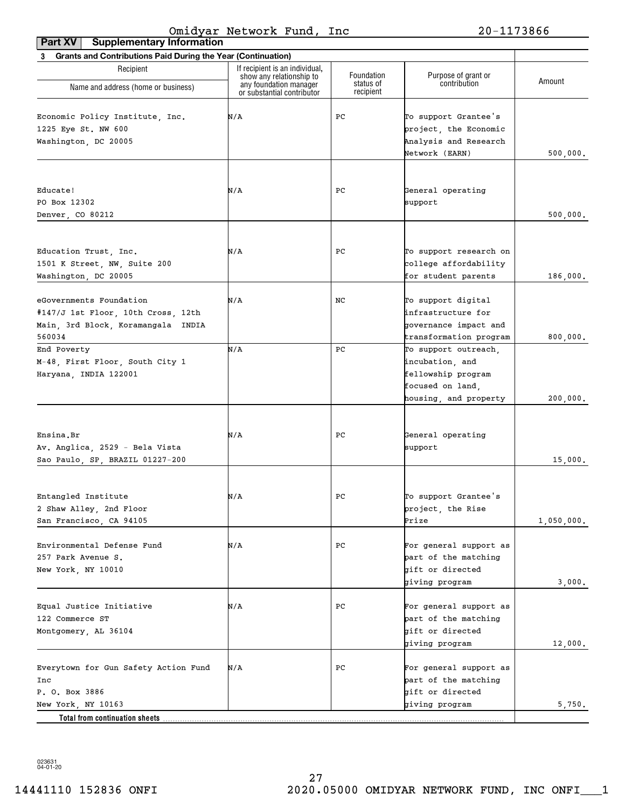| Grants and Contributions Paid During the Year (Continuation)<br>3 |                                                    |                         |                                     |            |
|-------------------------------------------------------------------|----------------------------------------------------|-------------------------|-------------------------------------|------------|
| Recipient                                                         | If recipient is an individual,                     |                         |                                     |            |
|                                                                   | show any relationship to<br>any foundation manager | Foundation<br>status of | Purpose of grant or<br>contribution | Amount     |
| Name and address (home or business)                               | or substantial contributor                         | recipient               |                                     |            |
|                                                                   |                                                    |                         |                                     |            |
| Economic Policy Institute, Inc.                                   | N/A                                                | PС                      | To support Grantee's                |            |
| 1225 Eye St. NW 600                                               |                                                    |                         | project, the Economic               |            |
| Washington, DC 20005                                              |                                                    |                         | Analysis and Research               |            |
|                                                                   |                                                    |                         | Network (EARN)                      | 500,000.   |
|                                                                   |                                                    |                         |                                     |            |
| Educate!                                                          | N/A                                                | PС                      | General operating                   |            |
| PO Box 12302                                                      |                                                    |                         | support                             |            |
| Denver, CO 80212                                                  |                                                    |                         |                                     | 500,000.   |
|                                                                   |                                                    |                         |                                     |            |
| Education Trust, Inc.                                             | N/A                                                | PС                      | To support research on              |            |
| 1501 K Street, NW, Suite 200                                      |                                                    |                         | college affordability               |            |
| Washington, DC 20005                                              |                                                    |                         | for student parents                 | 186,000.   |
|                                                                   |                                                    |                         |                                     |            |
| eGovernments Foundation                                           | N/A                                                | NC                      | To support digital                  |            |
| #147/J 1st Floor, 10th Cross, 12th                                |                                                    |                         | infrastructure for                  |            |
| Main, 3rd Block, Koramangala INDIA                                |                                                    |                         | governance impact and               |            |
| 560034                                                            |                                                    |                         | transformation program              | 800,000.   |
| End Poverty                                                       | N/A                                                | PС                      | To support outreach,                |            |
| M-48, First Floor, South City 1                                   |                                                    |                         | incubation, and                     |            |
| Haryana, INDIA 122001                                             |                                                    |                         | fellowship program                  |            |
|                                                                   |                                                    |                         | focused on land,                    |            |
|                                                                   |                                                    |                         | housing, and property               | 200,000.   |
|                                                                   |                                                    |                         |                                     |            |
|                                                                   |                                                    |                         |                                     |            |
| Ensina.Br                                                         | N/A                                                | PС                      | General operating                   |            |
| Av. Anglica, 2529 - Bela Vista                                    |                                                    |                         | support                             |            |
| Sao Paulo, SP, BRAZIL 01227-200                                   |                                                    |                         |                                     | 15,000.    |
|                                                                   |                                                    |                         |                                     |            |
| Entangled Institute                                               | N/A                                                | PС                      | To support Grantee's                |            |
| 2 Shaw Alley, 2nd Floor                                           |                                                    |                         | project, the Rise                   |            |
| San Francisco, CA 94105                                           |                                                    |                         | Prize                               | 1,050,000. |
|                                                                   |                                                    |                         |                                     |            |
| Environmental Defense Fund                                        | N/A                                                | PС                      | For general support as              |            |
| 257 Park Avenue S.                                                |                                                    |                         | part of the matching                |            |
| New York, NY 10010                                                |                                                    |                         | gift or directed                    |            |
|                                                                   |                                                    |                         | giving program                      | 3,000.     |
|                                                                   |                                                    |                         |                                     |            |
| Equal Justice Initiative                                          | N/A                                                | PС                      | For general support as              |            |
| 122 Commerce ST                                                   |                                                    |                         | part of the matching                |            |
| Montgomery, AL 36104                                              |                                                    |                         | gift or directed                    |            |
|                                                                   |                                                    |                         | giving program                      | 12,000.    |
|                                                                   |                                                    |                         |                                     |            |
| Everytown for Gun Safety Action Fund                              | N/A                                                | PС                      | For general support as              |            |
| Inc                                                               |                                                    |                         | part of the matching                |            |
| P. O. Box 3886                                                    |                                                    |                         | gift or directed                    |            |
| New York, NY 10163                                                |                                                    |                         | giving program                      | 5,750.     |
| Total from continuation sheets                                    |                                                    |                         |                                     |            |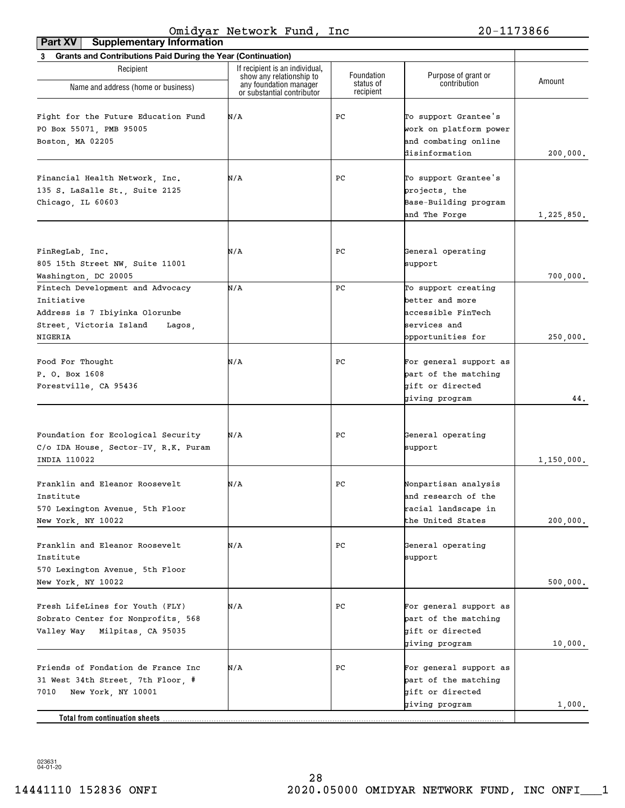| <b>Grants and Contributions Paid During the Year (Continuation)</b><br>3 |                                                                                      |                         |                                        |            |
|--------------------------------------------------------------------------|--------------------------------------------------------------------------------------|-------------------------|----------------------------------------|------------|
| Recipient                                                                | If recipient is an individual,<br>show any relationship to<br>any foundation manager | Foundation<br>status of | Purpose of grant or<br>contribution    | Amount     |
| Name and address (home or business)                                      | or substantial contributor                                                           | recipient               |                                        |            |
| Fight for the Future Education Fund                                      | N/A                                                                                  | PC                      | To support Grantee's                   |            |
|                                                                          |                                                                                      |                         |                                        |            |
| PO Box 55071, PMB 95005                                                  |                                                                                      |                         | work on platform power                 |            |
| Boston, MA 02205                                                         |                                                                                      |                         | and combating online<br>disinformation |            |
|                                                                          |                                                                                      |                         |                                        | 200,000.   |
|                                                                          |                                                                                      |                         |                                        |            |
| Financial Health Network, Inc.                                           | N/A                                                                                  | PС                      | To support Grantee's                   |            |
| 135 S. LaSalle St., Suite 2125                                           |                                                                                      |                         | projects, the                          |            |
| Chicago, IL 60603                                                        |                                                                                      |                         | Base-Building program                  |            |
|                                                                          |                                                                                      |                         | and The Forge                          | 1,225,850. |
|                                                                          |                                                                                      |                         |                                        |            |
| FinRegLab, Inc.                                                          | N/A                                                                                  | PС                      | General operating                      |            |
| 805 15th Street NW, Suite 11001                                          |                                                                                      |                         | support                                |            |
| Washington, DC 20005                                                     |                                                                                      |                         |                                        | 700,000.   |
| Fintech Development and Advocacy                                         | N/A                                                                                  | PC                      | To support creating                    |            |
| Initiative                                                               |                                                                                      |                         | better and more                        |            |
| Address is 7 Ibiyinka Olorunbe                                           |                                                                                      |                         | accessible FinTech                     |            |
| Street, Victoria Island<br>Lagos,                                        |                                                                                      |                         | services and                           |            |
| NIGERIA                                                                  |                                                                                      |                         | opportunities for                      | 250,000.   |
|                                                                          |                                                                                      |                         |                                        |            |
| Food For Thought                                                         | N/A                                                                                  | PС                      | For general support as                 |            |
| P. O. Box 1608                                                           |                                                                                      |                         | part of the matching                   |            |
|                                                                          |                                                                                      |                         | gift or directed                       |            |
| Forestville, CA 95436                                                    |                                                                                      |                         | giving program                         | 44.        |
|                                                                          |                                                                                      |                         |                                        |            |
|                                                                          |                                                                                      |                         |                                        |            |
| Foundation for Ecological Security                                       | N/A                                                                                  | PС                      | General operating                      |            |
| C/o IDA House, Sector-IV, R.K. Puram                                     |                                                                                      |                         | support                                |            |
| INDIA 110022                                                             |                                                                                      |                         |                                        | 1,150,000. |
|                                                                          |                                                                                      |                         |                                        |            |
| Franklin and Eleanor Roosevelt                                           | N/A                                                                                  | PС                      | Nonpartisan analysis                   |            |
| Institute                                                                |                                                                                      |                         | and research of the                    |            |
| 570 Lexington Avenue, 5th Floor                                          |                                                                                      |                         | racial landscape in                    |            |
| New York, NY 10022                                                       |                                                                                      |                         | the United States                      | 200,000.   |
|                                                                          |                                                                                      |                         |                                        |            |
| Franklin and Eleanor Roosevelt                                           | N/A                                                                                  | PС                      | General operating                      |            |
| Institute                                                                |                                                                                      |                         | support                                |            |
| 570 Lexington Avenue, 5th Floor                                          |                                                                                      |                         |                                        |            |
| New York, NY 10022                                                       |                                                                                      |                         |                                        | 500,000.   |
|                                                                          |                                                                                      |                         |                                        |            |
| Fresh LifeLines for Youth (FLY)                                          | N/A                                                                                  | PС                      | For general support as                 |            |
| Sobrato Center for Nonprofits, 568                                       |                                                                                      |                         | part of the matching                   |            |
| Valley Way Milpitas, CA 95035                                            |                                                                                      |                         | bift or directed                       |            |
|                                                                          |                                                                                      |                         | giving program                         | 10,000.    |
|                                                                          |                                                                                      |                         |                                        |            |
| Friends of Fondation de France Inc                                       | N/A                                                                                  | PС                      | For general support as                 |            |
| 31 West 34th Street, 7th Floor, #                                        |                                                                                      |                         | part of the matching                   |            |
| 7010<br>New York, NY 10001                                               |                                                                                      |                         | gift or directed                       |            |
|                                                                          |                                                                                      |                         | giving program                         | 1,000.     |
| Total from continuation sheets                                           |                                                                                      |                         |                                        |            |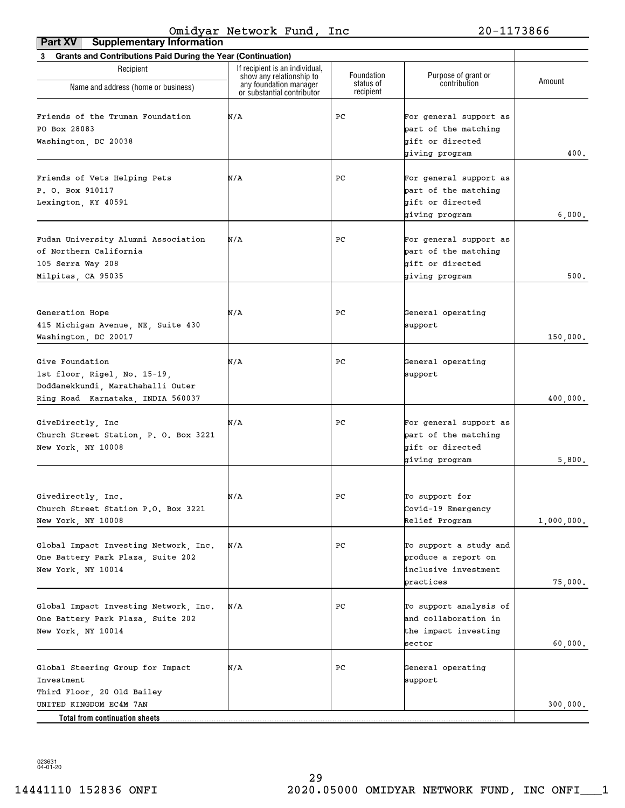| <b>Supplementary Information</b><br>Part XV                                                                               |                                                            |                        |                                                                                      |            |
|---------------------------------------------------------------------------------------------------------------------------|------------------------------------------------------------|------------------------|--------------------------------------------------------------------------------------|------------|
| 3 Grants and Contributions Paid During the Year (Continuation)                                                            |                                                            |                        |                                                                                      |            |
| Recipient                                                                                                                 | If recipient is an individual,<br>show any relationship to | Foundation             | Purpose of grant or                                                                  | Amount     |
| Name and address (home or business)                                                                                       | any foundation manager<br>or substantial contributor       | status of<br>recipient | contribution                                                                         |            |
| Friends of the Truman Foundation<br>PO Box 28083<br>Washington, DC 20038                                                  | N/A                                                        | РC                     | For general support as<br>part of the matching<br>gift or directed<br>giving program | 400.       |
| Friends of Vets Helping Pets<br>P. O. Box 910117<br>Lexington, KY 40591                                                   | N/A                                                        | PС                     | For general support as<br>part of the matching<br>gift or directed<br>giving program | 6,000.     |
| Fudan University Alumni Association<br>of Northern California<br>105 Serra Way 208<br>Milpitas, CA 95035                  | N/A                                                        | PС                     | For general support as<br>part of the matching<br>gift or directed<br>giving program | 500.       |
| Generation Hope<br>415 Michigan Avenue, NE, Suite 430<br>Washington, DC 20017                                             | N/A                                                        | PС                     | General operating<br>support                                                         | 150,000.   |
| Give Foundation<br>1st floor, Rigel, No. 15-19,<br>Doddanekkundi, Marathahalli Outer<br>Ring Road Karnataka, INDIA 560037 | N/A                                                        | PС                     | General operating<br>support                                                         | 400,000.   |
| GiveDirectly, Inc<br>Church Street Station, P. O. Box 3221<br>New York, NY 10008                                          | N/A                                                        | PС                     | For general support as<br>part of the matching<br>gift or directed<br>giving program | 5,800.     |
| Givedirectly, Inc.<br>Church Street Station P.O. Box 3221<br>New York, NY 10008                                           | N/A                                                        | ${\tt PC}$             | To support for<br>Covid-19 Emergency<br>Relief Program                               | 1,000,000. |
| Global Impact Investing Network, Inc.<br>One Battery Park Plaza, Suite 202<br>New York, NY 10014                          | N/A                                                        | РC                     | To support a study and<br>produce a report on<br>inclusive investment<br>practices   | 75,000.    |
| Global Impact Investing Network, Inc.<br>One Battery Park Plaza, Suite 202<br>New York, NY 10014                          | N/A                                                        | РC                     | To support analysis of<br>and collaboration in<br>the impact investing<br>sector     | 60,000.    |
| Global Steering Group for Impact<br>Investment<br>Third Floor, 20 Old Bailey                                              | N/A                                                        | РC                     | General operating<br>support                                                         |            |
| UNITED KINGDOM EC4M 7AN<br>Total from continuation sheets                                                                 |                                                            |                        |                                                                                      | 300,000.   |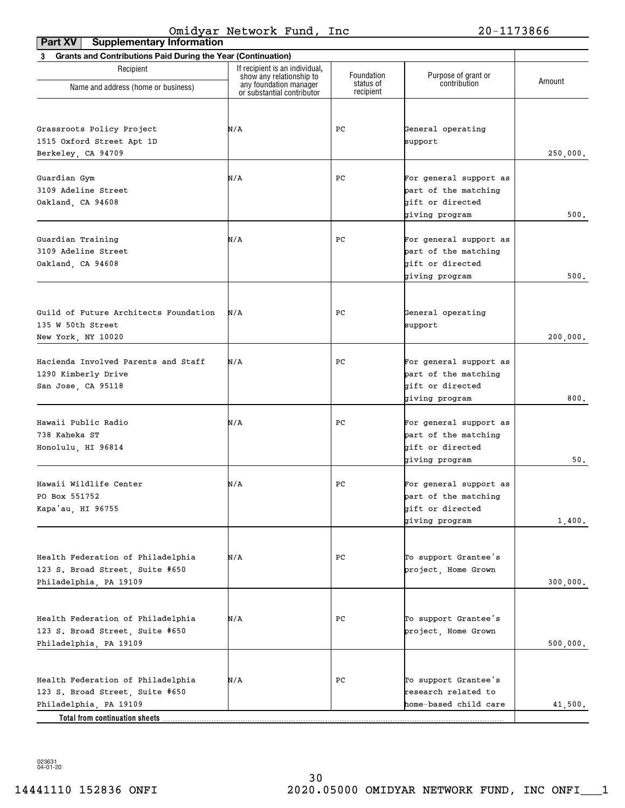| <b>Supplementary Information</b><br>Part XV                    |                                                                                      |                         |                                          |          |
|----------------------------------------------------------------|--------------------------------------------------------------------------------------|-------------------------|------------------------------------------|----------|
| 3 Grants and Contributions Paid During the Year (Continuation) |                                                                                      |                         |                                          |          |
| Recipient                                                      | If recipient is an individual,<br>show any relationship to<br>any foundation manager | Foundation<br>status of | Purpose of grant or<br>contribution      | Amount   |
| Name and address (home or business)                            | or substantial contributor                                                           | recipient               |                                          |          |
|                                                                |                                                                                      |                         |                                          |          |
| Grassroots Policy Project                                      | N/A                                                                                  | PС                      | General operating                        |          |
| 1515 Oxford Street Apt 1D                                      |                                                                                      |                         | support                                  |          |
| Berkeley, CA 94709                                             |                                                                                      |                         |                                          | 250,000. |
|                                                                |                                                                                      |                         |                                          |          |
| Guardian Gym<br>3109 Adeline Street                            | N/A                                                                                  | PС                      | For general support as                   |          |
|                                                                |                                                                                      |                         | part of the matching<br>gift or directed |          |
| Oakland, CA 94608                                              |                                                                                      |                         | giving program                           | 500.     |
|                                                                |                                                                                      |                         |                                          |          |
| Guardian Training                                              | N/A                                                                                  | PC                      | For general support as                   |          |
| 3109 Adeline Street                                            |                                                                                      |                         | part of the matching                     |          |
| Oakland, CA 94608                                              |                                                                                      |                         | gift or directed                         |          |
|                                                                |                                                                                      |                         | giving program                           | 500.     |
|                                                                |                                                                                      |                         |                                          |          |
| Guild of Future Architects Foundation                          | N/A                                                                                  | PС                      | General operating                        |          |
| 135 W 50th Street                                              |                                                                                      |                         | support                                  |          |
| New York, NY 10020                                             |                                                                                      |                         |                                          | 200,000. |
|                                                                |                                                                                      |                         |                                          |          |
| Hacienda Involved Parents and Staff                            | N/A                                                                                  | PС                      | For general support as                   |          |
| 1290 Kimberly Drive                                            |                                                                                      |                         | part of the matching                     |          |
| San Jose, CA 95118                                             |                                                                                      |                         | gift or directed                         |          |
|                                                                |                                                                                      |                         | giving program                           | 800.     |
| Hawaii Public Radio                                            | N/A                                                                                  | PС                      | For general support as                   |          |
| 738 Kaheka ST                                                  |                                                                                      |                         | part of the matching                     |          |
| Honolulu, HI 96814                                             |                                                                                      |                         | gift or directed                         |          |
|                                                                |                                                                                      |                         | giving program                           | 50.      |
|                                                                |                                                                                      |                         |                                          |          |
| Hawaii Wildlife Center                                         | N/A                                                                                  | PC                      | For general support as                   |          |
| PO Box 551752                                                  |                                                                                      |                         | part of the matching                     |          |
| Kapa'au, HI 96755                                              |                                                                                      |                         | gift or directed                         |          |
|                                                                |                                                                                      |                         | giving program                           | 1,400.   |
|                                                                |                                                                                      |                         |                                          |          |
| Health Federation of Philadelphia                              | N/A                                                                                  | РC                      | To support Grantee's                     |          |
| 123 S. Broad Street, Suite #650                                |                                                                                      |                         | project, Home Grown                      |          |
| Philadelphia, PA 19109                                         |                                                                                      |                         |                                          | 300,000. |
|                                                                |                                                                                      |                         |                                          |          |
| Health Federation of Philadelphia                              | N/A                                                                                  | РC                      | To support Grantee's                     |          |
| 123 S. Broad Street, Suite #650                                |                                                                                      |                         | project, Home Grown                      |          |
| Philadelphia, PA 19109                                         |                                                                                      |                         |                                          | 500,000. |
|                                                                |                                                                                      |                         |                                          |          |
| Health Federation of Philadelphia                              | N/A                                                                                  | РC                      | To support Grantee's                     |          |
| 123 S. Broad Street, Suite #650                                |                                                                                      |                         | research related to                      |          |
| Philadelphia, PA 19109                                         |                                                                                      |                         | home-based child care                    | 41,500.  |
| Total from continuation sheets.                                |                                                                                      |                         |                                          |          |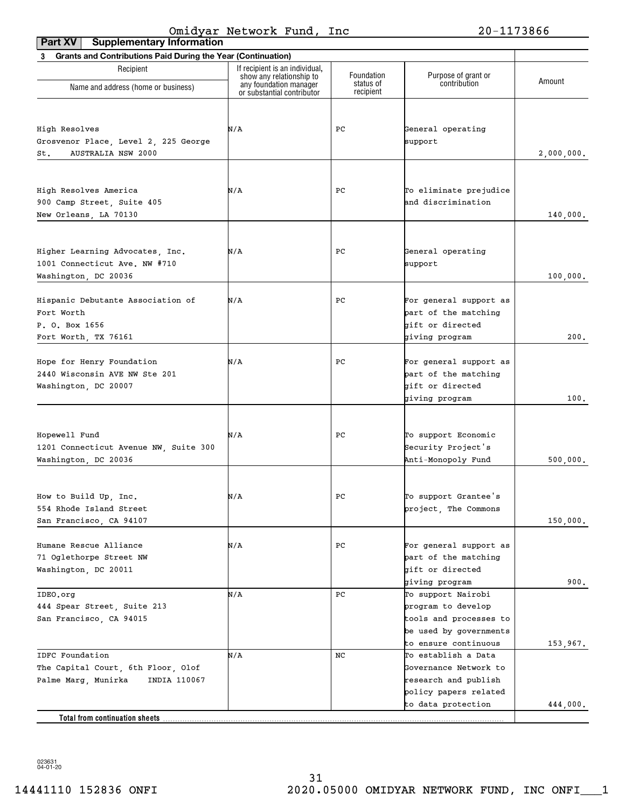| <b>Supplementary Information</b><br>Part XV                                                  |                                                            |                        |                                                                                                                      |            |
|----------------------------------------------------------------------------------------------|------------------------------------------------------------|------------------------|----------------------------------------------------------------------------------------------------------------------|------------|
| 3 Grants and Contributions Paid During the Year (Continuation)                               |                                                            |                        |                                                                                                                      |            |
| Recipient                                                                                    | If recipient is an individual,<br>show any relationship to | Foundation             | Purpose of grant or<br>contribution                                                                                  | Amount     |
| Name and address (home or business)                                                          | any foundation manager<br>or substantial contributor       | status of<br>recipient |                                                                                                                      |            |
| High Resolves<br>Grosvenor Place, Level 2, 225 George<br><b>AUSTRALIA NSW 2000</b><br>St.    | N/A                                                        | PС                     | General operating<br>support                                                                                         | 2,000,000. |
|                                                                                              |                                                            |                        |                                                                                                                      |            |
| High Resolves America<br>900 Camp Street, Suite 405<br>New Orleans, LA 70130                 | N/A                                                        | PС                     | To eliminate prejudice<br>and discrimination                                                                         | 140,000.   |
| Higher Learning Advocates, Inc.<br>1001 Connecticut Ave. NW #710<br>Washington, DC 20036     | N/A                                                        | PС                     | General operating<br>support                                                                                         | 100,000.   |
| Hispanic Debutante Association of<br>Fort Worth<br>P. O. Box 1656<br>Fort Worth, TX 76161    | N/A                                                        | PС                     | For general support as<br>part of the matching<br>gift or directed<br>giving program                                 | 200.       |
| Hope for Henry Foundation<br>2440 Wisconsin AVE NW Ste 201<br>Washington, DC 20007           | N/A                                                        | PС                     | For general support as<br>part of the matching<br>gift or directed<br>giving program                                 | 100.       |
| Hopewell Fund<br>1201 Connecticut Avenue NW, Suite 300<br>Washington, DC 20036               | N/A                                                        | PС                     | To support Economic<br>Security Project's<br>Anti-Monopoly Fund                                                      | 500,000.   |
| How to Build Up, Inc.<br>554 Rhode Island Street<br>San Francisco, CA 94107                  | N/A                                                        | $_{\rm PC}$            | To support Grantee's<br>project, The Commons                                                                         | 150,000.   |
| Humane Rescue Alliance<br>71 Oglethorpe Street NW<br>Washington, DC 20011                    | N/A                                                        | PС                     | For general support as<br>part of the matching<br>gift or directed<br>giving program                                 | 900.       |
| IDEO.org<br>444 Spear Street, Suite 213<br>San Francisco, CA 94015                           | N/A                                                        | PС                     | To support Nairobi<br>program to develop<br>tools and processes to<br>be used by governments<br>to ensure continuous | 153,967.   |
| IDFC Foundation<br>The Capital Court, 6th Floor, Olof<br>INDIA 110067<br>Palme Marg, Munirka | N/A                                                        | NC                     | To establish a Data<br>Governance Network to<br>research and publish<br>policy papers related                        |            |
|                                                                                              |                                                            |                        | to data protection                                                                                                   | 444,000.   |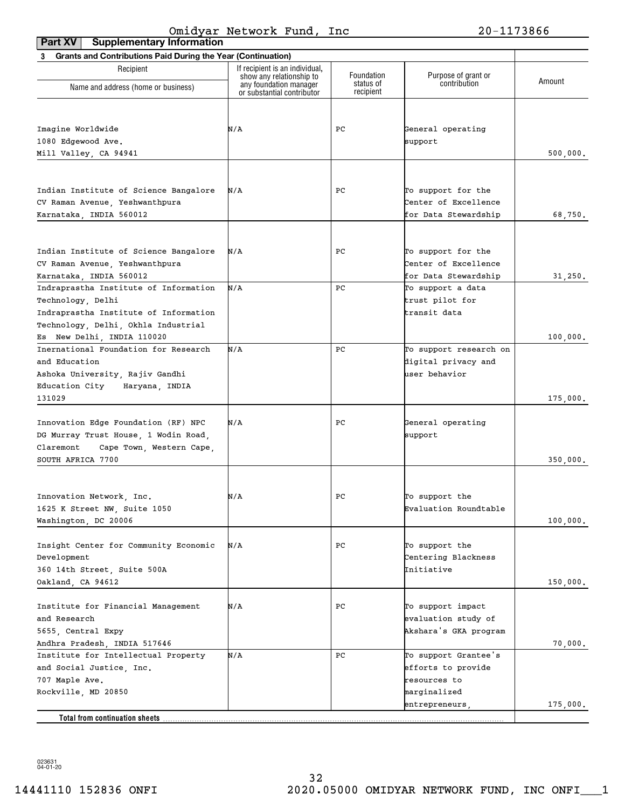| Part XV<br><b>Supplementary Information</b>                    |                                                            |                        |                              |          |
|----------------------------------------------------------------|------------------------------------------------------------|------------------------|------------------------------|----------|
| 3 Grants and Contributions Paid During the Year (Continuation) |                                                            |                        |                              |          |
| Recipient                                                      | If recipient is an individual,<br>show any relationship to | Foundation             | Purpose of grant or          | Amount   |
| Name and address (home or business)                            | any foundation manager<br>or substantial contributor       | status of<br>recipient | contribution                 |          |
|                                                                |                                                            |                        |                              |          |
| Imagine Worldwide                                              | N/A                                                        | PС                     | General operating            |          |
| 1080 Edgewood Ave.                                             |                                                            |                        | support                      |          |
| Mill Valley, CA 94941                                          |                                                            |                        |                              | 500,000. |
|                                                                |                                                            |                        |                              |          |
| Indian Institute of Science Bangalore                          | N/A                                                        | PС                     | To support for the           |          |
| CV Raman Avenue, Yeshwanthpura                                 |                                                            |                        | Center of Excellence         |          |
| Karnataka, INDIA 560012                                        |                                                            |                        | for Data Stewardship         | 68,750.  |
|                                                                |                                                            |                        |                              |          |
| Indian Institute of Science Bangalore                          | N/A                                                        | PС                     | To support for the           |          |
| CV Raman Avenue, Yeshwanthpura                                 |                                                            |                        | Center of Excellence         |          |
| Karnataka, INDIA 560012                                        |                                                            |                        | for Data Stewardship         | 31,250.  |
| Indraprastha Institute of Information                          | N/A                                                        | PC                     | To support a data            |          |
| Technology, Delhi                                              |                                                            |                        | trust pilot for              |          |
| Indraprastha Institute of Information                          |                                                            |                        | transit data                 |          |
| Technology, Delhi, Okhla Industrial                            |                                                            |                        |                              |          |
| Es New Delhi, INDIA 110020                                     |                                                            |                        |                              | 100,000. |
| Inernational Foundation for Research                           | N/A                                                        | PC                     | To support research on       |          |
| and Education                                                  |                                                            |                        | digital privacy and          |          |
| Ashoka University, Rajiv Gandhi                                |                                                            |                        | user behavior                |          |
| Education City<br>Haryana, INDIA                               |                                                            |                        |                              |          |
| 131029                                                         |                                                            |                        |                              | 175,000. |
|                                                                |                                                            |                        |                              |          |
| Innovation Edge Foundation (RF) NPC                            | N/A                                                        | PС                     | General operating            |          |
| DG Murray Trust House, 1 Wodin Road,                           |                                                            |                        | support                      |          |
| Claremont<br>Cape Town, Western Cape,                          |                                                            |                        |                              |          |
| SOUTH AFRICA 7700                                              |                                                            |                        |                              | 350,000. |
| Innovation Network, Inc.                                       | N/A                                                        | ${\tt PC}$             | To support the               |          |
| 1625 K Street NW, Suite 1050                                   |                                                            |                        | Evaluation Roundtable        |          |
| Washington, DC 20006                                           |                                                            |                        |                              | 100,000. |
|                                                                |                                                            |                        |                              |          |
| Insight Center for Community Economic                          | N/A                                                        | РC                     | To support the               |          |
| Development                                                    |                                                            |                        | Centering Blackness          |          |
| 360 14th Street, Suite 500A                                    |                                                            |                        | Initiative                   |          |
| Oakland, CA 94612                                              |                                                            |                        |                              | 150,000. |
|                                                                |                                                            |                        |                              |          |
| Institute for Financial Management                             | N/A                                                        | РC                     | To support impact            |          |
| and Research                                                   |                                                            |                        | evaluation study of          |          |
| 5655, Central Expy                                             |                                                            |                        | Akshara's GKA program        |          |
| Andhra Pradesh, INDIA 517646                                   |                                                            |                        |                              | 70,000.  |
| Institute for Intellectual Property                            | N/A                                                        | PC                     | To support Grantee's         |          |
| and Social Justice, Inc.                                       |                                                            |                        | efforts to provide           |          |
| 707 Maple Ave.<br>Rockville, MD 20850                          |                                                            |                        | resources to<br>marginalized |          |
|                                                                |                                                            |                        | entrepreneurs,               | 175,000. |
|                                                                |                                                            |                        |                              |          |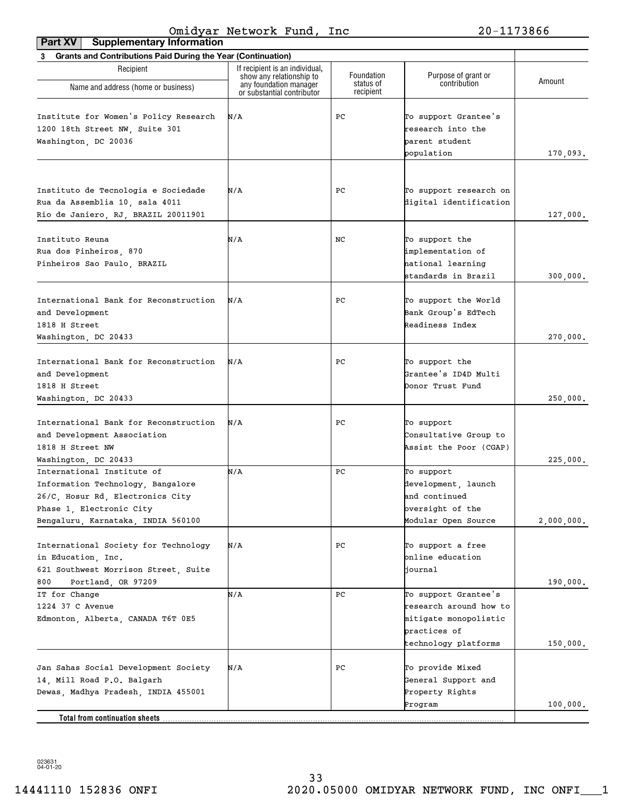| Part XV<br><b>Supplementary Information</b>                                                                                                                           |                                                                                      |                         |                                                                                                                 |            |
|-----------------------------------------------------------------------------------------------------------------------------------------------------------------------|--------------------------------------------------------------------------------------|-------------------------|-----------------------------------------------------------------------------------------------------------------|------------|
| 3 Grants and Contributions Paid During the Year (Continuation)                                                                                                        |                                                                                      |                         |                                                                                                                 |            |
| Recipient                                                                                                                                                             | If recipient is an individual,<br>show any relationship to<br>any foundation manager | Foundation<br>status of | Purpose of grant or<br>contribution                                                                             | Amount     |
| Name and address (home or business)                                                                                                                                   | or substantial contributor                                                           | recipient               |                                                                                                                 |            |
| Institute for Women's Policy Research<br>1200 18th Street NW, Suite 301<br>Washington, DC 20036                                                                       | N/A                                                                                  | PС                      | To support Grantee's<br>research into the<br>parent student<br>population                                       | 170,093.   |
| Instituto de Tecnologia e Sociedade<br>Rua da Assemblia 10, sala 4011<br>Rio de Janiero, RJ, BRAZIL 20011901                                                          | N/A                                                                                  | PС                      | To support research on<br>digital identification                                                                | 127,000.   |
| Instituto Reuna<br>Rua dos Pinheiros, 870<br>Pinheiros Sao Paulo, BRAZIL                                                                                              | N/A                                                                                  | NC.                     | To support the<br>implementation of<br>hational learning<br>standards in Brazil                                 | 300,000.   |
| International Bank for Reconstruction<br>and Development<br>1818 H Street<br>Washington, DC 20433                                                                     | N/A                                                                                  | PС                      | To support the World<br>Bank Group's EdTech<br>Readiness Index                                                  | 270,000.   |
| International Bank for Reconstruction<br>and Development<br>1818 H Street<br>Washington, DC 20433                                                                     | N/A                                                                                  | PС                      | To support the<br>Grantee's ID4D Multi<br>Donor Trust Fund                                                      | 250,000.   |
| International Bank for Reconstruction<br>and Development Association<br>1818 H Street NW<br>Washington, DC 20433                                                      | N/A                                                                                  | PС                      | To support<br>Consultative Group to<br>Assist the Poor (CGAP)                                                   | 225,000.   |
| International Institute of<br>Information Technology, Bangalore<br>26/C, Hosur Rd, Electronics City<br>Phase 1, Electronic City<br>Bengaluru, Karnataka, INDIA 560100 | N/A                                                                                  | PС                      | To support<br>development, launch<br>and continued<br>oversight of the<br>Modular Open Source                   | 2,000,000. |
| International Society for Technology<br>in Education, Inc.<br>621 Southwest Morrison Street, Suite<br>Portland, OR 97209<br>800                                       | N/A                                                                                  | PC                      | To support a free<br>online education<br>journal                                                                | 190,000.   |
| IT for Change<br>1224 37 C Avenue<br>Edmonton, Alberta, CANADA T6T 0E5                                                                                                | N/A                                                                                  | PС                      | To support Grantee's<br>research around how to<br>mitigate monopolistic<br>practices of<br>technology platforms | 150,000.   |
| Jan Sahas Social Development Society<br>14, Mill Road P.O. Balgarh<br>Dewas, Madhya Pradesh, INDIA 455001                                                             | N/A                                                                                  | PC                      | To provide Mixed<br>General Support and<br>Property Rights                                                      |            |
|                                                                                                                                                                       |                                                                                      |                         | Program                                                                                                         | 100,000.   |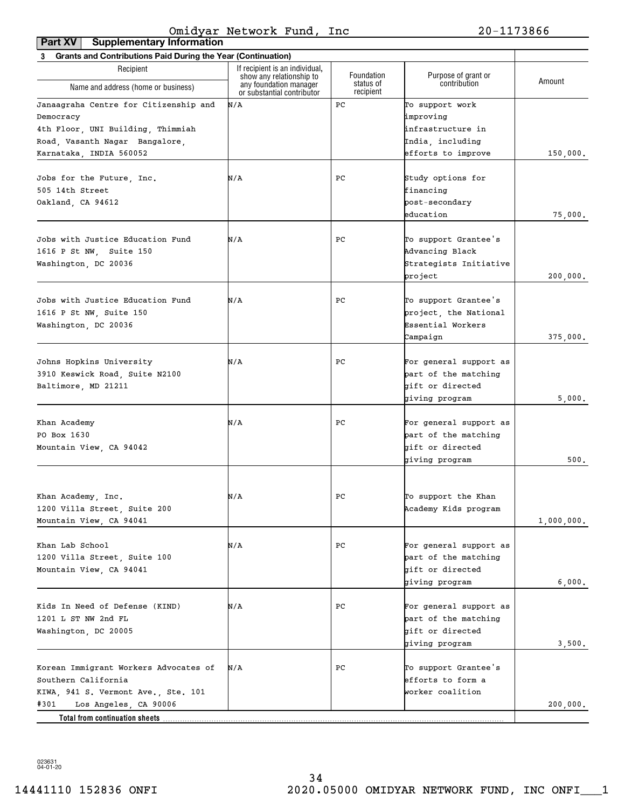| <b>Grants and Contributions Paid During the Year (Continuation)</b><br>3 |                                                                                  |                                      |                                     |            |
|--------------------------------------------------------------------------|----------------------------------------------------------------------------------|--------------------------------------|-------------------------------------|------------|
| Recipient                                                                | If recipient is an individual,                                                   |                                      |                                     |            |
| Name and address (home or business)                                      | show any relationship to<br>any foundation manager<br>or substantial contributor | Foundation<br>status of<br>recipient | Purpose of grant or<br>contribution | Amount     |
| Janaagraha Centre for Citizenship and                                    | N/A                                                                              | PC                                   | To support work                     |            |
| Democracy                                                                |                                                                                  |                                      | improving                           |            |
| 4th Floor, UNI Building, Thimmiah                                        |                                                                                  |                                      | infrastructure in                   |            |
| Road, Vasanth Nagar Bangalore,                                           |                                                                                  |                                      | India, including                    |            |
| Karnataka, INDIA 560052                                                  |                                                                                  |                                      | efforts to improve                  | 150,000.   |
|                                                                          |                                                                                  |                                      |                                     |            |
| Jobs for the Future, Inc.                                                | N/A                                                                              | PС                                   | Study options for                   |            |
| 505 14th Street                                                          |                                                                                  |                                      | financing                           |            |
| Oakland, CA 94612                                                        |                                                                                  |                                      | post-secondary                      |            |
|                                                                          |                                                                                  |                                      |                                     |            |
|                                                                          |                                                                                  |                                      | education                           | 75,000.    |
|                                                                          |                                                                                  |                                      |                                     |            |
| Jobs with Justice Education Fund                                         | N/A                                                                              | PС                                   | To support Grantee's                |            |
| 1616 P St NW, Suite 150                                                  |                                                                                  |                                      | Advancing Black                     |            |
| Washington, DC 20036                                                     |                                                                                  |                                      | Strategists Initiative              |            |
|                                                                          |                                                                                  |                                      | project                             | 200,000.   |
|                                                                          |                                                                                  |                                      |                                     |            |
| Jobs with Justice Education Fund                                         | N/A                                                                              | PС                                   | To support Grantee's                |            |
| 1616 P St NW, Suite 150                                                  |                                                                                  |                                      | project, the National               |            |
| Washington, DC 20036                                                     |                                                                                  |                                      | Essential Workers                   |            |
|                                                                          |                                                                                  |                                      | Campaign                            | 375,000.   |
|                                                                          |                                                                                  |                                      |                                     |            |
| Johns Hopkins University                                                 | N/A                                                                              | PС                                   | For general support as              |            |
| 3910 Keswick Road, Suite N2100                                           |                                                                                  |                                      | part of the matching                |            |
| Baltimore, MD 21211                                                      |                                                                                  |                                      | gift or directed                    |            |
|                                                                          |                                                                                  |                                      | giving program                      | 5,000.     |
|                                                                          |                                                                                  |                                      |                                     |            |
| Khan Academy                                                             | N/A                                                                              | PС                                   | For general support as              |            |
| PO Box 1630                                                              |                                                                                  |                                      | part of the matching                |            |
| Mountain View, CA 94042                                                  |                                                                                  |                                      | gift or directed                    |            |
|                                                                          |                                                                                  |                                      | giving program                      | 500.       |
|                                                                          |                                                                                  |                                      |                                     |            |
|                                                                          |                                                                                  |                                      |                                     |            |
| Khan Academy, Inc.                                                       | N/A                                                                              | PС                                   | To support the Khan                 |            |
| 1200 Villa Street, Suite 200                                             |                                                                                  |                                      | Academy Kids program                |            |
| Mountain View, CA 94041                                                  |                                                                                  |                                      |                                     | 1,000,000. |
|                                                                          |                                                                                  |                                      |                                     |            |
| Khan Lab School                                                          | N/A                                                                              | PС                                   | For general support as              |            |
|                                                                          |                                                                                  |                                      |                                     |            |
| 1200 Villa Street, Suite 100                                             |                                                                                  |                                      | part of the matching                |            |
| Mountain View, CA 94041                                                  |                                                                                  |                                      | gift or directed                    |            |
|                                                                          |                                                                                  |                                      | giving program                      | 6,000.     |
|                                                                          |                                                                                  |                                      |                                     |            |
| Kids In Need of Defense (KIND)                                           | N/A                                                                              | PС                                   | For general support as              |            |
| 1201 L ST NW 2nd FL                                                      |                                                                                  |                                      | part of the matching                |            |
| Washington, DC 20005                                                     |                                                                                  |                                      | gift or directed                    |            |
|                                                                          |                                                                                  |                                      | giving program                      | 3,500.     |
|                                                                          |                                                                                  |                                      |                                     |            |
| Korean Immigrant Workers Advocates of                                    | N/A                                                                              | PС                                   | To support Grantee's                |            |
| Southern California                                                      |                                                                                  |                                      | efforts to form a                   |            |
| KIWA, 941 S. Vermont Ave., Ste. 101                                      |                                                                                  |                                      | worker coalition                    |            |
| #301<br>Los Angeles, CA 90006                                            |                                                                                  |                                      |                                     | 200,000.   |
| Total from continuation sheets                                           |                                                                                  |                                      |                                     |            |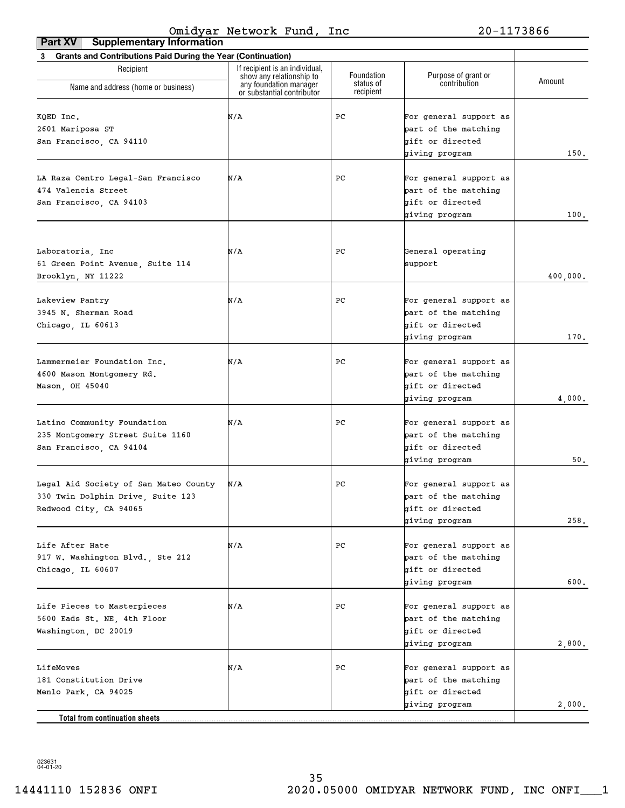| Part XV<br><b>Supplementary Information</b>                                                          |                                                                                      |                         |                                                                                      |          |
|------------------------------------------------------------------------------------------------------|--------------------------------------------------------------------------------------|-------------------------|--------------------------------------------------------------------------------------|----------|
| 3 Grants and Contributions Paid During the Year (Continuation)                                       |                                                                                      |                         |                                                                                      |          |
| Recipient                                                                                            | If recipient is an individual,<br>show any relationship to<br>any foundation manager | Foundation<br>status of | Purpose of grant or<br>contribution                                                  | Amount   |
| Name and address (home or business)                                                                  | or substantial contributor                                                           | recipient               |                                                                                      |          |
| KQED Inc.<br>2601 Mariposa ST<br>San Francisco, CA 94110                                             | N/A                                                                                  | РC                      | For general support as<br>part of the matching<br>gift or directed<br>giving program | 150.     |
| LA Raza Centro Legal-San Francisco<br>474 Valencia Street<br>San Francisco, CA 94103                 | N/A                                                                                  | РC                      | For general support as<br>part of the matching<br>gift or directed<br>giving program | 100.     |
| Laboratoria, Inc<br>61 Green Point Avenue, Suite 114<br>Brooklyn, NY 11222                           | N/A                                                                                  | РC                      | General operating<br>support                                                         | 400,000. |
| Lakeview Pantry<br>3945 N. Sherman Road<br>Chicago, IL 60613                                         | N/A                                                                                  | РC                      | For general support as<br>part of the matching<br>gift or directed<br>giving program | 170.     |
| Lammermeier Foundation Inc.<br>4600 Mason Montgomery Rd.<br>Mason, OH 45040                          | N/A                                                                                  | РC                      | For general support as<br>part of the matching<br>gift or directed<br>giving program | 4,000.   |
| Latino Community Foundation<br>235 Montgomery Street Suite 1160<br>San Francisco, CA 94104           | N/A                                                                                  | РC                      | For general support as<br>part of the matching<br>gift or directed<br>giving program | 50.      |
| Legal Aid Society of San Mateo County<br>330 Twin Dolphin Drive, Suite 123<br>Redwood City, CA 94065 | N/A                                                                                  | РC                      | For general support as<br>part of the matching<br>gift or directed<br>giving program | 258.     |
| Life After Hate<br>917 W. Washington Blvd., Ste 212<br>Chicago, IL 60607                             | N/A                                                                                  | РC                      | For general support as<br>part of the matching<br>gift or directed<br>giving program | 600.     |
| Life Pieces to Masterpieces<br>5600 Eads St. NE, 4th Floor<br>Washington, DC 20019                   | N/A                                                                                  | РC                      | For general support as<br>part of the matching<br>gift or directed<br>giving program | 2,800.   |
| LifeMoves<br>181 Constitution Drive<br>Menlo Park, CA 94025                                          | N/A                                                                                  | РC                      | For general support as<br>part of the matching<br>gift or directed                   |          |
| Total from continuation sheets                                                                       |                                                                                      |                         | giving program                                                                       | 2,000.   |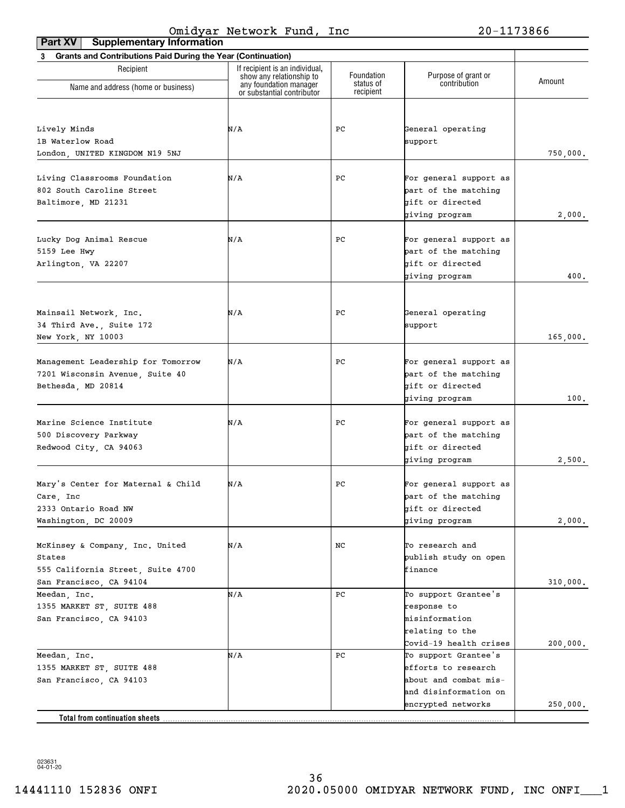| <b>Supplementary Information</b><br>Part XV                    |                                                            |                        |                                     |          |
|----------------------------------------------------------------|------------------------------------------------------------|------------------------|-------------------------------------|----------|
| 3 Grants and Contributions Paid During the Year (Continuation) |                                                            |                        |                                     |          |
| Recipient                                                      | If recipient is an individual,<br>show any relationship to | Foundation             | Purpose of grant or<br>contribution | Amount   |
| Name and address (home or business)                            | any foundation manager<br>or substantial contributor       | status of<br>recipient |                                     |          |
|                                                                |                                                            |                        |                                     |          |
| Lively Minds                                                   | N/A                                                        | PC                     | General operating                   |          |
| 1B Waterlow Road                                               |                                                            |                        | support                             |          |
| London. UNITED KINGDOM N19 5NJ                                 |                                                            |                        |                                     | 750,000. |
|                                                                |                                                            |                        |                                     |          |
| Living Classrooms Foundation                                   | N/A                                                        | PС                     | For general support as              |          |
| 802 South Caroline Street                                      |                                                            |                        | part of the matching                |          |
| Baltimore, MD 21231                                            |                                                            |                        | gift or directed                    |          |
|                                                                |                                                            |                        | giving program                      | 2,000.   |
|                                                                |                                                            |                        |                                     |          |
| Lucky Dog Animal Rescue                                        | N/A                                                        | PС                     | For general support as              |          |
| 5159 Lee Hwy                                                   |                                                            |                        | part of the matching                |          |
| Arlington, VA 22207                                            |                                                            |                        | gift or directed                    |          |
|                                                                |                                                            |                        | giving program                      | 400.     |
|                                                                |                                                            |                        |                                     |          |
|                                                                |                                                            |                        |                                     |          |
| Mainsail Network, Inc.                                         | N/A                                                        | PС                     | General operating                   |          |
| 34 Third Ave., Suite 172                                       |                                                            |                        | support                             |          |
| New York, NY 10003                                             |                                                            |                        |                                     | 165,000. |
|                                                                |                                                            |                        |                                     |          |
| Management Leadership for Tomorrow                             | N/A                                                        | PС                     | For general support as              |          |
| 7201 Wisconsin Avenue, Suite 40                                |                                                            |                        | part of the matching                |          |
| Bethesda, MD 20814                                             |                                                            |                        | gift or directed                    |          |
|                                                                |                                                            |                        | giving program                      | 100.     |
| Marine Science Institute                                       | N/A                                                        | PС                     | For general support as              |          |
| 500 Discovery Parkway                                          |                                                            |                        | part of the matching                |          |
| Redwood City, CA 94063                                         |                                                            |                        | gift or directed                    |          |
|                                                                |                                                            |                        | giving program                      | 2,500.   |
|                                                                |                                                            |                        |                                     |          |
| Mary's Center for Maternal & Child                             | N/A                                                        | PС                     | For general support as              |          |
| Care, Inc                                                      |                                                            |                        | part of the matching                |          |
| 2333 Ontario Road NW                                           |                                                            |                        | gift or directed                    |          |
| Washington, DC 20009                                           |                                                            |                        | giving program                      | 2,000.   |
|                                                                |                                                            |                        |                                     |          |
| McKinsey & Company, Inc. United                                | N/A                                                        | NC                     | To research and                     |          |
| States                                                         |                                                            |                        | publish study on open               |          |
| 555 California Street, Suite 4700                              |                                                            |                        | finance                             |          |
| San Francisco, CA 94104                                        |                                                            |                        |                                     | 310,000. |
| Meedan, Inc.                                                   | N/A                                                        | PC                     | To support Grantee's                |          |
| 1355 MARKET ST, SUITE 488                                      |                                                            |                        | response to                         |          |
| San Francisco, CA 94103                                        |                                                            |                        | misinformation                      |          |
|                                                                |                                                            |                        | relating to the                     |          |
|                                                                |                                                            |                        | Covid-19 health crises              | 200,000. |
| Meedan, Inc.                                                   | N/A                                                        | PC                     | To support Grantee's                |          |
| 1355 MARKET ST, SUITE 488                                      |                                                            |                        | efforts to research                 |          |
| San Francisco, CA 94103                                        |                                                            |                        | about and combat mis-               |          |
|                                                                |                                                            |                        | and disinformation on               |          |
|                                                                |                                                            |                        | encrypted networks                  | 250,000. |
| Total from continuation sheets.                                |                                                            |                        |                                     |          |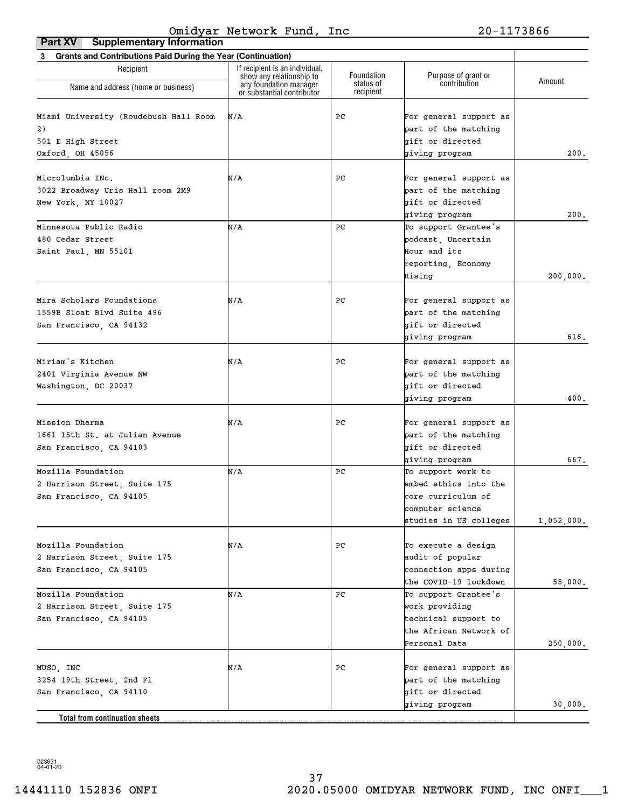| <b>Supplementary Information</b><br>Part XV                                          |                                                            |                        |                                                                                                                 |              |
|--------------------------------------------------------------------------------------|------------------------------------------------------------|------------------------|-----------------------------------------------------------------------------------------------------------------|--------------|
| 3 Grants and Contributions Paid During the Year (Continuation)                       |                                                            |                        |                                                                                                                 |              |
| Recipient                                                                            | If recipient is an individual,<br>show any relationship to | Foundation             | Purpose of grant or                                                                                             | Amount       |
| Name and address (home or business)                                                  | any foundation manager<br>or substantial contributor       | status of<br>recipient | contribution                                                                                                    |              |
| Miami University (Roudebush Hall Room<br>2)<br>501 E High Street<br>Oxford, OH 45056 | N/A                                                        | PС                     | For general support as<br>part of the matching<br>bift or directed<br>giving program                            | 200.         |
| Microlumbia INc.<br>3022 Broadway Uris Hall room 2M9                                 | N/A                                                        | PC                     | For general support as<br>part of the matching<br>gift or directed                                              |              |
| New York, NY 10027                                                                   |                                                            |                        | giving program                                                                                                  | 200.         |
| Minnesota Public Radio<br>480 Cedar Street<br>Saint Paul, MN 55101                   | N/A                                                        | PC                     | To support Grantee's<br>podcast, Uncertain<br>Hour and its<br>reporting, Economy                                |              |
| Mira Scholars Foundations<br>1559B Sloat Blvd Suite 496<br>San Francisco, CA 94132   | N/A                                                        | PC                     | Rising<br>For general support as<br>part of the matching<br>gift or directed                                    | 200,000.     |
| Miriam's Kitchen<br>2401 Virginia Avenue NW<br>Washington, DC 20037                  | N/A                                                        | PС                     | giving program<br>For general support as<br>part of the matching<br>gift or directed<br>giving program          | 616.<br>400. |
| Mission Dharma<br>1661 15th St. at Julian Avenue<br>San Francisco, CA 94103          | N/A                                                        | PС                     | For general support as<br>part of the matching<br>gift or directed<br>giving program                            | 667.         |
| Mozilla Foundation<br>2 Harrison Street, Suite 175<br>San Francisco, CA 94105        | N/A                                                        | PC                     | To support work to<br>embed ethics into the<br>core curriculum of<br>computer science<br>studies in US colleges | 1,052,000.   |
| Mozilla Foundation<br>2 Harrison Street, Suite 175<br>San Francisco, CA 94105        | N/A                                                        | PС                     | To execute a design<br>audit of popular<br>connection apps during<br>the COVID-19 lockdown                      | 55,000.      |
| Mozilla Foundation<br>2 Harrison Street, Suite 175<br>San Francisco, CA 94105        | N/A                                                        | PC                     | To support Grantee's<br>work providing<br>technical support to<br>the African Network of<br>Personal Data       | 250,000.     |
| MUSO, INC<br>3254 19th Street, 2nd Fl<br>San Francisco, CA 94110                     | N/A                                                        | PС                     | For general support as<br>part of the matching<br>gift or directed                                              |              |
| Total from continuation sheets                                                       |                                                            |                        | giving program                                                                                                  | 30,000.      |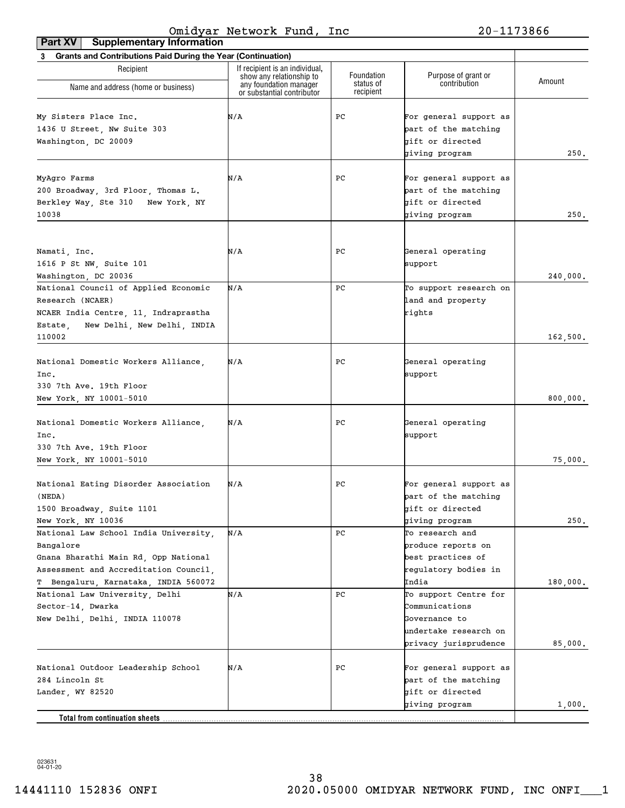| Grants and Contributions Paid During the Year (Continuation)<br>3             |                                                    |                         |                                     |          |
|-------------------------------------------------------------------------------|----------------------------------------------------|-------------------------|-------------------------------------|----------|
| Recipient                                                                     | If recipient is an individual,                     |                         |                                     |          |
|                                                                               | show any relationship to<br>any foundation manager | Foundation<br>status of | Purpose of grant or<br>contribution | Amount   |
| Name and address (home or business)                                           | or substantial contributor                         | recipient               |                                     |          |
| My Sisters Place Inc.                                                         | N/A                                                | PС                      | For general support as              |          |
| 1436 U Street, Nw Suite 303                                                   |                                                    |                         | part of the matching                |          |
|                                                                               |                                                    |                         | gift or directed                    |          |
| Washington, DC 20009                                                          |                                                    |                         | giving program                      | 250.     |
|                                                                               |                                                    |                         |                                     |          |
| MyAgro Farms                                                                  | N/A                                                | PС                      | For general support as              |          |
| 200 Broadway, 3rd Floor, Thomas L.                                            |                                                    |                         | part of the matching                |          |
| Berkley Way, Ste 310 New York, NY                                             |                                                    |                         | gift or directed                    |          |
| 10038                                                                         |                                                    |                         | giving program                      | 250.     |
|                                                                               |                                                    |                         |                                     |          |
|                                                                               |                                                    |                         |                                     |          |
| Namati, Inc.                                                                  | N/A                                                | PС                      | General operating                   |          |
| 1616 P St NW, Suite 101                                                       |                                                    |                         | support                             |          |
| Washington, DC 20036                                                          |                                                    |                         |                                     | 240,000. |
| National Council of Applied Economic                                          | N/A                                                | PC                      | To support research on              |          |
| Research (NCAER)                                                              |                                                    |                         | land and property                   |          |
| NCAER India Centre, 11, Indraprastha                                          |                                                    |                         | rights                              |          |
| New Delhi, New Delhi, INDIA<br>Estate,<br>110002                              |                                                    |                         |                                     |          |
|                                                                               |                                                    |                         |                                     | 162,500. |
| National Domestic Workers Alliance,                                           | N/A                                                | PС                      | General operating                   |          |
| Inc.                                                                          |                                                    |                         | support                             |          |
| 330 7th Ave. 19th Floor                                                       |                                                    |                         |                                     |          |
| New York, NY 10001-5010                                                       |                                                    |                         |                                     | 800,000. |
|                                                                               |                                                    |                         |                                     |          |
| National Domestic Workers Alliance,                                           | N/A                                                | PС                      | General operating                   |          |
| Inc.                                                                          |                                                    |                         | support                             |          |
| 330 7th Ave. 19th Floor                                                       |                                                    |                         |                                     |          |
| New York, NY 10001-5010                                                       |                                                    |                         |                                     | 75,000.  |
|                                                                               |                                                    | PС                      | For general support as              |          |
| National Eating Disorder Association<br>(NEDA)                                | N/A                                                |                         | part of the matching                |          |
|                                                                               |                                                    |                         |                                     |          |
| 1500 Broadway, Suite 1101<br>New York, NY 10036                               |                                                    |                         | gift or directed                    | 250.     |
|                                                                               | N/A                                                | PС                      | giving program<br>To research and   |          |
| National Law School India University,                                         |                                                    |                         | produce reports on                  |          |
| Bangalore                                                                     |                                                    |                         |                                     |          |
| Gnana Bharathi Main Rd, Opp National                                          |                                                    |                         | best practices of                   |          |
| Assessment and Accreditation Council,<br>T Bengaluru, Karnataka, INDIA 560072 |                                                    |                         | regulatory bodies in                |          |
|                                                                               | N/A                                                | PС                      | India<br>To support Centre for      | 180,000. |
| National Law University, Delhi                                                |                                                    |                         | Communications                      |          |
| Sector-14, Dwarka                                                             |                                                    |                         | Governance to                       |          |
| New Delhi, Delhi, INDIA 110078                                                |                                                    |                         | undertake research on               |          |
|                                                                               |                                                    |                         |                                     |          |
|                                                                               |                                                    |                         | privacy jurisprudence               | 85,000.  |
| National Outdoor Leadership School                                            | N/A                                                | PС                      | For general support as              |          |
| 284 Lincoln St                                                                |                                                    |                         | part of the matching                |          |
| Lander, WY 82520                                                              |                                                    |                         | gift or directed                    |          |
|                                                                               |                                                    |                         | giving program                      | 1,000.   |
| Total from continuation sheets.                                               |                                                    |                         |                                     |          |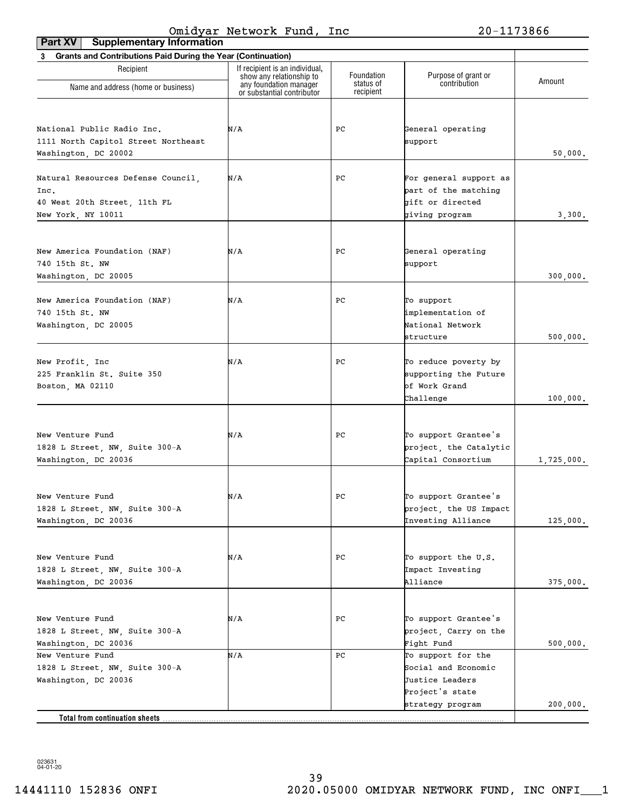| <b>Supplementary Information</b><br>Part XV                    |                                                            |                         |                                     |            |
|----------------------------------------------------------------|------------------------------------------------------------|-------------------------|-------------------------------------|------------|
| 3 Grants and Contributions Paid During the Year (Continuation) |                                                            |                         |                                     |            |
| Recipient                                                      | If recipient is an individual,<br>show any relationship to | Foundation<br>status of | Purpose of grant or<br>contribution | Amount     |
| Name and address (home or business)                            | any foundation manager<br>or substantial contributor       | recipient               |                                     |            |
|                                                                |                                                            |                         |                                     |            |
| National Public Radio Inc.                                     | N/A                                                        | PС                      | General operating                   |            |
| 1111 North Capitol Street Northeast                            |                                                            |                         | support                             |            |
| Washington, DC 20002                                           |                                                            |                         |                                     | 50,000.    |
|                                                                |                                                            |                         |                                     |            |
| Natural Resources Defense Council,                             | N/A                                                        | PС                      | For general support as              |            |
| Inc.                                                           |                                                            |                         | part of the matching                |            |
| 40 West 20th Street, 11th FL                                   |                                                            |                         | gift or directed                    |            |
| New York, NY 10011                                             |                                                            |                         | giving program                      | 3,300.     |
|                                                                |                                                            |                         |                                     |            |
|                                                                |                                                            |                         |                                     |            |
| New America Foundation (NAF)                                   | N/A                                                        | PС                      | General operating                   |            |
| 740 15th St. NW                                                |                                                            |                         | support                             |            |
| Washington, DC 20005                                           |                                                            |                         |                                     | 300,000.   |
|                                                                |                                                            |                         |                                     |            |
| New America Foundation (NAF)                                   | N/A                                                        | PС                      | To support                          |            |
| 740 15th St. NW                                                |                                                            |                         | implementation of                   |            |
| Washington, DC 20005                                           |                                                            |                         | National Network                    |            |
|                                                                |                                                            |                         | structure                           | 500,000.   |
| New Profit, Inc.                                               | N/A                                                        | PС                      | To reduce poverty by                |            |
| 225 Franklin St. Suite 350                                     |                                                            |                         | supporting the Future               |            |
| Boston, MA 02110                                               |                                                            |                         | of Work Grand                       |            |
|                                                                |                                                            |                         | Challenge                           | 100,000.   |
|                                                                |                                                            |                         |                                     |            |
|                                                                |                                                            |                         |                                     |            |
| New Venture Fund                                               | N/A                                                        | PС                      | To support Grantee's                |            |
| 1828 L Street, NW, Suite 300-A                                 |                                                            |                         | project, the Catalytic              |            |
| Washington, DC 20036                                           |                                                            |                         | Capital Consortium                  | 1,725,000. |
|                                                                |                                                            |                         |                                     |            |
| New Venture Fund                                               | N/A                                                        | $_{\rm PC}$             | To support Grantee's                |            |
| 1828 L Street, NW, Suite 300-A                                 |                                                            |                         | project, the US Impact              |            |
| Washington, DC 20036                                           |                                                            |                         | Investing Alliance                  | 125,000.   |
|                                                                |                                                            |                         |                                     |            |
|                                                                |                                                            |                         |                                     |            |
| New Venture Fund                                               | N/A                                                        | РC                      | To support the U.S.                 |            |
| 1828 L Street, NW, Suite 300-A                                 |                                                            |                         | Impact Investing                    |            |
| Washington, DC 20036                                           |                                                            |                         | Alliance                            | 375,000.   |
|                                                                |                                                            |                         |                                     |            |
| New Venture Fund                                               | N/A                                                        | РC                      | To support Grantee's                |            |
| 1828 L Street, NW, Suite 300-A                                 |                                                            |                         | project, Carry on the               |            |
| Washington, DC 20036                                           |                                                            |                         | Fight Fund                          | 500,000.   |
| New Venture Fund                                               | N/A                                                        | PС                      | To support for the                  |            |
| 1828 L Street, NW, Suite 300-A                                 |                                                            |                         | Social and Economic                 |            |
| Washington, DC 20036                                           |                                                            |                         | Justice Leaders                     |            |
|                                                                |                                                            |                         | Project's state                     |            |
|                                                                |                                                            |                         | strategy program                    | 200,000.   |
| Total from continuation sheets                                 |                                                            |                         |                                     |            |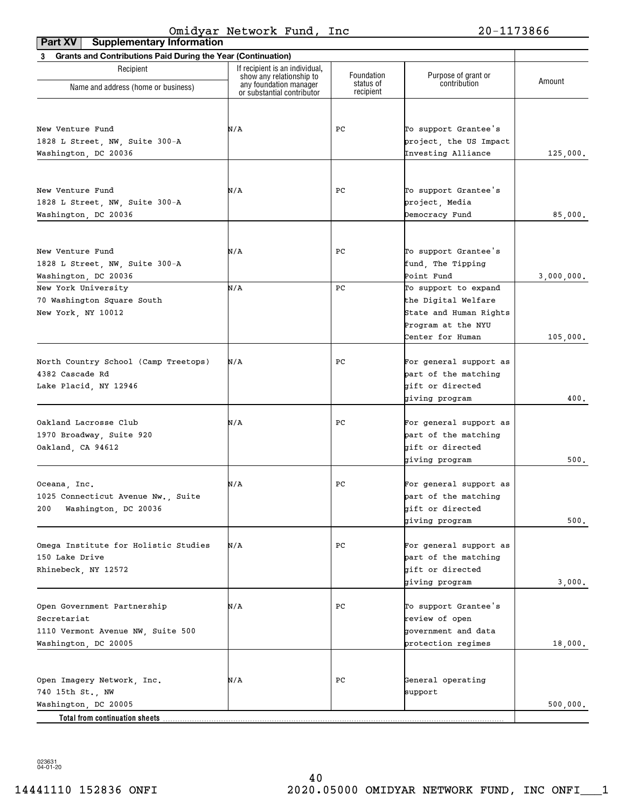| Part XV<br><b>Supplementary Information</b>                    |                                                            |                        |                        |            |
|----------------------------------------------------------------|------------------------------------------------------------|------------------------|------------------------|------------|
| 3 Grants and Contributions Paid During the Year (Continuation) |                                                            |                        |                        |            |
| Recipient                                                      | If recipient is an individual,<br>show any relationship to | Foundation             | Purpose of grant or    | Amount     |
| Name and address (home or business)                            | any foundation manager<br>or substantial contributor       | status of<br>recipient | contribution           |            |
|                                                                |                                                            |                        |                        |            |
| New Venture Fund                                               | N/A                                                        | PС                     | To support Grantee's   |            |
| 1828 L Street, NW, Suite 300-A                                 |                                                            |                        | project, the US Impact |            |
| Washington, DC 20036                                           |                                                            |                        | Investing Alliance     | 125,000.   |
|                                                                |                                                            |                        |                        |            |
| New Venture Fund                                               | N/A                                                        | PС                     | To support Grantee's   |            |
| 1828 L Street, NW, Suite 300-A                                 |                                                            |                        | project, Media         |            |
| Washington, DC 20036                                           |                                                            |                        | Democracy Fund         | 85,000.    |
|                                                                |                                                            |                        |                        |            |
| New Venture Fund                                               | N/A                                                        | PС                     | To support Grantee's   |            |
| 1828 L Street, NW, Suite 300-A                                 |                                                            |                        | fund, The Tipping      |            |
| Washington, DC 20036                                           |                                                            |                        | Point Fund             | 3,000,000. |
| New York University                                            | N/A                                                        | PC                     | To support to expand   |            |
| 70 Washington Square South                                     |                                                            |                        | the Digital Welfare    |            |
| New York, NY 10012                                             |                                                            |                        | State and Human Rights |            |
|                                                                |                                                            |                        | Program at the NYU     |            |
|                                                                |                                                            |                        | Center for Human       | 105,000.   |
|                                                                |                                                            |                        |                        |            |
| North Country School (Camp Treetops)                           | N/A                                                        | PС                     | For general support as |            |
| 4382 Cascade Rd                                                |                                                            |                        | part of the matching   |            |
| Lake Placid, NY 12946                                          |                                                            |                        | gift or directed       |            |
|                                                                |                                                            |                        | giving program         | 400.       |
| Oakland Lacrosse Club                                          | N/A                                                        | PС                     | For general support as |            |
| 1970 Broadway, Suite 920                                       |                                                            |                        | part of the matching   |            |
| Oakland, CA 94612                                              |                                                            |                        | gift or directed       |            |
|                                                                |                                                            |                        | giving program         | 500.       |
|                                                                |                                                            |                        |                        |            |
| Oceana, Inc.                                                   | N/A                                                        | PС                     | For general support as |            |
| 1025 Connecticut Avenue Nw., Suite                             |                                                            |                        | part of the matching   |            |
| Washington, DC 20036<br>200                                    |                                                            |                        | gift or directed       |            |
|                                                                |                                                            |                        | giving program         | 500.       |
| Omega Institute for Holistic Studies                           | N/A                                                        | PС                     | For general support as |            |
| 150 Lake Drive                                                 |                                                            |                        | part of the matching   |            |
| Rhinebeck, NY 12572                                            |                                                            |                        | gift or directed       |            |
|                                                                |                                                            |                        | giving program         | 3,000.     |
|                                                                |                                                            |                        |                        |            |
| Open Government Partnership                                    | N/A                                                        | PС                     | To support Grantee's   |            |
| Secretariat                                                    |                                                            |                        | review of open         |            |
| 1110 Vermont Avenue NW, Suite 500                              |                                                            |                        | government and data    |            |
| Washington, DC 20005                                           |                                                            |                        | protection regimes     | 18,000.    |
|                                                                |                                                            |                        |                        |            |
| Open Imagery Network, Inc.                                     | N/A                                                        | РC                     | General operating      |            |
| 740 15th St., NW                                               |                                                            |                        | support                |            |
| Washington, DC 20005                                           |                                                            |                        |                        | 500,000.   |
| Total from continuation sheets.                                |                                                            |                        |                        |            |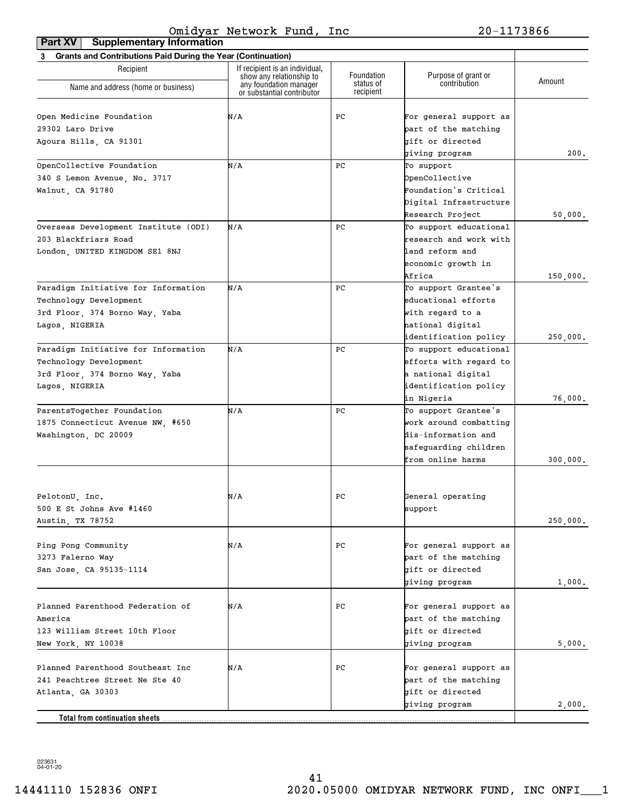| Part XV<br><b>Supplementary Information</b>                    |                                                            |                        |                        |          |
|----------------------------------------------------------------|------------------------------------------------------------|------------------------|------------------------|----------|
| 3 Grants and Contributions Paid During the Year (Continuation) |                                                            |                        |                        |          |
| Recipient                                                      | If recipient is an individual,<br>show any relationship to | Foundation             | Purpose of grant or    | Amount   |
| Name and address (home or business)                            | any foundation manager<br>or substantial contributor       | status of<br>recipient | contribution           |          |
| Open Medicine Foundation                                       | N/A                                                        | PС                     | For general support as |          |
| 29302 Laro Drive                                               |                                                            |                        | part of the matching   |          |
| Agoura Hills, CA 91301                                         |                                                            |                        | gift or directed       |          |
|                                                                |                                                            |                        | giving program         | 200.     |
| OpenCollective Foundation                                      | N/A                                                        | PC                     | To support             |          |
| 340 S Lemon Avenue, No. 3717                                   |                                                            |                        | OpenCollective         |          |
| Walnut, CA 91780                                               |                                                            |                        | Foundation's Critical  |          |
|                                                                |                                                            |                        | Digital Infrastructure |          |
|                                                                |                                                            |                        | Research Project       | 50,000.  |
| Overseas Development Institute (ODI)                           | N/A                                                        | PC                     | To support educational |          |
| 203 Blackfriars Road                                           |                                                            |                        | research and work with |          |
| London, UNITED KINGDOM SE1 8NJ                                 |                                                            |                        | land reform and        |          |
|                                                                |                                                            |                        | economic growth in     |          |
|                                                                |                                                            |                        | Africa                 | 150,000. |
| Paradigm Initiative for Information                            | N/A                                                        | PC                     | To support Grantee's   |          |
| Technology Development                                         |                                                            |                        | educational efforts    |          |
| 3rd Floor, 374 Borno Way, Yaba                                 |                                                            |                        | with regard to a       |          |
| Lagos, NIGERIA                                                 |                                                            |                        | national digital       |          |
|                                                                |                                                            |                        | identification policy  | 250,000. |
| Paradigm Initiative for Information                            | N/A                                                        | PC                     | To support educational |          |
| Technology Development                                         |                                                            |                        | efforts with regard to |          |
| 3rd Floor, 374 Borno Way, Yaba                                 |                                                            |                        | a national digital     |          |
| Lagos, NIGERIA                                                 |                                                            |                        | identification policy  |          |
|                                                                |                                                            |                        | in Nigeria             | 76,000.  |
| ParentsTogether Foundation                                     | N/A                                                        | PC                     | To support Grantee's   |          |
| 1875 Connecticut Avenue NW, #650                               |                                                            |                        | work around combatting |          |
| Washington, DC 20009                                           |                                                            |                        | dis-information and    |          |
|                                                                |                                                            |                        | safeguarding children  |          |
|                                                                |                                                            |                        | from online harms      | 300,000. |
|                                                                |                                                            |                        |                        |          |
| PelotonU, Inc.                                                 | N/A                                                        | $_{\rm PC}$            | General operating      |          |
| 500 E St Johns Ave #1460                                       |                                                            |                        | support                |          |
| Austin, TX 78752                                               |                                                            |                        |                        | 250,000. |
| Ping Pong Community                                            | N/A                                                        | PС                     | For general support as |          |
| 3273 Falerno Way                                               |                                                            |                        | part of the matching   |          |
| San Jose, CA 95135-1114                                        |                                                            |                        | bift or directed       |          |
|                                                                |                                                            |                        | giving program         | 1,000.   |
|                                                                |                                                            |                        |                        |          |
| Planned Parenthood Federation of                               | N/A                                                        | PС                     | For general support as |          |
| America                                                        |                                                            |                        | part of the matching   |          |
| 123 William Street 10th Floor                                  |                                                            |                        | gift or directed       |          |
| New York, NY 10038                                             |                                                            |                        | giving program         | 5,000.   |
|                                                                |                                                            |                        |                        |          |
| Planned Parenthood Southeast Inc                               | N/A                                                        | PС                     | For general support as |          |
| 241 Peachtree Street Ne Ste 40                                 |                                                            |                        | part of the matching   |          |
| Atlanta, GA 30303                                              |                                                            |                        | gift or directed       |          |
|                                                                |                                                            |                        | giving program         | 2,000.   |
| Total from continuation sheets                                 |                                                            |                        |                        |          |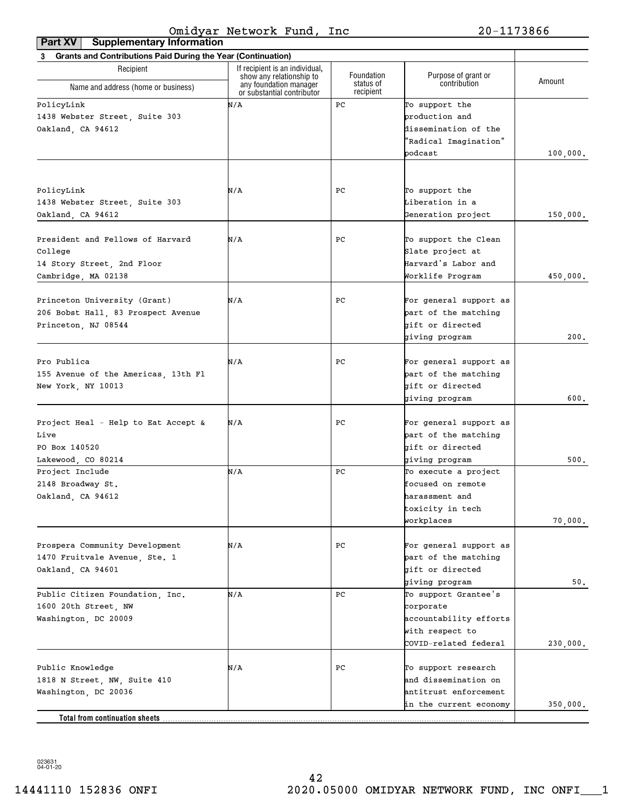| <b>Grants and Contributions Paid During the Year (Continuation)</b><br>3 |                                                                                  |                                      |                                     |          |
|--------------------------------------------------------------------------|----------------------------------------------------------------------------------|--------------------------------------|-------------------------------------|----------|
| Recipient                                                                | If recipient is an individual.                                                   |                                      |                                     |          |
| Name and address (home or business)                                      | show any relationship to<br>any foundation manager<br>or substantial contributor | Foundation<br>status of<br>recipient | Purpose of grant or<br>contribution | Amount   |
| PolicyLink                                                               | N/A                                                                              | PС                                   | To support the                      |          |
| 1438 Webster Street, Suite 303                                           |                                                                                  |                                      | production and                      |          |
| Oakland, CA 94612                                                        |                                                                                  |                                      | dissemination of the                |          |
|                                                                          |                                                                                  |                                      | 'Radical Imagination"               |          |
|                                                                          |                                                                                  |                                      | podcast                             | 100,000. |
|                                                                          |                                                                                  |                                      |                                     |          |
|                                                                          |                                                                                  |                                      |                                     |          |
| PolicyLink                                                               | N/A                                                                              | PC.                                  | To support the                      |          |
| 1438 Webster Street, Suite 303                                           |                                                                                  |                                      | Liberation in a                     |          |
| Oakland, CA 94612                                                        |                                                                                  |                                      | Generation project                  | 150,000. |
|                                                                          |                                                                                  |                                      |                                     |          |
| President and Fellows of Harvard                                         | N/A                                                                              | PC.                                  | To support the Clean                |          |
| College                                                                  |                                                                                  |                                      | Slate project at                    |          |
| 14 Story Street, 2nd Floor                                               |                                                                                  |                                      | Harvard's Labor and                 |          |
| Cambridge, MA 02138                                                      |                                                                                  |                                      | Worklife Program                    | 450,000. |
| Princeton University (Grant)                                             | N/A                                                                              | PC.                                  | For general support as              |          |
| 206 Bobst Hall, 83 Prospect Avenue                                       |                                                                                  |                                      | part of the matching                |          |
|                                                                          |                                                                                  |                                      | gift or directed                    |          |
| Princeton, NJ 08544                                                      |                                                                                  |                                      |                                     | 200.     |
|                                                                          |                                                                                  |                                      | giving program                      |          |
| Pro Publica                                                              | N/A                                                                              | РC                                   | For general support as              |          |
| 155 Avenue of the Americas, 13th Fl                                      |                                                                                  |                                      | part of the matching                |          |
| New York, NY 10013                                                       |                                                                                  |                                      | gift or directed                    |          |
|                                                                          |                                                                                  |                                      | giving program                      | 600.     |
|                                                                          |                                                                                  |                                      |                                     |          |
| Project Heal - Help to Eat Accept &                                      | N/A                                                                              | PC.                                  | For general support as              |          |
| Live                                                                     |                                                                                  |                                      | part of the matching                |          |
| PO Box 140520                                                            |                                                                                  |                                      | gift or directed                    |          |
| Lakewood, CO 80214                                                       |                                                                                  |                                      | giving program                      | 500.     |
| Project Include                                                          | N/A                                                                              | PС                                   | To execute a project                |          |
| 2148 Broadway St.                                                        |                                                                                  |                                      | focused on remote                   |          |
| Oakland, CA 94612                                                        |                                                                                  |                                      | harassment and                      |          |
|                                                                          |                                                                                  |                                      | toxicity in tech                    |          |
|                                                                          |                                                                                  |                                      | workplaces                          | 70,000.  |
|                                                                          |                                                                                  |                                      |                                     |          |
| Prospera Community Development                                           | N/A                                                                              | PC                                   | For general support as              |          |
| 1470 Fruitvale Avenue, Ste. 1                                            |                                                                                  |                                      | part of the matching                |          |
| Oakland, CA 94601                                                        |                                                                                  |                                      | gift or directed                    |          |
|                                                                          |                                                                                  |                                      | giving program                      | 50.      |
| Public Citizen Foundation, Inc.                                          | N/A                                                                              | PC                                   | To support Grantee's                |          |
| 1600 20th Street, NW                                                     |                                                                                  |                                      | corporate                           |          |
| Washington, DC 20009                                                     |                                                                                  |                                      | accountability efforts              |          |
|                                                                          |                                                                                  |                                      | with respect to                     |          |
|                                                                          |                                                                                  |                                      | COVID-related federal               | 230,000. |
|                                                                          |                                                                                  |                                      |                                     |          |
| Public Knowledge                                                         | N/A                                                                              | PC                                   | To support research                 |          |
| 1818 N Street, NW, Suite 410                                             |                                                                                  |                                      | and dissemination on                |          |
| Washington, DC 20036                                                     |                                                                                  |                                      | antitrust enforcement               |          |
|                                                                          |                                                                                  |                                      | in the current economy              | 350,000. |
| <b>Total from continuation sheets</b>                                    |                                                                                  |                                      |                                     |          |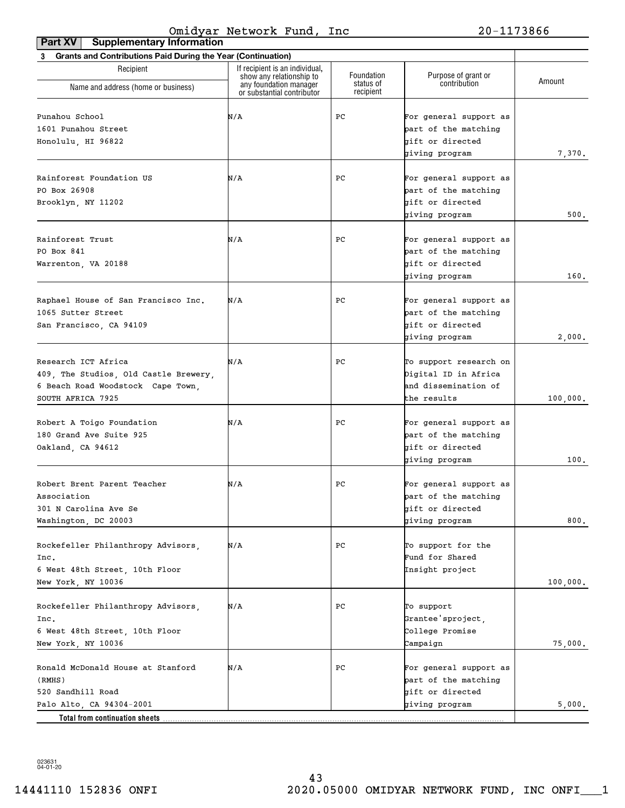| <b>Grants and Contributions Paid During the Year (Continuation)</b><br>3 |                                                            |                         |                                     |          |
|--------------------------------------------------------------------------|------------------------------------------------------------|-------------------------|-------------------------------------|----------|
| Recipient                                                                | If recipient is an individual,<br>show any relationship to | Foundation<br>status of | Purpose of grant or<br>contribution | Amount   |
| Name and address (home or business)                                      | any foundation manager<br>or substantial contributor       | recipient               |                                     |          |
| Punahou School                                                           | N/A                                                        | РC                      | For general support as              |          |
| 1601 Punahou Street                                                      |                                                            |                         | part of the matching                |          |
| Honolulu, HI 96822                                                       |                                                            |                         | gift or directed                    |          |
|                                                                          |                                                            |                         | giving program                      | 7,370.   |
|                                                                          |                                                            |                         |                                     |          |
| Rainforest Foundation US                                                 | N/A                                                        | РC                      | For general support as              |          |
| PO Box 26908                                                             |                                                            |                         | part of the matching                |          |
| Brooklyn, NY 11202                                                       |                                                            |                         | gift or directed                    |          |
|                                                                          |                                                            |                         | giving program                      | 500.     |
| Rainforest Trust                                                         | N/A                                                        | РC                      | For general support as              |          |
| PO Box 841                                                               |                                                            |                         | part of the matching                |          |
| Warrenton, VA 20188                                                      |                                                            |                         | bift or directed                    |          |
|                                                                          |                                                            |                         | giving program                      | 160.     |
|                                                                          |                                                            |                         |                                     |          |
| Raphael House of San Francisco Inc.                                      | N/A                                                        | РC                      | For general support as              |          |
| 1065 Sutter Street                                                       |                                                            |                         | part of the matching                |          |
| San Francisco, CA 94109                                                  |                                                            |                         | gift or directed                    |          |
|                                                                          |                                                            |                         | giving program                      | 2,000.   |
|                                                                          |                                                            |                         |                                     |          |
| Research ICT Africa                                                      | N/A                                                        | РC                      | To support research on              |          |
| 409, The Studios, Old Castle Brewery,                                    |                                                            |                         | Digital ID in Africa                |          |
| 6 Beach Road Woodstock Cape Town,                                        |                                                            |                         | and dissemination of                |          |
| SOUTH AFRICA 7925                                                        |                                                            |                         | the results                         | 100,000. |
| Robert A Toigo Foundation                                                | N/A                                                        | РC                      | For general support as              |          |
| 180 Grand Ave Suite 925                                                  |                                                            |                         | part of the matching                |          |
| Oakland, CA 94612                                                        |                                                            |                         | bift or directed                    |          |
|                                                                          |                                                            |                         | giving program                      | 100.     |
|                                                                          |                                                            |                         |                                     |          |
| Robert Brent Parent Teacher                                              | N/A                                                        | РC                      | For general support as              |          |
| Association                                                              |                                                            |                         | part of the matching                |          |
| 301 N Carolina Ave Se                                                    |                                                            |                         | gift or directed                    |          |
| Washington, DC 20003                                                     |                                                            |                         | giving program                      | 800.     |
|                                                                          |                                                            |                         |                                     |          |
| Rockefeller Philanthropy Advisors,                                       | N/A                                                        | РC                      | To support for the                  |          |
| Inc.                                                                     |                                                            |                         | Fund for Shared                     |          |
| 6 West 48th Street, 10th Floor                                           |                                                            |                         | Insight project                     |          |
| New York, NY 10036                                                       |                                                            |                         |                                     | 100,000. |
| Rockefeller Philanthropy Advisors,                                       | N/A                                                        | РC                      | To support                          |          |
| Inc.                                                                     |                                                            |                         | Grantee'sproject,                   |          |
| 6 West 48th Street, 10th Floor                                           |                                                            |                         | College Promise                     |          |
| New York, NY 10036                                                       |                                                            |                         | Campaign                            | 75,000.  |
|                                                                          |                                                            |                         |                                     |          |
| Ronald McDonald House at Stanford                                        | N/A                                                        | РC                      | For general support as              |          |
| (RMHS)                                                                   |                                                            |                         | part of the matching                |          |
| 520 Sandhill Road                                                        |                                                            |                         | gift or directed                    |          |
| Palo Alto, CA 94304-2001                                                 |                                                            |                         | giving program                      | 5,000.   |
| Total from continuation sheets                                           |                                                            |                         |                                     |          |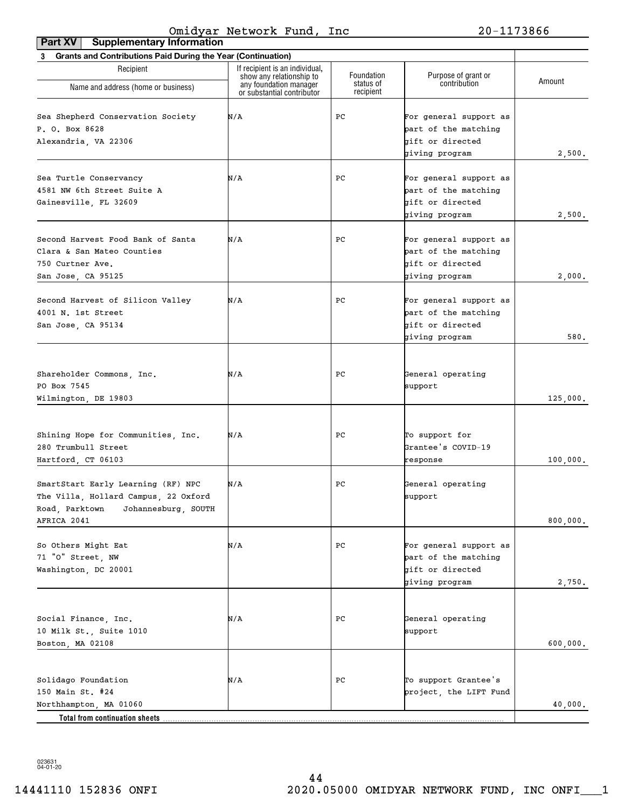| <b>Supplementary Information</b><br>Part XV                                                                         |                                                            |                        |                                                                                      |                    |
|---------------------------------------------------------------------------------------------------------------------|------------------------------------------------------------|------------------------|--------------------------------------------------------------------------------------|--------------------|
| 3 Grants and Contributions Paid During the Year (Continuation)                                                      |                                                            |                        |                                                                                      |                    |
| Recipient                                                                                                           | If recipient is an individual,<br>show any relationship to | Foundation             | Purpose of grant or                                                                  |                    |
| Name and address (home or business)                                                                                 | any foundation manager<br>or substantial contributor       | status of<br>recipient | contribution                                                                         | Amount             |
| Sea Shepherd Conservation Society<br>P. O. Box 8628<br>Alexandria, VA 22306                                         | N/A                                                        | PС                     | For general support as<br>part of the matching<br>gift or directed<br>giving program | 2,500.             |
| Sea Turtle Conservancy<br>4581 NW 6th Street Suite A<br>Gainesville, FL 32609                                       | N/A                                                        | PC                     | For general support as<br>part of the matching<br>gift or directed<br>giving program | 2,500.             |
| Second Harvest Food Bank of Santa<br>Clara & San Mateo Counties<br>750 Curtner Ave.<br>San Jose, CA 95125           | N/A                                                        | PС                     | For general support as<br>part of the matching<br>gift or directed<br>giving program | 2,000.             |
| Second Harvest of Silicon Valley<br>4001 N. 1st Street<br>San Jose, CA 95134                                        | N/A                                                        | РC                     | For general support as<br>part of the matching<br>gift or directed<br>giving program | 580.               |
| Shareholder Commons, Inc.<br>PO Box 7545<br>Wilmington, DE 19803                                                    | N/A                                                        | PС                     | General operating<br>support                                                         | 125,000.           |
| Shining Hope for Communities, Inc.<br>280 Trumbull Street<br>Hartford, CT 06103                                     | N/A                                                        | РC                     | To support for<br>Grantee's COVID-19<br>response                                     | 100,000.           |
| SmartStart Early Learning (RF) NPC<br>The Villa, Hollard Campus, 22 Oxford<br>Road, Parktown<br>Johannesburg, SOUTH | N/A                                                        | PC                     | General operating<br>support                                                         |                    |
| AFRICA 2041<br>So Others Might Eat<br>71 "O" Street, NW<br>Washington, DC 20001                                     | N/A                                                        | РC                     | For general support as<br>part of the matching<br>gift or directed<br>giving program | 800,000.<br>2,750. |
| Social Finance, Inc.<br>10 Milk St., Suite 1010<br>Boston, MA 02108                                                 | N/A                                                        | РC                     | General operating<br>support                                                         | 600,000.           |
| Solidago Foundation<br>150 Main St. #24<br>Northhampton, MA 01060<br>Total from continuation sheets                 | N/A                                                        | РC                     | To support Grantee's<br>project, the LIFT Fund                                       | 40,000.            |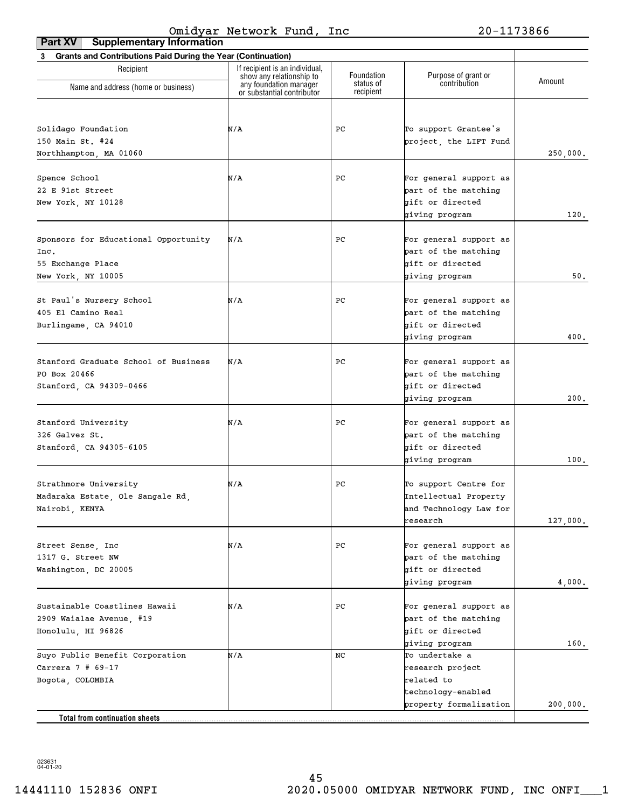| <b>Supplementary Information</b><br>Part XV                    |                                                            |                        |                                          |          |
|----------------------------------------------------------------|------------------------------------------------------------|------------------------|------------------------------------------|----------|
| 3 Grants and Contributions Paid During the Year (Continuation) |                                                            |                        |                                          |          |
| Recipient                                                      | If recipient is an individual,<br>show any relationship to | Foundation             | Purpose of grant or                      | Amount   |
| Name and address (home or business)                            | any foundation manager<br>or substantial contributor       | status of<br>recipient | contribution                             |          |
|                                                                |                                                            |                        |                                          |          |
| Solidago Foundation                                            | N/A                                                        | PC                     | To support Grantee's                     |          |
| 150 Main St. #24                                               |                                                            |                        | project, the LIFT Fund                   |          |
| Northhampton, MA 01060                                         |                                                            |                        |                                          | 250,000. |
|                                                                |                                                            |                        |                                          |          |
| Spence School                                                  | N/A                                                        | PC                     | For general support as                   |          |
| 22 E 91st Street                                               |                                                            |                        | part of the matching<br>gift or directed |          |
| New York, NY 10128                                             |                                                            |                        | giving program                           | 120.     |
|                                                                |                                                            |                        |                                          |          |
| Sponsors for Educational Opportunity                           | N/A                                                        | PC                     | For general support as                   |          |
| Inc.                                                           |                                                            |                        | part of the matching                     |          |
| 55 Exchange Place                                              |                                                            |                        | gift or directed                         |          |
| New York, NY 10005                                             |                                                            |                        | giving program                           | $50.$    |
| St Paul's Nursery School                                       | N/A                                                        | PC                     | For general support as                   |          |
| 405 El Camino Real                                             |                                                            |                        | part of the matching                     |          |
| Burlingame, CA 94010                                           |                                                            |                        | gift or directed                         |          |
|                                                                |                                                            |                        | giving program                           | 400.     |
|                                                                |                                                            |                        |                                          |          |
| Stanford Graduate School of Business                           | N/A                                                        | PC                     | For general support as                   |          |
| PO Box 20466                                                   |                                                            |                        | part of the matching                     |          |
| Stanford, CA 94309-0466                                        |                                                            |                        | gift or directed                         |          |
|                                                                |                                                            |                        | giving program                           | 200.     |
|                                                                |                                                            |                        |                                          |          |
| Stanford University                                            | N/A                                                        | PC                     | For general support as                   |          |
| 326 Galvez St.                                                 |                                                            |                        | part of the matching                     |          |
| Stanford, CA 94305-6105                                        |                                                            |                        | gift or directed                         |          |
|                                                                |                                                            |                        | giving program                           | 100.     |
| Strathmore University                                          | N/A                                                        | PC                     | To support Centre for                    |          |
| Madaraka Estate, Ole Sangale Rd,                               |                                                            |                        | Intellectual Property                    |          |
| Nairobi, KENYA                                                 |                                                            |                        | and Technology Law for                   |          |
|                                                                |                                                            |                        | research                                 | 127,000. |
|                                                                |                                                            |                        |                                          |          |
| Street Sense, Inc                                              | N/A                                                        | РC                     | For general support as                   |          |
| 1317 G. Street NW                                              |                                                            |                        | part of the matching                     |          |
| Washington, DC 20005                                           |                                                            |                        | gift or directed                         |          |
|                                                                |                                                            |                        | giving program                           | 4,000.   |
| Sustainable Coastlines Hawaii                                  | N/A                                                        | РC                     | For general support as                   |          |
| 2909 Waialae Avenue, #19                                       |                                                            |                        | part of the matching                     |          |
| Honolulu, HI 96826                                             |                                                            |                        | gift or directed                         |          |
|                                                                |                                                            |                        | giving program                           | 160.     |
| Suyo Public Benefit Corporation                                | N/A                                                        | NC                     | To undertake a                           |          |
| Carrera $7$ # 69-17                                            |                                                            |                        | research project                         |          |
| Bogota, COLOMBIA                                               |                                                            |                        | related to                               |          |
|                                                                |                                                            |                        | technology-enabled                       |          |
|                                                                |                                                            |                        | property formalization                   | 200,000. |
| Total from continuation sheets                                 |                                                            |                        |                                          |          |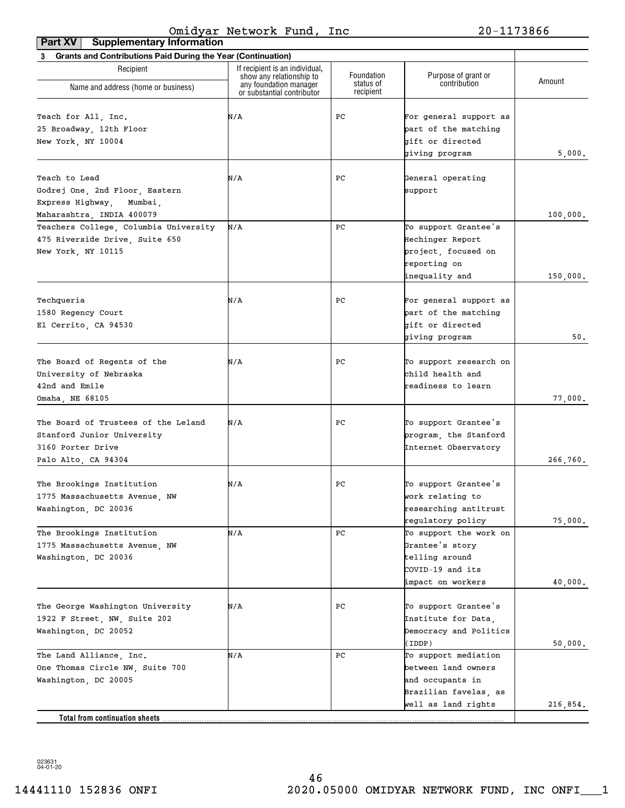| Grants and Contributions Paid During the Year (Continuation)<br>3 |                                                    |                         |                                     |          |
|-------------------------------------------------------------------|----------------------------------------------------|-------------------------|-------------------------------------|----------|
| Recipient                                                         | If recipient is an individual,                     |                         |                                     |          |
|                                                                   | show any relationship to<br>any foundation manager | Foundation<br>status of | Purpose of grant or<br>contribution | Amount   |
| Name and address (home or business)                               | or substantial contributor                         | recipient               |                                     |          |
| Teach for All, Inc.                                               | N/A                                                | PС                      | For general support as              |          |
| 25 Broadway, 12th Floor                                           |                                                    |                         | part of the matching                |          |
|                                                                   |                                                    |                         | gift or directed                    |          |
| New York, NY 10004                                                |                                                    |                         | giving program                      | 5,000.   |
|                                                                   |                                                    |                         |                                     |          |
| Teach to Lead                                                     | N/A                                                | PС                      | General operating                   |          |
| Godrej One, 2nd Floor, Eastern                                    |                                                    |                         | support                             |          |
| Express Highway,<br>Mumbai,                                       |                                                    |                         |                                     |          |
| Maharashtra, INDIA 400079                                         |                                                    |                         |                                     | 100,000. |
| Teachers College, Columbia University                             | N/A                                                | PС                      | To support Grantee's                |          |
| 475 Riverside Drive, Suite 650                                    |                                                    |                         | Hechinger Report                    |          |
| New York, NY 10115                                                |                                                    |                         | project, focused on                 |          |
|                                                                   |                                                    |                         | reporting on                        |          |
|                                                                   |                                                    |                         | inequality and                      | 150,000. |
|                                                                   |                                                    |                         |                                     |          |
| Techqueria                                                        | N/A                                                | PС                      | For general support as              |          |
| 1580 Regency Court                                                |                                                    |                         | part of the matching                |          |
| El Cerrito, CA 94530                                              |                                                    |                         | gift or directed                    |          |
|                                                                   |                                                    |                         | giving program                      | 50.      |
|                                                                   |                                                    |                         |                                     |          |
| The Board of Regents of the                                       | N/A                                                | PС                      | To support research on              |          |
| University of Nebraska                                            |                                                    |                         | child health and                    |          |
| 42nd and Emile                                                    |                                                    |                         | readiness to learn                  |          |
| Omaha, NE 68105                                                   |                                                    |                         |                                     | 77,000.  |
| The Board of Trustees of the Leland                               | N/A                                                | PС                      | To support Grantee's                |          |
| Stanford Junior University                                        |                                                    |                         | program, the Stanford               |          |
| 3160 Porter Drive                                                 |                                                    |                         | Internet Observatory                |          |
| Palo Alto, CA 94304                                               |                                                    |                         |                                     | 266,760. |
|                                                                   |                                                    |                         |                                     |          |
| The Brookings Institution                                         | N/A                                                | PС                      | To support Grantee's                |          |
| 1775 Massachusetts Avenue, NW                                     |                                                    |                         | work relating to                    |          |
| Washington, DC 20036                                              |                                                    |                         | researching antitrust               |          |
|                                                                   |                                                    |                         | regulatory policy                   | 75,000.  |
| The Brookings Institution                                         | N/A                                                | PС                      | To support the work on              |          |
| 1775 Massachusetts Avenue, NW                                     |                                                    |                         | Grantee's story                     |          |
| Washington, DC 20036                                              |                                                    |                         | telling around                      |          |
|                                                                   |                                                    |                         | COVID-19 and its                    |          |
|                                                                   |                                                    |                         | impact on workers                   | 40,000.  |
|                                                                   |                                                    |                         |                                     |          |
| The George Washington University                                  | N/A                                                | PС                      | To support Grantee's                |          |
| 1922 F Street, NW, Suite 202                                      |                                                    |                         | Institute for Data,                 |          |
| Washington, DC 20052                                              |                                                    |                         | Democracy and Politics              |          |
|                                                                   |                                                    |                         | (IDDP)                              | 50,000.  |
| The Land Alliance, Inc.                                           | N/A                                                | PС                      | To support mediation                |          |
| One Thomas Circle NW, Suite 700                                   |                                                    |                         | between land owners                 |          |
| Washington, DC 20005                                              |                                                    |                         | and occupants in                    |          |
|                                                                   |                                                    |                         | Brazilian favelas, as               |          |
|                                                                   |                                                    |                         | well as land rights                 | 216,854. |
| Total from continuation sheets.                                   |                                                    |                         |                                     |          |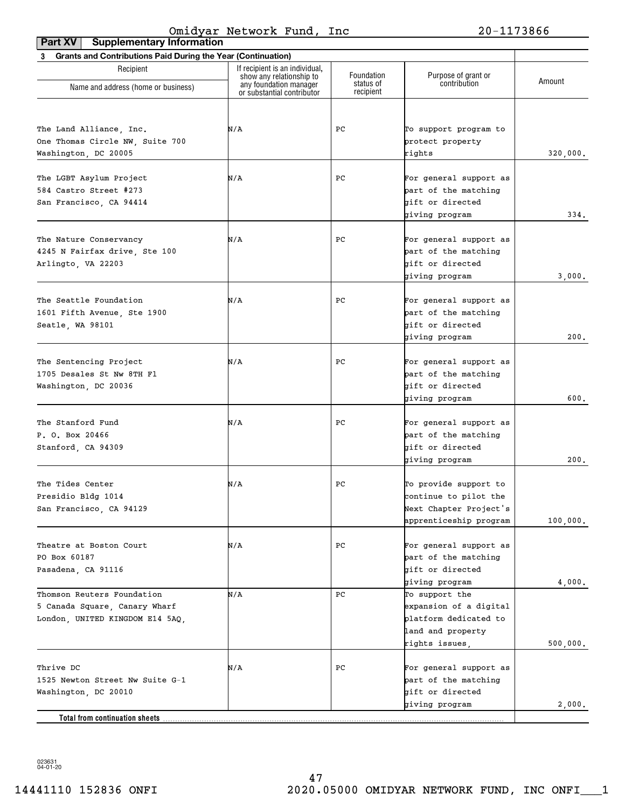| <b>Supplementary Information</b><br>Part XV                    |                                                            |                        |                                    |          |
|----------------------------------------------------------------|------------------------------------------------------------|------------------------|------------------------------------|----------|
| 3 Grants and Contributions Paid During the Year (Continuation) |                                                            |                        |                                    |          |
| Recipient                                                      | If recipient is an individual,<br>show any relationship to | Foundation             | Purpose of grant or                | Amount   |
| Name and address (home or business)                            | any foundation manager<br>or substantial contributor       | status of<br>recipient | contribution                       |          |
|                                                                |                                                            |                        |                                    |          |
| The Land Alliance, Inc.                                        | N/A                                                        | PС                     | To support program to              |          |
| One Thomas Circle NW, Suite 700                                |                                                            |                        | protect property                   |          |
| Washington, DC 20005                                           |                                                            |                        | rights                             | 320,000. |
|                                                                |                                                            |                        |                                    |          |
| The LGBT Asylum Project                                        | N/A                                                        | PC                     | For general support as             |          |
| 584 Castro Street #273                                         |                                                            |                        | part of the matching               |          |
| San Francisco, CA 94414                                        |                                                            |                        | gift or directed<br>giving program | 334.     |
|                                                                |                                                            |                        |                                    |          |
| The Nature Conservancy                                         | N/A                                                        | PС                     | For general support as             |          |
| 4245 N Fairfax drive, Ste 100                                  |                                                            |                        | part of the matching               |          |
| Arlingto, VA 22203                                             |                                                            |                        | gift or directed                   |          |
|                                                                |                                                            |                        | giving program                     | 3,000.   |
|                                                                |                                                            |                        |                                    |          |
| The Seattle Foundation                                         | N/A                                                        | PС                     | For general support as             |          |
| 1601 Fifth Avenue, Ste 1900                                    |                                                            |                        | part of the matching               |          |
| Seatle, WA 98101                                               |                                                            |                        | gift or directed                   |          |
|                                                                |                                                            |                        | giving program                     | 200.     |
|                                                                |                                                            |                        |                                    |          |
| The Sentencing Project                                         | N/A                                                        | PС                     | For general support as             |          |
| 1705 Desales St Nw 8TH Fl                                      |                                                            |                        | part of the matching               |          |
| Washington, DC 20036                                           |                                                            |                        | gift or directed                   | 600.     |
|                                                                |                                                            |                        | giving program                     |          |
| The Stanford Fund                                              | N/A                                                        | PС                     | For general support as             |          |
| P. O. Box 20466                                                |                                                            |                        | part of the matching               |          |
| Stanford, CA 94309                                             |                                                            |                        | gift or directed                   |          |
|                                                                |                                                            |                        | giving program                     | 200.     |
|                                                                |                                                            |                        |                                    |          |
| The Tides Center                                               | N/A                                                        | PС                     | To provide support to              |          |
| Presidio Bldg 1014                                             |                                                            |                        | continue to pilot the              |          |
| San Francisco, CA 94129                                        |                                                            |                        | Next Chapter Project's             |          |
|                                                                |                                                            |                        | apprenticeship program             | 100,000. |
| Theatre at Boston Court                                        | N/A                                                        | PС                     | For general support as             |          |
| PO Box 60187                                                   |                                                            |                        | part of the matching               |          |
| Pasadena, CA 91116                                             |                                                            |                        | gift or directed                   |          |
|                                                                |                                                            |                        | giving program                     | 4,000.   |
| Thomson Reuters Foundation                                     | N/A                                                        | PC                     | To support the                     |          |
| 5 Canada Square, Canary Wharf                                  |                                                            |                        | expansion of a digital             |          |
| London, UNITED KINGDOM E14 5AQ,                                |                                                            |                        | platform dedicated to              |          |
|                                                                |                                                            |                        | land and property                  |          |
|                                                                |                                                            |                        | rights issues,                     | 500,000. |
|                                                                |                                                            |                        |                                    |          |
| Thrive DC                                                      | N/A                                                        | PС                     | For general support as             |          |
| 1525 Newton Street Nw Suite G-1                                |                                                            |                        | part of the matching               |          |
| Washington, DC 20010                                           |                                                            |                        | gift or directed                   |          |
|                                                                |                                                            |                        | giving program                     | 2,000.   |
| Total from continuation sheets                                 |                                                            |                        |                                    |          |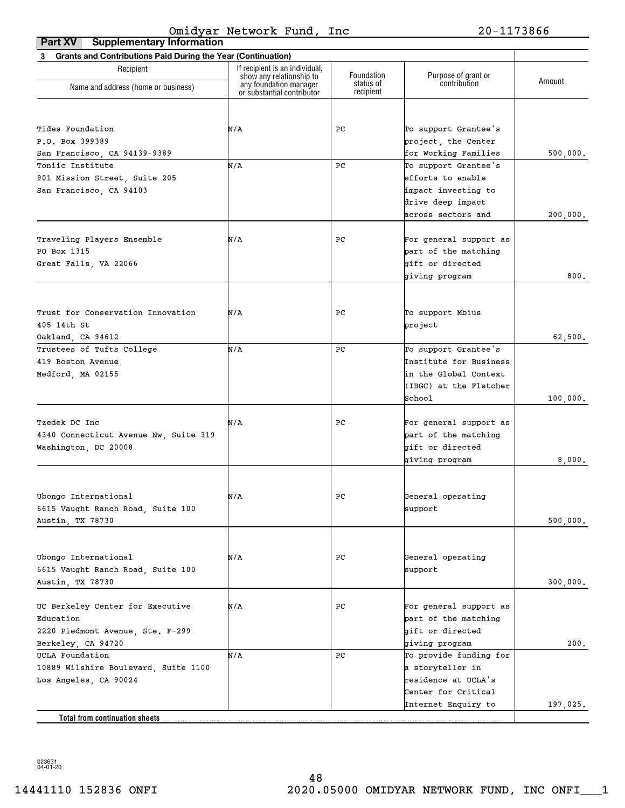| <b>Supplementary Information</b><br>Part XV                    |                                                            |                        |                        |          |
|----------------------------------------------------------------|------------------------------------------------------------|------------------------|------------------------|----------|
| 3 Grants and Contributions Paid During the Year (Continuation) |                                                            |                        |                        |          |
| Recipient                                                      | If recipient is an individual,<br>show any relationship to | Foundation             | Purpose of grant or    |          |
| Name and address (home or business)                            | any foundation manager<br>or substantial contributor       | status of<br>recipient | contribution           | Amount   |
|                                                                |                                                            |                        |                        |          |
| Tides Foundation                                               | N/A                                                        | РC                     | To support Grantee's   |          |
| P.O. Box 399389                                                |                                                            |                        | project, the Center    |          |
| San Francisco, CA 94139-9389                                   |                                                            |                        | for Working Families   | 500,000. |
| Toniic Institute                                               | N/A                                                        | PC                     | To support Grantee's   |          |
| 901 Mission Street, Suite 205                                  |                                                            |                        | efforts to enable      |          |
| San Francisco, CA 94103                                        |                                                            |                        | impact investing to    |          |
|                                                                |                                                            |                        | drive deep impact      |          |
|                                                                |                                                            |                        | across sectors and     | 200,000. |
|                                                                |                                                            |                        |                        |          |
| Traveling Players Ensemble                                     | N/A                                                        | РC                     | For general support as |          |
| PO Box 1315                                                    |                                                            |                        | part of the matching   |          |
| Great Falls, VA 22066                                          |                                                            |                        | gift or directed       |          |
|                                                                |                                                            |                        | giving program         | 800.     |
|                                                                |                                                            |                        |                        |          |
|                                                                |                                                            |                        |                        |          |
| Trust for Conservation Innovation                              | N/A                                                        | РC                     | To support Mbius       |          |
| 405 14th St                                                    |                                                            |                        | project                |          |
| Oakland, CA 94612                                              |                                                            |                        |                        | 62,500.  |
| Trustees of Tufts College                                      | N/A                                                        | PC                     | To support Grantee's   |          |
| 419 Boston Avenue                                              |                                                            |                        | Institute for Business |          |
| Medford, MA 02155                                              |                                                            |                        | in the Global Context  |          |
|                                                                |                                                            |                        | (IBGC) at the Fletcher |          |
|                                                                |                                                            |                        | School                 | 100,000. |
| Tzedek DC Inc                                                  | N/A                                                        | РC                     | For general support as |          |
|                                                                |                                                            |                        | part of the matching   |          |
| 4340 Connecticut Avenue Nw, Suite 319<br>Washington, DC 20008  |                                                            |                        | gift or directed       |          |
|                                                                |                                                            |                        | giving program         | 8,000.   |
|                                                                |                                                            |                        |                        |          |
|                                                                |                                                            |                        |                        |          |
| Ubongo International                                           | N/A                                                        | $_{\rm PC}$            | General operating      |          |
| 6615 Vaught Ranch Road, Suite 100                              |                                                            |                        | support                |          |
| Austin, TX 78730                                               |                                                            |                        |                        | 500,000. |
|                                                                |                                                            |                        |                        |          |
| Ubongo International                                           | N/A                                                        | РC                     | General operating      |          |
| 6615 Vaught Ranch Road, Suite 100                              |                                                            |                        | support                |          |
| Austin, TX 78730                                               |                                                            |                        |                        | 300,000. |
|                                                                |                                                            |                        |                        |          |
| UC Berkeley Center for Executive                               | N/A                                                        | РC                     | For general support as |          |
| Education                                                      |                                                            |                        | part of the matching   |          |
| 2220 Piedmont Avenue, Ste. F-299                               |                                                            |                        | gift or directed       |          |
| Berkeley, CA 94720                                             |                                                            |                        | giving program         | 200.     |
| UCLA Foundation                                                | N/A                                                        | PC                     | To provide funding for |          |
| 10889 Wilshire Boulevard, Suite 1100                           |                                                            |                        | a storyteller in       |          |
| Los Angeles, CA 90024                                          |                                                            |                        | residence at UCLA's    |          |
|                                                                |                                                            |                        | Center for Critical    |          |
|                                                                |                                                            |                        | Internet Enquiry to    | 197,025. |
| Total from continuation sheets.                                |                                                            |                        |                        |          |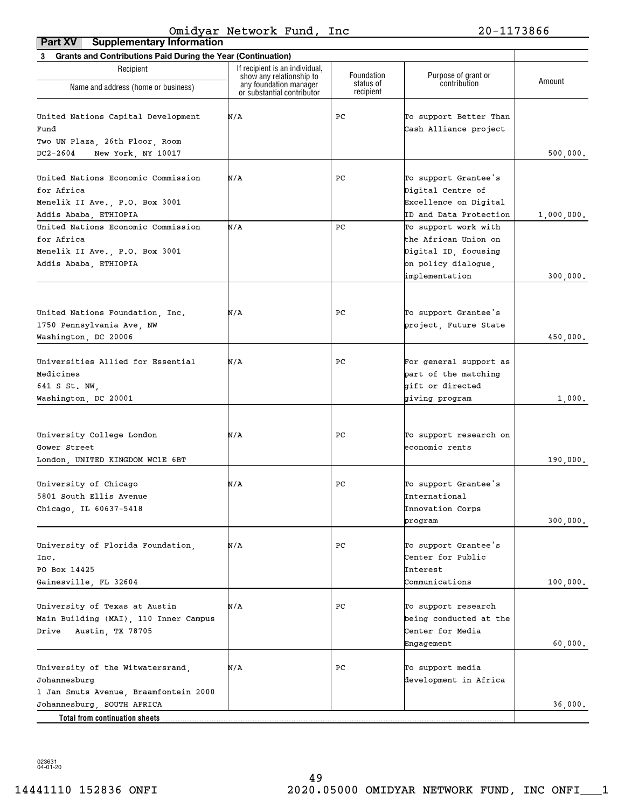| <b>Grants and Contributions Paid During the Year (Continuation)</b><br>3                                                             |                                                            |                        |                                                                                                                                         |                        |
|--------------------------------------------------------------------------------------------------------------------------------------|------------------------------------------------------------|------------------------|-----------------------------------------------------------------------------------------------------------------------------------------|------------------------|
| Recipient                                                                                                                            | If recipient is an individual,<br>show any relationship to | Foundation             | Purpose of grant or                                                                                                                     |                        |
| Name and address (home or business)                                                                                                  | any foundation manager<br>or substantial contributor       | status of<br>recipient | contribution                                                                                                                            | Amount                 |
| United Nations Capital Development<br>Fund                                                                                           | N/A                                                        | PC                     | To support Better Than<br>Cash Alliance project                                                                                         |                        |
| Two UN Plaza, 26th Floor, Room<br>$DC2 - 2604$<br>New York, NY 10017                                                                 |                                                            |                        |                                                                                                                                         | 500,000.               |
| United Nations Economic Commission<br>for Africa<br>Menelik II Ave., P.O. Box 3001                                                   | N/A                                                        | PС                     | To support Grantee's<br>Digital Centre of<br>Excellence on Digital                                                                      |                        |
| Addis Ababa, ETHIOPIA<br>United Nations Economic Commission<br>for Africa<br>Menelik II Ave., P.O. Box 3001<br>Addis Ababa, ETHIOPIA | N/A                                                        | PC                     | ID and Data Protection<br>To support work with<br>the African Union on<br>Digital ID, focusing<br>on policy dialogue,<br>implementation | 1,000,000.<br>300,000. |
| United Nations Foundation, Inc.<br>1750 Pennsylvania Ave, NW<br>Washington, DC 20006                                                 | N/A                                                        | PС                     | To support Grantee's<br>project, Future State                                                                                           | 450,000.               |
| Universities Allied for Essential<br>Medicines<br>641 S St. NW,<br>Washington, DC 20001                                              | N/A                                                        | PС                     | For general support as<br>part of the matching<br>gift or directed<br>giving program                                                    | 1,000.                 |
| University College London<br>Gower Street<br>London, UNITED KINGDOM WC1E 6BT                                                         | N/A                                                        | PС                     | To support research on<br>economic rents                                                                                                | 190,000.               |
| University of Chicago<br>5801 South Ellis Avenue<br>Chicago, IL 60637-5418                                                           | N/A                                                        | PС                     | To support Grantee's<br><b>International</b><br>Innovation Corps<br>program                                                             | 300,000.               |
| University of Florida Foundation,<br>Inc.<br>PO Box 14425<br>Gainesville, FL 32604                                                   | N/A                                                        | PС                     | To support Grantee's<br>Center for Public<br>Interest<br>Communications                                                                 | 100,000.               |
| University of Texas at Austin<br>Main Building (MAI), 110 Inner Campus<br>Austin, TX 78705<br>Drive                                  | N/A                                                        | PС                     | To support research<br>being conducted at the<br>Center for Media<br>Engagement                                                         | 60,000.                |
| University of the Witwatersrand,<br>Johannesburg<br>1 Jan Smuts Avenue, Braamfontein 2000                                            | N/A                                                        | PC                     | To support media<br>development in Africa                                                                                               |                        |
| Johannesburg, SOUTH AFRICA<br>Total from continuation sheets                                                                         |                                                            |                        |                                                                                                                                         | 36,000.                |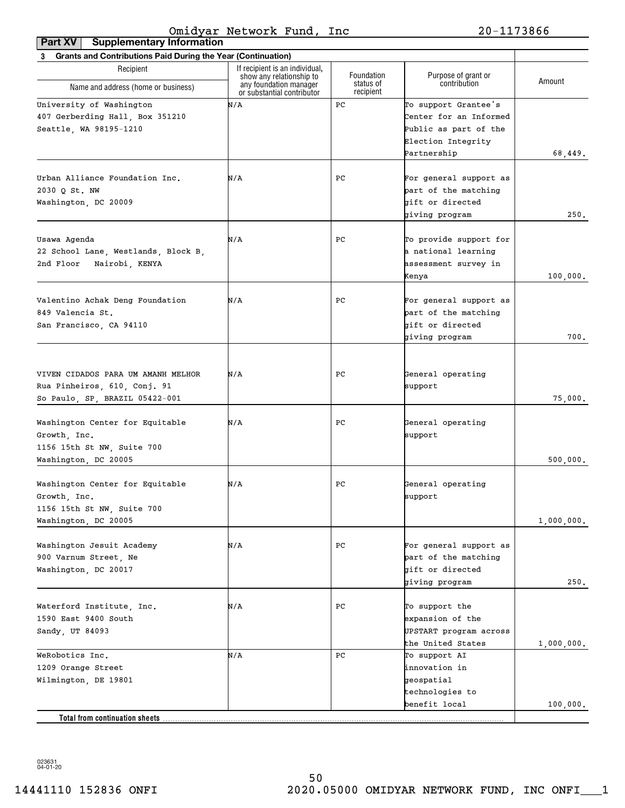| <b>Grants and Contributions Paid During the Year (Continuation)</b><br>3 |                                                                                  |                                      |                                     |            |
|--------------------------------------------------------------------------|----------------------------------------------------------------------------------|--------------------------------------|-------------------------------------|------------|
| Recipient                                                                | If recipient is an individual,                                                   |                                      |                                     |            |
| Name and address (home or business)                                      | show any relationship to<br>any foundation manager<br>or substantial contributor | Foundation<br>status of<br>recipient | Purpose of grant or<br>contribution | Amount     |
| University of Washington                                                 | N/A                                                                              | PС                                   | To support Grantee's                |            |
| 407 Gerberding Hall, Box 351210                                          |                                                                                  |                                      | Center for an Informed              |            |
| Seattle, WA 98195-1210                                                   |                                                                                  |                                      | Public as part of the               |            |
|                                                                          |                                                                                  |                                      | Election Integrity                  |            |
|                                                                          |                                                                                  |                                      | Partnership                         | 68,449.    |
|                                                                          |                                                                                  |                                      |                                     |            |
| Urban Alliance Foundation Inc.                                           | N/A                                                                              | РC                                   | For general support as              |            |
| 2030 Q St. NW                                                            |                                                                                  |                                      | part of the matching                |            |
| Washington, DC 20009                                                     |                                                                                  |                                      | gift or directed                    |            |
|                                                                          |                                                                                  |                                      | giving program                      | 250.       |
|                                                                          |                                                                                  |                                      |                                     |            |
| Usawa Agenda                                                             | N/A                                                                              | РC                                   | To provide support for              |            |
| 22 School Lane, Westlands, Block B.                                      |                                                                                  |                                      | a national learning                 |            |
| 2nd Floor<br>Nairobi, KENYA                                              |                                                                                  |                                      | assessment survey in                |            |
|                                                                          |                                                                                  |                                      | Kenya                               | 100,000.   |
|                                                                          |                                                                                  |                                      |                                     |            |
| Valentino Achak Deng Foundation                                          | N/A                                                                              | РC                                   | For general support as              |            |
| 849 Valencia St.                                                         |                                                                                  |                                      | part of the matching                |            |
| San Francisco, CA 94110                                                  |                                                                                  |                                      | gift or directed                    |            |
|                                                                          |                                                                                  |                                      | giving program                      | 700.       |
|                                                                          |                                                                                  |                                      |                                     |            |
| VIVEN CIDADOS PARA UM AMANH MELHOR                                       | N/A                                                                              | РC                                   | General operating                   |            |
| Rua Pinheiros, 610, Conj. 91                                             |                                                                                  |                                      | support                             |            |
| So Paulo, SP, BRAZIL 05422-001                                           |                                                                                  |                                      |                                     | 75,000.    |
|                                                                          |                                                                                  |                                      |                                     |            |
| Washington Center for Equitable                                          | N/A                                                                              | РC                                   | General operating                   |            |
| Growth, Inc.                                                             |                                                                                  |                                      | support                             |            |
| 1156 15th St NW, Suite 700                                               |                                                                                  |                                      |                                     |            |
| Washington, DC 20005                                                     |                                                                                  |                                      |                                     | 500,000.   |
|                                                                          |                                                                                  |                                      |                                     |            |
| Washington Center for Equitable                                          | N/A                                                                              | РC                                   | General operating                   |            |
| Growth, Inc.                                                             |                                                                                  |                                      | support                             |            |
| 1156 15th St NW, Suite 700                                               |                                                                                  |                                      |                                     |            |
| Washington, DC 20005                                                     |                                                                                  |                                      |                                     | 1,000,000. |
| Washington Jesuit Academy                                                | N/A                                                                              | PC                                   | For general support as              |            |
| 900 Varnum Street, Ne                                                    |                                                                                  |                                      | part of the matching                |            |
|                                                                          |                                                                                  |                                      | gift or directed                    |            |
| Washington, DC 20017                                                     |                                                                                  |                                      |                                     |            |
|                                                                          |                                                                                  |                                      | giving program                      | 250.       |
| Waterford Institute, Inc.                                                | N/A                                                                              | PС                                   | To support the                      |            |
| 1590 East 9400 South                                                     |                                                                                  |                                      | expansion of the                    |            |
| Sandy, UT 84093                                                          |                                                                                  |                                      | UPSTART program across              |            |
|                                                                          |                                                                                  |                                      | the United States                   | 1,000,000. |
| WeRobotics Inc.                                                          | N/A                                                                              | PС                                   | To support AI                       |            |
| 1209 Orange Street                                                       |                                                                                  |                                      | innovation in                       |            |
| Wilmington, DE 19801                                                     |                                                                                  |                                      | geospatial                          |            |
|                                                                          |                                                                                  |                                      | technologies to                     |            |
|                                                                          |                                                                                  |                                      | benefit local                       | 100,000.   |
| Total from continuation sheets                                           |                                                                                  |                                      |                                     |            |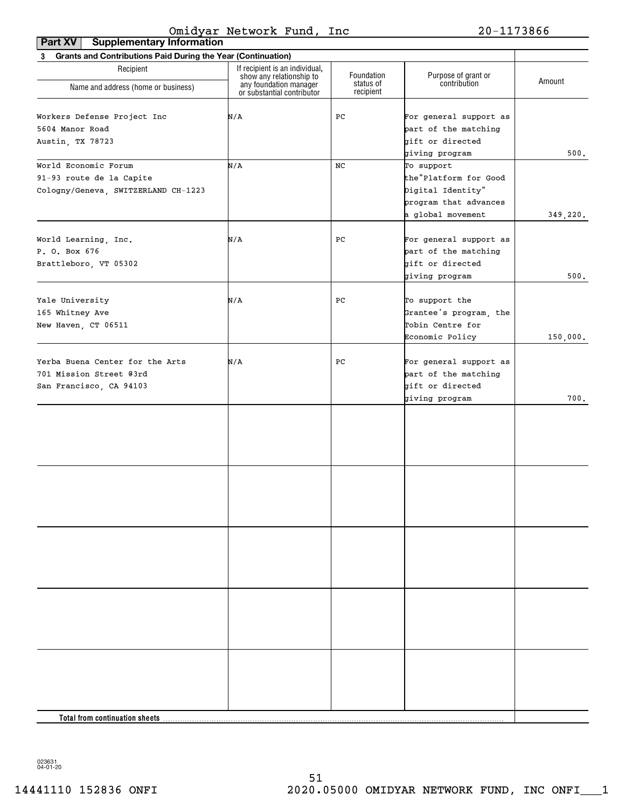| <b>Supplementary Information</b><br>Part XV                    |                                                                                      |                         |                                     |          |  |
|----------------------------------------------------------------|--------------------------------------------------------------------------------------|-------------------------|-------------------------------------|----------|--|
| 3 Grants and Contributions Paid During the Year (Continuation) |                                                                                      |                         |                                     |          |  |
| Recipient                                                      | If recipient is an individual,<br>show any relationship to<br>any foundation manager | Foundation<br>status of | Purpose of grant or<br>contribution | Amount   |  |
| Name and address (home or business)                            | or substantial contributor                                                           | recipient               |                                     |          |  |
| Workers Defense Project Inc                                    | N/A                                                                                  | PC                      | For general support as              |          |  |
| 5604 Manor Road                                                |                                                                                      |                         | part of the matching                |          |  |
|                                                                |                                                                                      |                         |                                     |          |  |
| Austin, TX 78723                                               |                                                                                      |                         | gift or directed<br>giving program  | 500.     |  |
| World Economic Forum                                           | N/A                                                                                  | NC                      | To support                          |          |  |
| 91-93 route de la Capite                                       |                                                                                      |                         | the"Platform for Good               |          |  |
| Cologny/Geneva, SWITZERLAND CH-1223                            |                                                                                      |                         | Digital Identity"                   |          |  |
|                                                                |                                                                                      |                         | program that advances               |          |  |
|                                                                |                                                                                      |                         | a global movement                   | 349,220. |  |
|                                                                |                                                                                      |                         |                                     |          |  |
| World Learning, Inc.                                           | N/A                                                                                  | PС                      | For general support as              |          |  |
| P. O. Box 676                                                  |                                                                                      |                         | part of the matching                |          |  |
| Brattleboro, VT 05302                                          |                                                                                      |                         | gift or directed                    |          |  |
|                                                                |                                                                                      |                         | giving program                      | 500.     |  |
| Yale University                                                | N/A                                                                                  | PС                      | To support the                      |          |  |
| 165 Whitney Ave                                                |                                                                                      |                         | Grantee's program, the              |          |  |
| New Haven, CT 06511                                            |                                                                                      |                         | Tobin Centre for                    |          |  |
|                                                                |                                                                                      |                         |                                     |          |  |
|                                                                |                                                                                      |                         | Economic Policy                     | 150,000. |  |
| Yerba Buena Center for the Arts                                | N/A                                                                                  | PС                      | For general support as              |          |  |
| 701 Mission Street @3rd                                        |                                                                                      |                         | part of the matching                |          |  |
| San Francisco, CA 94103                                        |                                                                                      |                         | gift or directed                    |          |  |
|                                                                |                                                                                      |                         | giving program                      | 700.     |  |
|                                                                |                                                                                      |                         |                                     |          |  |
|                                                                |                                                                                      |                         |                                     |          |  |
|                                                                |                                                                                      |                         |                                     |          |  |
|                                                                |                                                                                      |                         |                                     |          |  |
|                                                                |                                                                                      |                         |                                     |          |  |
|                                                                |                                                                                      |                         |                                     |          |  |
|                                                                |                                                                                      |                         |                                     |          |  |
|                                                                |                                                                                      |                         |                                     |          |  |
|                                                                |                                                                                      |                         |                                     |          |  |
|                                                                |                                                                                      |                         |                                     |          |  |
|                                                                |                                                                                      |                         |                                     |          |  |
|                                                                |                                                                                      |                         |                                     |          |  |
|                                                                |                                                                                      |                         |                                     |          |  |
|                                                                |                                                                                      |                         |                                     |          |  |
|                                                                |                                                                                      |                         |                                     |          |  |
|                                                                |                                                                                      |                         |                                     |          |  |
| Total from continuation sheets                                 |                                                                                      |                         |                                     |          |  |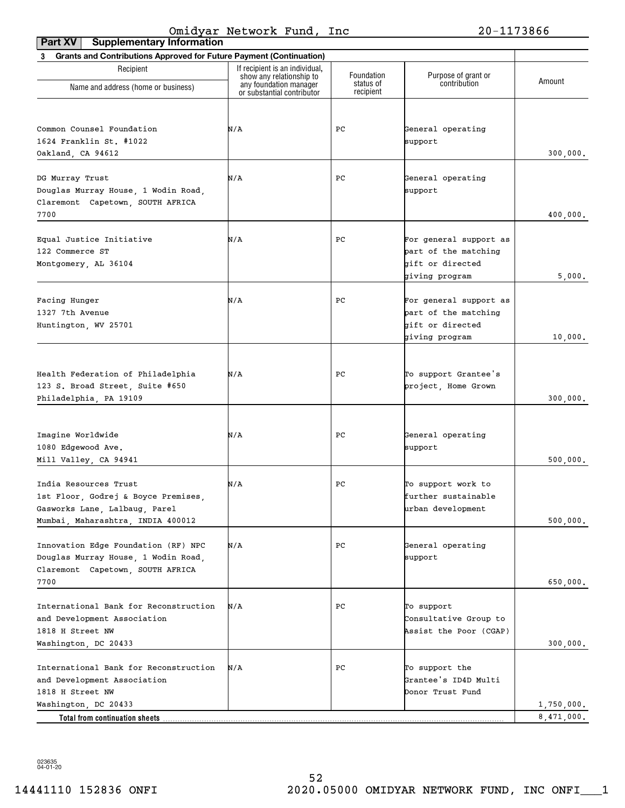| <b>Supplementary Information</b><br>Part XV                           |                                                            |                         |                                     |            |
|-----------------------------------------------------------------------|------------------------------------------------------------|-------------------------|-------------------------------------|------------|
| 3 Grants and Contributions Approved for Future Payment (Continuation) |                                                            |                         |                                     |            |
| Recipient                                                             | If recipient is an individual,<br>show any relationship to | Foundation<br>status of | Purpose of grant or<br>contribution | Amount     |
| Name and address (home or business)                                   | any foundation manager<br>or substantial contributor       | recipient               |                                     |            |
|                                                                       |                                                            |                         |                                     |            |
| Common Counsel Foundation                                             | N/A                                                        | PС                      | General operating                   |            |
| 1624 Franklin St. #1022                                               |                                                            |                         | support                             |            |
| Oakland, CA 94612                                                     |                                                            |                         |                                     | 300,000.   |
|                                                                       |                                                            |                         |                                     |            |
| DG Murray Trust                                                       | N/A                                                        | PС                      | General operating                   |            |
| Douglas Murray House, 1 Wodin Road,                                   |                                                            |                         | support                             |            |
| Claremont Capetown, SOUTH AFRICA                                      |                                                            |                         |                                     |            |
| 7700                                                                  |                                                            |                         |                                     | 400,000.   |
|                                                                       |                                                            |                         |                                     |            |
| Equal Justice Initiative                                              | N/A                                                        | PС                      | For general support as              |            |
| 122 Commerce ST                                                       |                                                            |                         | part of the matching                |            |
| Montgomery, AL 36104                                                  |                                                            |                         | gift or directed                    |            |
|                                                                       |                                                            |                         | giving program                      | 5,000.     |
|                                                                       |                                                            |                         |                                     |            |
| Facing Hunger                                                         | N/A                                                        | PС                      | For general support as              |            |
| 1327 7th Avenue                                                       |                                                            |                         | part of the matching                |            |
| Huntington, WV 25701                                                  |                                                            |                         | gift or directed                    |            |
|                                                                       |                                                            |                         | giving program                      | 10,000.    |
|                                                                       |                                                            |                         |                                     |            |
| Health Federation of Philadelphia                                     | N/A                                                        | PС                      | To support Grantee's                |            |
| 123 S. Broad Street, Suite #650                                       |                                                            |                         | project, Home Grown                 |            |
| Philadelphia, PA 19109                                                |                                                            |                         |                                     | 300,000.   |
|                                                                       |                                                            |                         |                                     |            |
|                                                                       |                                                            |                         |                                     |            |
| Imagine Worldwide                                                     | N/A                                                        | PС                      | General operating                   |            |
| 1080 Edgewood Ave.                                                    |                                                            |                         | support                             |            |
| Mill Valley, CA 94941                                                 |                                                            |                         |                                     | 500,000.   |
|                                                                       |                                                            |                         |                                     |            |
| India Resources Trust                                                 | N/A                                                        | PС                      | To support work to                  |            |
| 1st Floor, Godrej & Boyce Premises,                                   |                                                            |                         | further sustainable                 |            |
| Gasworks Lane, Lalbaug, Parel<br>Mumbai, Maharashtra, INDIA 400012    |                                                            |                         | urban development                   |            |
|                                                                       |                                                            |                         |                                     | 500,000.   |
| Innovation Edge Foundation (RF) NPC                                   | N/A                                                        | PС                      | General operating                   |            |
| Douglas Murray House, 1 Wodin Road,                                   |                                                            |                         | support                             |            |
| Claremont Capetown, SOUTH AFRICA                                      |                                                            |                         |                                     |            |
| 7700                                                                  |                                                            |                         |                                     | 650,000.   |
|                                                                       |                                                            |                         |                                     |            |
| International Bank for Reconstruction                                 | N/A                                                        | PС                      | To support                          |            |
| and Development Association                                           |                                                            |                         | Consultative Group to               |            |
| 1818 H Street NW                                                      |                                                            |                         | Assist the Poor (CGAP)              |            |
| Washington, DC 20433                                                  |                                                            |                         |                                     | 300,000.   |
|                                                                       |                                                            |                         |                                     |            |
| International Bank for Reconstruction                                 | N/A                                                        | PС                      | To support the                      |            |
| and Development Association                                           |                                                            |                         | Grantee's ID4D Multi                |            |
| 1818 H Street NW                                                      |                                                            |                         | Donor Trust Fund                    |            |
| Washington, DC 20433                                                  |                                                            |                         |                                     | 1,750,000. |
| Total from continuation sheets.                                       |                                                            |                         |                                     | 8,471,000. |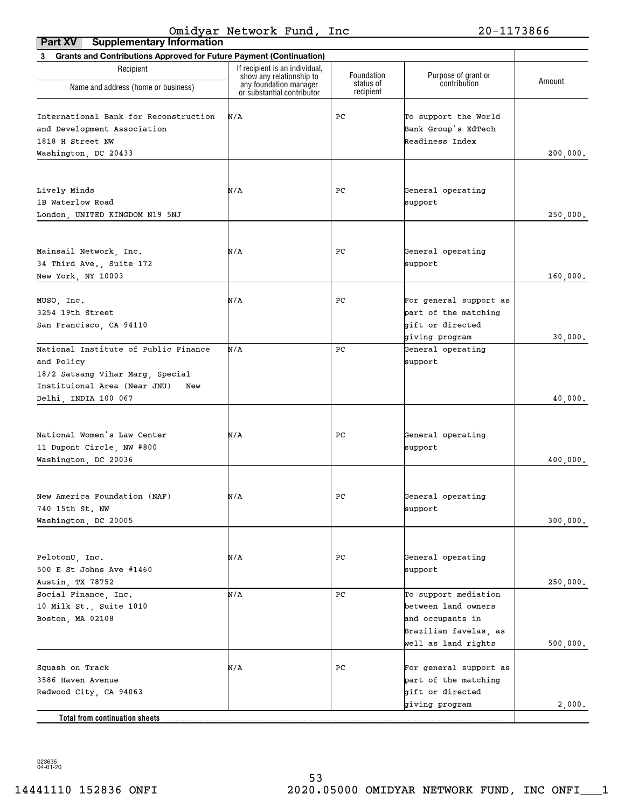| <b>Supplementary Information</b><br>Part XV                                                                                                           |                                                            |                        |                                                                                                                 |          |
|-------------------------------------------------------------------------------------------------------------------------------------------------------|------------------------------------------------------------|------------------------|-----------------------------------------------------------------------------------------------------------------|----------|
| 3 Grants and Contributions Approved for Future Payment (Continuation)                                                                                 |                                                            |                        |                                                                                                                 |          |
| Recipient                                                                                                                                             | If recipient is an individual,<br>show any relationship to | Foundation             | Purpose of grant or                                                                                             |          |
| Name and address (home or business)                                                                                                                   | any foundation manager<br>or substantial contributor       | status of<br>recipient | contribution                                                                                                    | Amount   |
| International Bank for Reconstruction<br>and Development Association<br>1818 H Street NW<br>Washington, DC 20433                                      | N/A                                                        | РC                     | To support the World<br>Bank Group's EdTech<br>Readiness Index                                                  | 200,000. |
| Lively Minds<br>1B Waterlow Road<br>London, UNITED KINGDOM N19 5NJ                                                                                    | N/A                                                        | PC                     | General operating<br>support                                                                                    | 250,000. |
| Mainsail Network, Inc.<br>34 Third Ave., Suite 172<br>New York, NY 10003                                                                              | N/A                                                        | PC                     | General operating<br>support                                                                                    | 160,000. |
| MUSO, Inc.<br>3254 19th Street<br>San Francisco, CA 94110                                                                                             | N/A                                                        | РC                     | For general support as<br>part of the matching<br>gift or directed<br>giving program                            | 30,000.  |
| National Institute of Public Finance<br>and Policy<br>18/2 Satsang Vihar Marg, Special<br>Instituional Area (Near JNU)<br>New<br>Delhi, INDIA 100 067 | N/A                                                        | PC                     | General operating<br>support                                                                                    | 40,000.  |
| National Women's Law Center<br>11 Dupont Circle, NW #800<br>Washington, DC 20036                                                                      | N/A                                                        | РC                     | General operating<br>support                                                                                    | 400,000. |
| New America Foundation (NAF)<br>740 15th St. NW<br>Washington, DC 20005                                                                               | N/A                                                        | $_{\rm PC}$            | General operating<br>support                                                                                    | 300,000. |
| PelotonU, Inc.<br>500 E St Johns Ave #1460<br>Austin, TX 78752                                                                                        | N/A                                                        | РC                     | General operating<br>support                                                                                    | 250,000. |
| Social Finance, Inc.<br>10 Milk St., Suite 1010<br>Boston, MA 02108                                                                                   | N/A                                                        | PC                     | To support mediation<br>between land owners<br>and occupants in<br>Brazilian favelas, as<br>well as land rights | 500,000. |
| Squash on Track<br>3586 Haven Avenue<br>Redwood City, CA 94063                                                                                        | N/A                                                        | РC                     | For general support as<br>part of the matching<br>gift or directed                                              |          |
| Total from continuation sheets                                                                                                                        |                                                            |                        | giving program                                                                                                  | 2,000.   |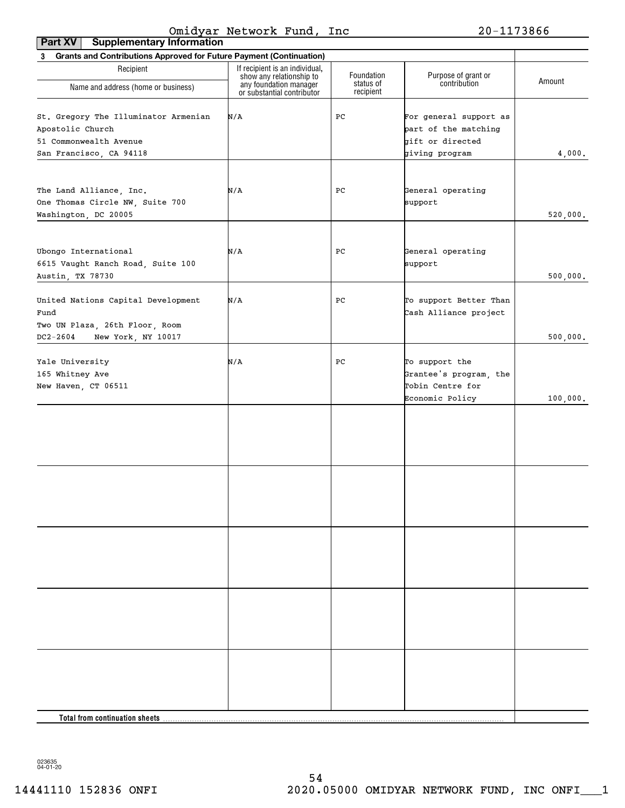| <b>Supplementary Information</b><br>Part XV                                                                   |                                                            |                         |                                                                                      |          |
|---------------------------------------------------------------------------------------------------------------|------------------------------------------------------------|-------------------------|--------------------------------------------------------------------------------------|----------|
| 3 Grants and Contributions Approved for Future Payment (Continuation)                                         |                                                            |                         |                                                                                      |          |
| Recipient                                                                                                     | If recipient is an individual,<br>show any relationship to | Foundation<br>status of | Purpose of grant or<br>contribution                                                  | Amount   |
| Name and address (home or business)                                                                           | any foundation manager<br>or substantial contributor       | recipient               |                                                                                      |          |
| St. Gregory The Illuminator Armenian<br>Apostolic Church<br>51 Commonwealth Avenue<br>San Francisco, CA 94118 | N/A                                                        | PC                      | For general support as<br>part of the matching<br>gift or directed<br>giving program | 4,000.   |
| The Land Alliance, Inc.<br>One Thomas Circle NW, Suite 700<br>Washington, DC 20005                            | N/A                                                        | PC                      | General operating<br>support                                                         | 520,000. |
| Ubongo International<br>6615 Vaught Ranch Road, Suite 100<br>Austin, TX 78730                                 | N/A                                                        | PC                      | General operating<br>support                                                         | 500,000. |
| United Nations Capital Development<br>Fund<br>Two UN Plaza, 26th Floor, Room                                  | N/A                                                        | PC                      | To support Better Than<br>Cash Alliance project                                      |          |
| $DC2 - 2604$<br>New York, NY 10017                                                                            |                                                            |                         |                                                                                      | 500,000. |
| Yale University<br>165 Whitney Ave<br>New Haven, CT 06511                                                     | N/A                                                        | PC                      | To support the<br>Grantee's program, the<br>Tobin Centre for<br>Economic Policy      | 100,000. |
|                                                                                                               |                                                            |                         |                                                                                      |          |
|                                                                                                               |                                                            |                         |                                                                                      |          |
|                                                                                                               |                                                            |                         |                                                                                      |          |
|                                                                                                               |                                                            |                         |                                                                                      |          |
|                                                                                                               |                                                            |                         |                                                                                      |          |
| Total from continuation sheets.                                                                               |                                                            |                         |                                                                                      |          |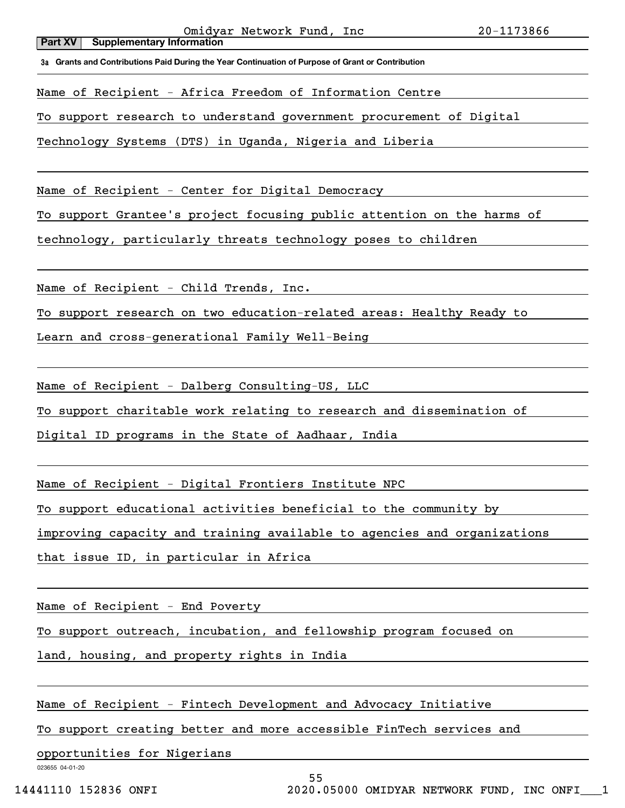Name of Recipient - Africa Freedom of Information Centre

To support research to understand government procurement of Digital

Technology Systems (DTS) in Uganda, Nigeria and Liberia

Name of Recipient - Center for Digital Democracy

To support Grantee's project focusing public attention on the harms of

technology, particularly threats technology poses to children

Name of Recipient - Child Trends, Inc.

To support research on two education-related areas: Healthy Ready to

Learn and cross-generational Family Well-Being

Name of Recipient - Dalberg Consulting-US, LLC

To support charitable work relating to research and dissemination of

Digital ID programs in the State of Aadhaar, India

Name of Recipient - Digital Frontiers Institute NPC

To support educational activities beneficial to the community by

improving capacity and training available to agencies and organizations

that issue ID, in particular in Africa

Name of Recipient - End Poverty

To support outreach, incubation, and fellowship program focused on

land, housing, and property rights in India

Name of Recipient - Fintech Development and Advocacy Initiative

To support creating better and more accessible FinTech services and

opportunities for Nigerians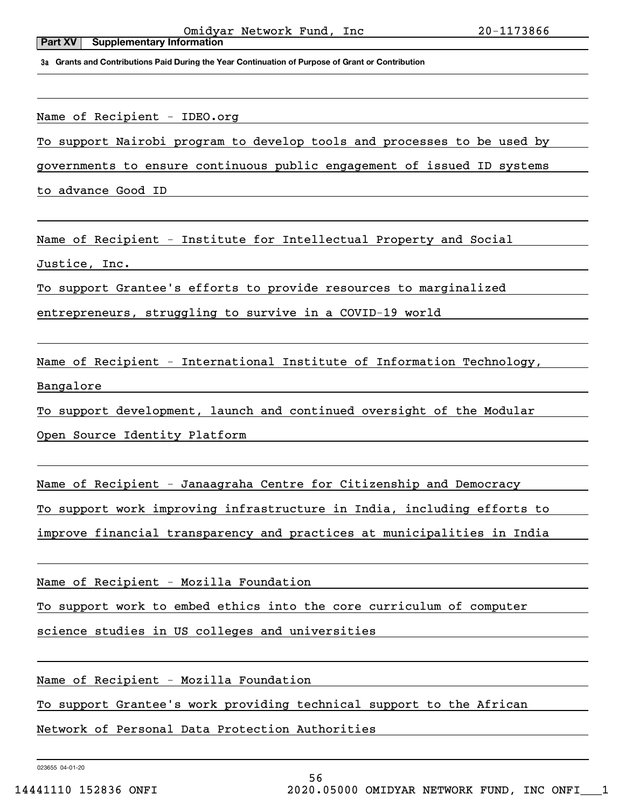Name of Recipient - IDEO.org

To support Nairobi program to develop tools and processes to be used by

governments to ensure continuous public engagement of issued ID systems

to advance Good ID

Name of Recipient - Institute for Intellectual Property and Social

Justice, Inc.

To support Grantee's efforts to provide resources to marginalized

entrepreneurs, struggling to survive in a COVID-19 world

Name of Recipient - International Institute of Information Technology,

Bangalore

To support development, launch and continued oversight of the Modular

Open Source Identity Platform

Name of Recipient - Janaagraha Centre for Citizenship and Democracy

To support work improving infrastructure in India, including efforts to

improve financial transparency and practices at municipalities in India

Name of Recipient - Mozilla Foundation

To support work to embed ethics into the core curriculum of computer

science studies in US colleges and universities

Name of Recipient - Mozilla Foundation

To support Grantee's work providing technical support to the African

Network of Personal Data Protection Authorities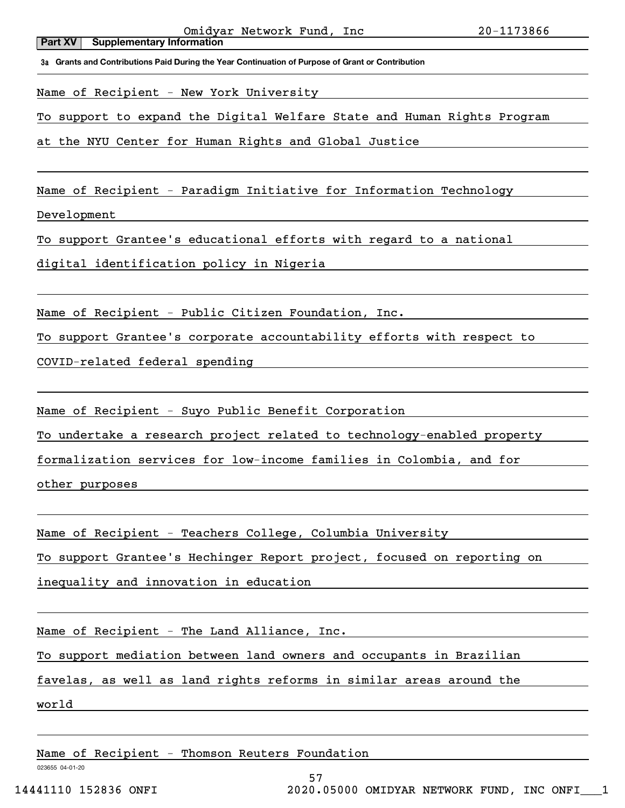Name of Recipient - New York University

To support to expand the Digital Welfare State and Human Rights Program

at the NYU Center for Human Rights and Global Hustice

Name of Recipient - Paradigm Initiative for Information Technology

Development

To support Grantee's educational efforts with regard to a national

digital identification policy in Nigeria

Name of Recipient - Public Citizen Foundation, Inc.

To support Grantee's corporate accountability efforts with respect to

COVID-related federal spending

Name of Recipient - Suyo Public Benefit Corporation

To undertake a research project related to technology-enabled property

formalization services for low-income families in Colombia, and for

other purposes

Name of Recipient - Teachers College, Columbia University

To support Grantee's Hechinger Report project, focused on reporting on

inequality and innovation in education

Name of Recipient - The Land Alliance, Inc.

To support mediation between land owners and occupants in Brazilian

favelas, as well as land rights reforms in similar areas around the

world

Name of Recipient - Thomson Reuters Foundation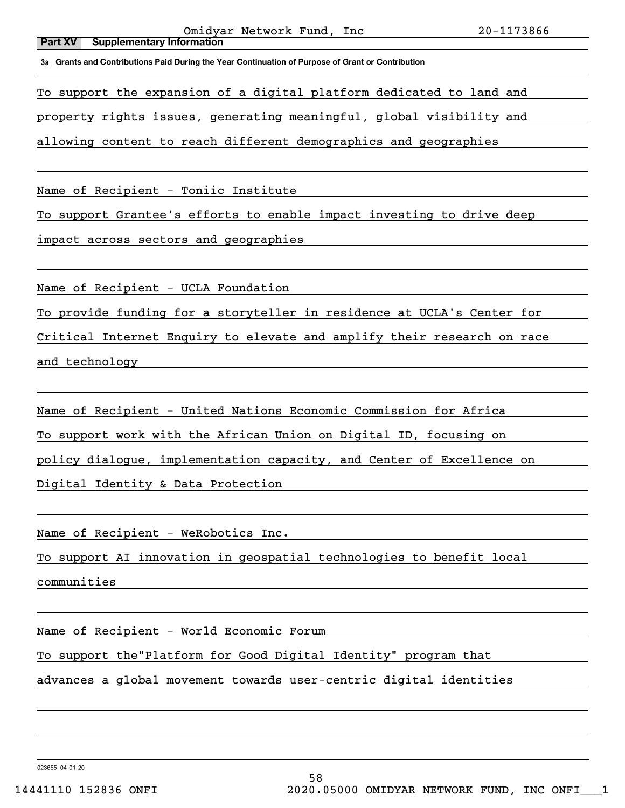To support the expansion of a digital platform dedicated to land and

property rights issues, generating meaningful, global visibility and

allowing content to reach different demographics and geographies

Name of Recipient - Toniic Institute

To support Grantee's efforts to enable impact investing to drive deep

impact across sectors and geographies

Name of Recipient - UCLA Foundation

To provide funding for a storyteller in residence at UCLA's Center for

Critical Internet Enquiry to elevate and amplify their research on race

and technology

Name of Recipient - United Nations Economic Commission for Africa

To support work with the African Union on Digital ID, focusing on

policy dialogue, implementation capacity, and Center of Excellence on

Digital Identity & Data Protection

Name of Recipient - WeRobotics Inc.

To support AI innovation in geospatial technologies to benefit local

communities

Name of Recipient - World Economic Forum

To support the"Platform for Good Digital Identity" program that

advances a global movement towards user-centric digital identities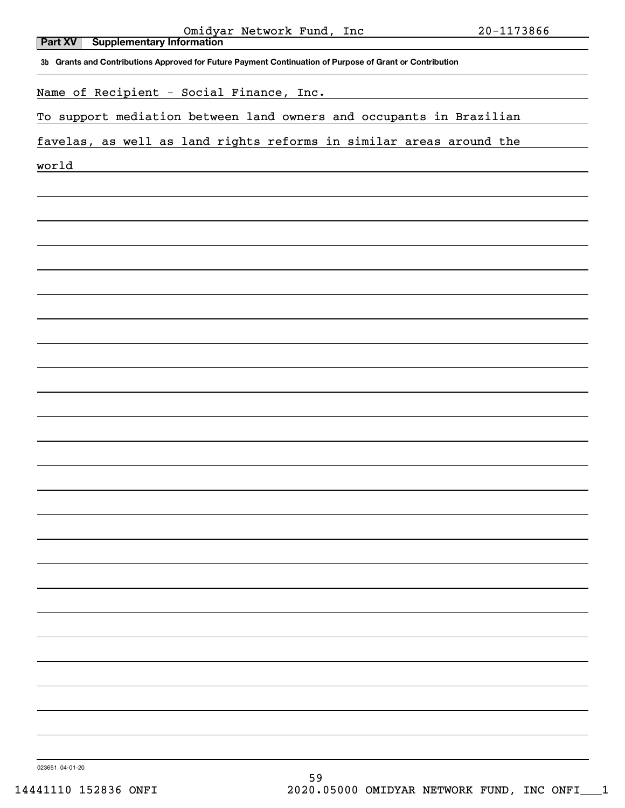|                                                                                                          | 20-1173866 |
|----------------------------------------------------------------------------------------------------------|------------|
| Omidyar Network Fund, Inc<br>Supplementary Information<br>Part XV                                        |            |
| 3b Grants and Contributions Approved for Future Payment Continuation of Purpose of Grant or Contribution |            |
| Name of Recipient - Social Finance, Inc.                                                                 |            |
| To support mediation between land owners and occupants in Brazilian                                      |            |
| favelas, as well as land rights reforms in similar areas around the                                      |            |
| world                                                                                                    |            |
|                                                                                                          |            |
|                                                                                                          |            |
|                                                                                                          |            |
|                                                                                                          |            |
|                                                                                                          |            |
|                                                                                                          |            |
|                                                                                                          |            |
|                                                                                                          |            |
|                                                                                                          |            |
|                                                                                                          |            |
|                                                                                                          |            |
|                                                                                                          |            |
|                                                                                                          |            |
|                                                                                                          |            |
|                                                                                                          |            |
|                                                                                                          |            |
|                                                                                                          |            |
|                                                                                                          |            |
|                                                                                                          |            |
|                                                                                                          |            |
|                                                                                                          |            |
|                                                                                                          |            |
|                                                                                                          |            |

023651 04-01-20

 $\overline{\phantom{a}}$ 

 $\overline{\phantom{a}}$ 

 $\overline{\phantom{a}}$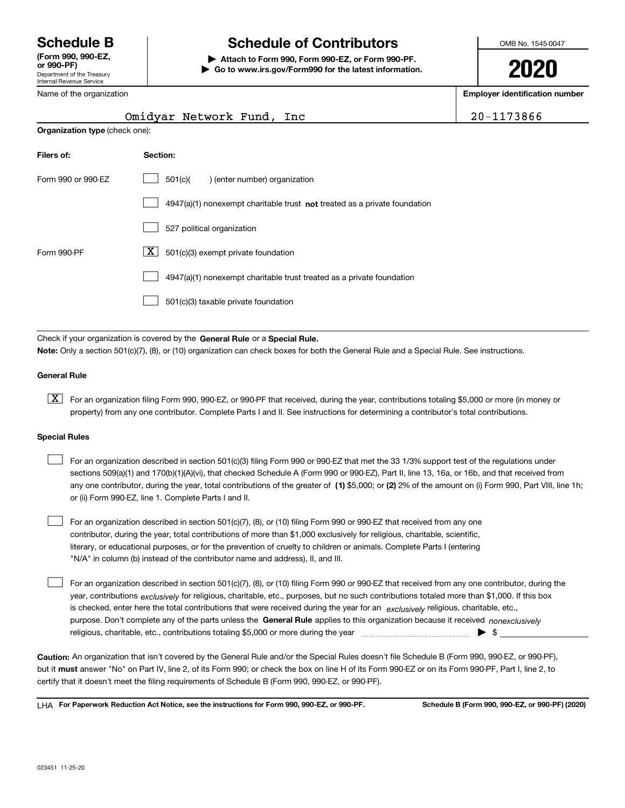Department of the Treasury Internal Revenue Service (Form 990, 990-EZ,

# Schedule B The Schedule of Contributors

Attach to Form 990, Form 990-EZ, or Form 990-PF. | Go to www.irs.gov/Form990 for the latest information. OMB No. 1545-0047

2020

Employer identification number

| 20-1173866 |  |
|------------|--|
|------------|--|

| Name of the organization |
|--------------------------|
|--------------------------|

| <b>Organization type (check one):</b>                                     |  |  |  |  |
|---------------------------------------------------------------------------|--|--|--|--|
| Section:                                                                  |  |  |  |  |
| 501(c)<br>) (enter number) organization                                   |  |  |  |  |
| 4947(a)(1) nonexempt charitable trust not treated as a private foundation |  |  |  |  |
| 527 political organization                                                |  |  |  |  |
| ΧI<br>501(c)(3) exempt private foundation                                 |  |  |  |  |
| 4947(a)(1) nonexempt charitable trust treated as a private foundation     |  |  |  |  |
| 501(c)(3) taxable private foundation                                      |  |  |  |  |
|                                                                           |  |  |  |  |

Omidyar Network Fund, Inc

Check if your organization is covered by the General Rule or a Special Rule. Note: Only a section 501(c)(7), (8), or (10) organization can check boxes for both the General Rule and a Special Rule. See instructions.

### General Rule

[X] For an organization filing Form 990, 990-EZ, or 990-PF that received, during the year, contributions totaling \$5,000 or more (in money or property) from any one contributor. Complete Parts I and II. See instructions for determining a contributor's total contributions.

#### Special Rules

| For an organization described in section 501(c)(3) filing Form 990 or 990-EZ that met the 33 1/3% support test of the regulations under               |
|-------------------------------------------------------------------------------------------------------------------------------------------------------|
| sections 509(a)(1) and 170(b)(1)(A)(vi), that checked Schedule A (Form 990 or 990-EZ), Part II, line 13, 16a, or 16b, and that received from          |
| any one contributor, during the year, total contributions of the greater of (1) \$5,000; or (2) 2% of the amount on (i) Form 990, Part VIII, line 1h; |
| or (ii) Form 990-EZ, line 1. Complete Parts I and II.                                                                                                 |

For an organization described in section 501(c)(7), (8), or (10) filing Form 990 or 990-EZ that received from any one contributor, during the year, total contributions of more than \$1,000 exclusively for religious, charitable, scientific, literary, or educational purposes, or for the prevention of cruelty to children or animals. Complete Parts I (entering "N/A" in column (b) instead of the contributor name and address), II, and III.  $\begin{array}{c} \hline \end{array}$ 

purpose. Don't complete any of the parts unless the General Rule applies to this organization because it received nonexclusively year, contributions <sub>exclusively</sub> for religious, charitable, etc., purposes, but no such contributions totaled more than \$1,000. If this box is checked, enter here the total contributions that were received during the year for an exclusively religious, charitable, etc., For an organization described in section 501(c)(7), (8), or (10) filing Form 990 or 990-EZ that received from any one contributor, during the religious, charitable, etc., contributions totaling \$5,000 or more during the year  $\Box$ — $\Box$   $\Box$  $\begin{array}{c} \hline \end{array}$ 

Caution: An organization that isn't covered by the General Rule and/or the Special Rules doesn't file Schedule B (Form 990, 990-EZ, or 990-PF), but it **must** answer "No" on Part IV, line 2, of its Form 990; or check the box on line H of its Form 990-EZ or on its Form 990-PF, Part I, line 2, to certify that it doesn't meet the filing requirements of Schedule B (Form 990, 990-EZ, or 990-PF).

LHA For Paperwork Reduction Act Notice, see the instructions for Form 990, 990-EZ, or 990-PF. Schedule B (Form 990, 990-EZ, or 990-PF) (2020)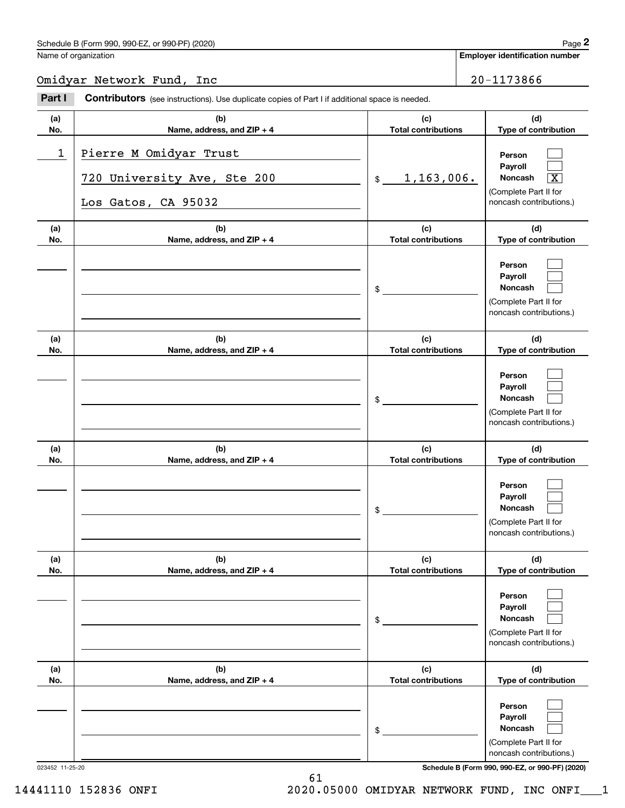Employer identification number

## Omidyar Network Fund, Inc 20-1173866

| Part I          | <b>Contributors</b> (see instructions). Use duplicate copies of Part I if additional space is needed. |                                   |                                                                                                                                     |
|-----------------|-------------------------------------------------------------------------------------------------------|-----------------------------------|-------------------------------------------------------------------------------------------------------------------------------------|
| (a)<br>No.      | (b)<br>Name, address, and ZIP + 4                                                                     | (c)<br><b>Total contributions</b> | (d)<br>Type of contribution                                                                                                         |
| 1               | Pierre M Omidyar Trust<br>720 University Ave, Ste 200<br>Los Gatos, CA 95032                          | 1, 163, 006.<br>$\frac{1}{2}$     | Person<br>Payroll<br>Noncash<br>$\overline{\text{X}}$<br>(Complete Part II for<br>noncash contributions.)                           |
| (a)<br>No.      | (b)<br>Name, address, and ZIP + 4                                                                     | (c)<br><b>Total contributions</b> | (d)<br>Type of contribution                                                                                                         |
|                 |                                                                                                       | \$                                | Person<br>Payroll<br>Noncash<br>(Complete Part II for<br>noncash contributions.)                                                    |
| (a)<br>No.      | (b)<br>Name, address, and ZIP + 4                                                                     | (c)<br><b>Total contributions</b> | (d)<br>Type of contribution                                                                                                         |
|                 |                                                                                                       | \$                                | Person<br>Payroll<br>Noncash<br>(Complete Part II for<br>noncash contributions.)                                                    |
| (a)<br>No.      | (b)<br>Name, address, and ZIP + 4                                                                     | (c)<br><b>Total contributions</b> | (d)<br>Type of contribution                                                                                                         |
|                 |                                                                                                       | \$                                | Person<br>Payroll<br>Noncash<br>(Complete Part II for<br>noncash contributions.)                                                    |
| (a)<br>No.      | (b)<br>Name, address, and ZIP + 4                                                                     | (c)<br><b>Total contributions</b> | (d)<br>Type of contribution                                                                                                         |
|                 |                                                                                                       | \$                                | Person<br>Payroll<br>Noncash<br>(Complete Part II for<br>noncash contributions.)                                                    |
| (a)<br>No.      | (b)<br>Name, address, and ZIP + 4                                                                     | (c)<br><b>Total contributions</b> | (d)<br>Type of contribution                                                                                                         |
| 023452 11-25-20 |                                                                                                       | \$                                | Person<br>Payroll<br>Noncash<br>(Complete Part II for<br>noncash contributions.)<br>Schedule B (Form 990, 990-EZ, or 990-PF) (2020) |

14441110 152836 ONFI 2020.05000 OMIDYAR NETWORK FUND, INC ONFI\_\_\_1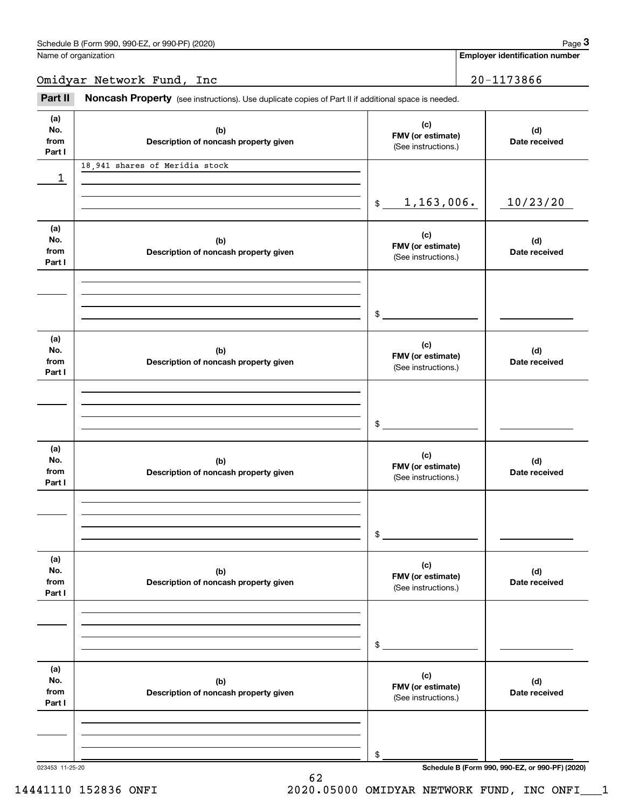Name of organization

Employer identification number

Omidyar Network Fund, Inc 20-1173866

Part II Noncash Property (see instructions). Use duplicate copies of Part II if additional space is needed.

| (a)<br>No.<br>from<br>Part I | (b)<br>Description of noncash property given | (c)<br>FMV (or estimate)<br>(See instructions.) | (d)<br>Date received                            |
|------------------------------|----------------------------------------------|-------------------------------------------------|-------------------------------------------------|
|                              | 18,941 shares of Meridia stock               |                                                 |                                                 |
| 1                            |                                              |                                                 |                                                 |
|                              |                                              |                                                 |                                                 |
|                              |                                              | 1,163,006.<br>$\frac{1}{2}$                     | 10/23/20                                        |
| (a)                          |                                              |                                                 |                                                 |
| No.                          | (b)                                          | (c)                                             | (d)                                             |
| from                         | Description of noncash property given        | FMV (or estimate)                               | Date received                                   |
| Part I                       |                                              | (See instructions.)                             |                                                 |
|                              |                                              |                                                 |                                                 |
|                              |                                              |                                                 |                                                 |
|                              |                                              |                                                 |                                                 |
|                              |                                              | $\frac{1}{2}$                                   |                                                 |
| (a)                          |                                              |                                                 |                                                 |
| No.                          | (b)                                          | (c)<br>FMV (or estimate)                        | (d)                                             |
| from                         | Description of noncash property given        | (See instructions.)                             | Date received                                   |
| Part I                       |                                              |                                                 |                                                 |
|                              |                                              |                                                 |                                                 |
|                              |                                              |                                                 |                                                 |
|                              |                                              | $\mathsf{\$}$                                   |                                                 |
|                              |                                              |                                                 |                                                 |
| (a)                          |                                              | (c)                                             |                                                 |
| No.                          | (b)                                          | FMV (or estimate)                               | (d)                                             |
| from<br>Part I               | Description of noncash property given        | (See instructions.)                             | Date received                                   |
|                              |                                              |                                                 |                                                 |
|                              |                                              |                                                 |                                                 |
|                              |                                              |                                                 |                                                 |
|                              |                                              | \$                                              |                                                 |
|                              |                                              |                                                 |                                                 |
| (a)<br>No.                   | (b)                                          | (c)                                             |                                                 |
| from                         | Description of noncash property given        | FMV (or estimate)                               | (d)<br>Date received                            |
| Part I                       |                                              | (See instructions.)                             |                                                 |
|                              |                                              |                                                 |                                                 |
|                              |                                              |                                                 |                                                 |
|                              |                                              |                                                 |                                                 |
|                              |                                              | \$                                              |                                                 |
| (a)                          |                                              |                                                 |                                                 |
| No.                          | (b)                                          | (c)                                             | (d)                                             |
| from                         | Description of noncash property given        | FMV (or estimate)<br>(See instructions.)        | Date received                                   |
| Part I                       |                                              |                                                 |                                                 |
|                              |                                              |                                                 |                                                 |
|                              |                                              |                                                 |                                                 |
|                              |                                              | \$                                              |                                                 |
| 023453 11-25-20              |                                              |                                                 | Schedule B (Form 990, 990-EZ, or 990-PF) (2020) |

62

14441110 152836 ONFI 2020.05000 OMIDYAR NETWORK FUND, INC ONFI\_\_\_1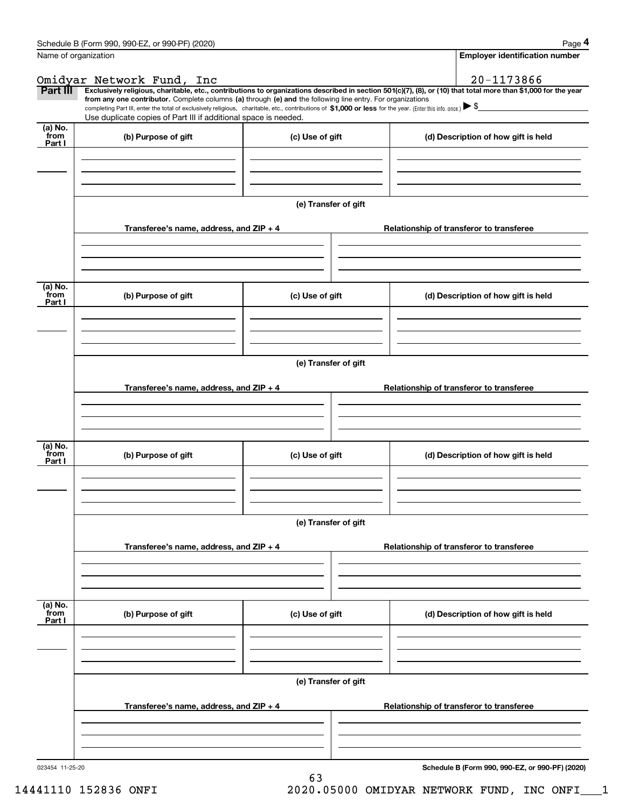|                           | Name of organization                                                                                                                                                                                                                                                                                                                                                                                                                                                                                                             |                      |                                          | <b>Employer identification number</b>    |  |  |  |  |  |
|---------------------------|----------------------------------------------------------------------------------------------------------------------------------------------------------------------------------------------------------------------------------------------------------------------------------------------------------------------------------------------------------------------------------------------------------------------------------------------------------------------------------------------------------------------------------|----------------------|------------------------------------------|------------------------------------------|--|--|--|--|--|
|                           | Omidyar Network Fund, Inc                                                                                                                                                                                                                                                                                                                                                                                                                                                                                                        |                      |                                          | 20-1173866                               |  |  |  |  |  |
| Part III                  | Exclusively religious, charitable, etc., contributions to organizations described in section 501(c)(7), (8), or (10) that total more than \$1,000 for the year<br>from any one contributor. Complete columns (a) through (e) and the following line entry. For organizations<br>completing Part III, enter the total of exclusively religious, charitable, etc., contributions of $$1,000$ or less for the year. (Enter this info. once.) $\triangleright$ \$<br>Use duplicate copies of Part III if additional space is needed. |                      |                                          |                                          |  |  |  |  |  |
| (a) No.<br>from<br>Part I | (b) Purpose of gift                                                                                                                                                                                                                                                                                                                                                                                                                                                                                                              | (c) Use of gift      |                                          | (d) Description of how gift is held      |  |  |  |  |  |
|                           |                                                                                                                                                                                                                                                                                                                                                                                                                                                                                                                                  |                      |                                          |                                          |  |  |  |  |  |
|                           |                                                                                                                                                                                                                                                                                                                                                                                                                                                                                                                                  | (e) Transfer of gift |                                          |                                          |  |  |  |  |  |
|                           | Transferee's name, address, and ZIP + 4                                                                                                                                                                                                                                                                                                                                                                                                                                                                                          |                      | Relationship of transferor to transferee |                                          |  |  |  |  |  |
| $(a)$ No.                 |                                                                                                                                                                                                                                                                                                                                                                                                                                                                                                                                  |                      |                                          |                                          |  |  |  |  |  |
| from<br>Part I            | (b) Purpose of gift                                                                                                                                                                                                                                                                                                                                                                                                                                                                                                              | (c) Use of gift      |                                          | (d) Description of how gift is held      |  |  |  |  |  |
|                           |                                                                                                                                                                                                                                                                                                                                                                                                                                                                                                                                  |                      |                                          |                                          |  |  |  |  |  |
|                           | Transferee's name, address, and ZIP + 4                                                                                                                                                                                                                                                                                                                                                                                                                                                                                          | (e) Transfer of gift |                                          | Relationship of transferor to transferee |  |  |  |  |  |
|                           |                                                                                                                                                                                                                                                                                                                                                                                                                                                                                                                                  |                      |                                          |                                          |  |  |  |  |  |
|                           |                                                                                                                                                                                                                                                                                                                                                                                                                                                                                                                                  |                      |                                          |                                          |  |  |  |  |  |
| (a) No.<br>from<br>Part I | (b) Purpose of gift                                                                                                                                                                                                                                                                                                                                                                                                                                                                                                              | (c) Use of gift      |                                          | (d) Description of how gift is held      |  |  |  |  |  |
|                           |                                                                                                                                                                                                                                                                                                                                                                                                                                                                                                                                  |                      |                                          |                                          |  |  |  |  |  |
|                           |                                                                                                                                                                                                                                                                                                                                                                                                                                                                                                                                  | (e) Transfer of gift |                                          |                                          |  |  |  |  |  |
|                           | Transferee's name, address, and $ZIP + 4$                                                                                                                                                                                                                                                                                                                                                                                                                                                                                        |                      |                                          | Relationship of transferor to transferee |  |  |  |  |  |
|                           |                                                                                                                                                                                                                                                                                                                                                                                                                                                                                                                                  |                      |                                          |                                          |  |  |  |  |  |
| (a) No.<br>from<br>Part I | (b) Purpose of gift                                                                                                                                                                                                                                                                                                                                                                                                                                                                                                              | (c) Use of gift      |                                          | (d) Description of how gift is held      |  |  |  |  |  |
|                           |                                                                                                                                                                                                                                                                                                                                                                                                                                                                                                                                  |                      |                                          |                                          |  |  |  |  |  |
|                           | (e) Transfer of gift                                                                                                                                                                                                                                                                                                                                                                                                                                                                                                             |                      |                                          |                                          |  |  |  |  |  |
|                           | Transferee's name, address, and $ZIP + 4$                                                                                                                                                                                                                                                                                                                                                                                                                                                                                        |                      |                                          | Relationship of transferor to transferee |  |  |  |  |  |
|                           |                                                                                                                                                                                                                                                                                                                                                                                                                                                                                                                                  |                      |                                          |                                          |  |  |  |  |  |
|                           |                                                                                                                                                                                                                                                                                                                                                                                                                                                                                                                                  |                      |                                          |                                          |  |  |  |  |  |

63

Schedule B (Form 990, 990-EZ, or 990-PF) (2020)

14441110 152836 ONFI 2020.05000 OMIDYAR NETWORK FUND, INC ONFI\_\_\_1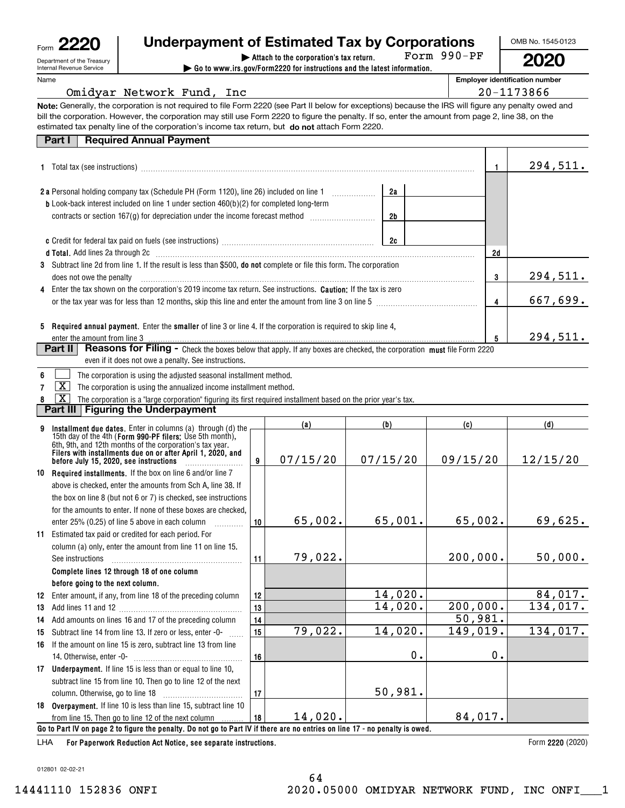| Form |                                                        |
|------|--------------------------------------------------------|
|      | Department of the Treasury<br>Internal Revenue Service |

# $\mathsf{F}_{\mathsf{orm}}$  2220  $\parallel$  Underpayment of Estimated Tax by Corporations  $\parallel$  OMB No. 1545-0123

Form 990-PF

2020

| Attach to the corporation's tax return. | Go to www.irs.gov/Form2220 for instructions and the latest information.

Employer identification number

| 20-1173866<br>Omidyar Network Fund, Inc. |  |  |  |  |  |  |
|------------------------------------------|--|--|--|--|--|--|
|------------------------------------------|--|--|--|--|--|--|

Note: Generally, the corporation is not required to file Form 2220 (see Part II below for exceptions) because the IRS will figure any penalty owed and estimated tax penalty line of the corporation's income tax return, but do not attach Form 2220. bill the corporation. However, the corporation may still use Form 2220 to figure the penalty. If so, enter the amount from page 2, line 38, on the

| Part I   Required Annual Payment |
|----------------------------------|

|                                                                                                                                                                                                                                   |    |    | 294,511. |
|-----------------------------------------------------------------------------------------------------------------------------------------------------------------------------------------------------------------------------------|----|----|----------|
| 2 a Personal holding company tax (Schedule PH (Form 1120), line 26) included on line 1                                                                                                                                            | 2a |    |          |
| <b>b</b> Look-back interest included on line 1 under section 460(b)(2) for completed long-term<br>contracts or section $167(g)$ for depreciation under the income forecast method                                                 | 2b |    |          |
|                                                                                                                                                                                                                                   | 2c |    |          |
| <b>d Total.</b> Add lines 2a through 2c                                                                                                                                                                                           |    | 2d |          |
| 3 Subtract line 2d from line 1. If the result is less than \$500, do not complete or file this form. The corporation<br>does not owe the penalty                                                                                  |    | 3  | 294,511. |
| 4 Enter the tax shown on the corporation's 2019 income tax return. See instructions. <b>Caution:</b> If the tax is zero<br>or the tax year was for less than 12 months, skip this line and enter the amount from line 3 on line 5 |    | 4  | 667,699. |
| <b>Required annual payment.</b> Enter the <b>smaller</b> of line 3 or line 4. If the corporation is required to skip line 4,<br>5                                                                                                 |    |    |          |
|                                                                                                                                                                                                                                   |    | 5  | 294,511. |
| <b>Reasons for Filing -</b> Check the boxes below that apply. If any boxes are checked, the corporation must file Form 2220<br>Part II<br>even if it does not owe a penalty. See instructions.                                    |    |    |          |
| The corporation is using the adjusted seasonal installment method.                                                                                                                                                                |    |    |          |
| х<br>The corporation is using the annualized income installment method.                                                                                                                                                           |    |    |          |
| x<br>The corporation is a "large corporation" figuring its first required installment based on the prior year's tax.                                                                                                              |    |    |          |

8 **Part III Figuring the Underpayment** 

|    | Installment due dates. Enter in columns (a) through (d) the                                                                  |    | (a)      | (b)      | (c)      | (d)      |  |  |  |
|----|------------------------------------------------------------------------------------------------------------------------------|----|----------|----------|----------|----------|--|--|--|
|    | 15th day of the 4th (Form 990-PF filers: Use 5th month),                                                                     |    |          |          |          |          |  |  |  |
|    | 6th, 9th, and 12th months of the corporation's tax year.<br>Filers with installments due on or after April 1, 2020, and      |    |          |          |          |          |  |  |  |
|    | before July 15, 2020, see instructions                                                                                       | 9  | 07/15/20 | 07/15/20 | 09/15/20 | 12/15/20 |  |  |  |
|    | 10 Required installments. If the box on line 6 and/or line 7                                                                 |    |          |          |          |          |  |  |  |
|    | above is checked, enter the amounts from Sch A, line 38. If                                                                  |    |          |          |          |          |  |  |  |
|    | the box on line 8 (but not 6 or 7) is checked, see instructions                                                              |    |          |          |          |          |  |  |  |
|    | for the amounts to enter. If none of these boxes are checked.                                                                |    |          |          |          |          |  |  |  |
|    | enter 25% (0.25) of line 5 above in each column                                                                              | 10 | 65,002.  | 65,001.  | 65,002.  | 69,625.  |  |  |  |
| 11 | Estimated tax paid or credited for each period. For                                                                          |    |          |          |          |          |  |  |  |
|    | column (a) only, enter the amount from line 11 on line 15.                                                                   |    |          |          |          |          |  |  |  |
|    | See instructions                                                                                                             | 11 | 79,022.  |          | 200,000. | 50,000.  |  |  |  |
|    | Complete lines 12 through 18 of one column                                                                                   |    |          |          |          |          |  |  |  |
|    | before going to the next column.                                                                                             |    |          |          |          |          |  |  |  |
| 12 | Enter amount, if any, from line 18 of the preceding column                                                                   | 12 |          | 14,020.  |          | 84,017.  |  |  |  |
| 13 |                                                                                                                              | 13 |          | 14,020.  | 200,000. | 134,017. |  |  |  |
| 14 | Add amounts on lines 16 and 17 of the preceding column                                                                       | 14 |          |          | 50,981.  |          |  |  |  |
| 15 | Subtract line 14 from line 13. If zero or less, enter -0-                                                                    | 15 | 79,022.  | 14,020.  | 149,019. | 134,017. |  |  |  |
| 16 | If the amount on line 15 is zero, subtract line 13 from line                                                                 |    |          |          |          |          |  |  |  |
|    | 14. Otherwise, enter -0-                                                                                                     | 16 |          | 0.       | 0.       |          |  |  |  |
| 17 | <b>Underpayment.</b> If line 15 is less than or equal to line 10,                                                            |    |          |          |          |          |  |  |  |
|    | subtract line 15 from line 10. Then go to line 12 of the next                                                                |    |          |          |          |          |  |  |  |
|    |                                                                                                                              | 17 |          | 50,981.  |          |          |  |  |  |
|    | 18 Overpayment. If line 10 is less than line 15, subtract line 10                                                            |    |          |          |          |          |  |  |  |
|    | from line 15. Then go to line 12 of the next column                                                                          | 18 | 14,020.  |          | 84,017.  |          |  |  |  |
|    | Go to Part IV on page 2 to figure the penalty. Do not go to Part IV if there are no entries on line 17 - no penalty is owed. |    |          |          |          |          |  |  |  |
|    | the Article Contractor of the district Article Contractor and the Contractor of                                              |    |          |          |          |          |  |  |  |

For Paperwork Reduction Act Notice, see separate instructions. LHA

Form 2220 (2020)

012801 02-02-21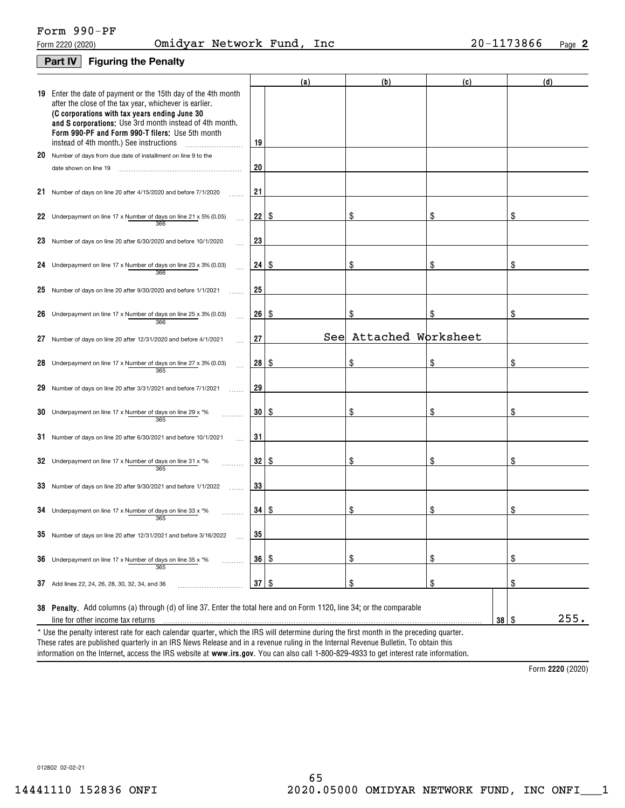# Form 990-PF

## **Part IV** Figuring the Penalty

| <b>19</b> Enter the date of payment or the 15th day of the 4th month<br>after the close of the tax year, whichever is earlier.<br>(C corporations with tax years ending June 30<br>and S corporations; Use 3rd month instead of 4th month.<br>Form 990-PF and Form 990-T filers; Use 5th month<br>instead of 4th month.) See instructions<br>19<br>20 Number of days from due date of installment on line 9 to the<br>20<br>date shown on line 19<br>21<br>21<br>Number of days on line 20 after 4/15/2020 and before 7/1/2020<br>22<br>\$<br>\$<br>\$<br>S<br>22 Underpayment on line 17 x Number of days on line 21 x 5% (0.05)<br>366<br>23<br>23 Number of days on line 20 after 6/30/2020 and before 10/1/2020<br>24 Underpayment on line 17 x Number of days on line 23 x 3% (0.03)<br>24<br>\$<br>\$<br>8<br>S<br>366<br>25<br>25 Number of days on line 20 after 9/30/2020 and before 1/1/2021<br>26<br>\$<br>\$<br>\$<br>S<br>26 Underpayment on line 17 x Number of days on line $25 \times 3\%$ (0.03)<br>366<br>See Attached Worksheet<br>27<br>27<br>Number of days on line 20 after 12/31/2020 and before 4/1/2021<br>28 <sup>2</sup><br>  \$<br>S<br>\$<br>S<br>28 Underpayment on line 17 x Number of days on line 27 x 3% (0.03)<br>365<br>29<br>29<br>Number of days on line 20 after 3/31/2021 and before 7/1/2021<br>30<br>8<br>\$<br>\$<br>S<br>30 Underpayment on line 17 x Number of days on line 29 x *%<br>365<br>31<br>31<br>Number of days on line 20 after 6/30/2021 and before 10/1/2021<br>32<br>\$<br>8<br>\$<br>S<br>32 Underpayment on line 17 x Number of days on line 31 x $*$ %<br>365<br>33<br>33 Number of days on line 20 after 9/30/2021 and before 1/1/2022<br>34 <sup>2</sup><br>8<br>\$<br>\$<br>S<br>34 Underpayment on line 17 x Number of days on line 33 x $*$ %<br>365<br>35<br>35 Number of days on line 20 after 12/31/2021 and before 3/16/2022 |  | (a) | (b) | (c)  | (d) |  |
|----------------------------------------------------------------------------------------------------------------------------------------------------------------------------------------------------------------------------------------------------------------------------------------------------------------------------------------------------------------------------------------------------------------------------------------------------------------------------------------------------------------------------------------------------------------------------------------------------------------------------------------------------------------------------------------------------------------------------------------------------------------------------------------------------------------------------------------------------------------------------------------------------------------------------------------------------------------------------------------------------------------------------------------------------------------------------------------------------------------------------------------------------------------------------------------------------------------------------------------------------------------------------------------------------------------------------------------------------------------------------------------------------------------------------------------------------------------------------------------------------------------------------------------------------------------------------------------------------------------------------------------------------------------------------------------------------------------------------------------------------------------------------------------------------------------------------------------------------------------------------------------------------|--|-----|-----|------|-----|--|
|                                                                                                                                                                                                                                                                                                                                                                                                                                                                                                                                                                                                                                                                                                                                                                                                                                                                                                                                                                                                                                                                                                                                                                                                                                                                                                                                                                                                                                                                                                                                                                                                                                                                                                                                                                                                                                                                                                    |  |     |     |      |     |  |
|                                                                                                                                                                                                                                                                                                                                                                                                                                                                                                                                                                                                                                                                                                                                                                                                                                                                                                                                                                                                                                                                                                                                                                                                                                                                                                                                                                                                                                                                                                                                                                                                                                                                                                                                                                                                                                                                                                    |  |     |     |      |     |  |
|                                                                                                                                                                                                                                                                                                                                                                                                                                                                                                                                                                                                                                                                                                                                                                                                                                                                                                                                                                                                                                                                                                                                                                                                                                                                                                                                                                                                                                                                                                                                                                                                                                                                                                                                                                                                                                                                                                    |  |     |     |      |     |  |
|                                                                                                                                                                                                                                                                                                                                                                                                                                                                                                                                                                                                                                                                                                                                                                                                                                                                                                                                                                                                                                                                                                                                                                                                                                                                                                                                                                                                                                                                                                                                                                                                                                                                                                                                                                                                                                                                                                    |  |     |     |      |     |  |
|                                                                                                                                                                                                                                                                                                                                                                                                                                                                                                                                                                                                                                                                                                                                                                                                                                                                                                                                                                                                                                                                                                                                                                                                                                                                                                                                                                                                                                                                                                                                                                                                                                                                                                                                                                                                                                                                                                    |  |     |     |      |     |  |
|                                                                                                                                                                                                                                                                                                                                                                                                                                                                                                                                                                                                                                                                                                                                                                                                                                                                                                                                                                                                                                                                                                                                                                                                                                                                                                                                                                                                                                                                                                                                                                                                                                                                                                                                                                                                                                                                                                    |  |     |     |      |     |  |
|                                                                                                                                                                                                                                                                                                                                                                                                                                                                                                                                                                                                                                                                                                                                                                                                                                                                                                                                                                                                                                                                                                                                                                                                                                                                                                                                                                                                                                                                                                                                                                                                                                                                                                                                                                                                                                                                                                    |  |     |     |      |     |  |
|                                                                                                                                                                                                                                                                                                                                                                                                                                                                                                                                                                                                                                                                                                                                                                                                                                                                                                                                                                                                                                                                                                                                                                                                                                                                                                                                                                                                                                                                                                                                                                                                                                                                                                                                                                                                                                                                                                    |  |     |     |      |     |  |
|                                                                                                                                                                                                                                                                                                                                                                                                                                                                                                                                                                                                                                                                                                                                                                                                                                                                                                                                                                                                                                                                                                                                                                                                                                                                                                                                                                                                                                                                                                                                                                                                                                                                                                                                                                                                                                                                                                    |  |     |     |      |     |  |
|                                                                                                                                                                                                                                                                                                                                                                                                                                                                                                                                                                                                                                                                                                                                                                                                                                                                                                                                                                                                                                                                                                                                                                                                                                                                                                                                                                                                                                                                                                                                                                                                                                                                                                                                                                                                                                                                                                    |  |     |     |      |     |  |
|                                                                                                                                                                                                                                                                                                                                                                                                                                                                                                                                                                                                                                                                                                                                                                                                                                                                                                                                                                                                                                                                                                                                                                                                                                                                                                                                                                                                                                                                                                                                                                                                                                                                                                                                                                                                                                                                                                    |  |     |     |      |     |  |
|                                                                                                                                                                                                                                                                                                                                                                                                                                                                                                                                                                                                                                                                                                                                                                                                                                                                                                                                                                                                                                                                                                                                                                                                                                                                                                                                                                                                                                                                                                                                                                                                                                                                                                                                                                                                                                                                                                    |  |     |     |      |     |  |
|                                                                                                                                                                                                                                                                                                                                                                                                                                                                                                                                                                                                                                                                                                                                                                                                                                                                                                                                                                                                                                                                                                                                                                                                                                                                                                                                                                                                                                                                                                                                                                                                                                                                                                                                                                                                                                                                                                    |  |     |     |      |     |  |
|                                                                                                                                                                                                                                                                                                                                                                                                                                                                                                                                                                                                                                                                                                                                                                                                                                                                                                                                                                                                                                                                                                                                                                                                                                                                                                                                                                                                                                                                                                                                                                                                                                                                                                                                                                                                                                                                                                    |  |     |     |      |     |  |
|                                                                                                                                                                                                                                                                                                                                                                                                                                                                                                                                                                                                                                                                                                                                                                                                                                                                                                                                                                                                                                                                                                                                                                                                                                                                                                                                                                                                                                                                                                                                                                                                                                                                                                                                                                                                                                                                                                    |  |     |     |      |     |  |
|                                                                                                                                                                                                                                                                                                                                                                                                                                                                                                                                                                                                                                                                                                                                                                                                                                                                                                                                                                                                                                                                                                                                                                                                                                                                                                                                                                                                                                                                                                                                                                                                                                                                                                                                                                                                                                                                                                    |  |     |     |      |     |  |
|                                                                                                                                                                                                                                                                                                                                                                                                                                                                                                                                                                                                                                                                                                                                                                                                                                                                                                                                                                                                                                                                                                                                                                                                                                                                                                                                                                                                                                                                                                                                                                                                                                                                                                                                                                                                                                                                                                    |  |     |     |      |     |  |
| $\frac{1}{2}$<br>36<br>  \$<br>\$<br>\$<br>36<br>Underpayment on line 17 x Number of days on line 35 x *%<br>.<br>365                                                                                                                                                                                                                                                                                                                                                                                                                                                                                                                                                                                                                                                                                                                                                                                                                                                                                                                                                                                                                                                                                                                                                                                                                                                                                                                                                                                                                                                                                                                                                                                                                                                                                                                                                                              |  |     |     |      |     |  |
| \$<br>\$<br>$37 \mid$ \$<br>\$<br>37 Add lines 22, 24, 26, 28, 30, 32, 34, and 36                                                                                                                                                                                                                                                                                                                                                                                                                                                                                                                                                                                                                                                                                                                                                                                                                                                                                                                                                                                                                                                                                                                                                                                                                                                                                                                                                                                                                                                                                                                                                                                                                                                                                                                                                                                                                  |  |     |     |      |     |  |
| 38 Penalty. Add columns (a) through (d) of line 37. Enter the total here and on Form 1120, line 34; or the comparable<br>$38$ \ $\frac{6}{3}$<br>line for other income tax returns<br>* Use the penalty interest rate for each calendar quarter, which the IRS will determine during the first month in the preceding quarter.                                                                                                                                                                                                                                                                                                                                                                                                                                                                                                                                                                                                                                                                                                                                                                                                                                                                                                                                                                                                                                                                                                                                                                                                                                                                                                                                                                                                                                                                                                                                                                     |  |     |     | 255. |     |  |

information on the Internet, access the IRS website at **www.irs.gov**. You can also call 1-800-829-4933 to get interest rate information. These rates are published quarterly in an IRS News Release and in a revenue ruling in the Internal Revenue Bulletin. To obtain this

Form 2220 (2020)

012802 02-02-21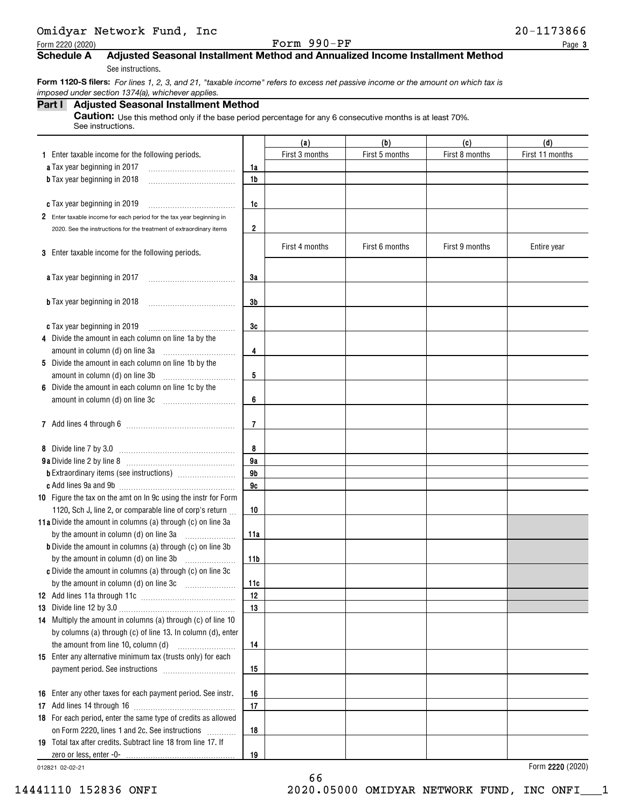|                                                  | Omidyar Network Fund, Inc |  |
|--------------------------------------------------|---------------------------|--|
| $\sim$ $\sim$ $\sim$ $\sim$ $\sim$ $\sim$ $\sim$ |                           |  |

Form  $2220 (2020)$  Page

### Schedule A Adjusted Seasonal Installment Method and Annualized Income Installment Method

See instructions.

Form 1120-S filers: For lines 1, 2, 3, and 21, "taxable income" refers to excess net passive income or the amount on which tax is imposed under section 1374(a), whichever applies.

## Part I Adjusted Seasonal Installment Method

Caution: Use this method only if the base period percentage for any 6 consecutive months is at least 70%. See instructions.

|                                                                      |                | (a)            | (b)            | (c)            | (d)             |
|----------------------------------------------------------------------|----------------|----------------|----------------|----------------|-----------------|
| 1 Enter taxable income for the following periods.                    |                | First 3 months | First 5 months | First 8 months | First 11 months |
| a Tax year beginning in 2017                                         | 1a             |                |                |                |                 |
| <b>b</b> Tax year beginning in 2018                                  | 1 <sub>b</sub> |                |                |                |                 |
|                                                                      |                |                |                |                |                 |
| c Tax year beginning in 2019                                         | 1c             |                |                |                |                 |
| 2 Enter taxable income for each period for the tax year beginning in |                |                |                |                |                 |
| 2020. See the instructions for the treatment of extraordinary items  | 2              |                |                |                |                 |
|                                                                      |                | First 4 months | First 6 months | First 9 months | Entire year     |
| 3 Enter taxable income for the following periods.                    |                |                |                |                |                 |
|                                                                      |                |                |                |                |                 |
| a Tax year beginning in 2017                                         | 3a             |                |                |                |                 |
|                                                                      |                |                |                |                |                 |
| <b>b</b> Tax year beginning in 2018                                  | 3b             |                |                |                |                 |
|                                                                      |                |                |                |                |                 |
| c Tax year beginning in 2019                                         | 3c             |                |                |                |                 |
| 4 Divide the amount in each column on line 1a by the                 |                |                |                |                |                 |
| amount in column (d) on line 3a                                      | 4              |                |                |                |                 |
| 5 Divide the amount in each column on line 1b by the                 |                |                |                |                |                 |
| amount in column (d) on line 3b                                      | 5              |                |                |                |                 |
| 6 Divide the amount in each column on line 1c by the                 |                |                |                |                |                 |
| amount in column (d) on line 3c                                      | 6              |                |                |                |                 |
|                                                                      |                |                |                |                |                 |
|                                                                      | 7              |                |                |                |                 |
| 8 Divide line 7 by 3.0                                               | 8              |                |                |                |                 |
|                                                                      | 9a             |                |                |                |                 |
|                                                                      | 9b             |                |                |                |                 |
|                                                                      | 9c             |                |                |                |                 |
| 10 Figure the tax on the amt on In 9c using the instr for Form       |                |                |                |                |                 |
| 1120, Sch J, line 2, or comparable line of corp's return             | 10             |                |                |                |                 |
| 11a Divide the amount in columns (a) through (c) on line 3a          |                |                |                |                |                 |
| by the amount in column (d) on line 3a                               | 11a            |                |                |                |                 |
| <b>b</b> Divide the amount in columns (a) through (c) on line 3b     |                |                |                |                |                 |
| by the amount in column (d) on line 3b                               | 11b            |                |                |                |                 |
| c Divide the amount in columns (a) through (c) on line 3c            |                |                |                |                |                 |
|                                                                      | 11c            |                |                |                |                 |
|                                                                      | 12             |                |                |                |                 |
|                                                                      | 13             |                |                |                |                 |
| 14 Multiply the amount in columns (a) through (c) of line 10         |                |                |                |                |                 |
| by columns (a) through (c) of line 13. In column (d), enter          |                |                |                |                |                 |
| the amount from line 10, column (d)                                  | 14             |                |                |                |                 |
| 15 Enter any alternative minimum tax (trusts only) for each          |                |                |                |                |                 |
|                                                                      | 15             |                |                |                |                 |
|                                                                      |                |                |                |                |                 |
| 16 Enter any other taxes for each payment period. See instr.         | 16             |                |                |                |                 |
|                                                                      | 17             |                |                |                |                 |
| 18 For each period, enter the same type of credits as allowed        |                |                |                |                |                 |
| on Form 2220, lines 1 and 2c. See instructions                       | 18             |                |                |                |                 |
| 19 Total tax after credits. Subtract line 18 from line 17. If        |                |                |                |                |                 |
|                                                                      | 19             |                |                |                |                 |

66

012821 02-02-21

Form **2220** (2020)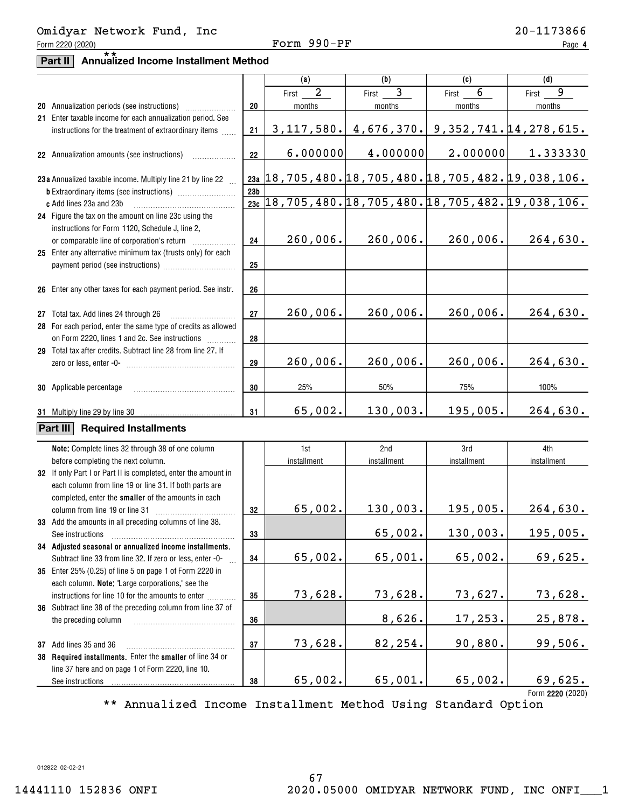## Form  $2220 (2020)$  Page Omidyar Network Fund, Inc 20-1173866

# **Part II** Annualized Income Installment Method

|                                                                                                               |                 | (a)                     | (b)                                                                  | (c)                                     | (d)                                                         |
|---------------------------------------------------------------------------------------------------------------|-----------------|-------------------------|----------------------------------------------------------------------|-----------------------------------------|-------------------------------------------------------------|
|                                                                                                               |                 | $\overline{2}$<br>First | $\overline{3}$<br>First                                              | 6<br>First                              | 9<br>First                                                  |
|                                                                                                               | 20              | months                  | months                                                               | months                                  | months                                                      |
| 21 Enter taxable income for each annualization period. See                                                    |                 |                         |                                                                      |                                         |                                                             |
| instructions for the treatment of extraordinary items                                                         | 21              | 3, 117, 580.            |                                                                      | $4,676,370.$ 9, 352, 741. 14, 278, 615. |                                                             |
| 22 Annualization amounts (see instructions)                                                                   | 22              | 6.000000                | 4.000000                                                             | 2.000000                                | 1.333330                                                    |
|                                                                                                               |                 |                         | <u>23a   18, 705, 480. 18, 705, 480. 18, 705, 482. 19, 038, 106.</u> |                                         |                                                             |
| 23a Annualized taxable income. Multiply line 21 by line 22                                                    | 23 <sub>b</sub> |                         |                                                                      |                                         |                                                             |
| c Add lines 23a and 23b                                                                                       |                 |                         |                                                                      |                                         | 23c 18, 705, 480. 18, 705, 480. 18, 705, 482. 19, 038, 106. |
| 24 Figure the tax on the amount on line 23c using the                                                         |                 |                         |                                                                      |                                         |                                                             |
| instructions for Form 1120, Schedule J, line 2,                                                               |                 |                         |                                                                      |                                         |                                                             |
|                                                                                                               | 24              | 260,006.                | 260,006.                                                             | 260,006.                                | 264,630.                                                    |
| 25 Enter any alternative minimum tax (trusts only) for each                                                   |                 |                         |                                                                      |                                         |                                                             |
|                                                                                                               | 25              |                         |                                                                      |                                         |                                                             |
|                                                                                                               |                 |                         |                                                                      |                                         |                                                             |
| 26 Enter any other taxes for each payment period. See instr.                                                  | 26              |                         |                                                                      |                                         |                                                             |
|                                                                                                               |                 |                         |                                                                      |                                         |                                                             |
| 27 Total tax. Add lines 24 through 26                                                                         | 27              | 260,006.                | 260,006.                                                             | 260,006.                                | 264,630.                                                    |
| 28 For each period, enter the same type of credits as allowed                                                 |                 |                         |                                                                      |                                         |                                                             |
| on Form 2220, lines 1 and 2c. See instructions                                                                | 28              |                         |                                                                      |                                         |                                                             |
| 29 Total tax after credits. Subtract line 28 from line 27. If                                                 |                 |                         |                                                                      |                                         |                                                             |
|                                                                                                               | 29              | 260,006.                | 260,006.                                                             | 260,006.                                | 264,630.                                                    |
| <b>30</b> Applicable percentage                                                                               | 30              | 25%                     | 50%                                                                  | 75%                                     | 100%                                                        |
|                                                                                                               |                 |                         |                                                                      |                                         |                                                             |
| 31 Multiply line 29 by line 30                                                                                | 31              | 65,002.                 | 130,003.                                                             | 195,005.                                | 264,630.                                                    |
| Part III<br><b>Required Installments</b>                                                                      |                 |                         |                                                                      |                                         |                                                             |
|                                                                                                               |                 |                         |                                                                      |                                         |                                                             |
| Note: Complete lines 32 through 38 of one column                                                              |                 | 1st                     | 2nd                                                                  | 3rd                                     | 4th                                                         |
| before completing the next column.                                                                            |                 | installment             | installment                                                          | installment                             | installment                                                 |
| 32 If only Part I or Part II is completed, enter the amount in                                                |                 |                         |                                                                      |                                         |                                                             |
| each column from line 19 or line 31. If both parts are<br>completed, enter the smaller of the amounts in each |                 |                         |                                                                      |                                         |                                                             |
| column from line 19 or line 31                                                                                | 32              | 65,002.                 | 130,003.                                                             | 195,005.                                | 264,630.                                                    |
| 33 Add the amounts in all preceding columns of line 38.                                                       |                 |                         |                                                                      |                                         |                                                             |
| See instructions                                                                                              | 33              |                         | 65,002.                                                              | 130,003.                                | 195,005.                                                    |
| 34 Adjusted seasonal or annualized income installments.                                                       |                 |                         |                                                                      |                                         |                                                             |
| Subtract line 33 from line 32. If zero or less, enter -0-                                                     | 34              | 65,002.                 | 65,001.                                                              | 65,002.                                 | 69,625.                                                     |
| 35 Enter 25% (0.25) of line 5 on page 1 of Form 2220 in                                                       |                 |                         |                                                                      |                                         |                                                             |
| each column. Note: "Large corporations," see the                                                              |                 |                         |                                                                      |                                         |                                                             |
| instructions for line 10 for the amounts to enter                                                             | 35              | 73,628.                 | 73,628.                                                              | 73,627.                                 | 73,628.                                                     |
| 36 Subtract line 38 of the preceding column from line 37 of                                                   |                 |                         |                                                                      |                                         |                                                             |
| the preceding column                                                                                          | 36              |                         | 8,626.                                                               | 17,253.                                 | 25,878.                                                     |
| 37 Add lines 35 and 36                                                                                        | 37              | 73,628.                 | 82,254.                                                              | 90,880.                                 | 99,506.                                                     |
| 38 Required installments. Enter the smaller of line 34 or                                                     |                 |                         |                                                                      |                                         |                                                             |
| line 37 here and on page 1 of Form 2220, line 10.                                                             |                 |                         |                                                                      |                                         |                                                             |
| See instructions                                                                                              | 38              | 65,002.                 | 65,001.                                                              | 65,002.                                 | 69,625.                                                     |
|                                                                                                               |                 |                         |                                                                      |                                         | Form 2220 (2020)                                            |

\*\* Annualized Income Installment Method Using Standard Option

012822 02-02-21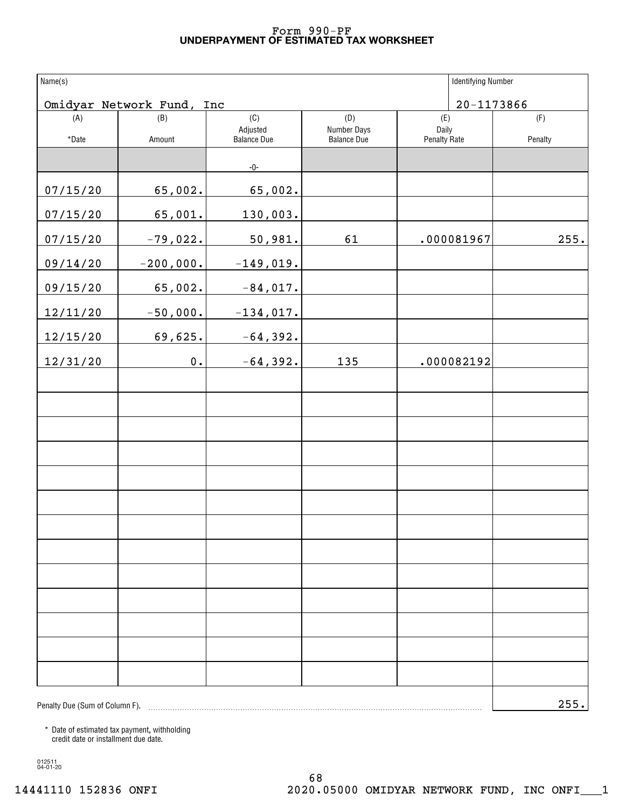#### UNDERPAYMENT OF ESTIMATED TAX WORKSHEET Form 990-PF

| Name(s)                        |                           |                 |                    |                     | <b>Identifying Number</b> |         |
|--------------------------------|---------------------------|-----------------|--------------------|---------------------|---------------------------|---------|
|                                | Omidyar Network Fund, Inc |                 |                    |                     | $20 - 1173866$            |         |
| (A)                            | (B)                       | (C)<br>Adjusted | (D)<br>Number Days | (E)<br>Daily        |                           | (F)     |
| *Date                          | Amount                    | Balance Due     | <b>Balance Due</b> | <b>Penalty Rate</b> |                           | Penalty |
|                                |                           | $-0-$           |                    |                     |                           |         |
| 07/15/20                       | 65,002.                   | 65,002.         |                    |                     |                           |         |
| 07/15/20                       | 65,001.                   | 130,003.        |                    |                     |                           |         |
| 07/15/20                       | $-79,022.$                | 50,981.         | 61                 |                     | .000081967                | 255.    |
| 09/14/20                       | $-200,000.$               | $-149,019.$     |                    |                     |                           |         |
| 09/15/20                       | 65,002.                   | $-84,017.$      |                    |                     |                           |         |
| 12/11/20                       | $-50,000.$                | $-134,017.$     |                    |                     |                           |         |
| 12/15/20                       | 69,625.                   | $-64,392.$      |                    |                     |                           |         |
| 12/31/20                       | $\mathbf 0$ .             | $-64,392.$      | 135                |                     | .000082192                |         |
|                                |                           |                 |                    |                     |                           |         |
|                                |                           |                 |                    |                     |                           |         |
|                                |                           |                 |                    |                     |                           |         |
|                                |                           |                 |                    |                     |                           |         |
|                                |                           |                 |                    |                     |                           |         |
|                                |                           |                 |                    |                     |                           |         |
|                                |                           |                 |                    |                     |                           |         |
|                                |                           |                 |                    |                     |                           |         |
|                                |                           |                 |                    |                     |                           |         |
|                                |                           |                 |                    |                     |                           |         |
|                                |                           |                 |                    |                     |                           |         |
|                                |                           |                 |                    |                     |                           |         |
|                                |                           |                 |                    |                     |                           |         |
| Penalty Due (Sum of Column F). |                           |                 |                    |                     |                           | 255.    |

\* Date of estimated tax payment, withholding credit date or installment due date.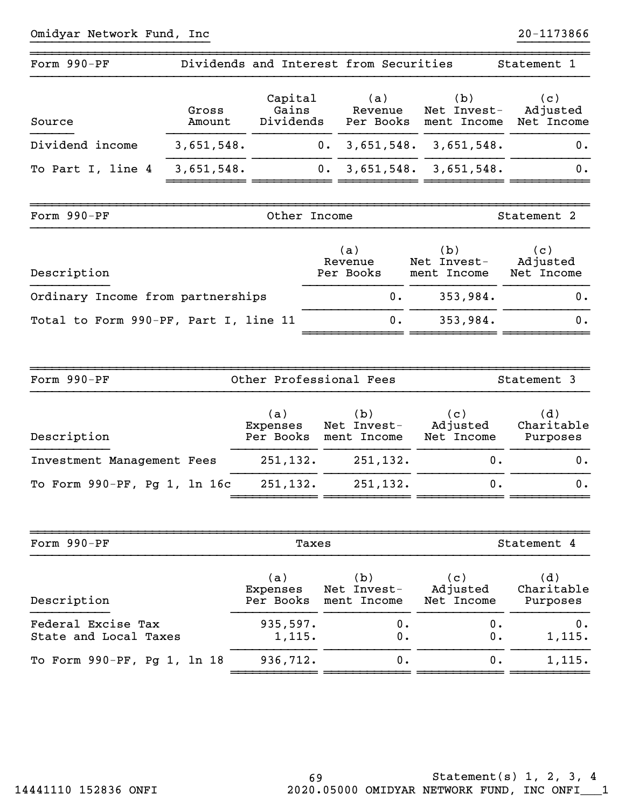| Form 990-PF                           | Dividends and Interest from Securities |                  |           |                             |     |                                   |                           | Statement 1                                                               |    |
|---------------------------------------|----------------------------------------|------------------|-----------|-----------------------------|-----|-----------------------------------|---------------------------|---------------------------------------------------------------------------|----|
| Source                                | Gross<br>Amount                        | Capital<br>Gains |           | Revenue                     | (a) |                                   | (b)                       | (c)<br>Net Invest- Adjusted<br>Dividends Per Books ment Income Net Income |    |
| Dividend income                       | 3,651,548.                             |                  | $0 \cdot$ |                             |     |                                   | $3,651,548.$ $3,651,548.$ |                                                                           | 0. |
| To Part I, line 4                     | 3,651,548.                             |                  | $0$ .     |                             |     |                                   | $3,651,548.$ $3,651,548.$ |                                                                           | 0. |
|                                       |                                        |                  |           |                             |     |                                   |                           |                                                                           |    |
| Form 990-PF                           |                                        | Other Income     |           |                             |     |                                   |                           | Statement 2                                                               |    |
| Description                           |                                        |                  |           | (a)<br>Revenue<br>Per Books |     | (b)<br>Net Invest-<br>ment Income |                           | (c)<br>Adjusted<br>Net Income                                             |    |
| Ordinary Income from partnerships     |                                        |                  |           |                             | 0.  |                                   | 353,984.                  |                                                                           | 0. |
| Total to Form 990-PF, Part I, line 11 |                                        |                  |           |                             | 0.  |                                   | 353,984.                  |                                                                           | 0. |

| Form 990-PF                  | Other Professional Fees      |                                   | Statement 3                   |                               |  |
|------------------------------|------------------------------|-----------------------------------|-------------------------------|-------------------------------|--|
| Description                  | (a)<br>Expenses<br>Per Books | (b)<br>Net Invest-<br>ment Income | (c)<br>Adjusted<br>Net Income | (d)<br>Charitable<br>Purposes |  |
| Investment Management Fees   | 251,132.                     | 251,132.                          | 0.                            | 0.                            |  |
| To Form 990-PF, Pg 1, 1n 16c | 251,132.                     | 251, 132.                         | 0.                            | 0.                            |  |

~~~~~~~~~~~~~~ ~~~~~~~~~~~~ ~~~~~~~~~~~~

| Form 990-PF                 | Taxes     |             |            | Statement 4 |  |  |
|-----------------------------|-----------|-------------|------------|-------------|--|--|
| Description                 | (a)       | (b)         | (c)        | (d)         |  |  |
|                             | Expenses  | Net Invest- | Adjusted   | Charitable  |  |  |
|                             | Per Books | ment Income | Net Income | Purposes    |  |  |
| Federal Excise Tax          | 935,597.  | 0.          | 0.         | 0.          |  |  |
| State and Local Taxes       | 1,115.    | 0.          | 0.         | 1,115.      |  |  |
| To Form 990-PF, Pg 1, 1n 18 | 936,712.  | 0.          | ο.         | 1,115.      |  |  |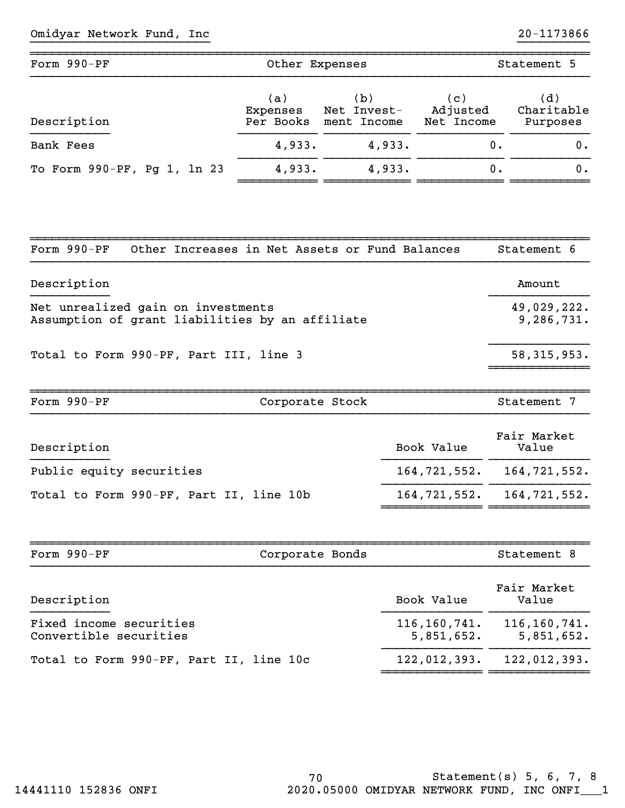| Form 990-PF                 | Other Expenses               |                                   | Statement 5                   |                               |  |
|-----------------------------|------------------------------|-----------------------------------|-------------------------------|-------------------------------|--|
| Description                 | (a)<br>Expenses<br>Per Books | (b)<br>Net Invest-<br>ment Income | (c)<br>Adjusted<br>Net Income | (d)<br>Charitable<br>Purposes |  |
| Bank Fees                   | 4,933.                       | 4,933.                            | Ο.                            | 0.                            |  |
| To Form 990-PF, Pg 1, 1n 23 | 4,933.                       | 4,933.                            | Ο.                            | 0.                            |  |

~~~~~~~~~~~~~~~~~~~~~~~~~~~~~~~~~~~~~~~~~~~~~~~~~~~~~~~~~~~~~~~~~~~~~~~~~~~~~~

| Form 990-PF                                                                           | Other Increases in Net Assets or Fund Balances          | Statement 6          |
|---------------------------------------------------------------------------------------|---------------------------------------------------------|----------------------|
| Description                                                                           |                                                         | Amount               |
| Net unrealized gain on investments<br>Assumption of grant liabilities by an affiliate | 49,029,222.<br>9,286,731.                               |                      |
| Total to Form 990-PF, Part III, line 3                                                | 58, 315, 953.                                           |                      |
| Form 990-PF                                                                           | Corporate Stock                                         | Statement 7          |
| Description                                                                           | Book Value                                              | Fair Market<br>Value |
| Public equity securities                                                              | 164, 721, 552.                                          | 164,721,552.         |
|                                                                                       | 164,721,552.<br>Total to Form 990-PF, Part II, line 10b | 164,721,552.         |
|                                                                                       |                                                         |                      |

| Form 990-PF                                       | Corporate Bonds |                              | Statement 8                |
|---------------------------------------------------|-----------------|------------------------------|----------------------------|
| Description                                       |                 | Book Value                   | Fair Market<br>Value       |
| Fixed income securities<br>Convertible securities |                 | 116, 160, 741.<br>5,851,652. | 116,160,741.<br>5,851,652. |
| Total to Form 990-PF, Part II, line 10c           |                 | 122,012,393.                 | 122,012,393.               |
|                                                   |                 |                              |                            |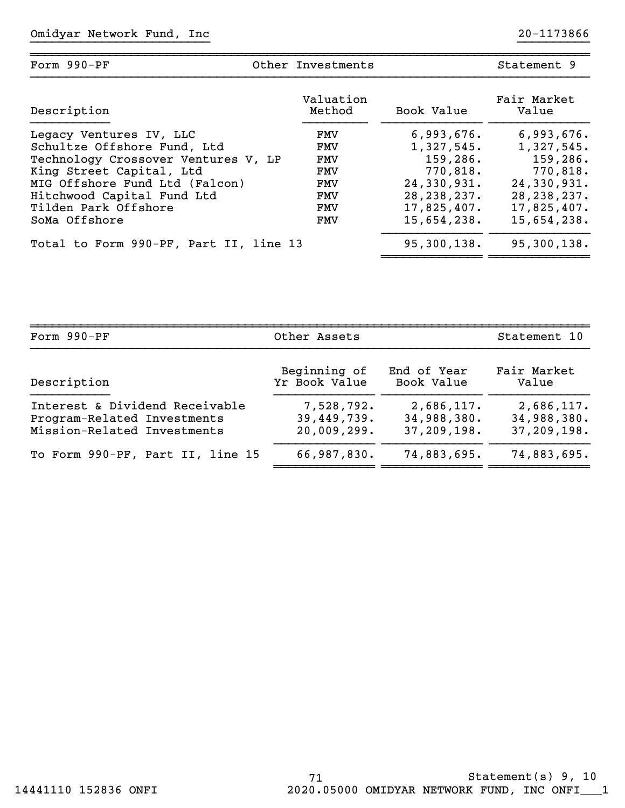| Form $990-PF$                          | Other Investments   |               | Statement 9          |
|----------------------------------------|---------------------|---------------|----------------------|
| Description                            | Valuation<br>Method | Book Value    | Fair Market<br>Value |
| Legacy Ventures IV, LLC                | FMV                 | 6,993,676.    | 6,993,676.           |
| Schultze Offshore Fund, Ltd            | FMV                 | 1,327,545.    | 1,327,545.           |
| Technology Crossover Ventures V, LP    | FMV                 | 159,286.      | 159,286.             |
| King Street Capital, Ltd               | FMV                 | 770,818.      | 770,818.             |
| MIG Offshore Fund Ltd (Falcon)         | FMV                 | 24,330,931.   | 24,330,931.          |
| Hitchwood Capital Fund Ltd             | FMV                 | 28, 238, 237. | 28, 238, 237.        |
| Tilden Park Offshore                   | FMV                 | 17,825,407.   | 17,825,407.          |
| SoMa Offshore                          | FMV                 | 15,654,238.   | 15,654,238.          |
| Total to Form 990-PF, Part II, line 13 |                     | 95,300,138.   | 95,300,138.          |
|                                        |                     |               |                      |

| Form 990-PF                      | Other Assets  | Statement 10 |             |
|----------------------------------|---------------|--------------|-------------|
| Description                      | Beginning of  | End of Year  | Fair Market |
|                                  | Yr Book Value | Book Value   | Value       |
| Interest & Dividend Receivable   | 7,528,792.    | 2,686,117.   | 2,686,117.  |
| Program-Related Investments      | 39,449,739.   | 34,988,380.  | 34,988,380. |
| Mission-Related Investments      | 20,009,299.   | 37,209,198.  | 37,209,198. |
| To Form 990-PF, Part II, line 15 | 66,987,830.   | 74,883,695.  | 74,883,695. |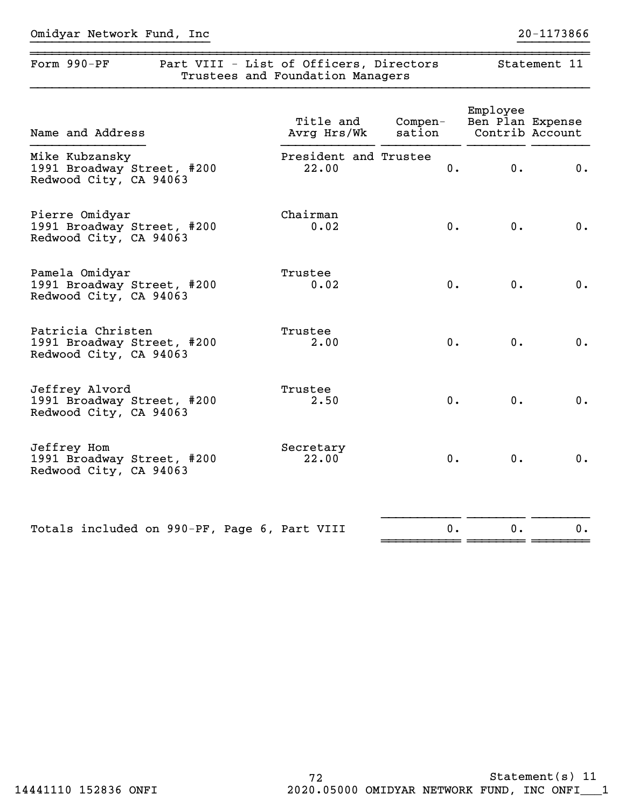| Form 990-PF | Part VIII - List of Officers, Directors<br>Trustees and Foundation Managers | Statement 11 |  |
|-------------|-----------------------------------------------------------------------------|--------------|--|
|             |                                                                             |              |  |

| Name and Address                                                          | Title and<br>Avrg Hrs/Wk       | $Compen-$<br>sation | Employee<br>Ben Plan Expense<br>Contrib Account |    |
|---------------------------------------------------------------------------|--------------------------------|---------------------|-------------------------------------------------|----|
| Mike Kubzansky<br>1991 Broadway Street, #200<br>Redwood City, CA 94063    | President and Trustee<br>22.00 | 0.                  | 0.                                              | 0. |
| Pierre Omidyar<br>1991 Broadway Street, #200<br>Redwood City, CA 94063    | Chairman<br>0.02               | $0$ .               | 0.                                              | 0. |
| Pamela Omidyar<br>1991 Broadway Street, #200<br>Redwood City, CA 94063    | Trustee<br>0.02                | $0$ .               | 0.                                              | 0. |
| Patricia Christen<br>1991 Broadway Street, #200<br>Redwood City, CA 94063 | Trustee<br>2.00                | 0.                  | 0.                                              | 0. |
| Jeffrey Alvord<br>1991 Broadway Street, #200<br>Redwood City, CA 94063    | Trustee<br>2.50                | 0.                  | 0.                                              | 0. |
| Jeffrey Hom<br>1991 Broadway Street, #200<br>Redwood City, CA 94063       | Secretary<br>22.00             | $0$ .               | 0.                                              | 0. |
| Totals included on 990-PF, Page 6, Part VIII                              |                                | 0.                  | 0.                                              | 0. |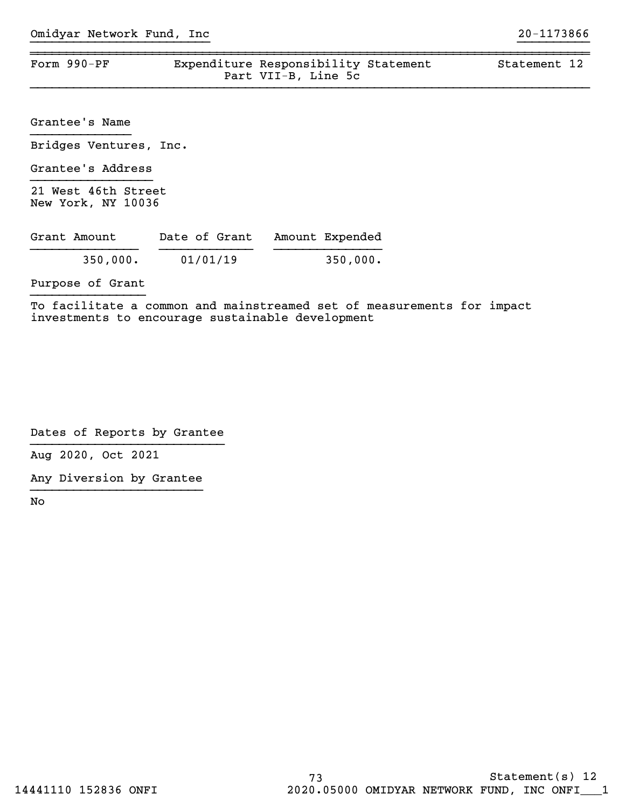| Form 990-PF | Expenditure Responsibility Statement<br>Part VII-B, Line 5c | Statement 12 |
|-------------|-------------------------------------------------------------|--------------|

Grantee's Name }}}}}}}}}}}}}}

Bridges Ventures, Inc.

Grantee's Address }}}}}}}}}}}}}}}}}

21 West 46th Street New York, NY 10036

| Grant Amount | Date of Grant | Amount Expended |
|--------------|---------------|-----------------|
| 350,000.     | 01/01/19      | 350,000.        |

Purpose of Grant }}}}}}}}}}}}}}}}

To facilitate a common and mainstreamed set of measurements for impact investments to encourage sustainable development

Dates of Reports by Grantee }}}}}}}}}}}}}}}}}}}}}}}}}}}

Aug 2020, Oct 2021

Any Diversion by Grantee }}}}}}}}}}}}}}}}}}}}}}}}

No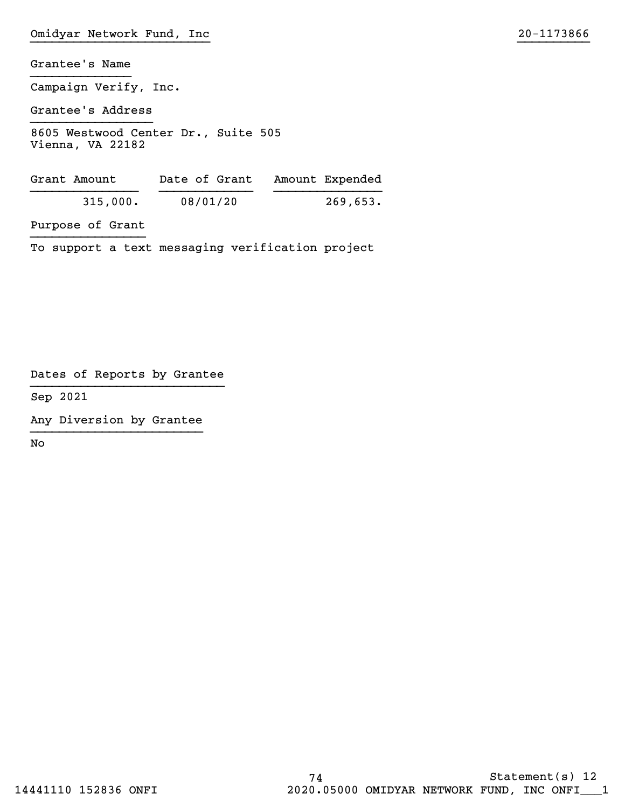Campaign Verify, Inc.

Grantee's Address }}}}}}}}}}}}}}}}}

8605 Westwood Center Dr., Suite 505 Vienna, VA 22182

| Grant Amount | Date of Grant | Amount Expended |
|--------------|---------------|-----------------|
| 315,000.     | 08/01/20      | 269,653.        |

Purpose of Grant }}}}}}}}}}}}}}}}

To support a text messaging verification project

Dates of Reports by Grantee }}}}}}}}}}}}}}}}}}}}}}}}}}}

Sep 2021

Any Diversion by Grantee }}}}}}}}}}}}}}}}}}}}}}}}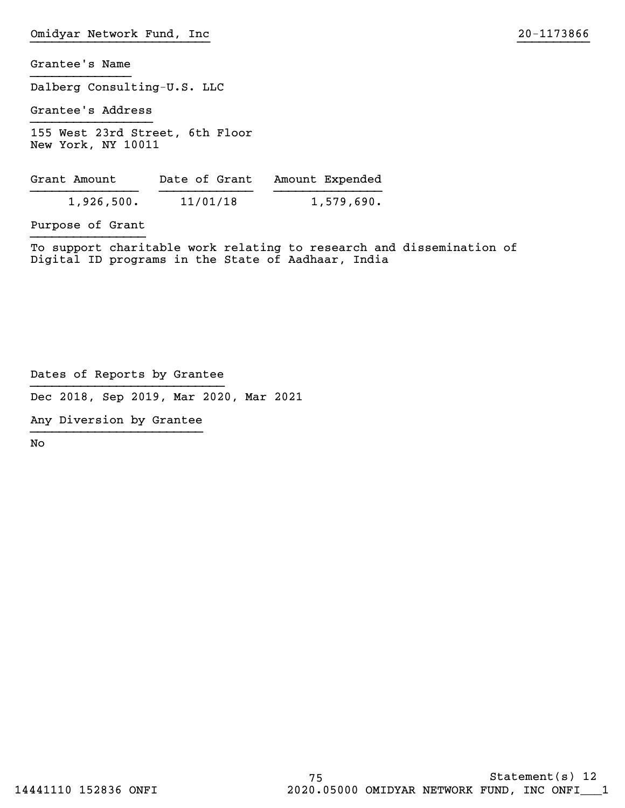Dalberg Consulting-U.S. LLC

Grantee's Address }}}}}}}}}}}}}}}}}

155 West 23rd Street, 6th Floor New York, NY 10011

| Grant Amount | Date of Grant | Amount Expended |
|--------------|---------------|-----------------|
| 1,926,500.   | 11/01/18      | 1,579,690.      |

Purpose of Grant }}}}}}}}}}}}}}}}

To support charitable work relating to research and dissemination of Digital ID programs in the State of Aadhaar, India

Dates of Reports by Grantee }}}}}}}}}}}}}}}}}}}}}}}}}}}

Dec 2018, Sep 2019, Mar 2020, Mar 2021

Any Diversion by Grantee }}}}}}}}}}}}}}}}}}}}}}}}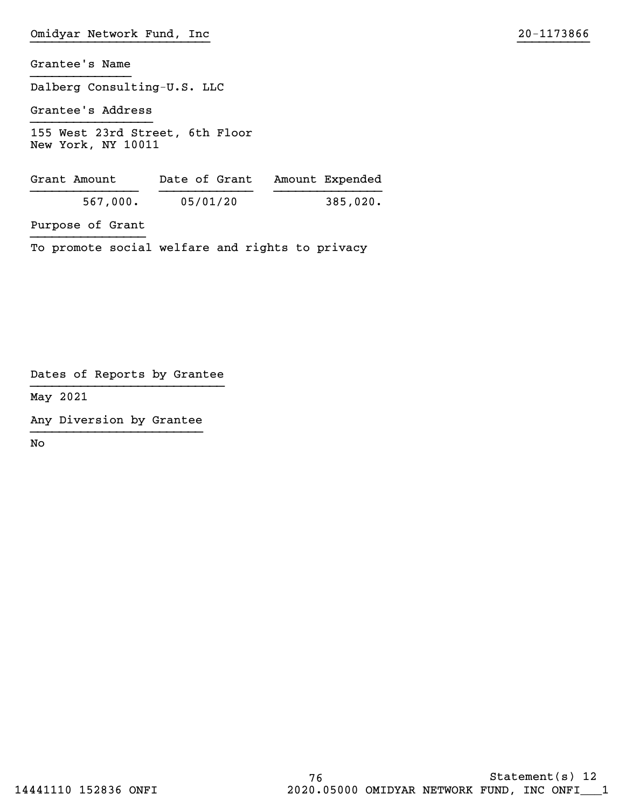Dalberg Consulting-U.S. LLC

Grantee's Address }}}}}}}}}}}}}}}}}

155 West 23rd Street, 6th Floor New York, NY 10011

| Grant Amount | Date of Grant Amount Expended |          |          |
|--------------|-------------------------------|----------|----------|
|              | 567,000.                      | 05/01/20 | 385,020. |
|              |                               |          |          |

Purpose of Grant }}}}}}}}}}}}}}}}

To promote social welfare and rights to privacy

Dates of Reports by Grantee }}}}}}}}}}}}}}}}}}}}}}}}}}}

May 2021

Any Diversion by Grantee }}}}}}}}}}}}}}}}}}}}}}}}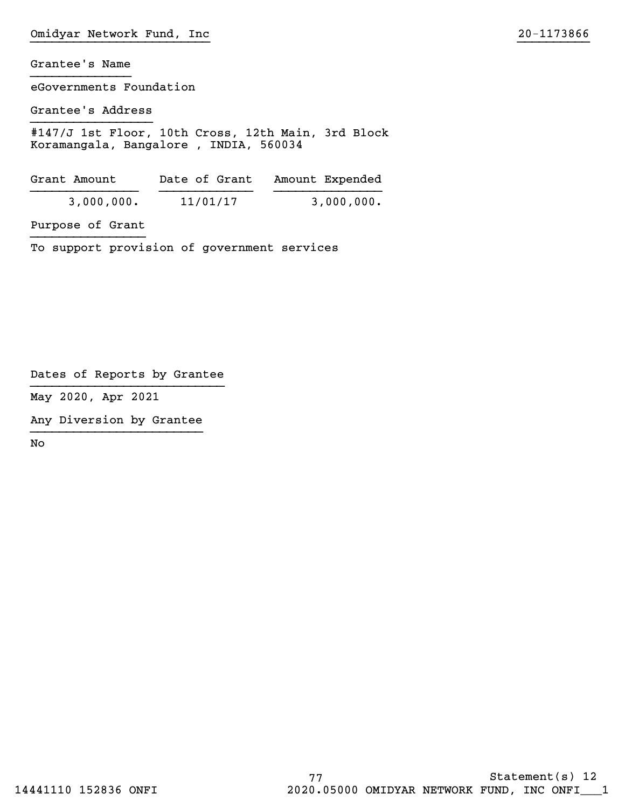eGovernments Foundation

Grantee's Address }}}}}}}}}}}}}}}}}

#147/J 1st Floor, 10th Cross, 12th Main, 3rd Block Koramangala, Bangalore , INDIA, 560034

| Grant Amount | Date of Grant | Amount Expended |
|--------------|---------------|-----------------|
| 3,000,000.   | 11/01/17      | 3,000,000.      |

Purpose of Grant }}}}}}}}}}}}}}}}

To support provision of government services

Dates of Reports by Grantee }}}}}}}}}}}}}}}}}}}}}}}}}}}

May 2020, Apr 2021

Any Diversion by Grantee }}}}}}}}}}}}}}}}}}}}}}}}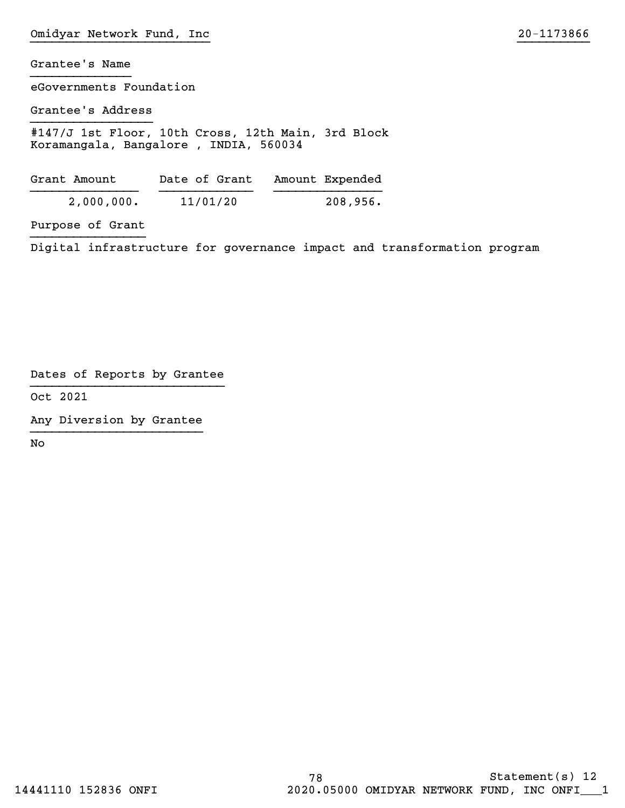eGovernments Foundation

Grantee's Address }}}}}}}}}}}}}}}}}

#147/J 1st Floor, 10th Cross, 12th Main, 3rd Block Koramangala, Bangalore , INDIA, 560034

| Grant Amount | Date of Grant | Amount Expended |
|--------------|---------------|-----------------|
| 2,000,000.   | 11/01/20      | 208,956.        |

Purpose of Grant }}}}}}}}}}}}}}}}

Digital infrastructure for governance impact and transformation program

Dates of Reports by Grantee }}}}}}}}}}}}}}}}}}}}}}}}}}}

Oct 2021

Any Diversion by Grantee }}}}}}}}}}}}}}}}}}}}}}}}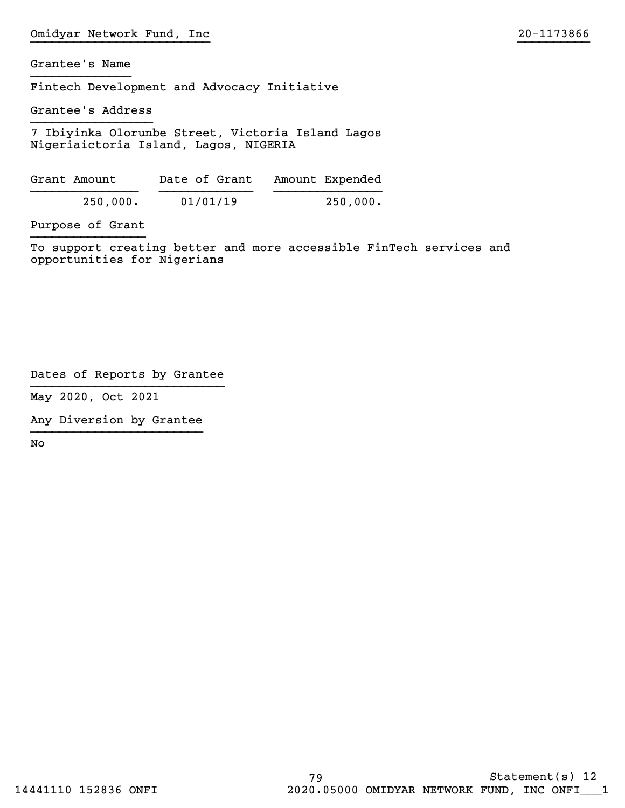Fintech Development and Advocacy Initiative

Grantee's Address }}}}}}}}}}}}}}}}}

7 Ibiyinka Olorunbe Street, Victoria Island Lagos Nigeriaictoria Island, Lagos, NIGERIA

| Grant Amount | Date of Grant | Amount Expended |
|--------------|---------------|-----------------|
| 250,000.     | 01/01/19      | 250,000.        |

Purpose of Grant }}}}}}}}}}}}}}}}

To support creating better and more accessible FinTech services and opportunities for Nigerians

Dates of Reports by Grantee }}}}}}}}}}}}}}}}}}}}}}}}}}}

May 2020, Oct 2021

Any Diversion by Grantee }}}}}}}}}}}}}}}}}}}}}}}}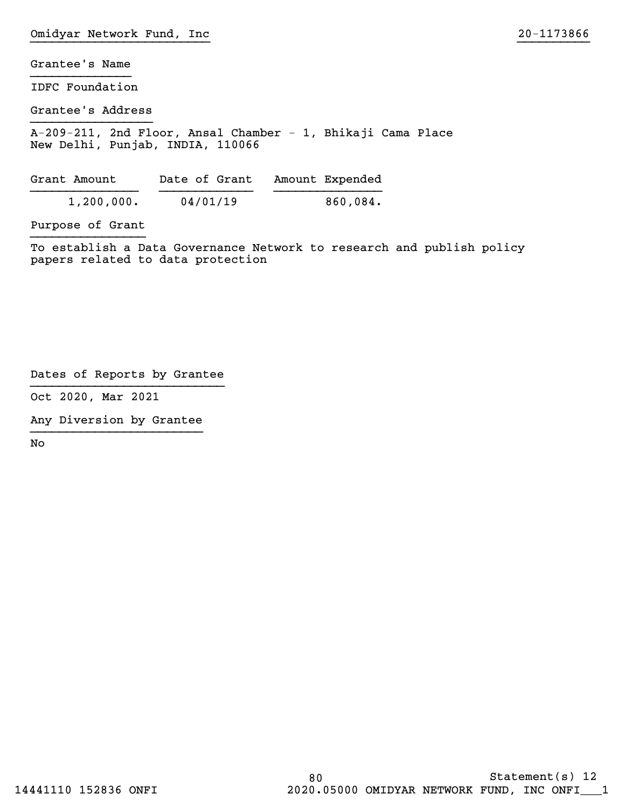IDFC Foundation

Grantee's Address }}}}}}}}}}}}}}}}}

A-209-211, 2nd Floor, Ansal Chamber - 1, Bhikaji Cama Place New Delhi, Punhab, INDIA, 110066

| Grant Amount | Date of Grant | Amount Expended |
|--------------|---------------|-----------------|
| 1,200,000.   | 04/01/19      | $860,084$ .     |

Purpose of Grant }}}}}}}}}}}}}}}}

To establish a Data Governance Network to research and publish policy papers related to data protection

Dates of Reports by Grantee }}}}}}}}}}}}}}}}}}}}}}}}}}}

Oct 2020, Mar 2021

Any Diversion by Grantee }}}}}}}}}}}}}}}}}}}}}}}}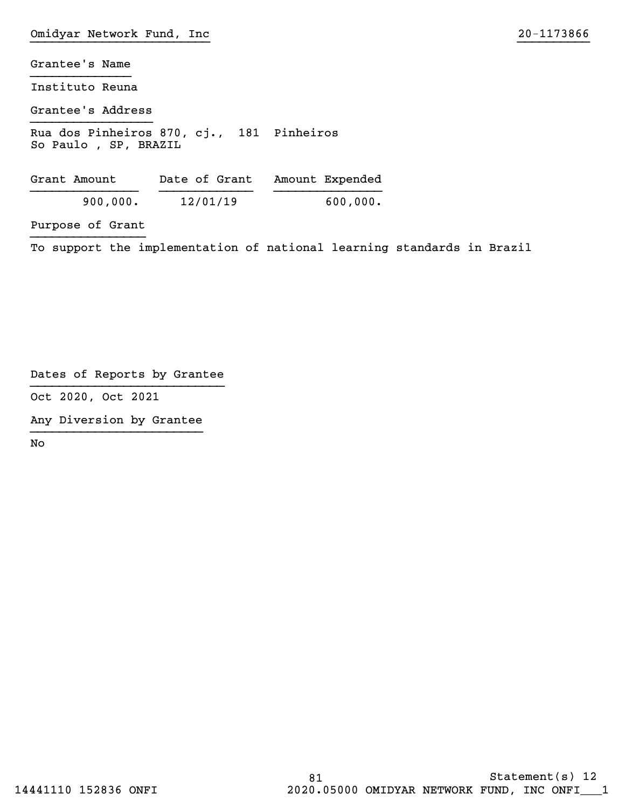Instituto Reuna

Grantee's Address }}}}}}}}}}}}}}}}}

Rua dos Pinheiros 870, cj., 181 Pinheiros So Paulo , SP, BRAXIL

| Grant Amount | Date of Grant | Amount Expended |
|--------------|---------------|-----------------|
| 900,000.     | 12/01/19      | 600,000.        |

Purpose of Grant }}}}}}}}}}}}}}}}

To support the implementation of national learning standards in Brazil

Dates of Reports by Grantee }}}}}}}}}}}}}}}}}}}}}}}}}}}

Oct 2020, Oct 2021

Any Diversion by Grantee }}}}}}}}}}}}}}}}}}}}}}}}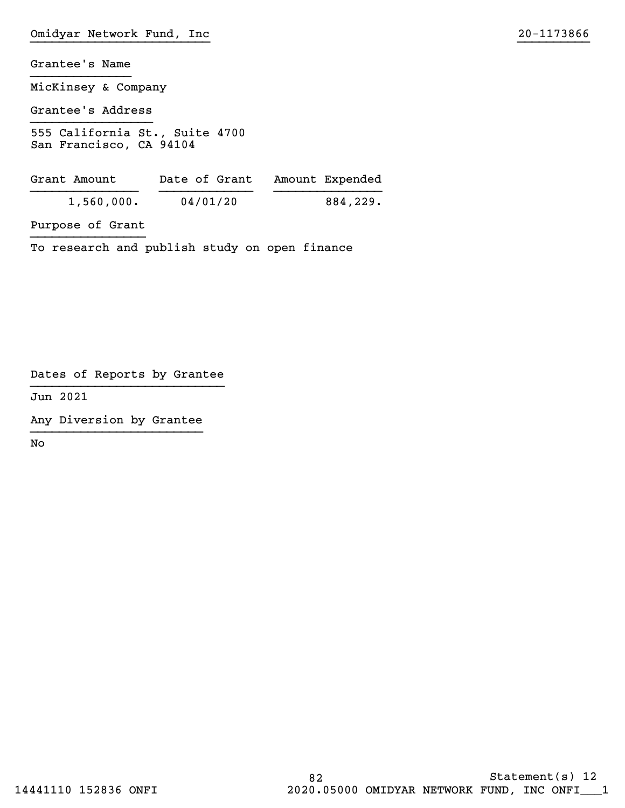Grantee's Name }}}}}}}}}}}}}} MicKinsey & Company Grantee's Address }}}}}}}}}}}}}}}}} 555 California St., Suite 4700 San Francisco, CA 94104

| Grant Amount | Date of Grant | Amount Expended |
|--------------|---------------|-----------------|
| 1,560,000.   | 04/01/20      | 884,229.        |

Purpose of Grant }}}}}}}}}}}}}}}}

To research and publish study on open finance

Dates of Reports by Grantee }}}}}}}}}}}}}}}}}}}}}}}}}}}

Jun 2021

Any Diversion by Grantee }}}}}}}}}}}}}}}}}}}}}}}}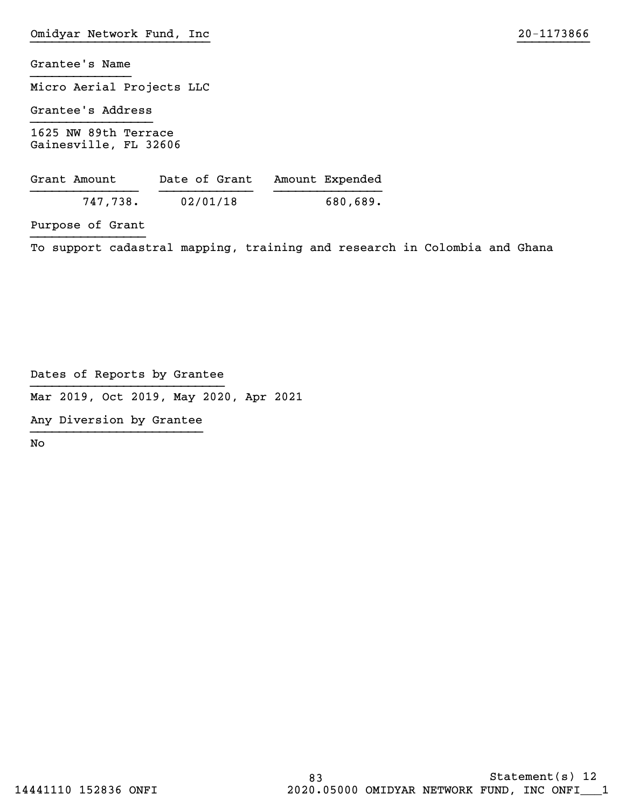Micro Aerial Projects LLC

Grantee's Address }}}}}}}}}}}}}}}}}

1625 NW 89th Terrace Gainesville, FL 32606

| Grant Amount | Date of Grant | Amount Expended |
|--------------|---------------|-----------------|
| 747,738.     | 02/01/18      | 680,689.        |

Purpose of Grant }}}}}}}}}}}}}}}}

To support cadastral mapping, training and research in Colombia and Ghana

Dates of Reports by Grantee }}}}}}}}}}}}}}}}}}}}}}}}}}}

Mar 2019, Oct 2019, May 2020, Apr 2021

Any Diversion by Grantee }}}}}}}}}}}}}}}}}}}}}}}}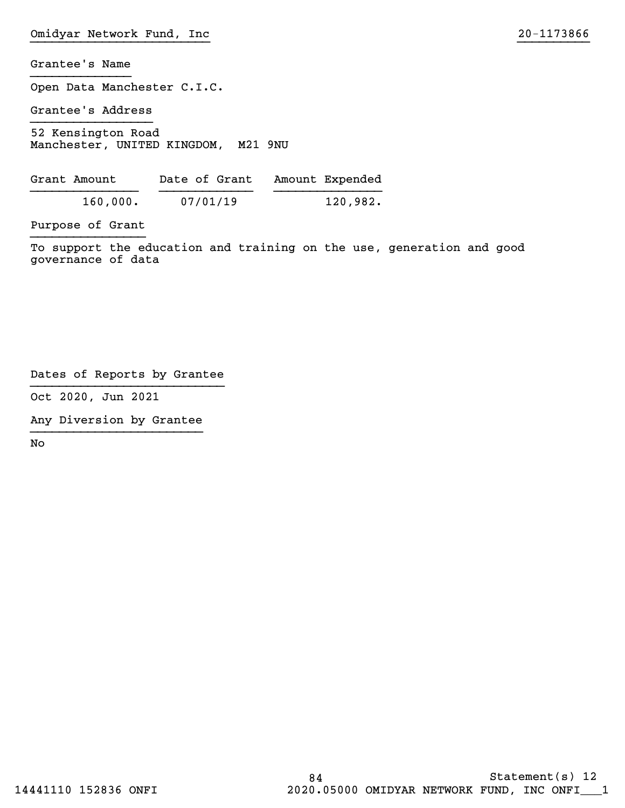Grantee's Name }}}}}}}}}}}}}} Open Data Manchester C.I.C. Grantee's Address }}}}}}}}}}}}}}}}} 52 Kensington Road Manchester, UNITED KINGDOM, M21 9NU Grant Amount Date of Grant Amount Expended

}}}}}}}}}}}}}}} }}}}}}}}}}}}} }}}}}}}}}}}}}}} 160,000. 07/01/19 120,982.

Purpose of Grant }}}}}}}}}}}}}}}}

To support the education and training on the use, generation and good governance of data

Dates of Reports by Grantee }}}}}}}}}}}}}}}}}}}}}}}}}}}

Oct 2020, Jun 2021

Any Diversion by Grantee }}}}}}}}}}}}}}}}}}}}}}}}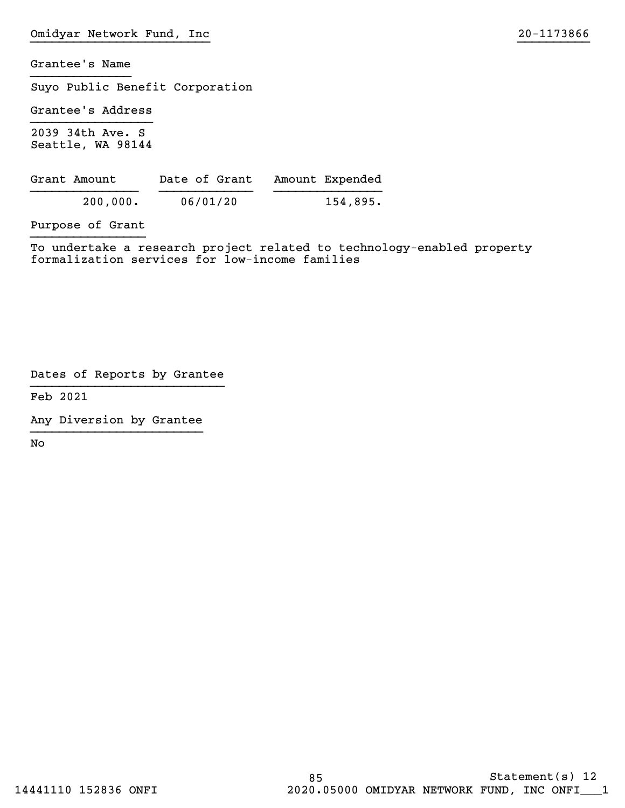Suyo Public Benefit Corporation

Grantee's Address }}}}}}}}}}}}}}}}}

2039 34th Ave. S Seattle, WA 98144

| Grant Amount | Date of Grant | Amount Expended |
|--------------|---------------|-----------------|
| 200,000.     | 06/01/20      | 154,895.        |

Purpose of Grant }}}}}}}}}}}}}}}}

To undertake a research project related to technology-enabled property formalization services for low-income families

Dates of Reports by Grantee }}}}}}}}}}}}}}}}}}}}}}}}}}}

Feb 2021

Any Diversion by Grantee }}}}}}}}}}}}}}}}}}}}}}}}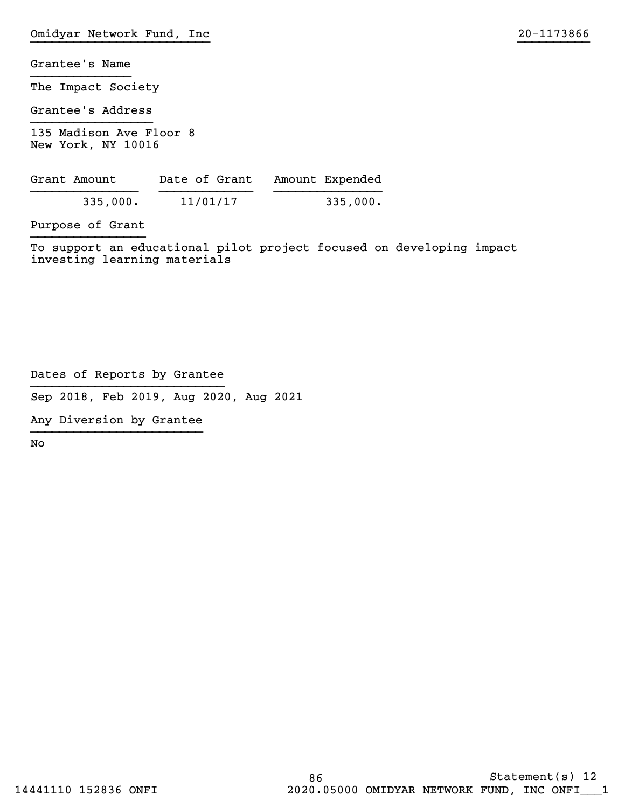The Impact Society

Grantee's Address }}}}}}}}}}}}}}}}}

135 Madison Ave Floor 8 New York, NY 10016

| Grant Amount | Date of Grant | Amount Expended |
|--------------|---------------|-----------------|
| 335,000.     | 11/01/17      | 335,000.        |

Purpose of Grant }}}}}}}}}}}}}}}}

To support an educational pilot project focused on developing impact investing learning materials

Dates of Reports by Grantee }}}}}}}}}}}}}}}}}}}}}}}}}}}

Sep 2018, Feb 2019, Aug 2020, Aug 2021

Any Diversion by Grantee }}}}}}}}}}}}}}}}}}}}}}}}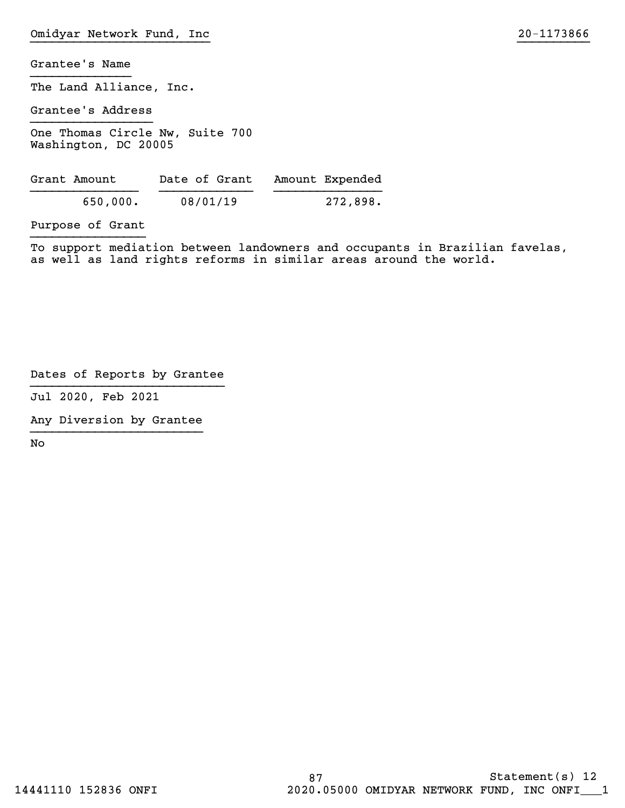The Land Alliance, Inc.

Grantee's Address }}}}}}}}}}}}}}}}}

One Thomas Circle Nw, Suite 700 Washington, DC 20005

| Grant Amount | Date of Grant | Amount Expended |
|--------------|---------------|-----------------|
| 650,000.     | 08/01/19      | 272,898.        |

Purpose of Grant }}}}}}}}}}}}}}}}

To support mediation between landowners and occupants in Brazilian favelas, as well as land rights reforms in similar areas around the world.

Dates of Reports by Grantee }}}}}}}}}}}}}}}}}}}}}}}}}}}

Jul 2020, Feb 2021

Any Diversion by Grantee }}}}}}}}}}}}}}}}}}}}}}}}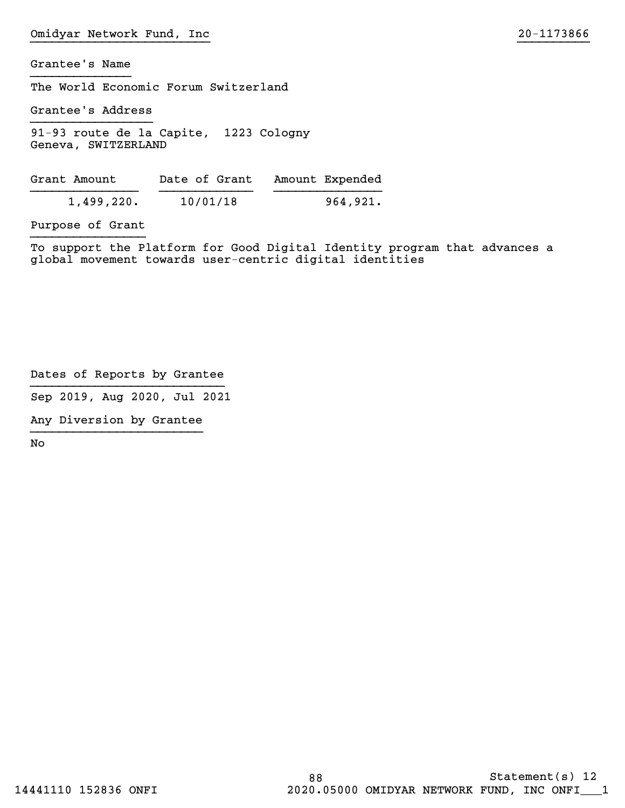The World Economic Forum Switzerland

Grantee's Address }}}}}}}}}}}}}}}}}

91-93 route de la Capite, 1223 Cologny Geneva, SWITXERLAND

| Grant Amount | Date of Grant | Amount Expended |
|--------------|---------------|-----------------|
| 1,499,220.   | 10/01/18      | 964,921.        |

Purpose of Grant }}}}}}}}}}}}}}}}

To support the Platform for Good Digital Identity program that advances a global movement towards user-centric digital identities

Dates of Reports by Grantee }}}}}}}}}}}}}}}}}}}}}}}}}}}

Sep 2019, Aug 2020, Jul 2021

Any Diversion by Grantee }}}}}}}}}}}}}}}}}}}}}}}}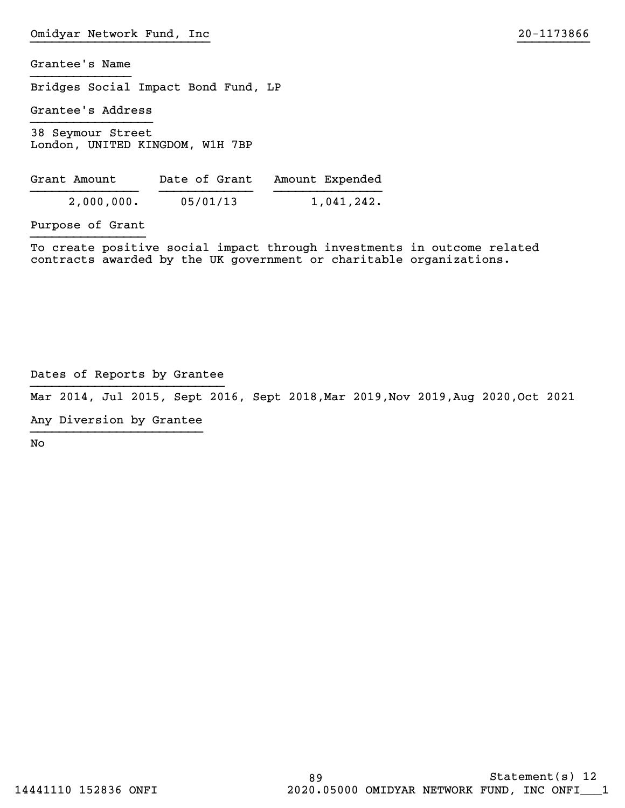Bridges Social Impact Bond Fund, LP

Grantee's Address }}}}}}}}}}}}}}}}}

38 Seymour Street London, UNITED KINGDOM, W1H 7BP

| Grant Amount | Date of Grant | Amount Expended |
|--------------|---------------|-----------------|
| 2,000,000.   | 05/01/13      | 1,041,242.      |

Purpose of Grant }}}}}}}}}}}}}}}}

To create positive social impact through investments in outcome related contracts awarded by the UK government or charitable organizations.

Dates of Reports by Grantee }}}}}}}}}}}}}}}}}}}}}}}}}}}

Mar 2014, Hul 2015, Sept 2016, Sept 2018,Mar 2019,Nov 2019,Aug 2020,Oct 2021

Any Diversion by Grantee }}}}}}}}}}}}}}}}}}}}}}}}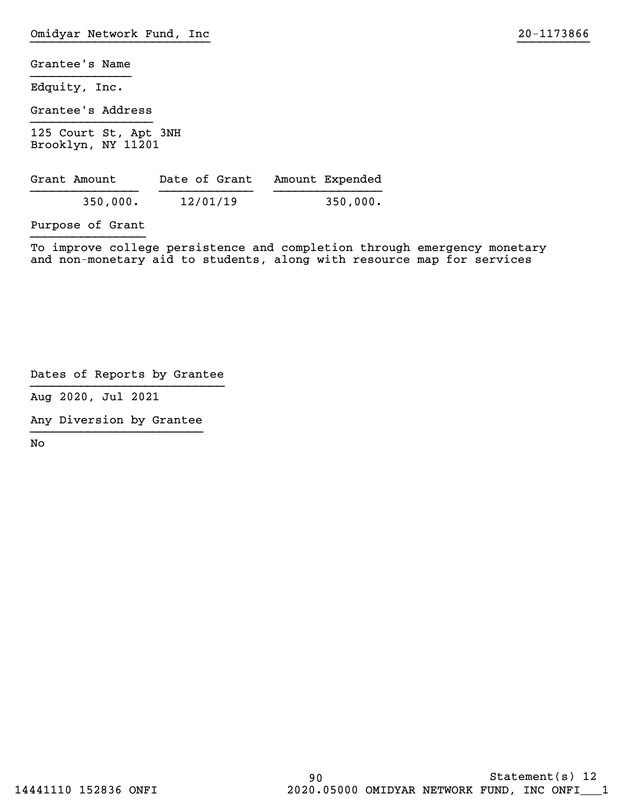Edquity, Inc.

Grantee's Address }}}}}}}}}}}}}}}}}

125 Court St, Apt 3NH Brooklyn, NY 11201

| Grant Amount | Date of Grant | Amount Expended |
|--------------|---------------|-----------------|
| 350,000.     | 12/01/19      | 350,000.        |

Purpose of Grant }}}}}}}}}}}}}}}}

To improve college persistence and completion through emergency monetary and non-monetary aid to students, along with resource map for services

Dates of Reports by Grantee }}}}}}}}}}}}}}}}}}}}}}}}}}}

Aug 2020, Jul 2021

Any Diversion by Grantee }}}}}}}}}}}}}}}}}}}}}}}}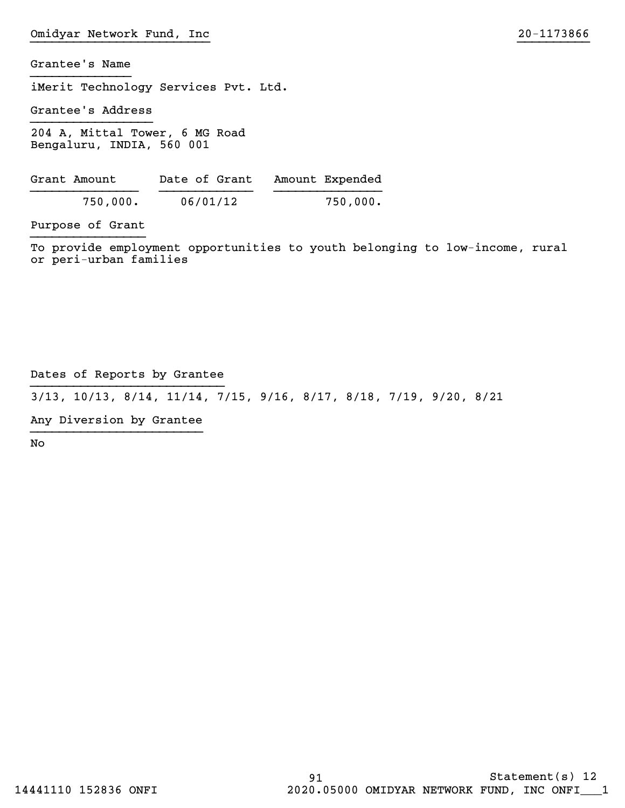iMerit Technology Services Pvt. Ltd.

Grantee's Address }}}}}}}}}}}}}}}}}

204 A, Mittal Tower, 6 MG Road Bengaluru, INDIA, 560 001

| Grant Amount | Date of Grant | Amount Expended |
|--------------|---------------|-----------------|
| 750,000.     | 06/01/12      | 750,000.        |

Purpose of Grant }}}}}}}}}}}}}}}}

To provide employment opportunities to youth belonging to low-income, rural or peri-urban families

## Dates of Reports by Grantee }}}}}}}}}}}}}}}}}}}}}}}}}}}

3/13, 10/13, 8/14, 11/14, 7/15, 9/16, 8/17, 8/18, 7/19, 9/20, 8/21

Any Diversion by Grantee }}}}}}}}}}}}}}}}}}}}}}}}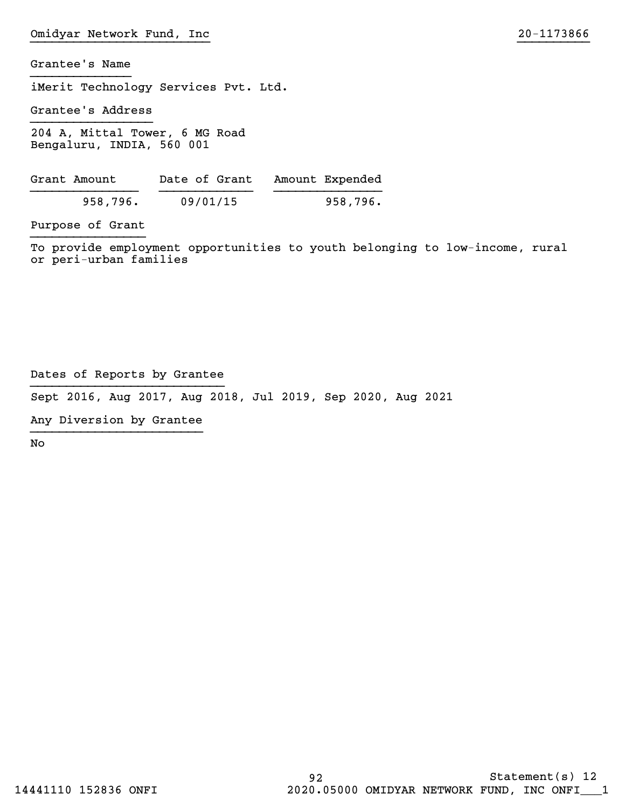iMerit Technology Services Pvt. Ltd.

Grantee's Address }}}}}}}}}}}}}}}}}

204 A, Mittal Tower, 6 MG Road Bengaluru, INDIA, 560 001

| Grant Amount | Date of Grant | Amount Expended |
|--------------|---------------|-----------------|
| 958,796.     | 09/01/15      | 958,796.        |

Purpose of Grant }}}}}}}}}}}}}}}}

To provide employment opportunities to youth belonging to low-income, rural or peri-urban families

Dates of Reports by Grantee }}}}}}}}}}}}}}}}}}}}}}}}}}}

Sept 2016, Aug 2017, Aug 2018, Jul 2019, Sep 2020, Aug 2021

Any Diversion by Grantee }}}}}}}}}}}}}}}}}}}}}}}}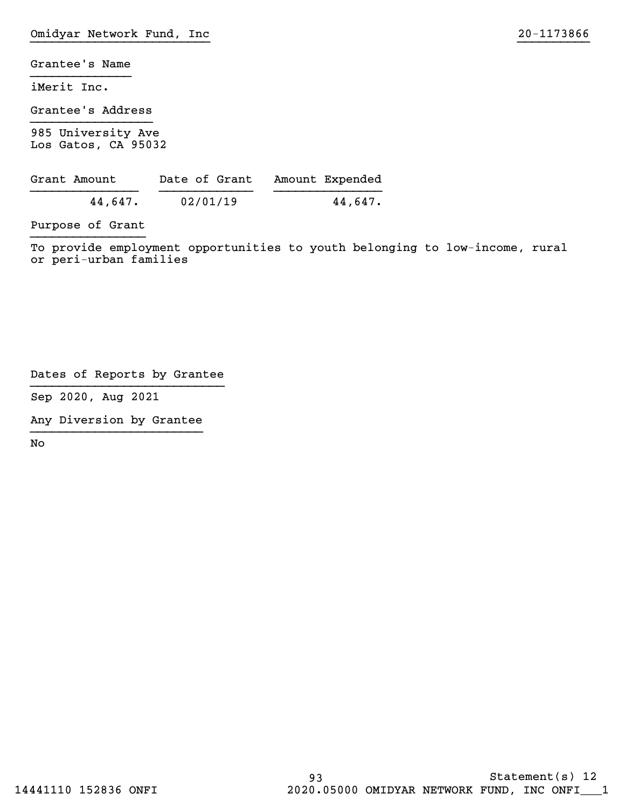iMerit Inc.

Grantee's Address }}}}}}}}}}}}}}}}}

985 University Ave Los Gatos, CA 95032

| Grant Amount | Date of Grant | Amount Expended |
|--------------|---------------|-----------------|
| 44,647.      | 02/01/19      | 44,647.         |

Purpose of Grant }}}}}}}}}}}}}}}}

To provide employment opportunities to youth belonging to low-income, rural or peri-urban families

Dates of Reports by Grantee }}}}}}}}}}}}}}}}}}}}}}}}}}}

Sep 2020, Aug 2021

Any Diversion by Grantee }}}}}}}}}}}}}}}}}}}}}}}}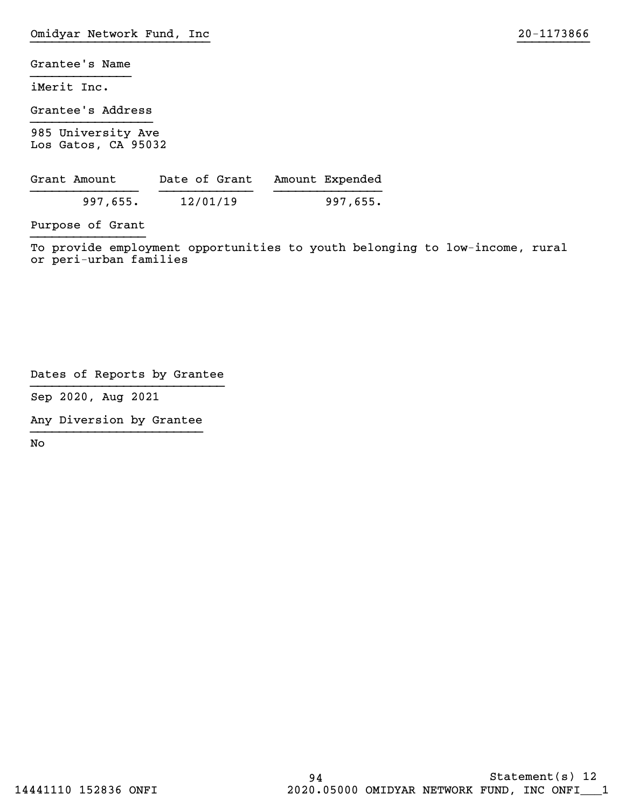iMerit Inc.

Grantee's Address }}}}}}}}}}}}}}}}}

985 University Ave Los Gatos, CA 95032

| Grant Amount | Date of Grant | Amount Expended |
|--------------|---------------|-----------------|
| 997,655.     | 12/01/19      | 997,655.        |

Purpose of Grant }}}}}}}}}}}}}}}}

To provide employment opportunities to youth belonging to low-income, rural or peri-urban families

Dates of Reports by Grantee }}}}}}}}}}}}}}}}}}}}}}}}}}}

Sep 2020, Aug 2021

Any Diversion by Grantee }}}}}}}}}}}}}}}}}}}}}}}}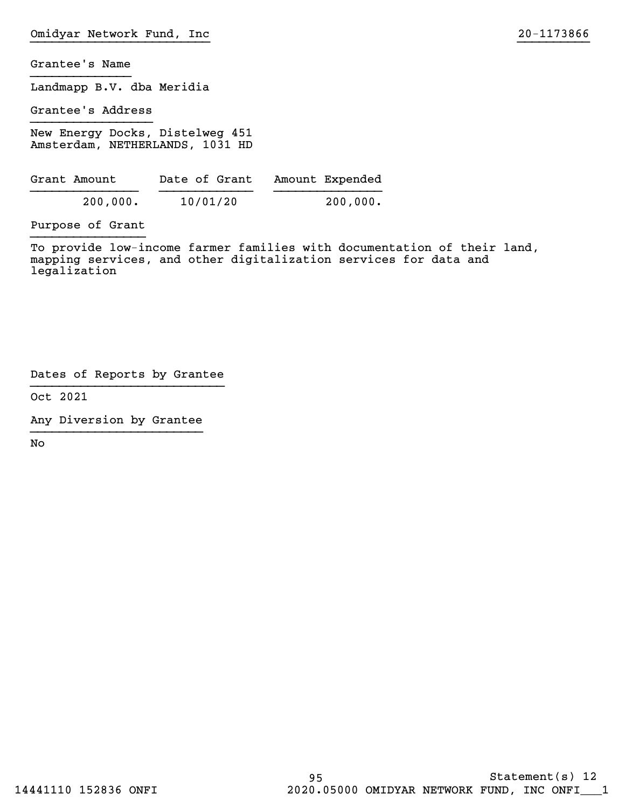Landmapp B.V. dba Meridia

Grantee's Address }}}}}}}}}}}}}}}}}

New Energy Docks, Distelweg 451 Amsterdam, NETHERLANDS, 1031 HD

| Grant Amount | Date of Grant | Amount Expended |
|--------------|---------------|-----------------|
| 200,000.     | 10/01/20      | 200,000.        |

Purpose of Grant }}}}}}}}}}}}}}}}

To provide low-income farmer families with documentation of their land, mapping services, and other digitalization services for data and legalization

Dates of Reports by Grantee }}}}}}}}}}}}}}}}}}}}}}}}}}}

Oct 2021

Any Diversion by Grantee }}}}}}}}}}}}}}}}}}}}}}}}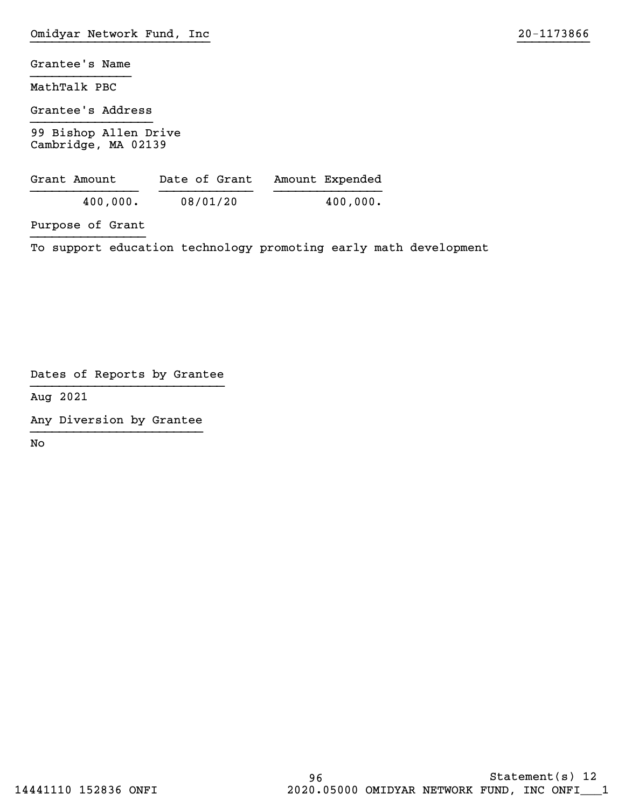MathTalk PBC

Grantee's Address }}}}}}}}}}}}}}}}}

99 Bishop Allen Drive Cambridge, MA 02139

| Grant Amount | Date of Grant | Amount Expended |
|--------------|---------------|-----------------|
| 400,000.     | 08/01/20      | 400,000.        |

Purpose of Grant }}}}}}}}}}}}}}}}

To support education technology promoting early math development

Dates of Reports by Grantee }}}}}}}}}}}}}}}}}}}}}}}}}}}

Aug 2021

Any Diversion by Grantee }}}}}}}}}}}}}}}}}}}}}}}}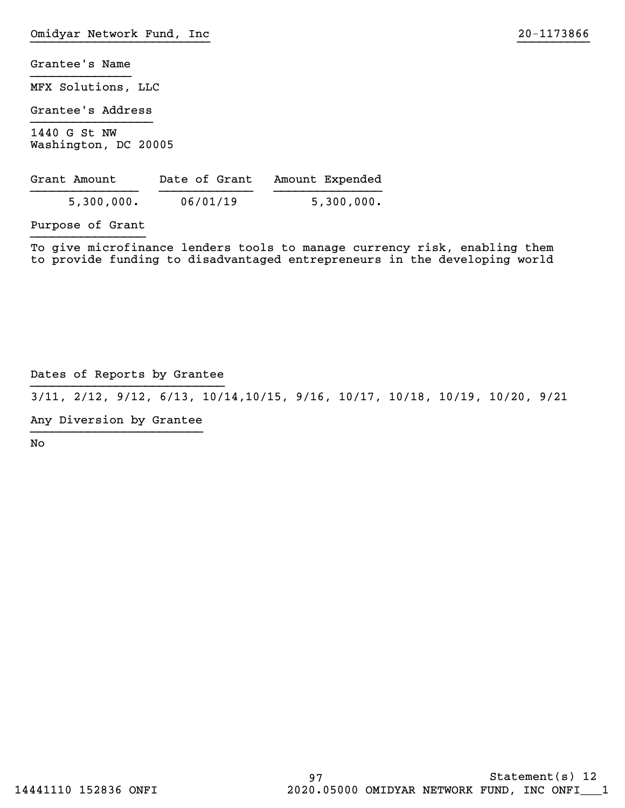MFX Solutions, LLC

Grantee's Address }}}}}}}}}}}}}}}}}

1440 G St NW Washington, DC 20005

| Grant Amount | Date of Grant | Amount Expended |
|--------------|---------------|-----------------|
| 5,300,000.   | 06/01/19      | 5,300,000.      |

Purpose of Grant }}}}}}}}}}}}}}}}

To give microfinance lenders tools to manage currency risk, enabling them to provide funding to disadvantaged entrepreneurs in the developing world

## Dates of Reports by Grantee }}}}}}}}}}}}}}}}}}}}}}}}}}}

3/11, 2/12, 9/12, 6/13, 10/14,10/15, 9/16, 10/17, 10/18, 10/19, 10/20, 9/21

Any Diversion by Grantee }}}}}}}}}}}}}}}}}}}}}}}}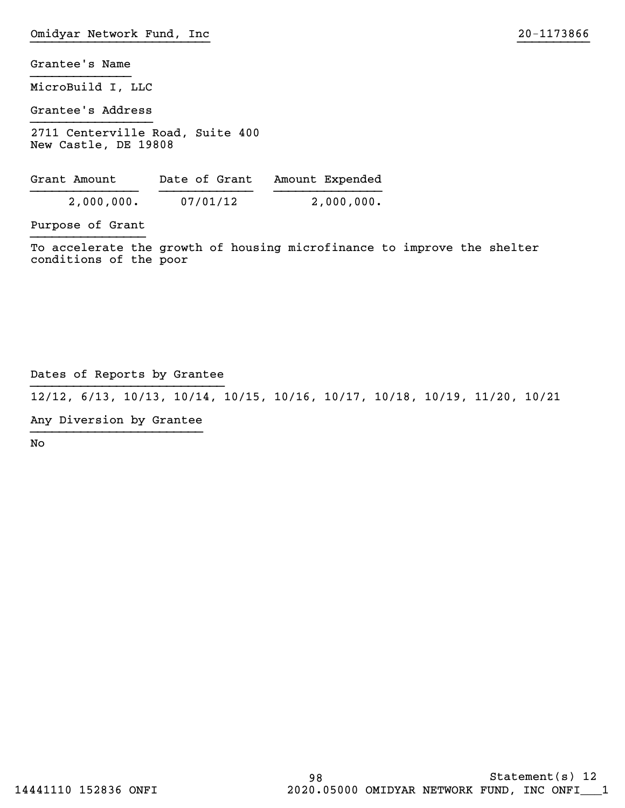MicroBuild I, LLC

Grantee's Address }}}}}}}}}}}}}}}}}

2711 Centerville Road, Suite 400 New Castle, DE 19808

| Grant Amount | Date of Grant | Amount Expended |
|--------------|---------------|-----------------|
| 2,000,000.   | 07/01/12      | 2,000,000.      |

Purpose of Grant }}}}}}}}}}}}}}}}

To accelerate the growth of housing microfinance to improve the shelter conditions of the poor

## Dates of Reports by Grantee }}}}}}}}}}}}}}}}}}}}}}}}}}}

12/12, 6/13, 10/13, 10/14, 10/15, 10/16, 10/17, 10/18, 10/19, 11/20, 10/21

Any Diversion by Grantee }}}}}}}}}}}}}}}}}}}}}}}}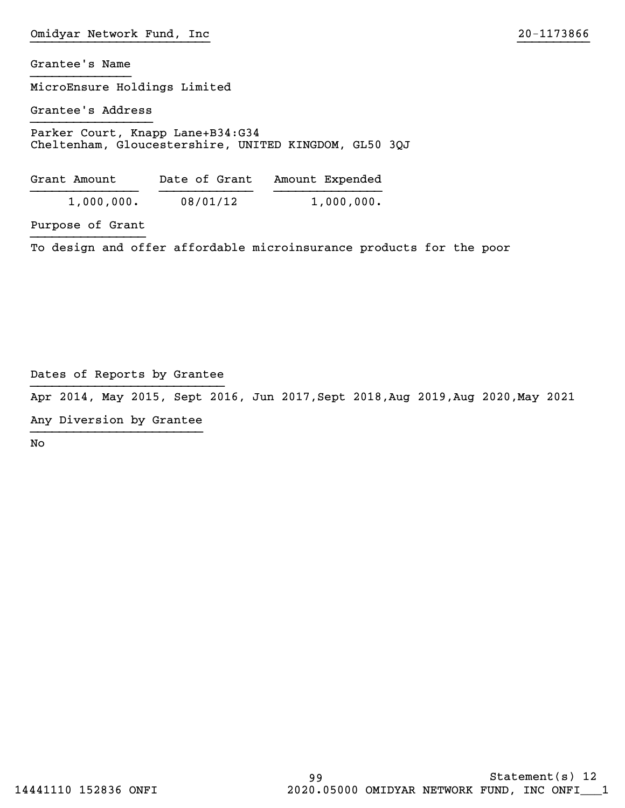MicroEnsure Holdings Limited

Grantee's Address }}}}}}}}}}}}}}}}}

Parker Court, Knapp Lane+B34:G34 Cheltenham, Gloucestershire, UNITED KINGDOM, GL50 3QJ

| Grant Amount | Date of Grant | Amount Expended |
|--------------|---------------|-----------------|
| 1,000,000.   | 08/01/12      | 1,000,000.      |

Purpose of Grant }}}}}}}}}}}}}}}}

To design and offer affordable microinsurance products for the poor

Dates of Reports by Grantee }}}}}}}}}}}}}}}}}}}}}}}}}}}

Apr 2014, May 2015, Sept 2016, Hun 2017,Sept 2018,Aug 2019,Aug 2020,May 2021

Any Diversion by Grantee }}}}}}}}}}}}}}}}}}}}}}}}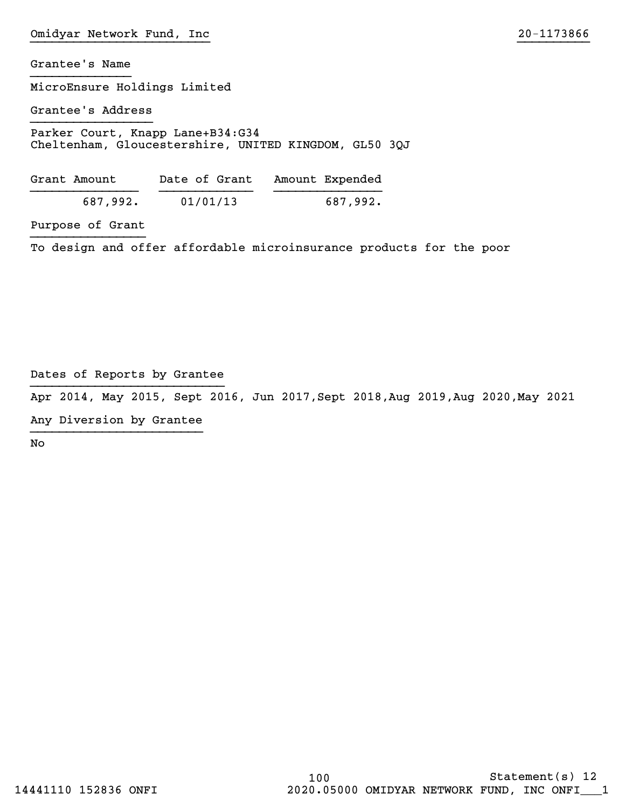MicroEnsure Holdings Limited

Grantee's Address }}}}}}}}}}}}}}}}}

Parker Court, Knapp Lane+B34:G34 Cheltenham, Gloucestershire, UNITED KINGDOM, GL50 3QJ

| Grant Amount |          | Date of Grant | Amount Expended |
|--------------|----------|---------------|-----------------|
| 687,992.     | 01/01/13 |               | 687,992.        |

Purpose of Grant }}}}}}}}}}}}}}}}

To design and offer affordable microinsurance products for the poor

Dates of Reports by Grantee }}}}}}}}}}}}}}}}}}}}}}}}}}}

Apr 2014, May 2015, Sept 2016, Hun 2017,Sept 2018,Aug 2019,Aug 2020,May 2021

Any Diversion by Grantee }}}}}}}}}}}}}}}}}}}}}}}}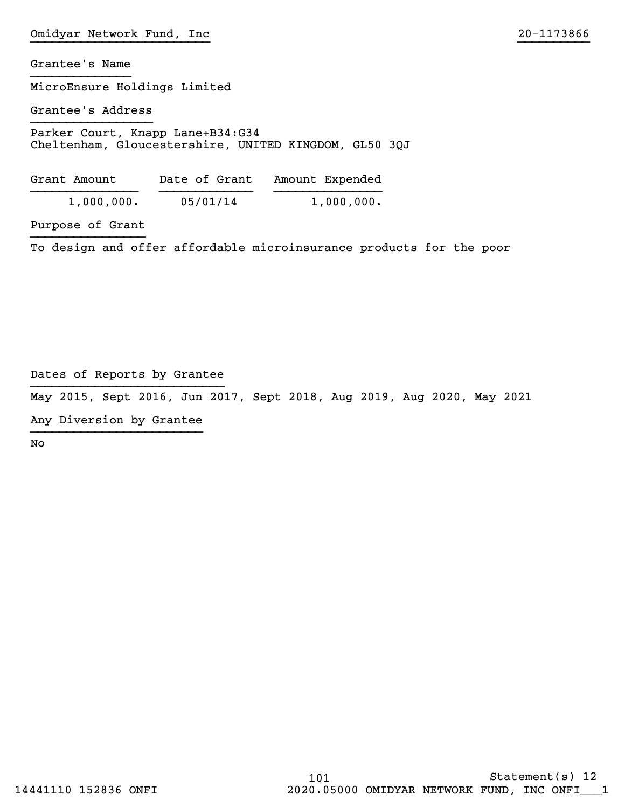MicroEnsure Holdings Limited

Grantee's Address }}}}}}}}}}}}}}}}}

Parker Court, Knapp Lane+B34:G34 Cheltenham, Gloucestershire, UNITED KINGDOM, GL50 3QJ

| Grant Amount | Date of Grant | Amount Expended |
|--------------|---------------|-----------------|
| 1,000,000.   | 05/01/14      | 1,000,000.      |

Purpose of Grant }}}}}}}}}}}}}}}}

To design and offer affordable microinsurance products for the poor

Dates of Reports by Grantee }}}}}}}}}}}}}}}}}}}}}}}}}}}

May 2015, Sept 2016, Hun 2017, Sept 2018, Aug 2019, Aug 2020, May 2021

Any Diversion by Grantee }}}}}}}}}}}}}}}}}}}}}}}}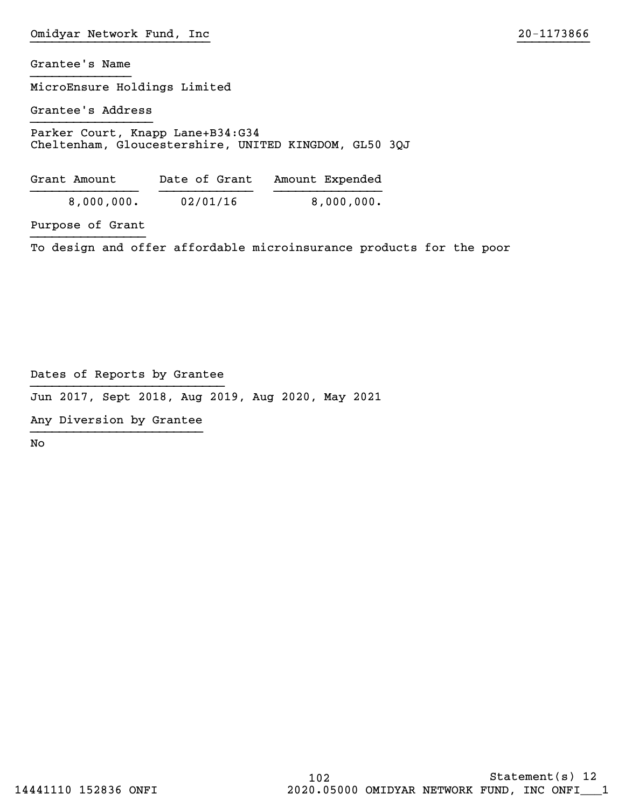MicroEnsure Holdings Limited

Grantee's Address }}}}}}}}}}}}}}}}}

Parker Court, Knapp Lane+B34:G34 Cheltenham, Gloucestershire, UNITED KINGDOM, GL50 3QJ

| Grant Amount | Date of Grant | Amount Expended |
|--------------|---------------|-----------------|
| 8,000,000.   | 02/01/16      | 8,000,000.      |

Purpose of Grant }}}}}}}}}}}}}}}}

To design and offer affordable microinsurance products for the poor

Dates of Reports by Grantee }}}}}}}}}}}}}}}}}}}}}}}}}}}

Jun 2017, Sept 2018, Aug 2019, Aug 2020, May 2021

Any Diversion by Grantee }}}}}}}}}}}}}}}}}}}}}}}}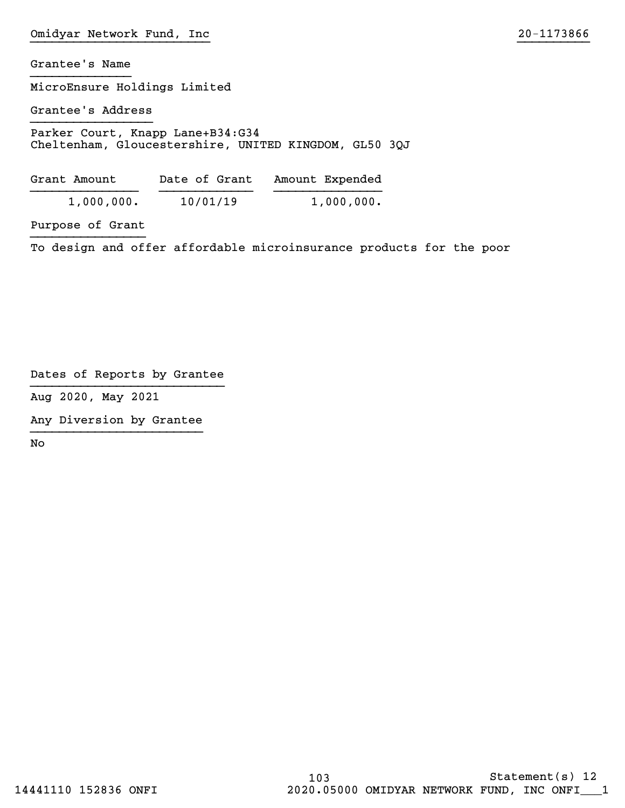MicroEnsure Holdings Limited

Grantee's Address }}}}}}}}}}}}}}}}}

Parker Court, Knapp Lane+B34:G34 Cheltenham, Gloucestershire, UNITED KINGDOM, GL50 3QJ

| Grant Amount | Date of Grant | Amount Expended |
|--------------|---------------|-----------------|
| 1,000,000.   | 10/01/19      | 1,000,000.      |

Purpose of Grant }}}}}}}}}}}}}}}}

To design and offer affordable microinsurance products for the poor

Dates of Reports by Grantee }}}}}}}}}}}}}}}}}}}}}}}}}}}

Aug 2020, May 2021

Any Diversion by Grantee }}}}}}}}}}}}}}}}}}}}}}}}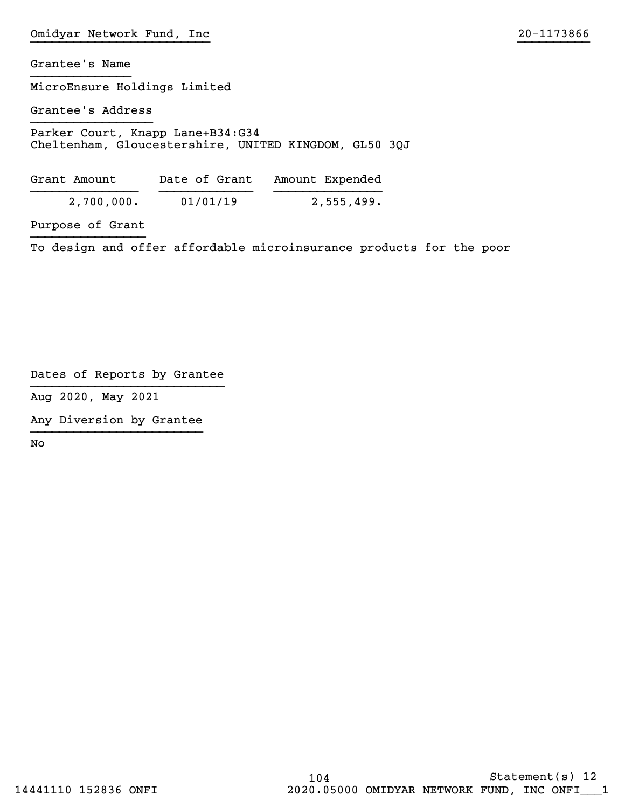MicroEnsure Holdings Limited

Grantee's Address }}}}}}}}}}}}}}}}}

Parker Court, Knapp Lane+B34:G34 Cheltenham, Gloucestershire, UNITED KINGDOM, GL50 3QJ

| Grant Amount | Date of Grant | Amount Expended |
|--------------|---------------|-----------------|
| 2,700,000.   | 01/01/19      | 2,555,499.      |

Purpose of Grant }}}}}}}}}}}}}}}}

To design and offer affordable microinsurance products for the poor

Dates of Reports by Grantee }}}}}}}}}}}}}}}}}}}}}}}}}}}

Aug 2020, May 2021

Any Diversion by Grantee }}}}}}}}}}}}}}}}}}}}}}}}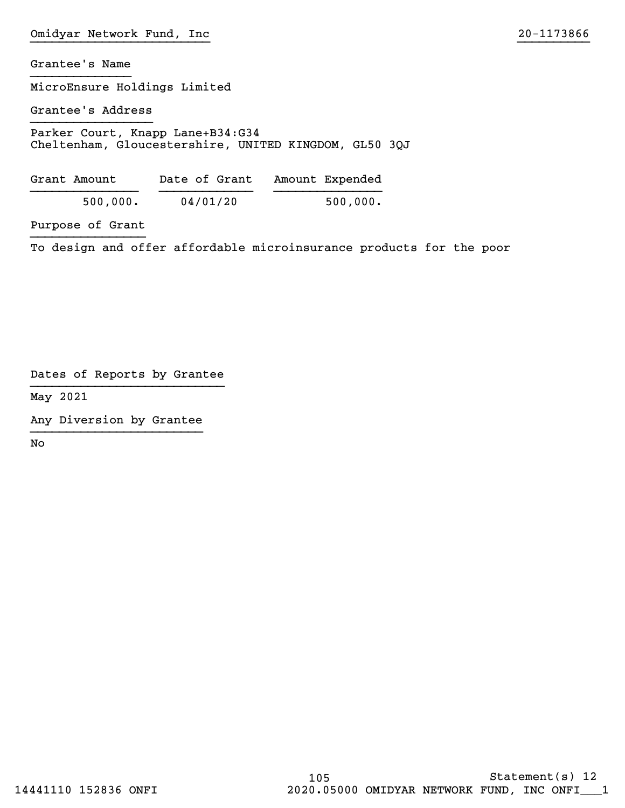MicroEnsure Holdings Limited

Grantee's Address }}}}}}}}}}}}}}}}}

Parker Court, Knapp Lane+B34:G34 Cheltenham, Gloucestershire, UNITED KINGDOM, GL50 3QJ

| Grant Amount | Date of Grant | Amount Expended |
|--------------|---------------|-----------------|
| 500,000.     | 04/01/20      | 500,000.        |

Purpose of Grant }}}}}}}}}}}}}}}}

To design and offer affordable microinsurance products for the poor

Dates of Reports by Grantee }}}}}}}}}}}}}}}}}}}}}}}}}}}

May 2021

Any Diversion by Grantee }}}}}}}}}}}}}}}}}}}}}}}}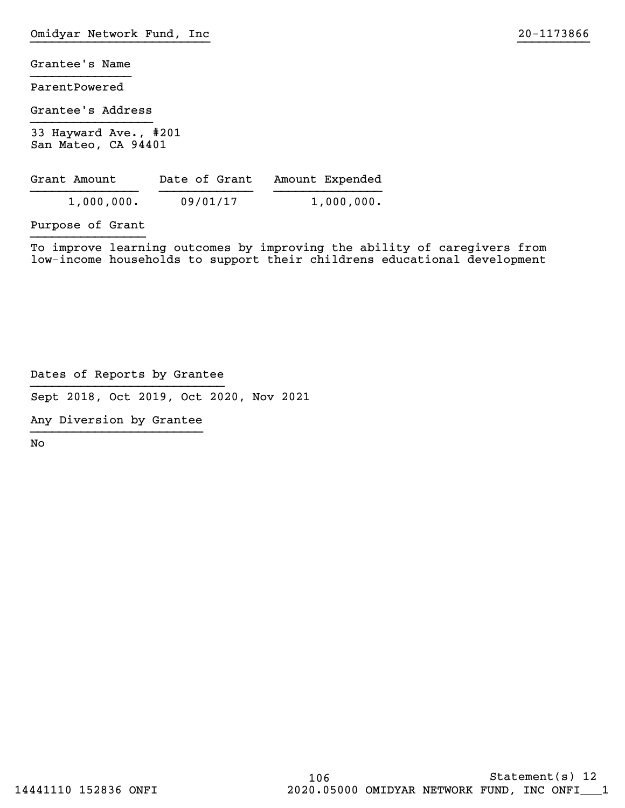ParentPowered

Grantee's Address }}}}}}}}}}}}}}}}}

33 Hayward Ave., #201 San Mateo, CA 94401

| Grant Amount | Date of Grant | Amount Expended |
|--------------|---------------|-----------------|
| 1,000,000.   | 09/01/17      | 1,000,000.      |

Purpose of Grant }}}}}}}}}}}}}}}}

To improve learning outcomes by improving the ability of caregivers from low-income households to support their childrens educational development

Dates of Reports by Grantee }}}}}}}}}}}}}}}}}}}}}}}}}}}

Sept 2018, Oct 2019, Oct 2020, Nov 2021

Any Diversion by Grantee }}}}}}}}}}}}}}}}}}}}}}}}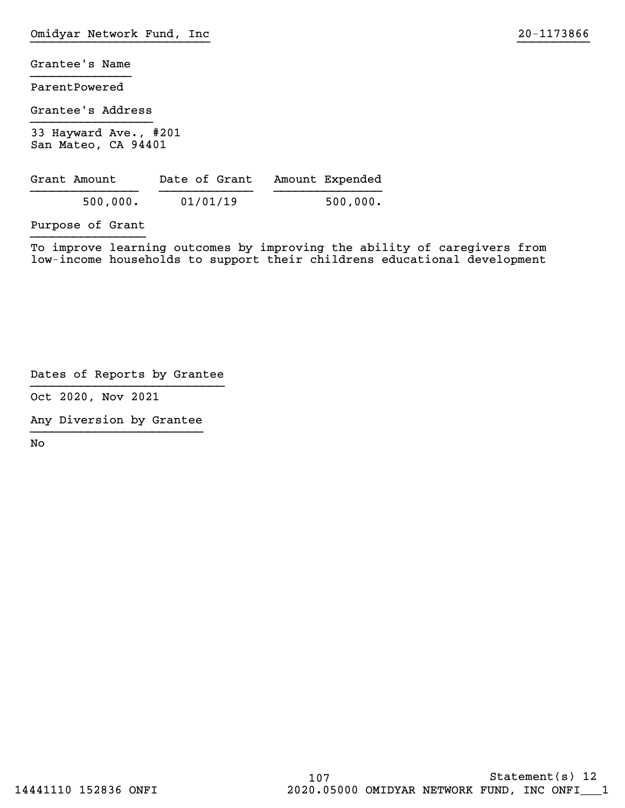ParentPowered

Grantee's Address }}}}}}}}}}}}}}}}}

33 Hayward Ave., #201 San Mateo, CA 94401

| Grant Amount | Date of Grant | Amount Expended |
|--------------|---------------|-----------------|
| 500,000.     | 01/01/19      | 500,000.        |

Purpose of Grant }}}}}}}}}}}}}}}}

To improve learning outcomes by improving the ability of caregivers from low-income households to support their childrens educational development

Dates of Reports by Grantee }}}}}}}}}}}}}}}}}}}}}}}}}}}

Oct 2020, Nov 2021

Any Diversion by Grantee }}}}}}}}}}}}}}}}}}}}}}}}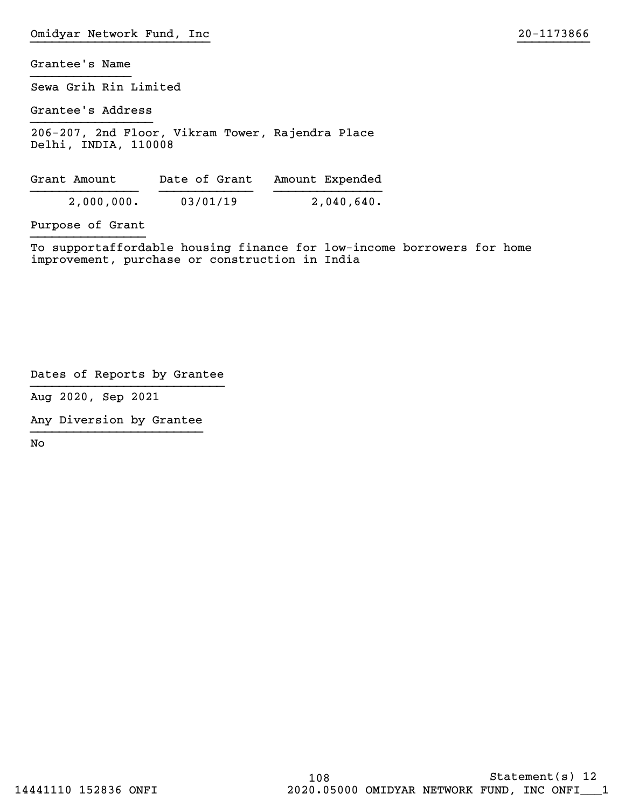Sewa Grih Rin Limited

Grantee's Address }}}}}}}}}}}}}}}}}

206-207, 2nd Floor, Vikram Tower, Rajendra Place Delhi, INDIA, 110008

| Grant Amount | Date of Grant | Amount Expended |
|--------------|---------------|-----------------|
| 2,000,000.   | 03/01/19      | 2,040,640.      |

Purpose of Grant }}}}}}}}}}}}}}}}

To supportaffordable housing finance for low-income borrowers for home improvement, purchase or construction in India

Dates of Reports by Grantee }}}}}}}}}}}}}}}}}}}}}}}}}}}

Aug 2020, Sep 2021

Any Diversion by Grantee }}}}}}}}}}}}}}}}}}}}}}}}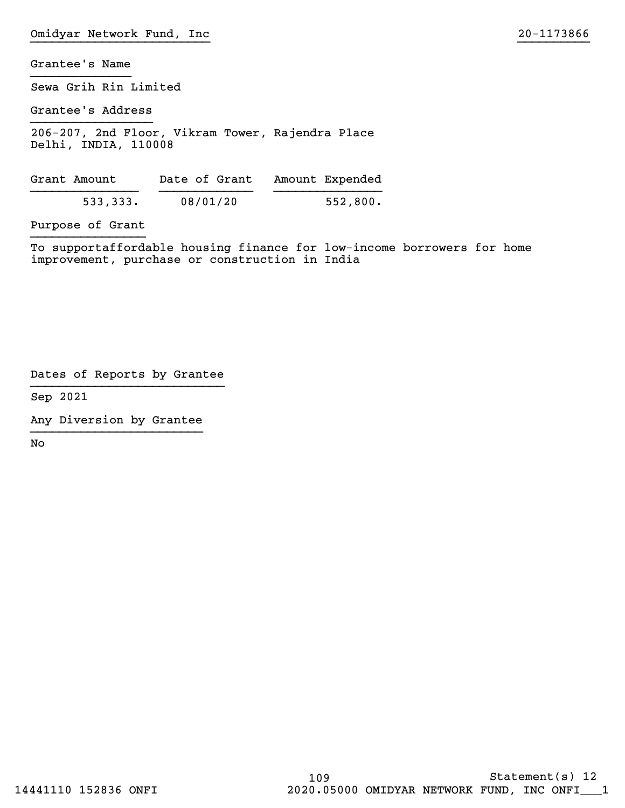Sewa Grih Rin Limited

Grantee's Address }}}}}}}}}}}}}}}}}

206-207, 2nd Floor, Vikram Tower, Rajendra Place Delhi, INDIA, 110008

| Grant Amount | Date of Grant | Amount Expended |
|--------------|---------------|-----------------|
| 533,333.     | 08/01/20      | 552,800.        |

Purpose of Grant }}}}}}}}}}}}}}}}

To supportaffordable housing finance for low-income borrowers for home improvement, purchase or construction in India

Dates of Reports by Grantee }}}}}}}}}}}}}}}}}}}}}}}}}}}

Sep 2021

Any Diversion by Grantee }}}}}}}}}}}}}}}}}}}}}}}}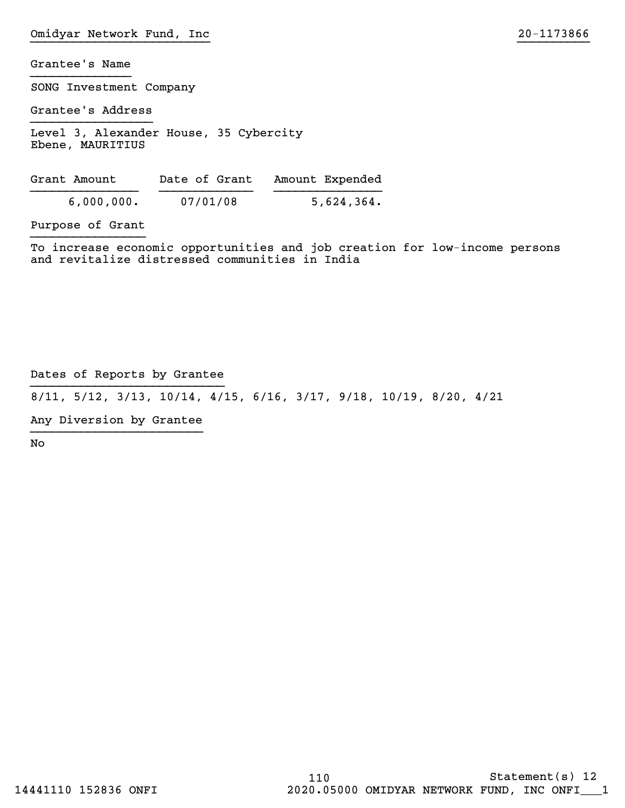SONG Investment Company

Grantee's Address }}}}}}}}}}}}}}}}}

Level 3, Alexander House, 35 Cybercity Ebene, MAURITIUS

Grant Amount Date of Grant Amount Expended }}}}}}}}}}}}}}} }}}}}}}}}}}}} }}}}}}}}}}}}}}} 6,000,000. 07/01/08 5,624,364.

Purpose of Grant }}}}}}}}}}}}}}}}

To increase economic opportunities and job creation for low-income persons and revitalize distressed communities in India

Dates of Reports by Grantee }}}}}}}}}}}}}}}}}}}}}}}}}}}

8/11, 5/12, 3/13, 10/14, 4/15, 6/16, 3/17, 9/18, 10/19, 8/20, 4/21

Any Diversion by Grantee }}}}}}}}}}}}}}}}}}}}}}}}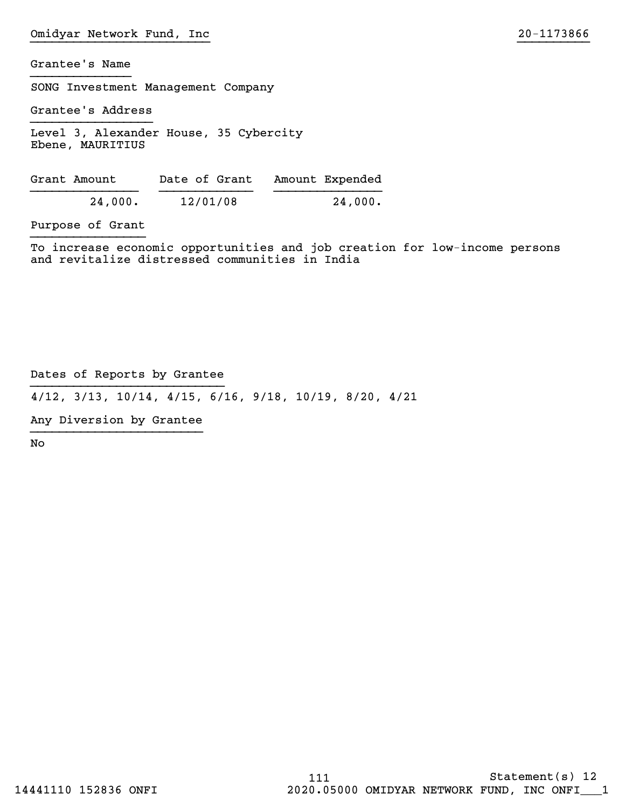SONG Investment Management Company

Grantee's Address }}}}}}}}}}}}}}}}}

Level 3, Alexander House, 35 Cybercity Ebene, MAURITIUS

| Grant Amount | Date of Grant | Amount Expended |
|--------------|---------------|-----------------|
| 24,000.      | 12/01/08      | 24,000.         |

Purpose of Grant }}}}}}}}}}}}}}}}

To increase economic opportunities and job creation for low-income persons and revitalize distressed communities in India

Dates of Reports by Grantee }}}}}}}}}}}}}}}}}}}}}}}}}}}

4/12, 3/13, 10/14, 4/15, 6/16, 9/18, 10/19, 8/20, 4/21

Any Diversion by Grantee }}}}}}}}}}}}}}}}}}}}}}}}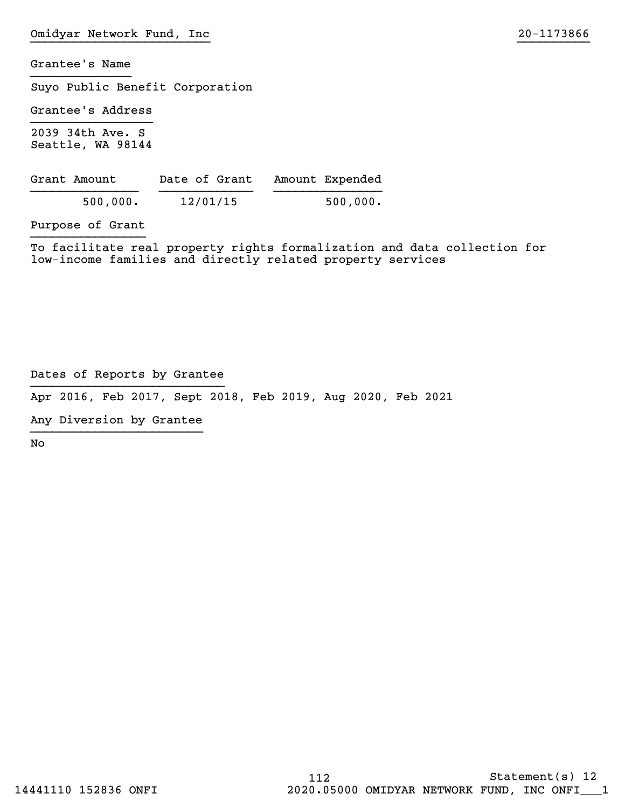Suyo Public Benefit Corporation

Grantee's Address }}}}}}}}}}}}}}}}}

2039 34th Ave. S Seattle, WA 98144

| Grant Amount | Date of Grant | Amount Expended |
|--------------|---------------|-----------------|
| 500,000.     | 12/01/15      | 500,000.        |

Purpose of Grant }}}}}}}}}}}}}}}}

To facilitate real property rights formalization and data collection for low-income families and directly related property services

Dates of Reports by Grantee }}}}}}}}}}}}}}}}}}}}}}}}}}}

Apr 2016, Feb 2017, Sept 2018, Feb 2019, Aug 2020, Feb 2021

Any Diversion by Grantee }}}}}}}}}}}}}}}}}}}}}}}}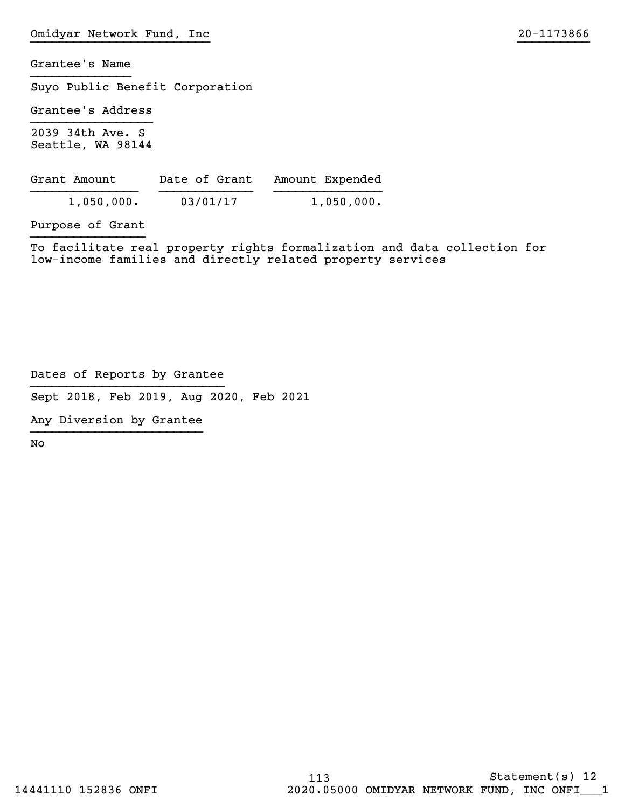Suyo Public Benefit Corporation

Grantee's Address }}}}}}}}}}}}}}}}}

2039 34th Ave. S Seattle, WA 98144

| Grant Amount | Date of Grant | Amount Expended |
|--------------|---------------|-----------------|
| 1,050,000.   | 03/01/17      | 1,050,000.      |

Purpose of Grant }}}}}}}}}}}}}}}}

To facilitate real property rights formalization and data collection for low-income families and directly related property services

Dates of Reports by Grantee }}}}}}}}}}}}}}}}}}}}}}}}}}}

Sept 2018, Feb 2019, Aug 2020, Feb 2021

Any Diversion by Grantee }}}}}}}}}}}}}}}}}}}}}}}}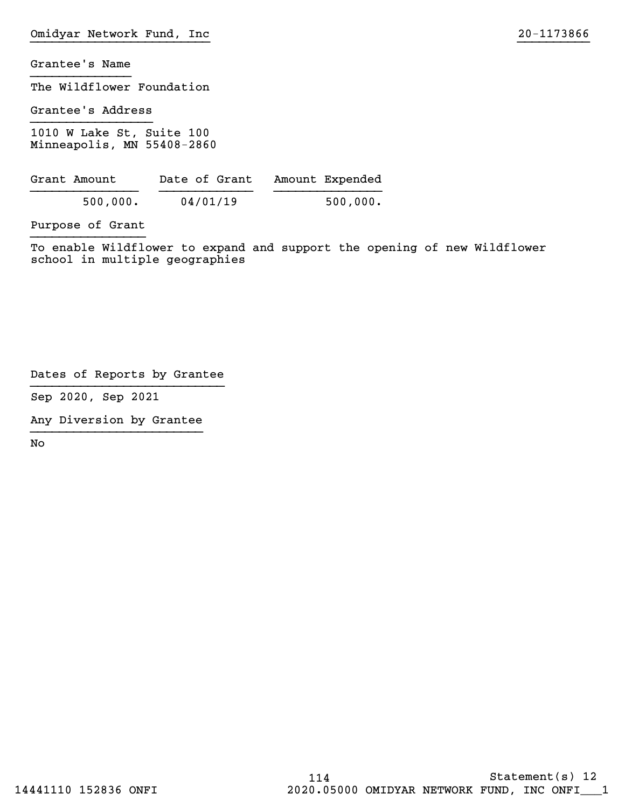The Wildflower Foundation

Grantee's Address }}}}}}}}}}}}}}}}}

1010 W Lake St, Suite 100 Minneapolis, MN 55408-2860

| Grant Amount |          | Date of Grant | Amount Expended |
|--------------|----------|---------------|-----------------|
| 500,000.     | 04/01/19 |               | 500,000.        |

Purpose of Grant }}}}}}}}}}}}}}}}

To enable Wildflower to expand and support the opening of new Wildflower school in multiple geographies

Dates of Reports by Grantee }}}}}}}}}}}}}}}}}}}}}}}}}}}

Sep 2020, Sep 2021

Any Diversion by Grantee }}}}}}}}}}}}}}}}}}}}}}}}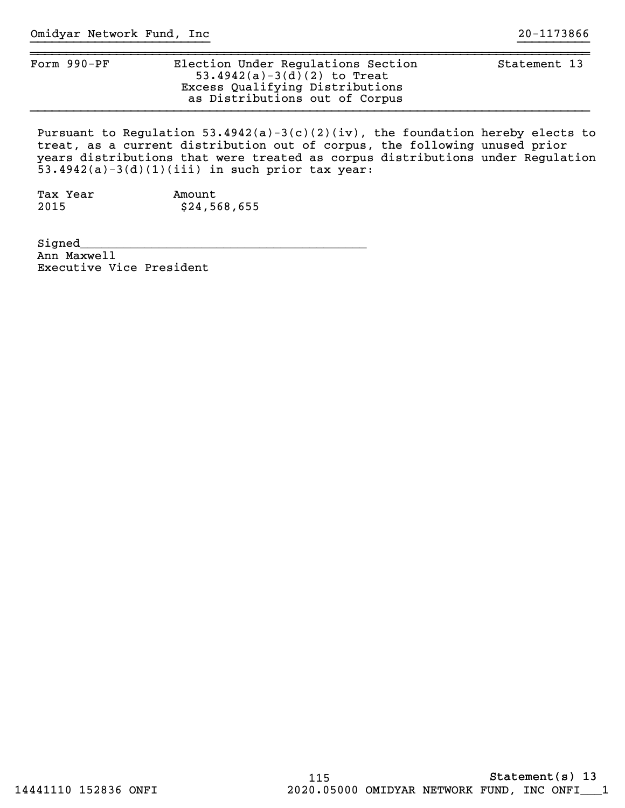| Election Under Regulations Section<br>53.4942(a)-3(d)(2) to Treat<br>Excess Qualifying Distributions<br>as Distributions out of Corpus | Statement 13 |
|----------------------------------------------------------------------------------------------------------------------------------------|--------------|
|                                                                                                                                        |              |

Pursuant to Regulation 53.4942(a)-3(c)(2)(iv), the foundation hereby elects to treat, as a current distribution out of corpus, the following unused prior years distributions that were treated as corpus distributions under Regulation 53.4942(a)-3(d)(1)(iii) in such prior tax year:

Tax Year **Amount** 2015 \$24,568,655

Signed\_\_\_\_\_\_\_\_\_\_\_\_\_\_\_\_\_\_\_\_\_\_\_\_\_\_\_\_\_\_\_\_\_\_\_\_\_\_\_\_ Ann Maxwell Executive Vice President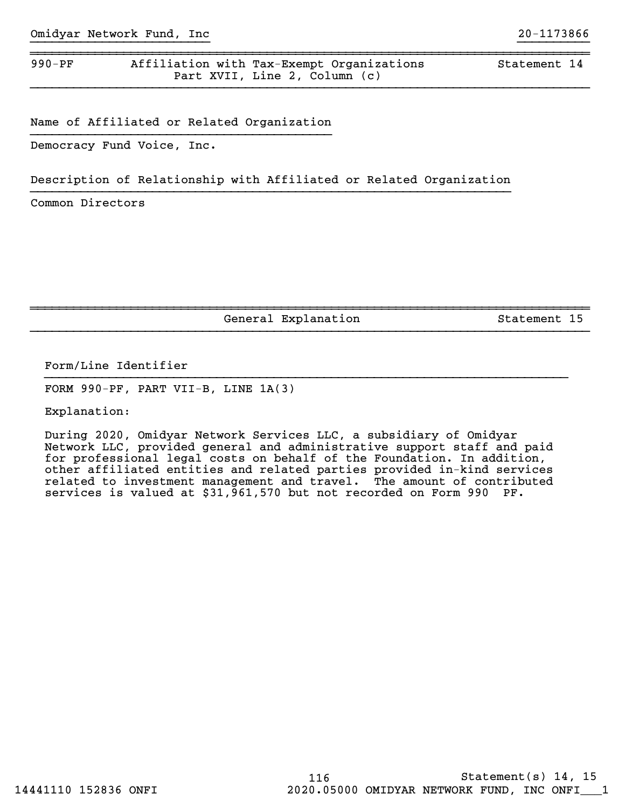## 990-PF Affiliation with Tax-Exempt Organizations Statement 14 Part XVII, Line 2, Column (c)

Name of Affiliated or Related Organization }}}}}}}}}}}}}}}}}}}}}}}}}}}}}}}}}}}}}}}}}}

Democracy Fund Voice, Inc.

## Description of Relationship with Affiliated or Related Organization }}}}}}}}}}}}}}}}}}}}}}}}}}}}}}}}}}}}}}}}}}}}}}}}}}}}}}}}}}}}}}}}}}}

~~~~~~~~~~~~~~~~~~~~~~~~~~~~~~~~~~~~~~~~~~~~~~~~~~~~~~~~~~~~~~~~~~~~~~~~~~~~~~

}}}}}}}}}}}}}}}}}}}}}}}}}}}}}}}}}}}}}}}}}}}}}}}}}}}}}}}}}}}}}}}}}}}}}}}}}}}}}}

Common Directors

General Explanation Statement 15

~~~~~~~~~~~~~~~~~~~~~~~~~~~~~~~~~~~~~~~~~~~~~~~~~~~~~~~~~~~~~~~~~~~~~~~~~~~~~~

}}}}}}}}}}}}}}}}}}}}}}}}}}}}}}}}}}}}}}}}}}}}}}}}}}}}}}}}}}}}}}}}}}}}}}}}}}}}}}

}}}}}}}}}}}}}}}}}}}}}}}}}}}}}}}}}}}}}}}}}}}}}}}}}}}}}}}}}}}}}}}}}}}}}}}}}

Form/Line Identifier

FORM 990-PF, PART VII-B, LINE 1A(3)

Explanation:

During 2020, Omidyar Network Services LLC, a subsidiary of Omidyar Network LLC, provided general and administrative support staff and paid for professional legal costs on behalf of the Foundation. In addition, other affiliated entities and related parties provided in-kind services related to investment management and travel. The amount of contributed services is valued at \$31,961,570 but not recorded on Form 990 PF.